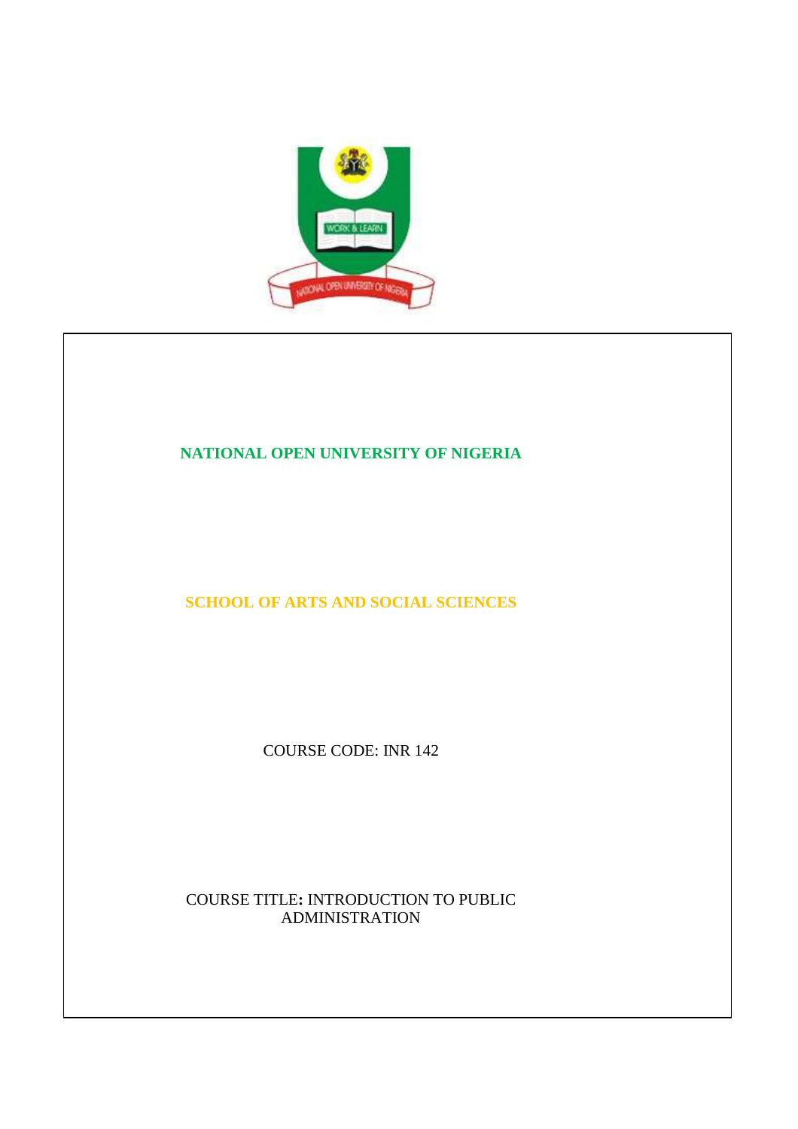

# **NATIONAL OPEN UNIVERSITY OF NIGERIA**

**SCHOOL OF ARTS AND SOCIAL SCIENCES** 

COURSE CODE: INR 142

COURSE TITLE**:** INTRODUCTION TO PUBLIC ADMINISTRATION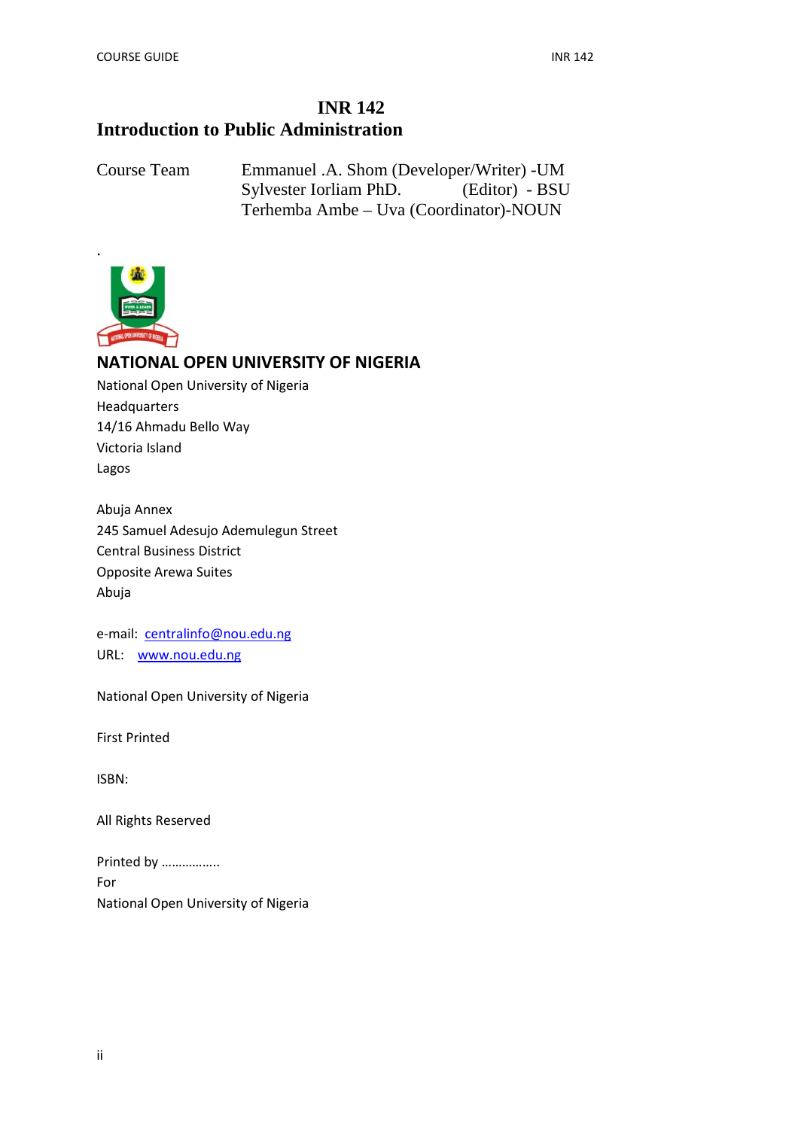# **INR 142 Introduction to Public Administration**

Course Team Emmanuel .A. Shom (Developer/Writer) -UM Sylvester Iorliam PhD. (Editor) - BSU Terhemba Ambe – Uva (Coordinator)-NOUN



# **NATIONAL OPEN UNIVERSITY OF NIGERIA**

National Open University of Nigeria Headquarters 14/16 Ahmadu Bello Way Victoria Island Lagos

Abuja Annex 245 Samuel Adesujo Ademulegun Street Central Business District Opposite Arewa Suites Abuja

e-mail: centralinfo@nou.edu.ng URL: www.nou.edu.ng

National Open University of Nigeria

First Printed

ISBN:

All Rights Reserved

Printed by …………….. For National Open University of Nigeria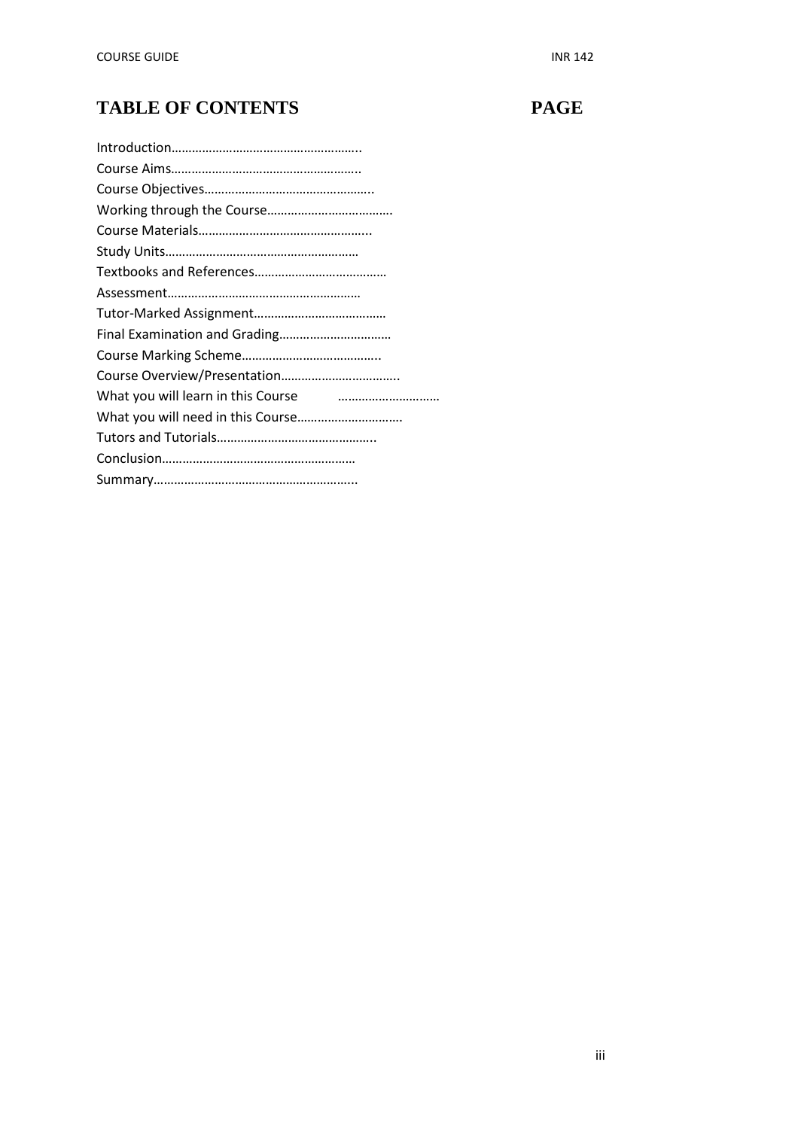# **TABLE OF CONTENTS PAGE**

| What you will learn in this Course <b>Comman and Contain to the What</b> |
|--------------------------------------------------------------------------|
|                                                                          |
|                                                                          |
|                                                                          |
|                                                                          |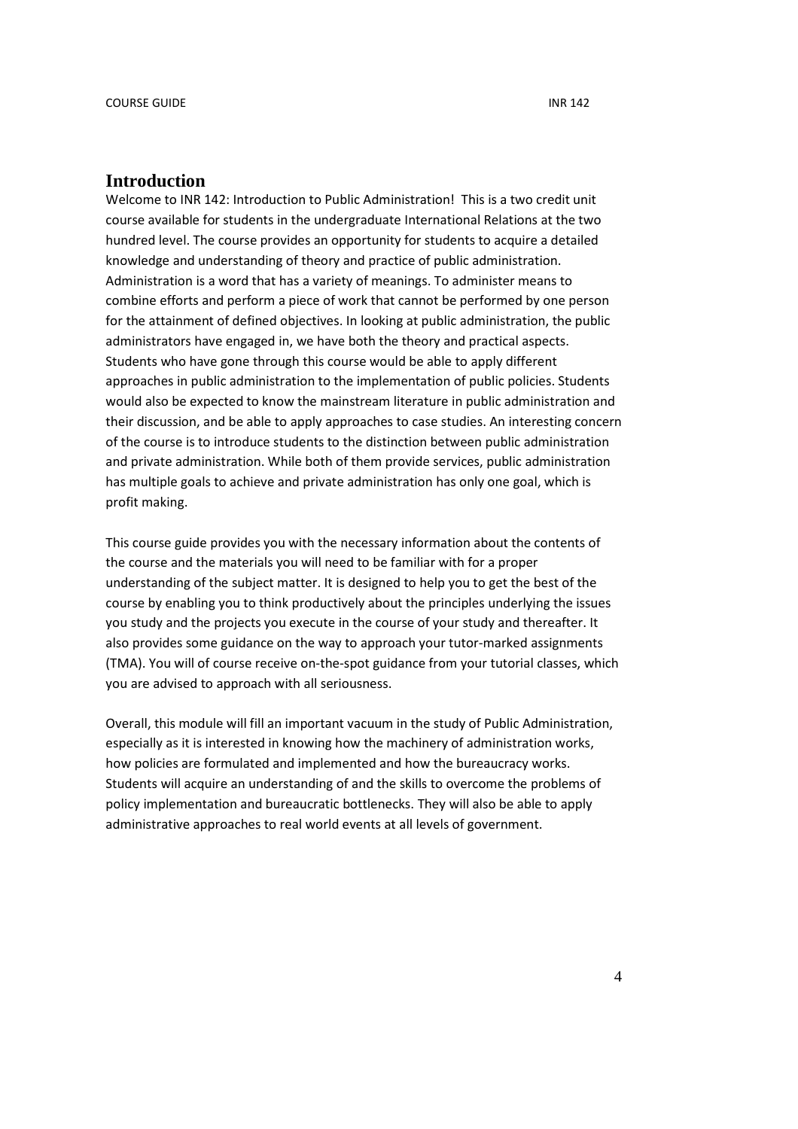#### **Introduction**

Welcome to INR 142: Introduction to Public Administration! This is a two credit unit course available for students in the undergraduate International Relations at the two hundred level. The course provides an opportunity for students to acquire a detailed knowledge and understanding of theory and practice of public administration. Administration is a word that has a variety of meanings. To administer means to combine efforts and perform a piece of work that cannot be performed by one person for the attainment of defined objectives. In looking at public administration, the public administrators have engaged in, we have both the theory and practical aspects. Students who have gone through this course would be able to apply different approaches in public administration to the implementation of public policies. Students would also be expected to know the mainstream literature in public administration and their discussion, and be able to apply approaches to case studies. An interesting concern of the course is to introduce students to the distinction between public administration and private administration. While both of them provide services, public administration has multiple goals to achieve and private administration has only one goal, which is profit making.

This course guide provides you with the necessary information about the contents of the course and the materials you will need to be familiar with for a proper understanding of the subject matter. It is designed to help you to get the best of the course by enabling you to think productively about the principles underlying the issues you study and the projects you execute in the course of your study and thereafter. It also provides some guidance on the way to approach your tutor-marked assignments (TMA). You will of course receive on-the-spot guidance from your tutorial classes, which you are advised to approach with all seriousness.

Overall, this module will fill an important vacuum in the study of Public Administration, especially as it is interested in knowing how the machinery of administration works, how policies are formulated and implemented and how the bureaucracy works. Students will acquire an understanding of and the skills to overcome the problems of policy implementation and bureaucratic bottlenecks. They will also be able to apply administrative approaches to real world events at all levels of government.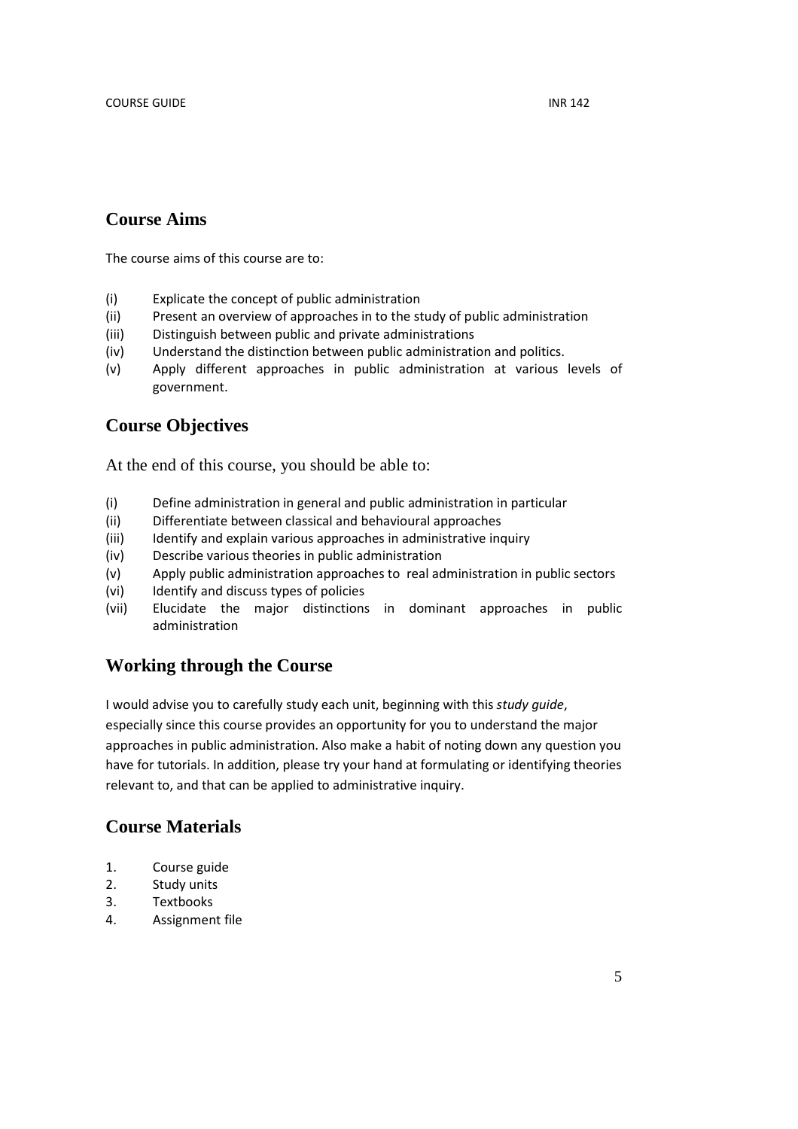## **Course Aims**

The course aims of this course are to:

- (i) Explicate the concept of public administration
- (ii) Present an overview of approaches in to the study of public administration
- (iii) Distinguish between public and private administrations
- (iv) Understand the distinction between public administration and politics.
- (v) Apply different approaches in public administration at various levels of government.

## **Course Objectives**

At the end of this course, you should be able to:

- (i) Define administration in general and public administration in particular
- (ii) Differentiate between classical and behavioural approaches
- (iii) Identify and explain various approaches in administrative inquiry
- (iv) Describe various theories in public administration
- (v) Apply public administration approaches to real administration in public sectors
- (vi) Identify and discuss types of policies
- (vii) Elucidate the major distinctions in dominant approaches in public administration

## **Working through the Course**

I would advise you to carefully study each unit, beginning with this *study guide*, especially since this course provides an opportunity for you to understand the major approaches in public administration. Also make a habit of noting down any question you have for tutorials. In addition, please try your hand at formulating or identifying theories relevant to, and that can be applied to administrative inquiry.

## **Course Materials**

- 1. Course guide
- 2. Study units
- 3. Textbooks
- 4. Assignment file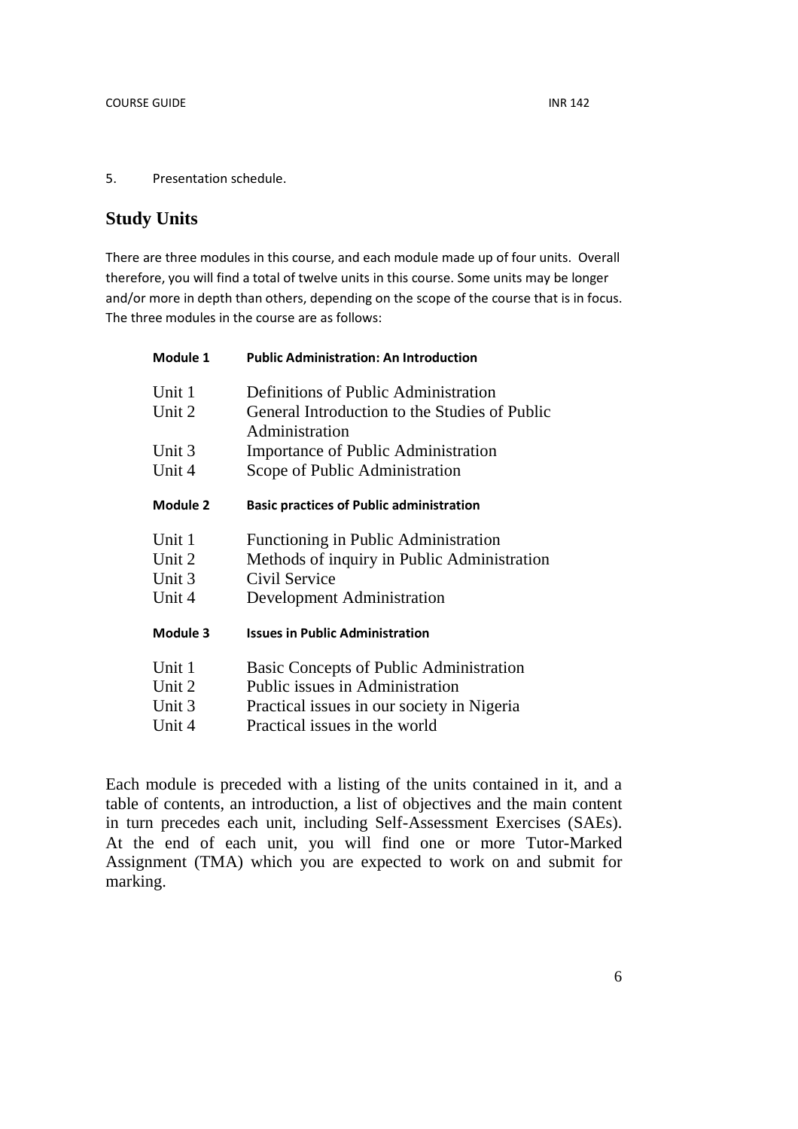#### 5. Presentation schedule.

## **Study Units**

There are three modules in this course, and each module made up of four units. Overall therefore, you will find a total of twelve units in this course. Some units may be longer and/or more in depth than others, depending on the scope of the course that is in focus. The three modules in the course are as follows:

| <b>Public Administration: An Introduction</b>                   |  |  |
|-----------------------------------------------------------------|--|--|
| Definitions of Public Administration                            |  |  |
| General Introduction to the Studies of Public<br>Administration |  |  |
| <b>Importance of Public Administration</b>                      |  |  |
| Scope of Public Administration                                  |  |  |
| <b>Basic practices of Public administration</b>                 |  |  |
| Functioning in Public Administration                            |  |  |
| Methods of inquiry in Public Administration                     |  |  |
| Civil Service                                                   |  |  |
| Development Administration                                      |  |  |
| <b>Issues in Public Administration</b>                          |  |  |
| Basic Concepts of Public Administration                         |  |  |
| Public issues in Administration                                 |  |  |
| Practical issues in our society in Nigeria                      |  |  |
| Practical issues in the world                                   |  |  |
|                                                                 |  |  |

Each module is preceded with a listing of the units contained in it, and a table of contents, an introduction, a list of objectives and the main content in turn precedes each unit, including Self-Assessment Exercises (SAEs). At the end of each unit, you will find one or more Tutor-Marked Assignment (TMA) which you are expected to work on and submit for marking.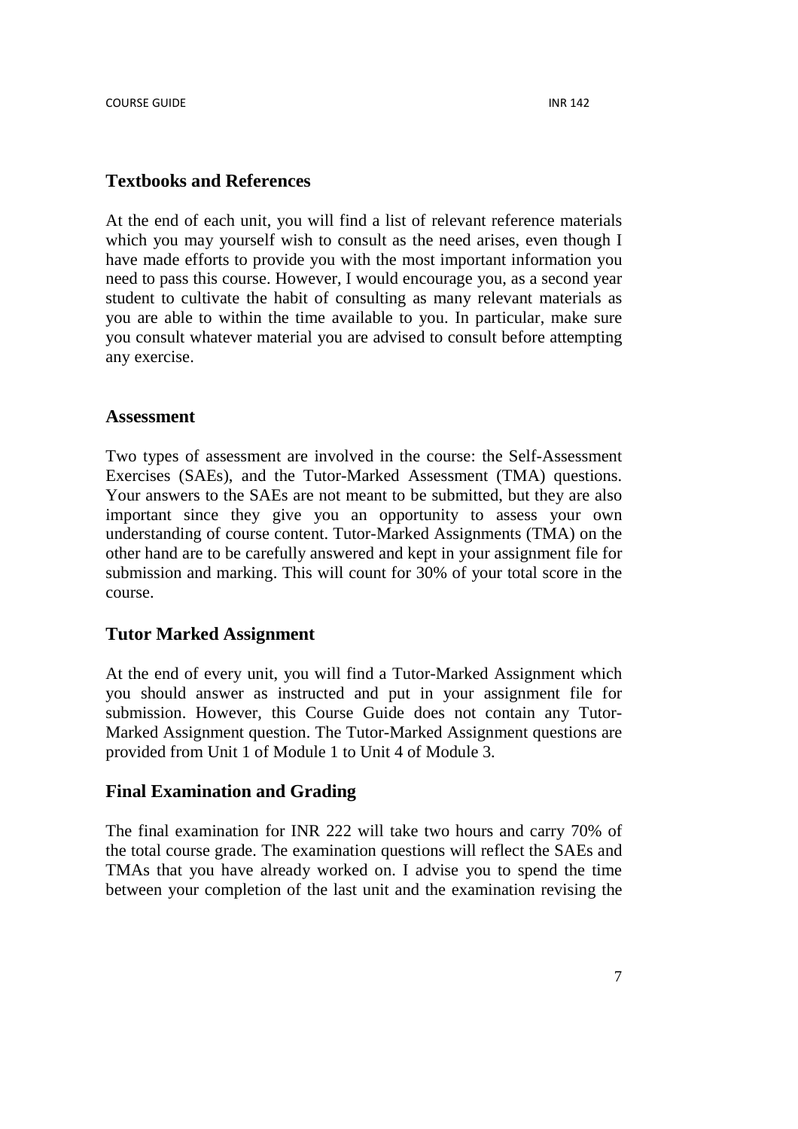#### **Textbooks and References**

At the end of each unit, you will find a list of relevant reference materials which you may yourself wish to consult as the need arises, even though I have made efforts to provide you with the most important information you need to pass this course. However, I would encourage you, as a second year student to cultivate the habit of consulting as many relevant materials as you are able to within the time available to you. In particular, make sure you consult whatever material you are advised to consult before attempting any exercise.

#### **Assessment**

Two types of assessment are involved in the course: the Self-Assessment Exercises (SAEs), and the Tutor-Marked Assessment (TMA) questions. Your answers to the SAEs are not meant to be submitted, but they are also important since they give you an opportunity to assess your own understanding of course content. Tutor-Marked Assignments (TMA) on the other hand are to be carefully answered and kept in your assignment file for submission and marking. This will count for 30% of your total score in the course.

#### **Tutor Marked Assignment**

At the end of every unit, you will find a Tutor-Marked Assignment which you should answer as instructed and put in your assignment file for submission. However, this Course Guide does not contain any Tutor-Marked Assignment question. The Tutor-Marked Assignment questions are provided from Unit 1 of Module 1 to Unit 4 of Module 3.

## **Final Examination and Grading**

The final examination for INR 222 will take two hours and carry 70% of the total course grade. The examination questions will reflect the SAEs and TMAs that you have already worked on. I advise you to spend the time between your completion of the last unit and the examination revising the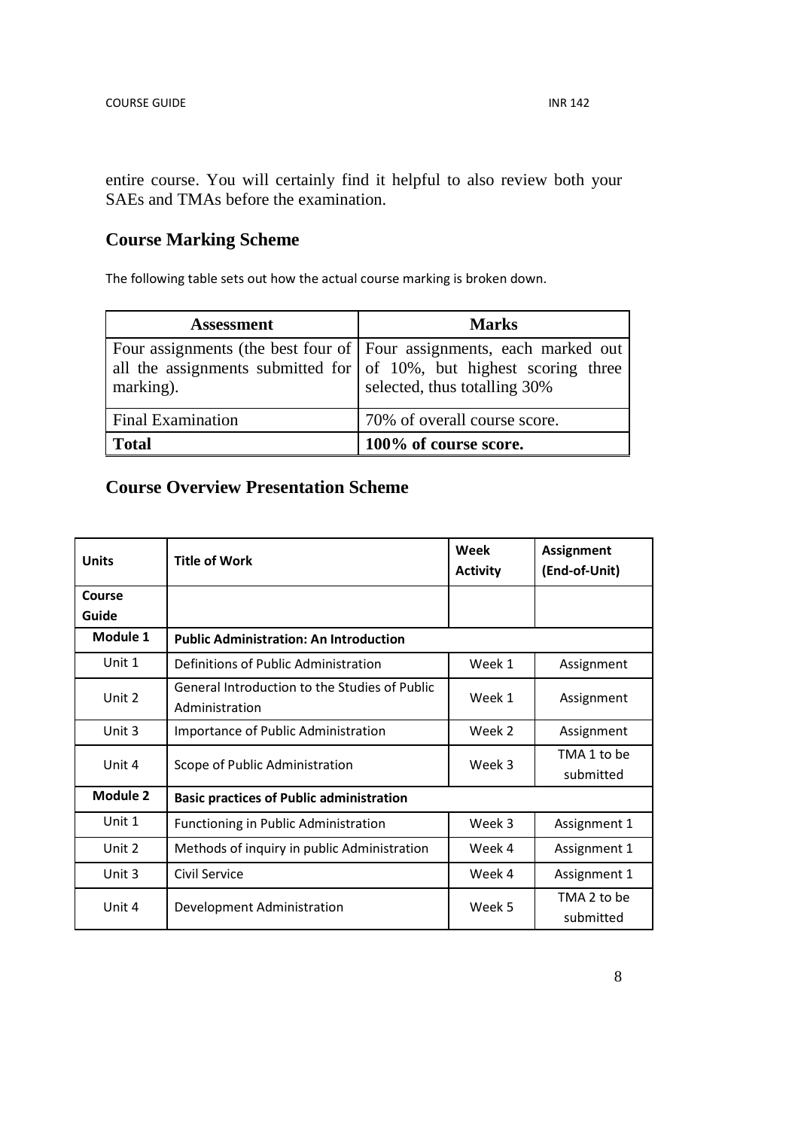entire course. You will certainly find it helpful to also review both your SAEs and TMAs before the examination.

## **Course Marking Scheme**

The following table sets out how the actual course marking is broken down.

| <b>Assessment</b>        | <b>Marks</b>                                                                                                                                                                        |
|--------------------------|-------------------------------------------------------------------------------------------------------------------------------------------------------------------------------------|
| marking).                | Four assignments (the best four of Four assignments, each marked out<br>all the assignments submitted for $\vert$ of 10%, but highest scoring three<br>selected, thus totalling 30% |
| <b>Final Examination</b> | 70% of overall course score.                                                                                                                                                        |
| <b>Total</b>             | 100% of course score.                                                                                                                                                               |

# **Course Overview Presentation Scheme**

| <b>Units</b>    | <b>Title of Work</b>                                            | Week<br><b>Activity</b> | Assignment<br>(End-of-Unit) |
|-----------------|-----------------------------------------------------------------|-------------------------|-----------------------------|
| Course<br>Guide |                                                                 |                         |                             |
| Module 1        | <b>Public Administration: An Introduction</b>                   |                         |                             |
| Unit 1          | Definitions of Public Administration                            | Week 1                  | Assignment                  |
| Unit 2          | General Introduction to the Studies of Public<br>Administration | Week 1                  | Assignment                  |
| Unit 3          | Importance of Public Administration                             | Week 2                  | Assignment                  |
| Unit 4          | Scope of Public Administration                                  | Week 3                  | TMA 1 to be<br>submitted    |
| Module 2        | <b>Basic practices of Public administration</b>                 |                         |                             |
| Unit 1          | Functioning in Public Administration                            | Week 3                  | Assignment 1                |
| Unit 2          | Methods of inquiry in public Administration                     | Week 4                  | Assignment 1                |
| Unit 3          | Civil Service                                                   | Week 4                  | Assignment 1                |
| Unit 4          | Development Administration                                      | Week 5                  | TMA 2 to be<br>submitted    |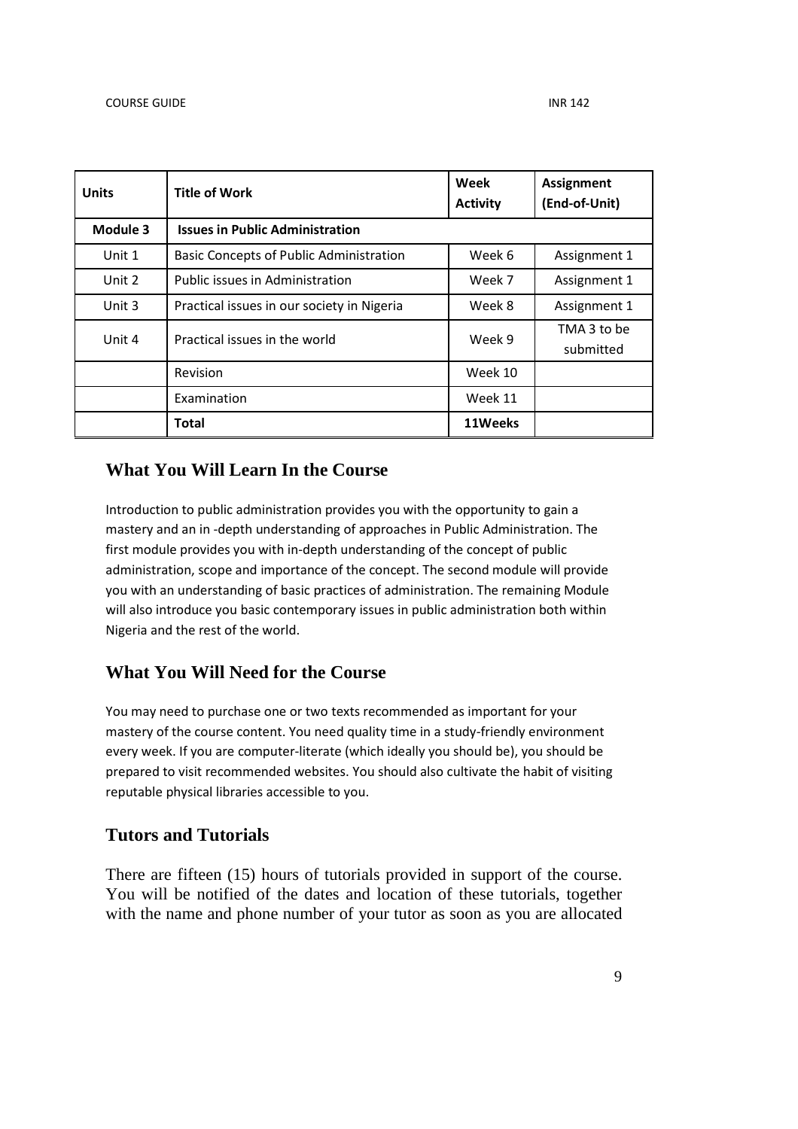| <b>Units</b> | <b>Title of Work</b>                           | Week<br><b>Activity</b> | <b>Assignment</b><br>(End-of-Unit) |
|--------------|------------------------------------------------|-------------------------|------------------------------------|
| Module 3     | <b>Issues in Public Administration</b>         |                         |                                    |
| Unit 1       | <b>Basic Concepts of Public Administration</b> | Week 6                  | Assignment 1                       |
| Unit 2       | Public issues in Administration                | Week 7                  | Assignment 1                       |
| Unit 3       | Practical issues in our society in Nigeria     | Week 8                  | Assignment 1                       |
| Unit 4       | Practical issues in the world                  | Week 9                  | TMA 3 to be<br>submitted           |
|              | Revision                                       | Week 10                 |                                    |
|              | Examination                                    | Week 11                 |                                    |
|              | <b>Total</b>                                   | 11Weeks                 |                                    |

## **What You Will Learn In the Course**

Introduction to public administration provides you with the opportunity to gain a mastery and an in -depth understanding of approaches in Public Administration. The first module provides you with in-depth understanding of the concept of public administration, scope and importance of the concept. The second module will provide you with an understanding of basic practices of administration. The remaining Module will also introduce you basic contemporary issues in public administration both within Nigeria and the rest of the world.

## **What You Will Need for the Course**

You may need to purchase one or two texts recommended as important for your mastery of the course content. You need quality time in a study-friendly environment every week. If you are computer-literate (which ideally you should be), you should be prepared to visit recommended websites. You should also cultivate the habit of visiting reputable physical libraries accessible to you.

## **Tutors and Tutorials**

There are fifteen (15) hours of tutorials provided in support of the course. You will be notified of the dates and location of these tutorials, together with the name and phone number of your tutor as soon as you are allocated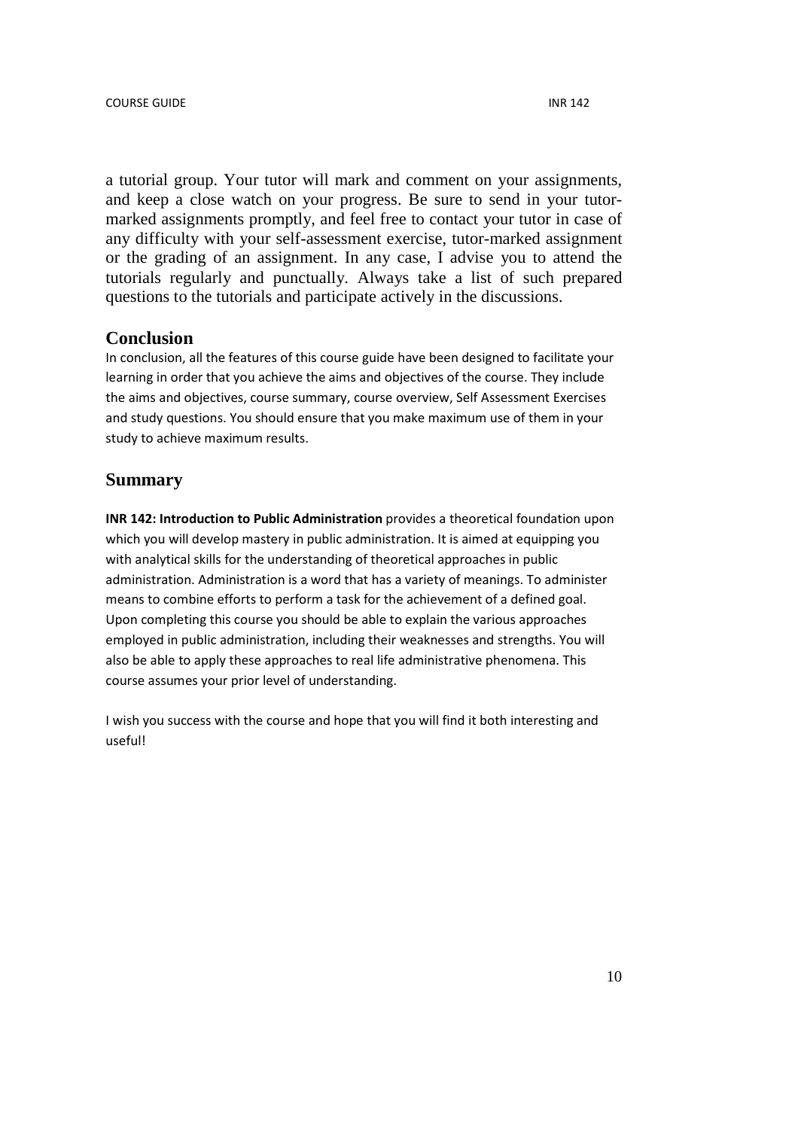a tutorial group. Your tutor will mark and comment on your assignments, and keep a close watch on your progress. Be sure to send in your tutormarked assignments promptly, and feel free to contact your tutor in case of any difficulty with your self-assessment exercise, tutor-marked assignment or the grading of an assignment. In any case, I advise you to attend the tutorials regularly and punctually. Always take a list of such prepared questions to the tutorials and participate actively in the discussions.

#### **Conclusion**

In conclusion, all the features of this course guide have been designed to facilitate your learning in order that you achieve the aims and objectives of the course. They include the aims and objectives, course summary, course overview, Self Assessment Exercises and study questions. You should ensure that you make maximum use of them in your study to achieve maximum results.

## **Summary**

**INR 142: Introduction to Public Administration** provides a theoretical foundation upon which you will develop mastery in public administration. It is aimed at equipping you with analytical skills for the understanding of theoretical approaches in public administration. Administration is a word that has a variety of meanings. To administer means to combine efforts to perform a task for the achievement of a defined goal. Upon completing this course you should be able to explain the various approaches employed in public administration, including their weaknesses and strengths. You will also be able to apply these approaches to real life administrative phenomena. This course assumes your prior level of understanding.

I wish you success with the course and hope that you will find it both interesting and useful!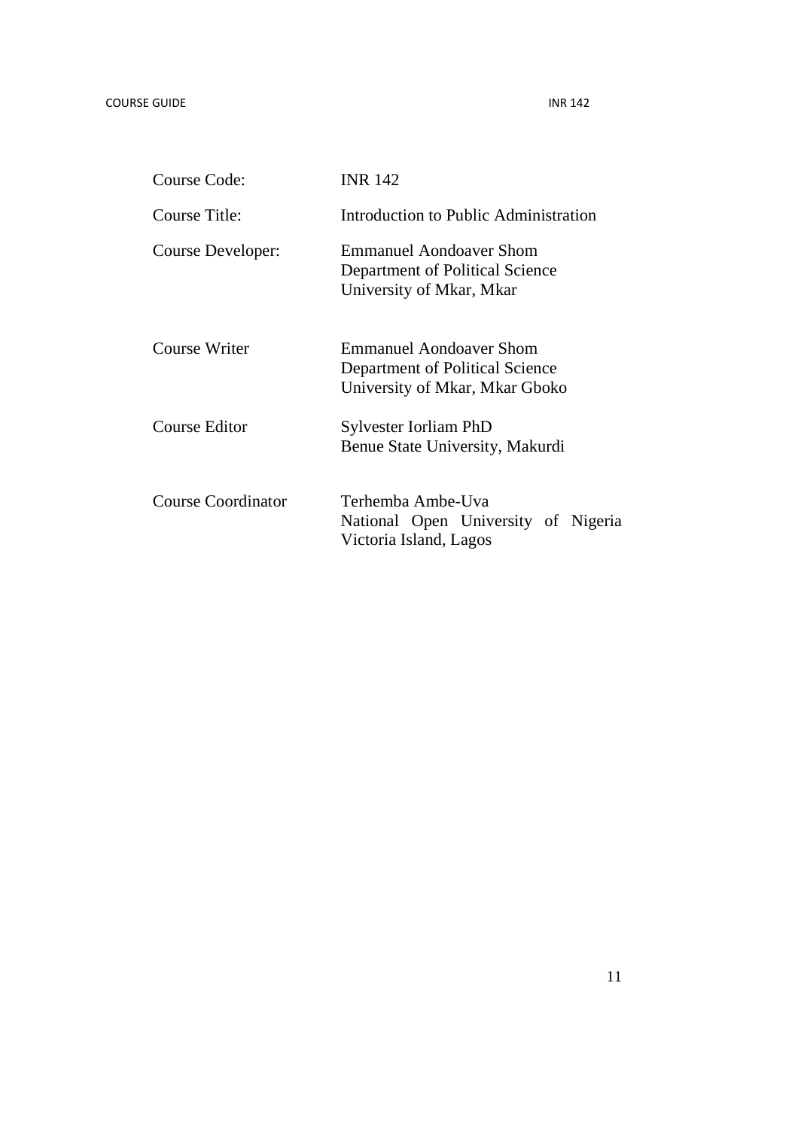| <b>Course Code:</b>       | <b>INR 142</b>                                                                                      |
|---------------------------|-----------------------------------------------------------------------------------------------------|
| Course Title:             | Introduction to Public Administration                                                               |
| Course Developer:         | <b>Emmanuel Aondoaver Shom</b><br>Department of Political Science<br>University of Mkar, Mkar       |
| Course Writer             | <b>Emmanuel Aondoaver Shom</b><br>Department of Political Science<br>University of Mkar, Mkar Gboko |
| Course Editor             | Sylvester Iorliam PhD<br>Benue State University, Makurdi                                            |
| <b>Course Coordinator</b> | Terhemba Ambe-Uva<br>National Open University of Nigeria<br>Victoria Island, Lagos                  |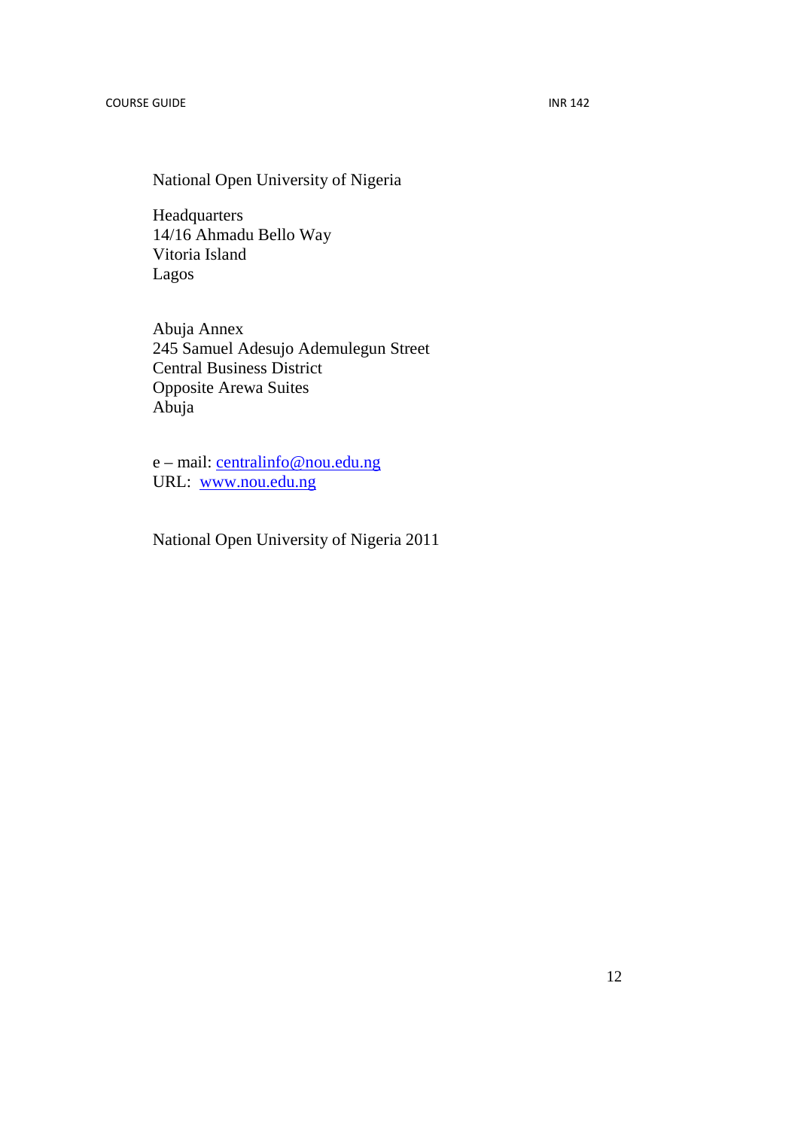National Open University of Nigeria

Headquarters 14/16 Ahmadu Bello Way Vitoria Island Lagos

Abuja Annex 245 Samuel Adesujo Ademulegun Street Central Business District Opposite Arewa Suites Abuja

e – mail: centralinfo@nou.edu.ng URL: www.nou.edu.ng

National Open University of Nigeria 2011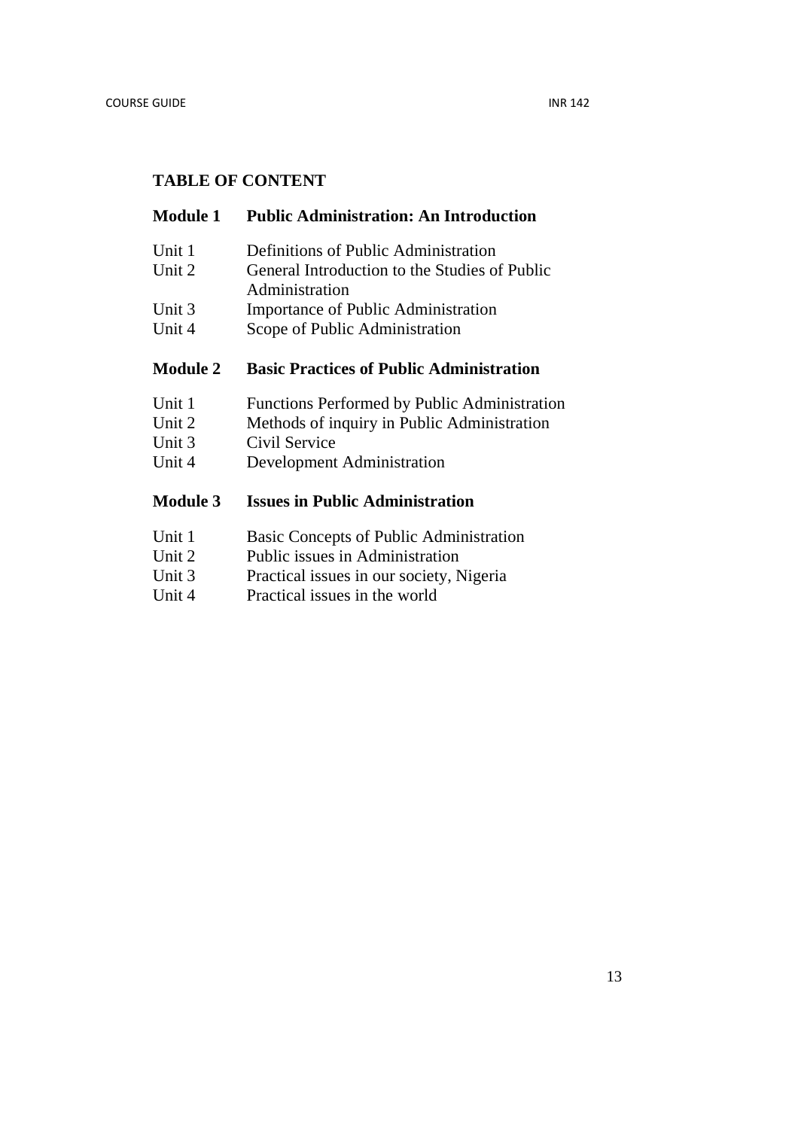## **TABLE OF CONTENT**

## **Module 1 Public Administration: An Introduction**

- Unit 1 Definitions of Public Administration
- Unit 2 General Introduction to the Studies of Public Administration
- 
- Unit 3 Importance of Public Administration
- Unit 4 Scope of Public Administration

## **Module 2 Basic Practices of Public Administration**

- Unit 1 Functions Performed by Public Administration
- Unit 2 Methods of inquiry in Public Administration
- Unit 3 Civil Service
- Unit 4 Development Administration

## **Module 3 Issues in Public Administration**

- Unit 1 Basic Concepts of Public Administration
- Unit 2 Public issues in Administration
- Unit 3 Practical issues in our society, Nigeria
- Unit 4 Practical issues in the world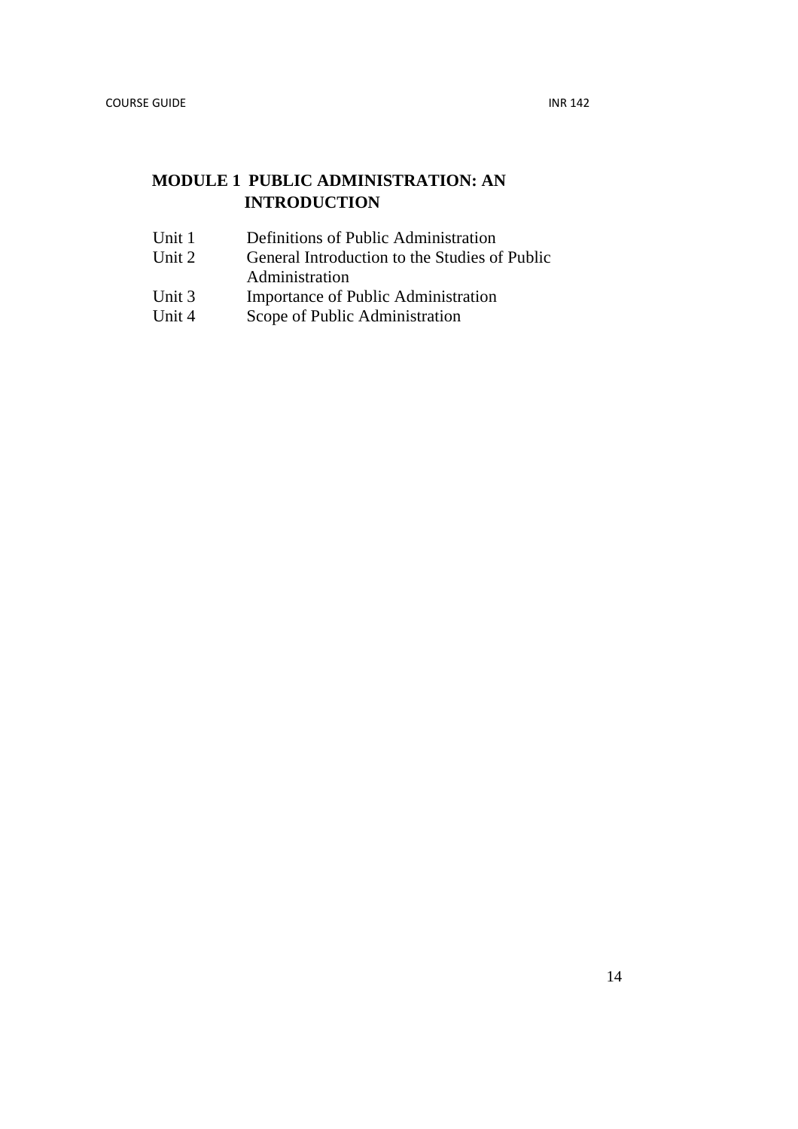# **MODULE 1 PUBLIC ADMINISTRATION: AN INTRODUCTION**

- Unit 1 Definitions of Public Administration<br>Unit 2 General Introduction to the Studies of
- General Introduction to the Studies of Public
- Administration
- Unit 3 Importance of Public Administration<br>Unit 4 Scope of Public Administration
- Scope of Public Administration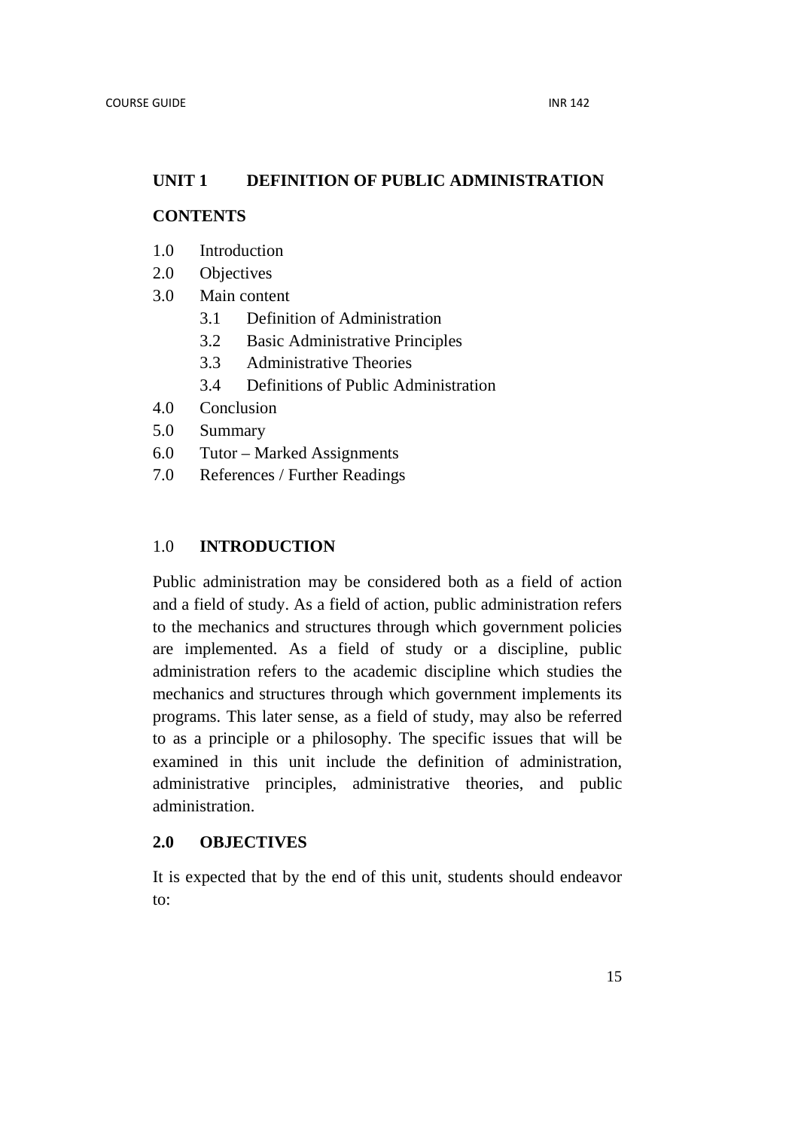## **UNIT 1 DEFINITION OF PUBLIC ADMINISTRATION**

## **CONTENTS**

- 1.0 Introduction
- 2.0 Objectives
- 3.0 Main content
	- 3.1 Definition of Administration
	- 3.2 Basic Administrative Principles
	- 3.3 Administrative Theories
	- 3.4 Definitions of Public Administration
- 4.0 Conclusion
- 5.0 Summary
- 6.0 Tutor Marked Assignments
- 7.0 References / Further Readings

## 1.0 **INTRODUCTION**

Public administration may be considered both as a field of action and a field of study. As a field of action, public administration refers to the mechanics and structures through which government policies are implemented. As a field of study or a discipline, public administration refers to the academic discipline which studies the mechanics and structures through which government implements its programs. This later sense, as a field of study, may also be referred to as a principle or a philosophy. The specific issues that will be examined in this unit include the definition of administration, administrative principles, administrative theories, and public administration.

#### **2.0 OBJECTIVES**

It is expected that by the end of this unit, students should endeavor to: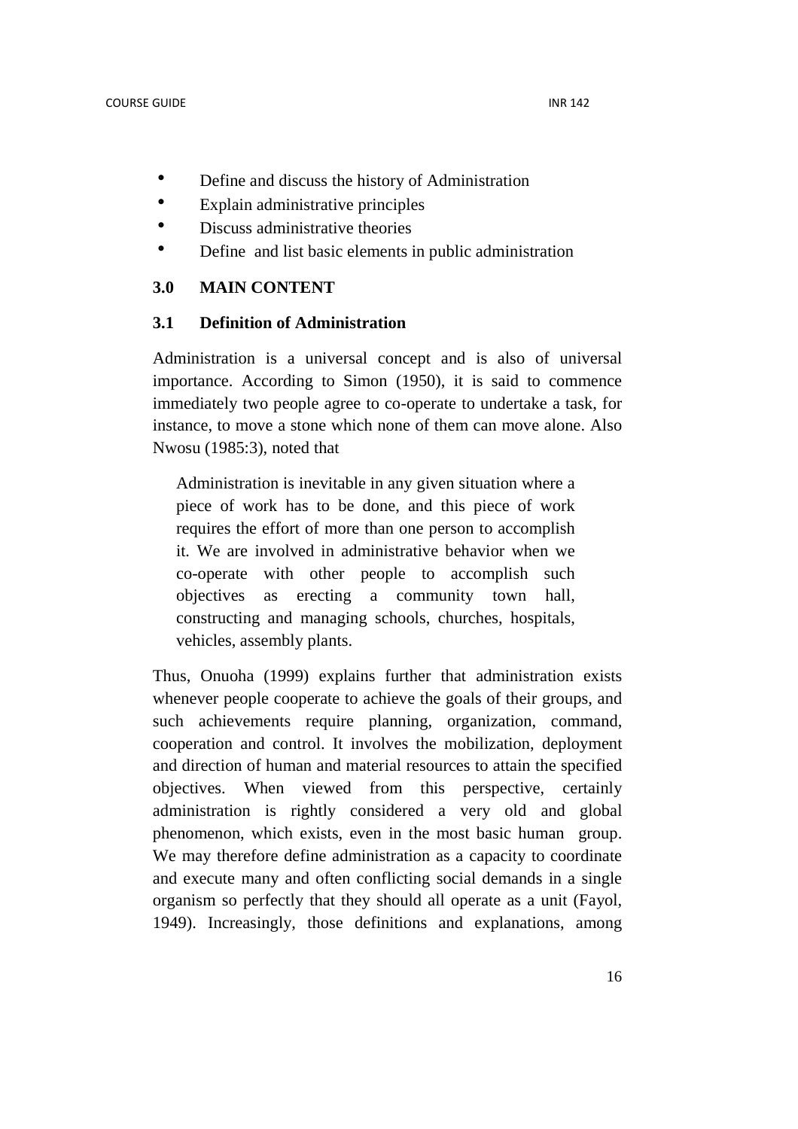- Define and discuss the history of Administration
- Explain administrative principles
- Discuss administrative theories
- Define and list basic elements in public administration

## **3.0 MAIN CONTENT**

#### **3.1 Definition of Administration**

Administration is a universal concept and is also of universal importance. According to Simon (1950), it is said to commence immediately two people agree to co-operate to undertake a task, for instance, to move a stone which none of them can move alone. Also Nwosu (1985:3), noted that

Administration is inevitable in any given situation where a piece of work has to be done, and this piece of work requires the effort of more than one person to accomplish it. We are involved in administrative behavior when we co-operate with other people to accomplish such objectives as erecting a community town hall, constructing and managing schools, churches, hospitals, vehicles, assembly plants.

Thus, Onuoha (1999) explains further that administration exists whenever people cooperate to achieve the goals of their groups, and such achievements require planning, organization, command, cooperation and control. It involves the mobilization, deployment and direction of human and material resources to attain the specified objectives. When viewed from this perspective, certainly administration is rightly considered a very old and global phenomenon, which exists, even in the most basic human group. We may therefore define administration as a capacity to coordinate and execute many and often conflicting social demands in a single organism so perfectly that they should all operate as a unit (Fayol, 1949). Increasingly, those definitions and explanations, among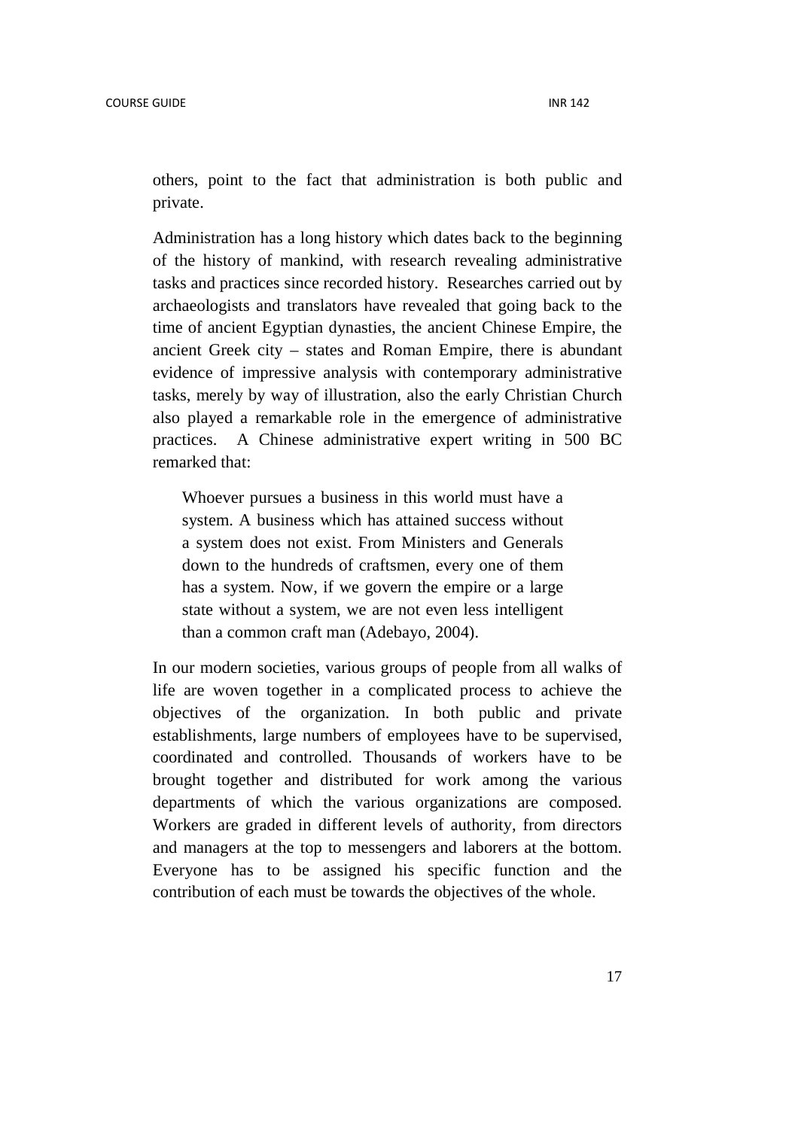others, point to the fact that administration is both public and private.

Administration has a long history which dates back to the beginning of the history of mankind, with research revealing administrative tasks and practices since recorded history. Researches carried out by archaeologists and translators have revealed that going back to the time of ancient Egyptian dynasties, the ancient Chinese Empire, the ancient Greek city – states and Roman Empire, there is abundant evidence of impressive analysis with contemporary administrative tasks, merely by way of illustration, also the early Christian Church also played a remarkable role in the emergence of administrative practices. A Chinese administrative expert writing in 500 BC remarked that:

Whoever pursues a business in this world must have a system. A business which has attained success without a system does not exist. From Ministers and Generals down to the hundreds of craftsmen, every one of them has a system. Now, if we govern the empire or a large state without a system, we are not even less intelligent than a common craft man (Adebayo, 2004).

In our modern societies, various groups of people from all walks of life are woven together in a complicated process to achieve the objectives of the organization. In both public and private establishments, large numbers of employees have to be supervised, coordinated and controlled. Thousands of workers have to be brought together and distributed for work among the various departments of which the various organizations are composed. Workers are graded in different levels of authority, from directors and managers at the top to messengers and laborers at the bottom. Everyone has to be assigned his specific function and the contribution of each must be towards the objectives of the whole.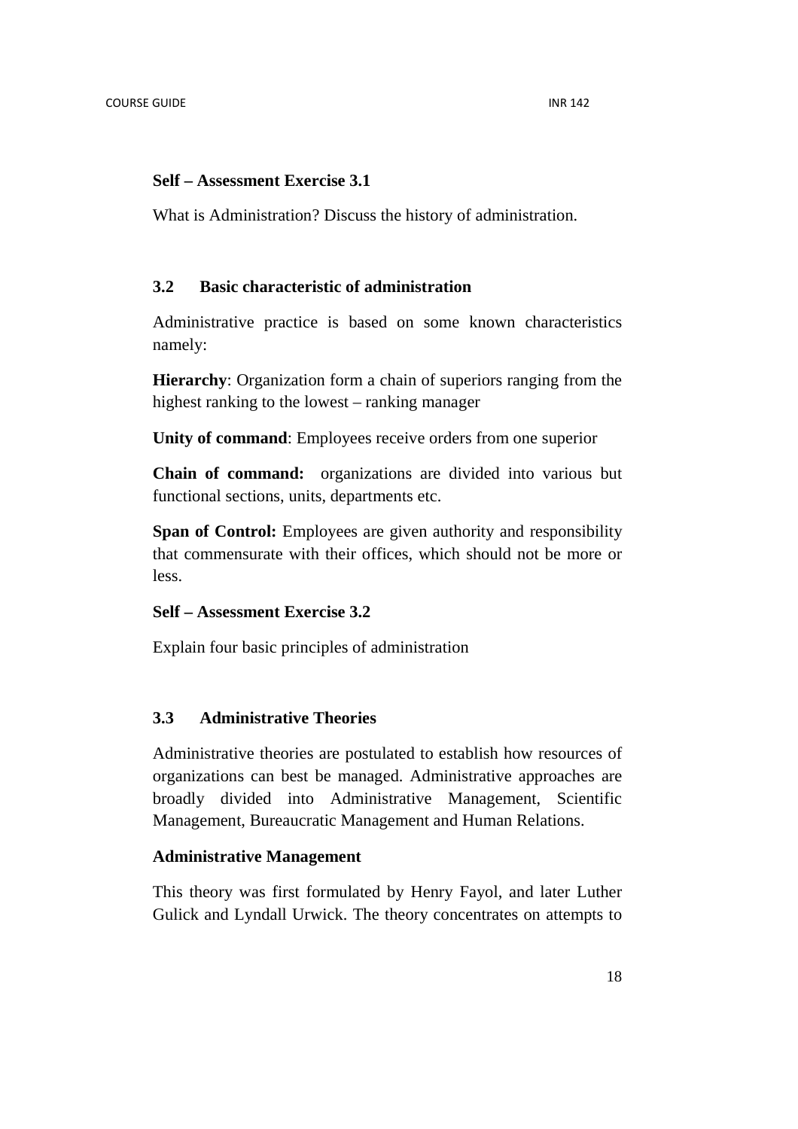#### **Self – Assessment Exercise 3.1**

What is Administration? Discuss the history of administration.

## **3.2 Basic characteristic of administration**

Administrative practice is based on some known characteristics namely:

**Hierarchy**: Organization form a chain of superiors ranging from the highest ranking to the lowest – ranking manager

**Unity of command**: Employees receive orders from one superior

**Chain of command:** organizations are divided into various but functional sections, units, departments etc.

**Span of Control:** Employees are given authority and responsibility that commensurate with their offices, which should not be more or less.

## **Self – Assessment Exercise 3.2**

Explain four basic principles of administration

## **3.3 Administrative Theories**

Administrative theories are postulated to establish how resources of organizations can best be managed. Administrative approaches are broadly divided into Administrative Management, Scientific Management, Bureaucratic Management and Human Relations.

## **Administrative Management**

This theory was first formulated by Henry Fayol, and later Luther Gulick and Lyndall Urwick. The theory concentrates on attempts to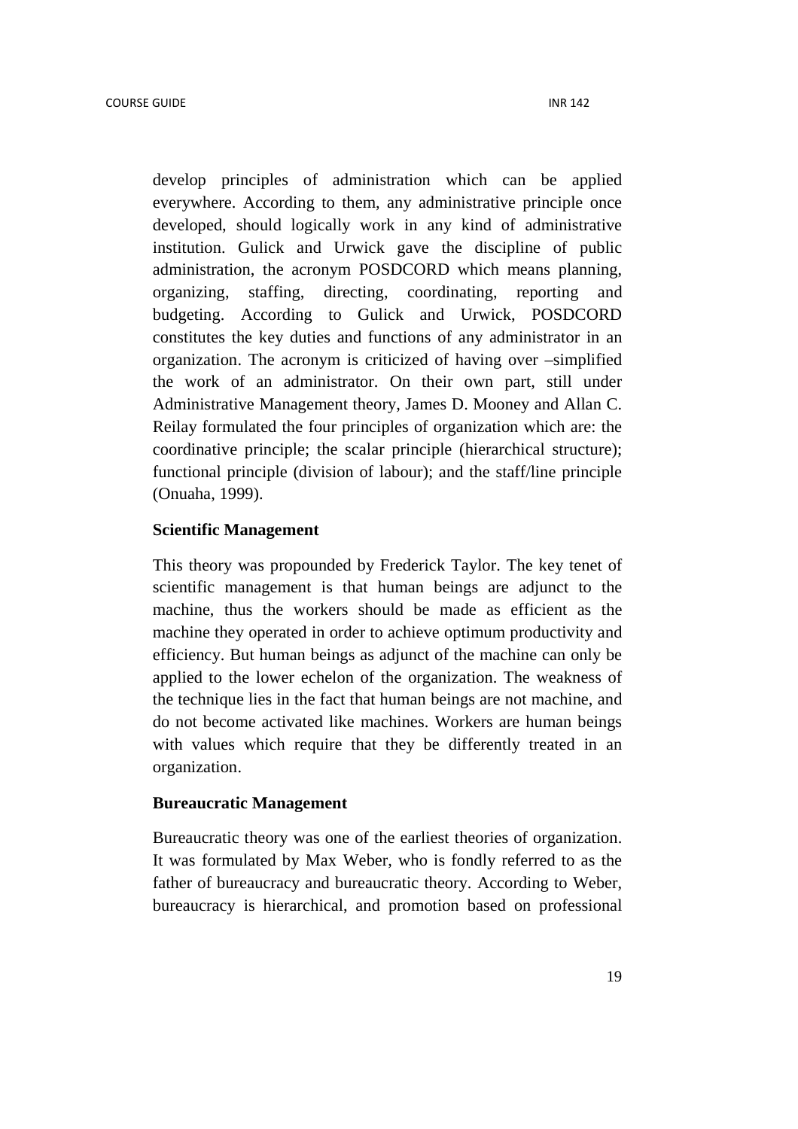develop principles of administration which can be applied everywhere. According to them, any administrative principle once developed, should logically work in any kind of administrative institution. Gulick and Urwick gave the discipline of public administration, the acronym POSDCORD which means planning, organizing, staffing, directing, coordinating, reporting and budgeting. According to Gulick and Urwick, POSDCORD constitutes the key duties and functions of any administrator in an organization. The acronym is criticized of having over –simplified the work of an administrator. On their own part, still under Administrative Management theory, James D. Mooney and Allan C. Reilay formulated the four principles of organization which are: the coordinative principle; the scalar principle (hierarchical structure); functional principle (division of labour); and the staff/line principle (Onuaha, 1999).

#### **Scientific Management**

This theory was propounded by Frederick Taylor. The key tenet of scientific management is that human beings are adjunct to the machine, thus the workers should be made as efficient as the machine they operated in order to achieve optimum productivity and efficiency. But human beings as adjunct of the machine can only be applied to the lower echelon of the organization. The weakness of the technique lies in the fact that human beings are not machine, and do not become activated like machines. Workers are human beings with values which require that they be differently treated in an organization.

#### **Bureaucratic Management**

Bureaucratic theory was one of the earliest theories of organization. It was formulated by Max Weber, who is fondly referred to as the father of bureaucracy and bureaucratic theory. According to Weber, bureaucracy is hierarchical, and promotion based on professional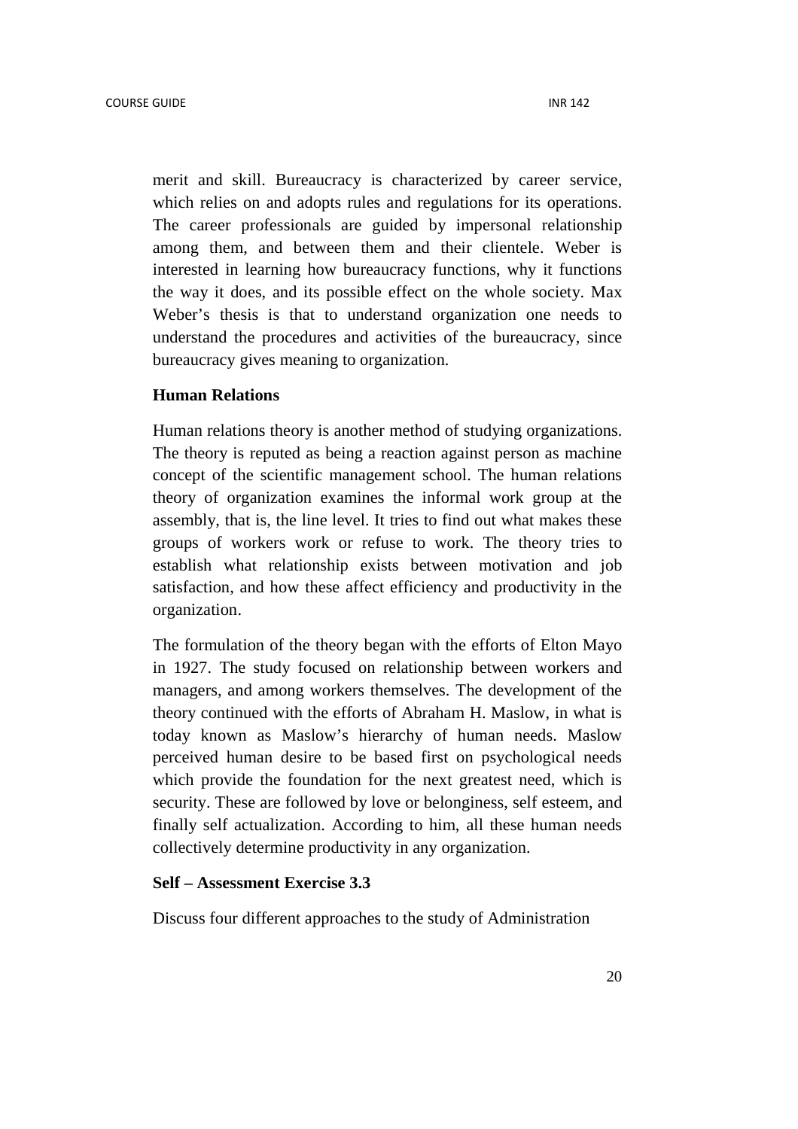merit and skill. Bureaucracy is characterized by career service, which relies on and adopts rules and regulations for its operations. The career professionals are guided by impersonal relationship among them, and between them and their clientele. Weber is interested in learning how bureaucracy functions, why it functions the way it does, and its possible effect on the whole society. Max Weber's thesis is that to understand organization one needs to understand the procedures and activities of the bureaucracy, since bureaucracy gives meaning to organization.

#### **Human Relations**

Human relations theory is another method of studying organizations. The theory is reputed as being a reaction against person as machine concept of the scientific management school. The human relations theory of organization examines the informal work group at the assembly, that is, the line level. It tries to find out what makes these groups of workers work or refuse to work. The theory tries to establish what relationship exists between motivation and job satisfaction, and how these affect efficiency and productivity in the organization.

The formulation of the theory began with the efforts of Elton Mayo in 1927. The study focused on relationship between workers and managers, and among workers themselves. The development of the theory continued with the efforts of Abraham H. Maslow, in what is today known as Maslow's hierarchy of human needs. Maslow perceived human desire to be based first on psychological needs which provide the foundation for the next greatest need, which is security. These are followed by love or belonginess, self esteem, and finally self actualization. According to him, all these human needs collectively determine productivity in any organization.

#### **Self – Assessment Exercise 3.3**

Discuss four different approaches to the study of Administration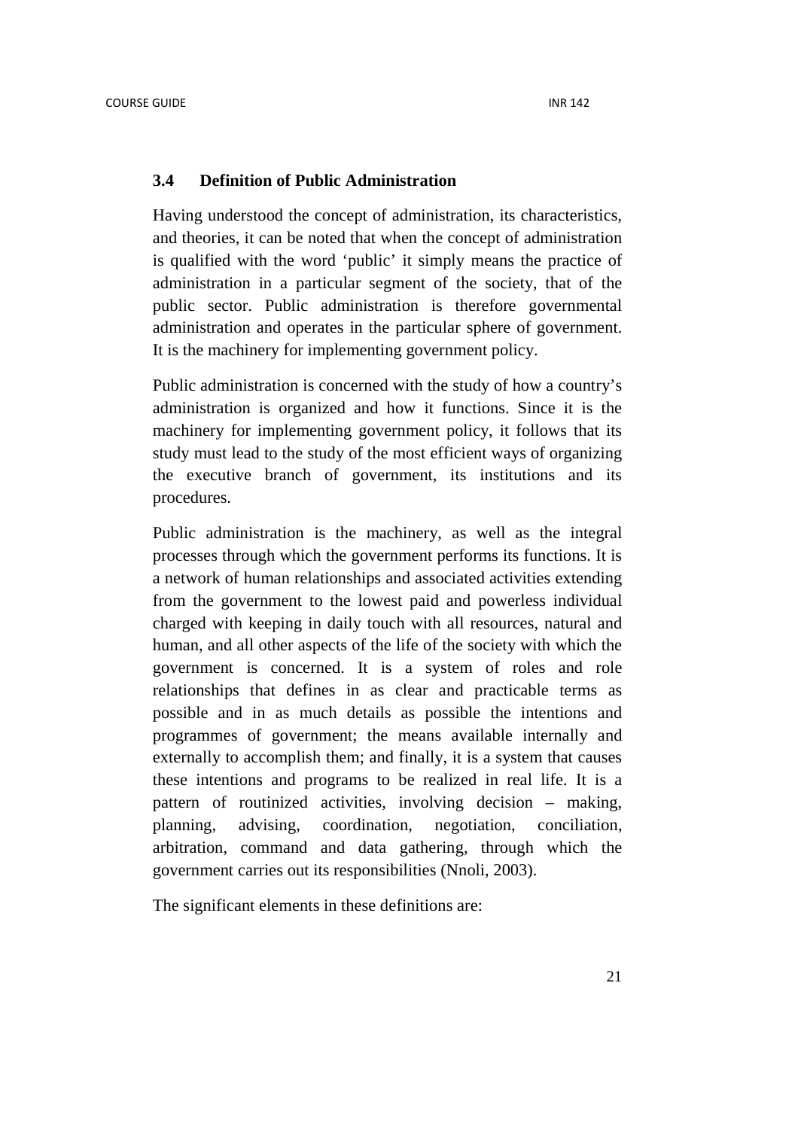#### **3.4 Definition of Public Administration**

Having understood the concept of administration, its characteristics, and theories, it can be noted that when the concept of administration is qualified with the word 'public' it simply means the practice of administration in a particular segment of the society, that of the public sector. Public administration is therefore governmental administration and operates in the particular sphere of government. It is the machinery for implementing government policy.

Public administration is concerned with the study of how a country's administration is organized and how it functions. Since it is the machinery for implementing government policy, it follows that its study must lead to the study of the most efficient ways of organizing the executive branch of government, its institutions and its procedures.

Public administration is the machinery, as well as the integral processes through which the government performs its functions. It is a network of human relationships and associated activities extending from the government to the lowest paid and powerless individual charged with keeping in daily touch with all resources, natural and human, and all other aspects of the life of the society with which the government is concerned. It is a system of roles and role relationships that defines in as clear and practicable terms as possible and in as much details as possible the intentions and programmes of government; the means available internally and externally to accomplish them; and finally, it is a system that causes these intentions and programs to be realized in real life. It is a pattern of routinized activities, involving decision – making, planning, advising, coordination, negotiation, conciliation, arbitration, command and data gathering, through which the government carries out its responsibilities (Nnoli, 2003).

The significant elements in these definitions are: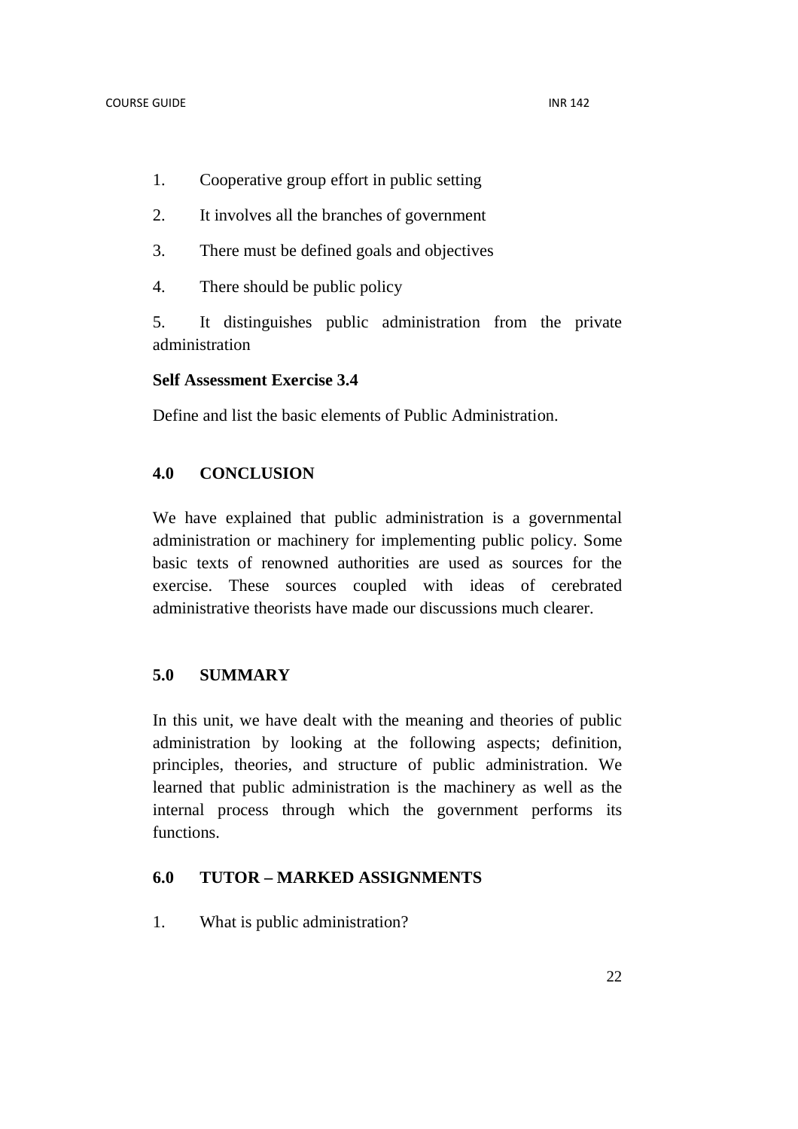- 1. Cooperative group effort in public setting
- 2. It involves all the branches of government
- 3. There must be defined goals and objectives
- 4. There should be public policy

5. It distinguishes public administration from the private administration

## **Self Assessment Exercise 3.4**

Define and list the basic elements of Public Administration.

## **4.0 CONCLUSION**

We have explained that public administration is a governmental administration or machinery for implementing public policy. Some basic texts of renowned authorities are used as sources for the exercise. These sources coupled with ideas of cerebrated administrative theorists have made our discussions much clearer.

## **5.0 SUMMARY**

In this unit, we have dealt with the meaning and theories of public administration by looking at the following aspects; definition, principles, theories, and structure of public administration. We learned that public administration is the machinery as well as the internal process through which the government performs its functions.

## **6.0 TUTOR – MARKED ASSIGNMENTS**

1. What is public administration?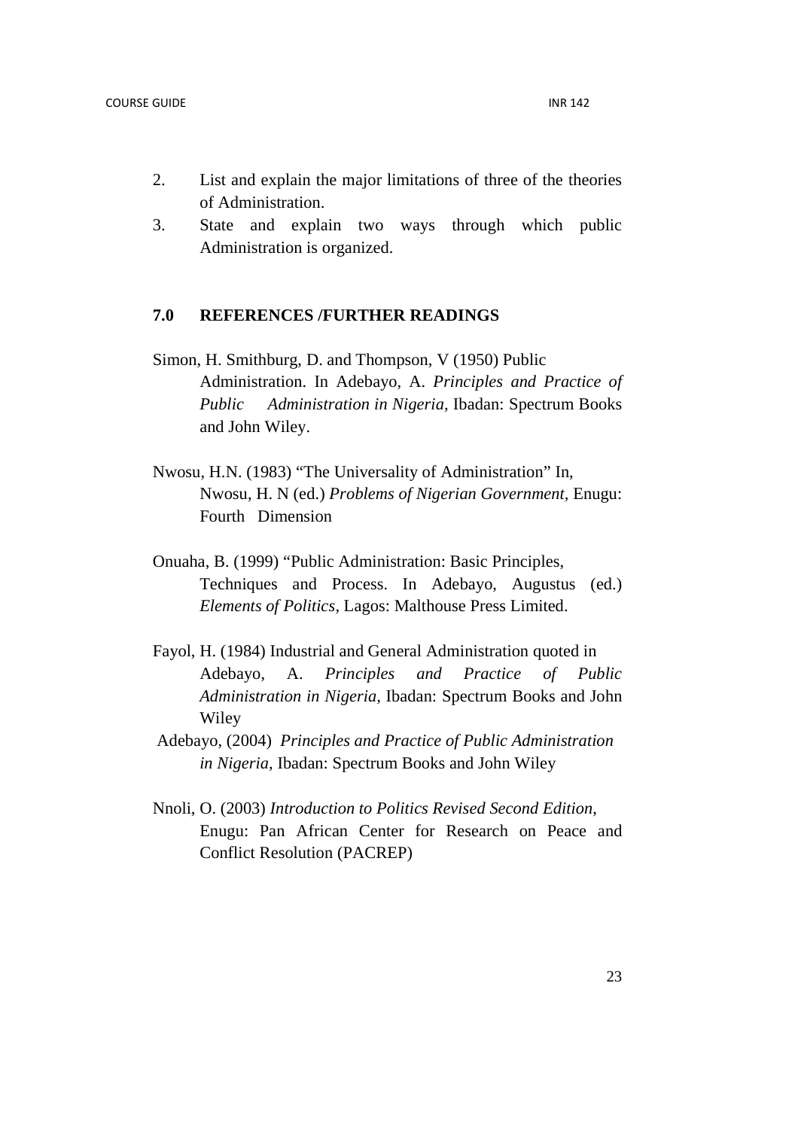- 2. List and explain the major limitations of three of the theories of Administration.
- 3. State and explain two ways through which public Administration is organized.

## **7.0 REFERENCES /FURTHER READINGS**

- Simon, H. Smithburg, D. and Thompson, V (1950) Public Administration. In Adebayo, A. *Principles and Practice of Public Administration in Nigeria,* Ibadan: Spectrum Books and John Wiley.
- Nwosu, H.N. (1983) "The Universality of Administration" In, Nwosu, H. N (ed.) *Problems of Nigerian Government,* Enugu: Fourth Dimension
- Onuaha, B. (1999) "Public Administration: Basic Principles, Techniques and Process. In Adebayo, Augustus (ed.) *Elements of Politics,* Lagos: Malthouse Press Limited.
- Fayol, H. (1984) Industrial and General Administration quoted in Adebayo, A. *Principles and Practice of Public Administration in Nigeria,* Ibadan: Spectrum Books and John Wiley
- Adebayo, (2004) *Principles and Practice of Public Administration in Nigeria,* Ibadan: Spectrum Books and John Wiley
- Nnoli, O. (2003) *Introduction to Politics Revised Second Edition*, Enugu: Pan African Center for Research on Peace and Conflict Resolution (PACREP)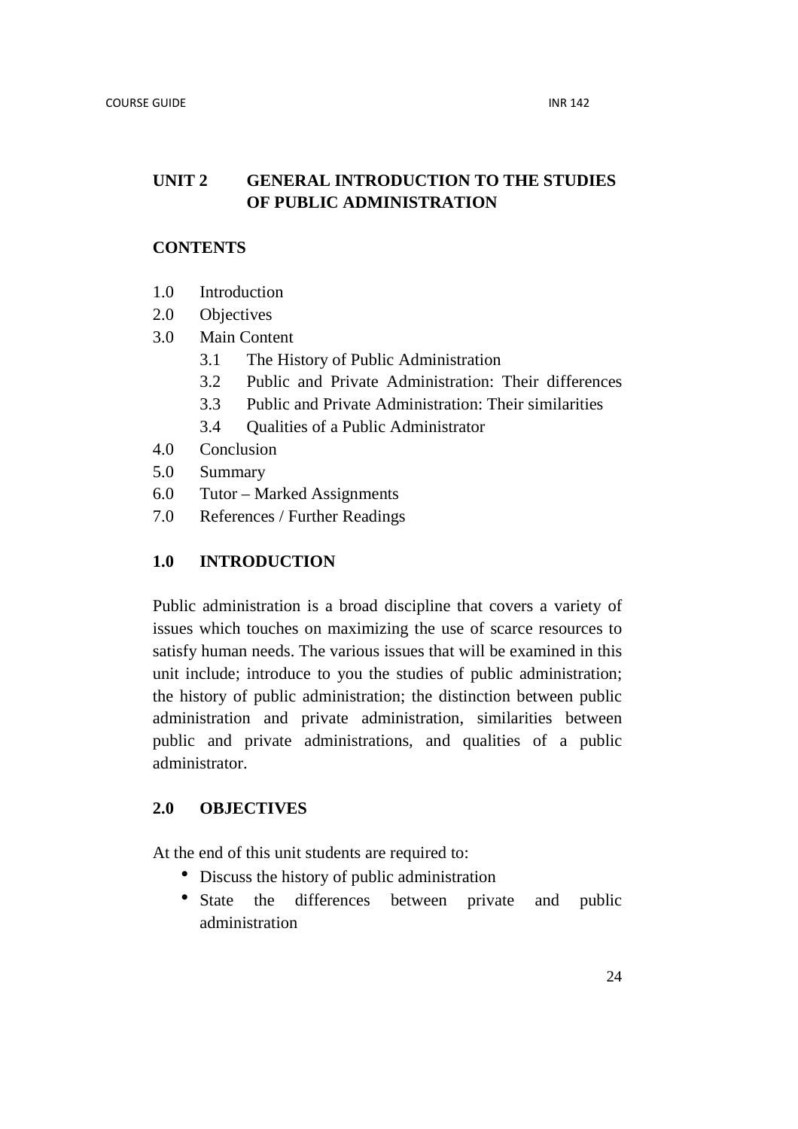## **UNIT 2 GENERAL INTRODUCTION TO THE STUDIES OF PUBLIC ADMINISTRATION**

## **CONTENTS**

- 1.0 Introduction
- 2.0 Objectives
- 3.0 Main Content
	- 3.1 The History of Public Administration
	- 3.2 Public and Private Administration: Their differences
	- 3.3 Public and Private Administration: Their similarities
	- 3.4 Qualities of a Public Administrator
- 4.0 Conclusion
- 5.0 Summary
- 6.0 Tutor Marked Assignments
- 7.0 References / Further Readings

## **1.0 INTRODUCTION**

Public administration is a broad discipline that covers a variety of issues which touches on maximizing the use of scarce resources to satisfy human needs. The various issues that will be examined in this unit include; introduce to you the studies of public administration; the history of public administration; the distinction between public administration and private administration, similarities between public and private administrations, and qualities of a public administrator.

## **2.0 OBJECTIVES**

At the end of this unit students are required to:

- Discuss the history of public administration
- State the differences between private and public administration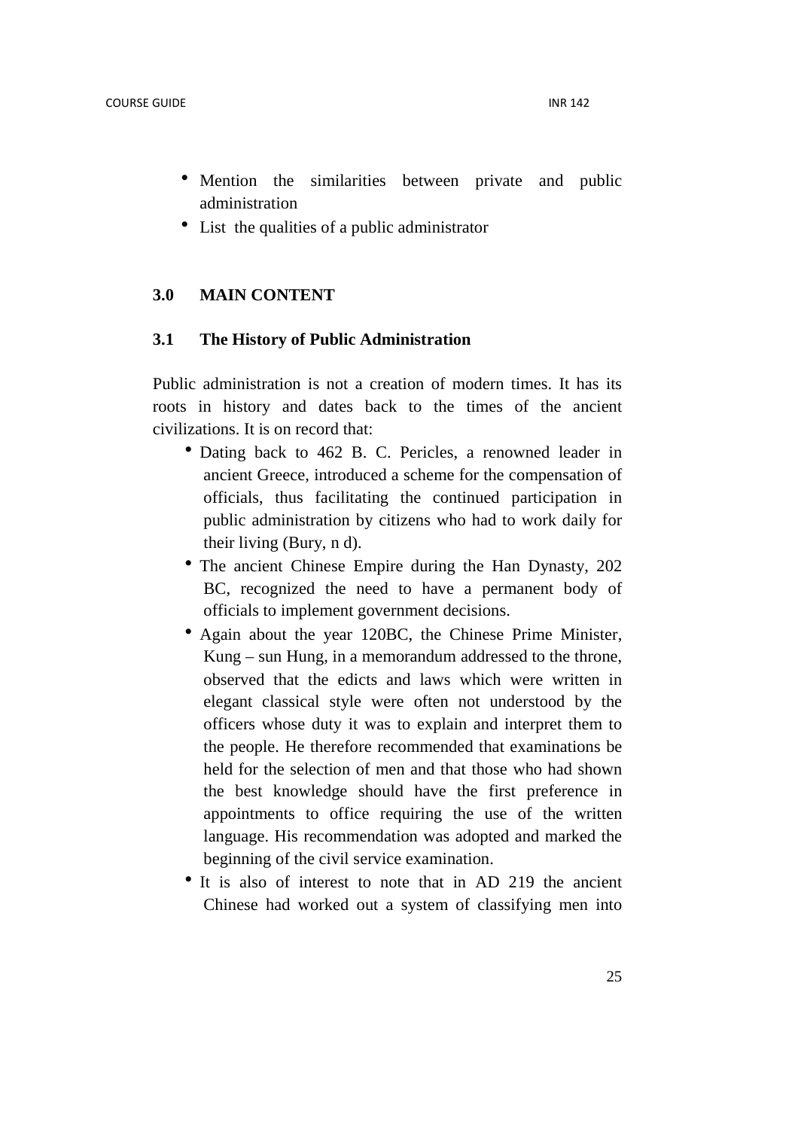- Mention the similarities between private and public administration
- List the qualities of a public administrator

#### **3.0 MAIN CONTENT**

#### **3.1 The History of Public Administration**

Public administration is not a creation of modern times. It has its roots in history and dates back to the times of the ancient civilizations. It is on record that:

- Dating back to 462 B. C. Pericles, a renowned leader in ancient Greece, introduced a scheme for the compensation of officials, thus facilitating the continued participation in public administration by citizens who had to work daily for their living (Bury, n d).
- The ancient Chinese Empire during the Han Dynasty, 202 BC, recognized the need to have a permanent body of officials to implement government decisions.
- Again about the year 120BC, the Chinese Prime Minister, Kung – sun Hung, in a memorandum addressed to the throne, observed that the edicts and laws which were written in elegant classical style were often not understood by the officers whose duty it was to explain and interpret them to the people. He therefore recommended that examinations be held for the selection of men and that those who had shown the best knowledge should have the first preference in appointments to office requiring the use of the written language. His recommendation was adopted and marked the beginning of the civil service examination.
- It is also of interest to note that in AD 219 the ancient Chinese had worked out a system of classifying men into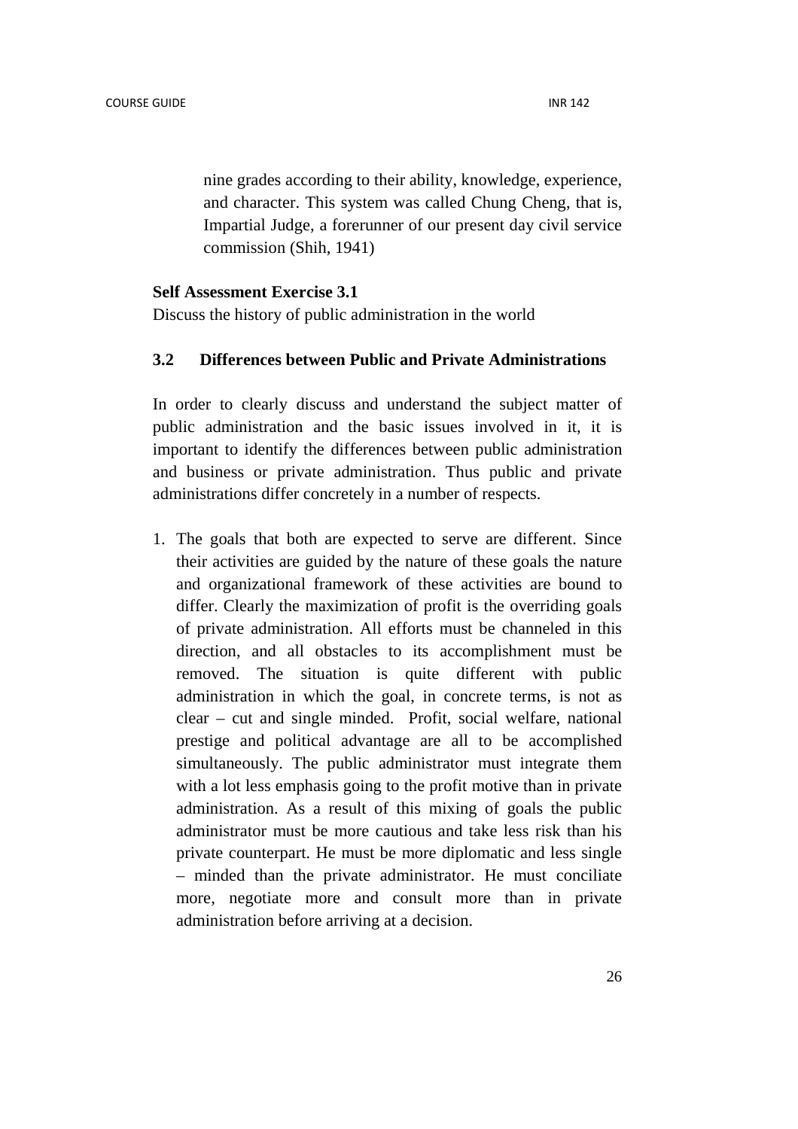nine grades according to their ability, knowledge, experience, and character. This system was called Chung Cheng, that is, Impartial Judge, a forerunner of our present day civil service commission (Shih, 1941)

#### **Self Assessment Exercise 3.1**

Discuss the history of public administration in the world

## **3.2 Differences between Public and Private Administrations**

In order to clearly discuss and understand the subject matter of public administration and the basic issues involved in it, it is important to identify the differences between public administration and business or private administration. Thus public and private administrations differ concretely in a number of respects.

1. The goals that both are expected to serve are different. Since their activities are guided by the nature of these goals the nature and organizational framework of these activities are bound to differ. Clearly the maximization of profit is the overriding goals of private administration. All efforts must be channeled in this direction, and all obstacles to its accomplishment must be removed. The situation is quite different with public administration in which the goal, in concrete terms, is not as clear – cut and single minded. Profit, social welfare, national prestige and political advantage are all to be accomplished simultaneously. The public administrator must integrate them with a lot less emphasis going to the profit motive than in private administration. As a result of this mixing of goals the public administrator must be more cautious and take less risk than his private counterpart. He must be more diplomatic and less single – minded than the private administrator. He must conciliate more, negotiate more and consult more than in private administration before arriving at a decision.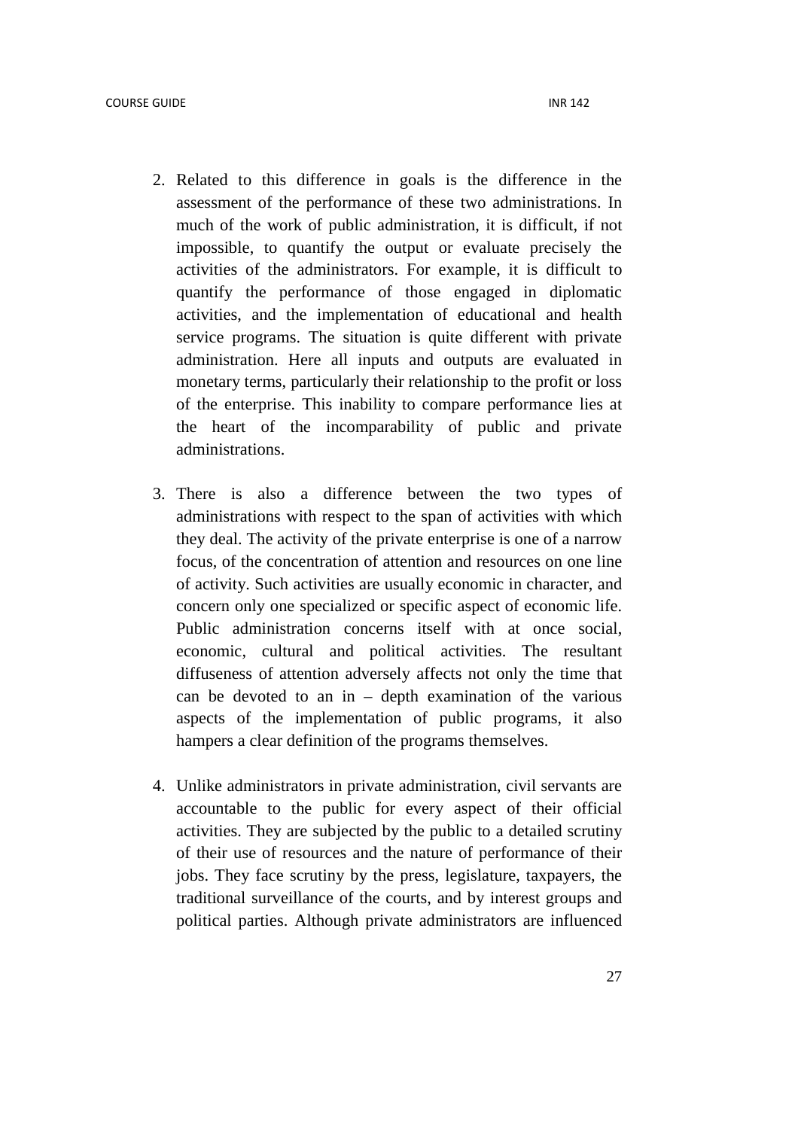- 2. Related to this difference in goals is the difference in the assessment of the performance of these two administrations. In much of the work of public administration, it is difficult, if not impossible, to quantify the output or evaluate precisely the activities of the administrators. For example, it is difficult to quantify the performance of those engaged in diplomatic activities, and the implementation of educational and health service programs. The situation is quite different with private administration. Here all inputs and outputs are evaluated in monetary terms, particularly their relationship to the profit or loss of the enterprise. This inability to compare performance lies at the heart of the incomparability of public and private administrations.
- 3. There is also a difference between the two types of administrations with respect to the span of activities with which they deal. The activity of the private enterprise is one of a narrow focus, of the concentration of attention and resources on one line of activity. Such activities are usually economic in character, and concern only one specialized or specific aspect of economic life. Public administration concerns itself with at once social. economic, cultural and political activities. The resultant diffuseness of attention adversely affects not only the time that can be devoted to an in  $-$  depth examination of the various aspects of the implementation of public programs, it also hampers a clear definition of the programs themselves.
- 4. Unlike administrators in private administration, civil servants are accountable to the public for every aspect of their official activities. They are subjected by the public to a detailed scrutiny of their use of resources and the nature of performance of their jobs. They face scrutiny by the press, legislature, taxpayers, the traditional surveillance of the courts, and by interest groups and political parties. Although private administrators are influenced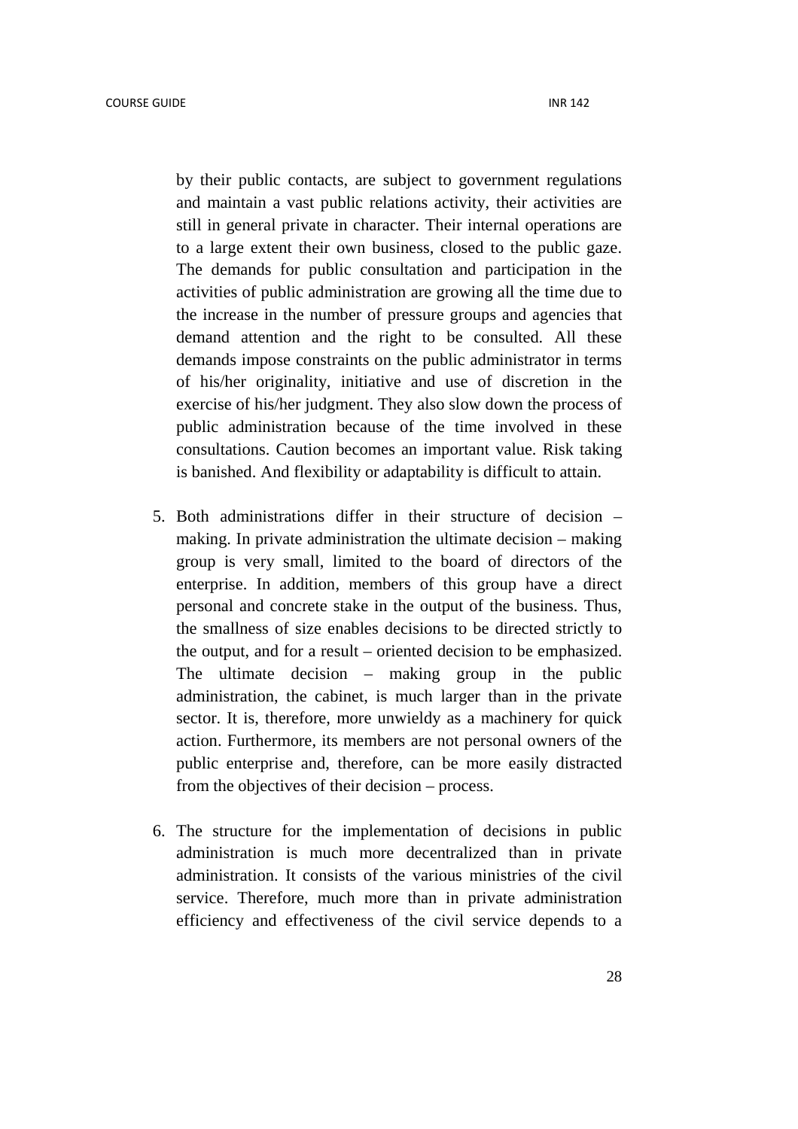by their public contacts, are subject to government regulations and maintain a vast public relations activity, their activities are still in general private in character. Their internal operations are to a large extent their own business, closed to the public gaze. The demands for public consultation and participation in the activities of public administration are growing all the time due to the increase in the number of pressure groups and agencies that demand attention and the right to be consulted. All these demands impose constraints on the public administrator in terms of his/her originality, initiative and use of discretion in the exercise of his/her judgment. They also slow down the process of public administration because of the time involved in these consultations. Caution becomes an important value. Risk taking is banished. And flexibility or adaptability is difficult to attain.

- 5. Both administrations differ in their structure of decision making. In private administration the ultimate decision – making group is very small, limited to the board of directors of the enterprise. In addition, members of this group have a direct personal and concrete stake in the output of the business. Thus, the smallness of size enables decisions to be directed strictly to the output, and for a result – oriented decision to be emphasized. The ultimate decision – making group in the public administration, the cabinet, is much larger than in the private sector. It is, therefore, more unwieldy as a machinery for quick action. Furthermore, its members are not personal owners of the public enterprise and, therefore, can be more easily distracted from the objectives of their decision – process.
- 6. The structure for the implementation of decisions in public administration is much more decentralized than in private administration. It consists of the various ministries of the civil service. Therefore, much more than in private administration efficiency and effectiveness of the civil service depends to a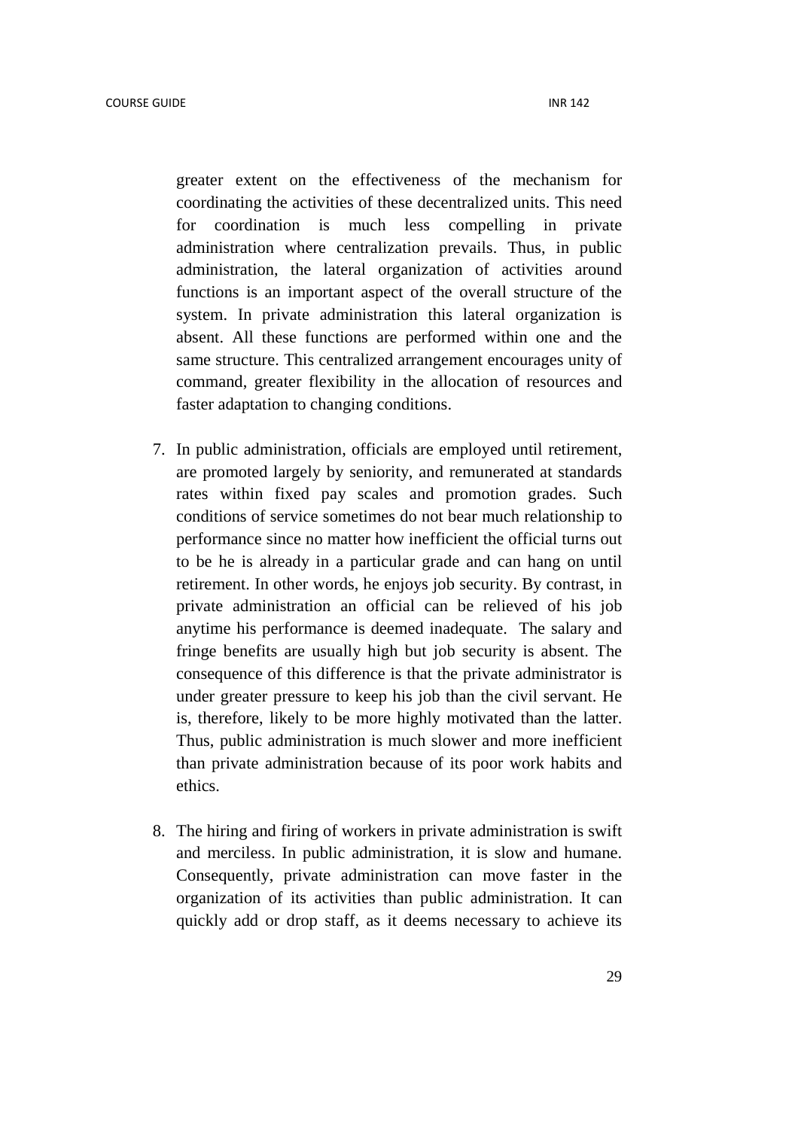greater extent on the effectiveness of the mechanism for coordinating the activities of these decentralized units. This need for coordination is much less compelling in private administration where centralization prevails. Thus, in public administration, the lateral organization of activities around functions is an important aspect of the overall structure of the system. In private administration this lateral organization is absent. All these functions are performed within one and the same structure. This centralized arrangement encourages unity of command, greater flexibility in the allocation of resources and faster adaptation to changing conditions.

- 7. In public administration, officials are employed until retirement, are promoted largely by seniority, and remunerated at standards rates within fixed pay scales and promotion grades. Such conditions of service sometimes do not bear much relationship to performance since no matter how inefficient the official turns out to be he is already in a particular grade and can hang on until retirement. In other words, he enjoys job security. By contrast, in private administration an official can be relieved of his job anytime his performance is deemed inadequate. The salary and fringe benefits are usually high but job security is absent. The consequence of this difference is that the private administrator is under greater pressure to keep his job than the civil servant. He is, therefore, likely to be more highly motivated than the latter. Thus, public administration is much slower and more inefficient than private administration because of its poor work habits and ethics.
- 8. The hiring and firing of workers in private administration is swift and merciless. In public administration, it is slow and humane. Consequently, private administration can move faster in the organization of its activities than public administration. It can quickly add or drop staff, as it deems necessary to achieve its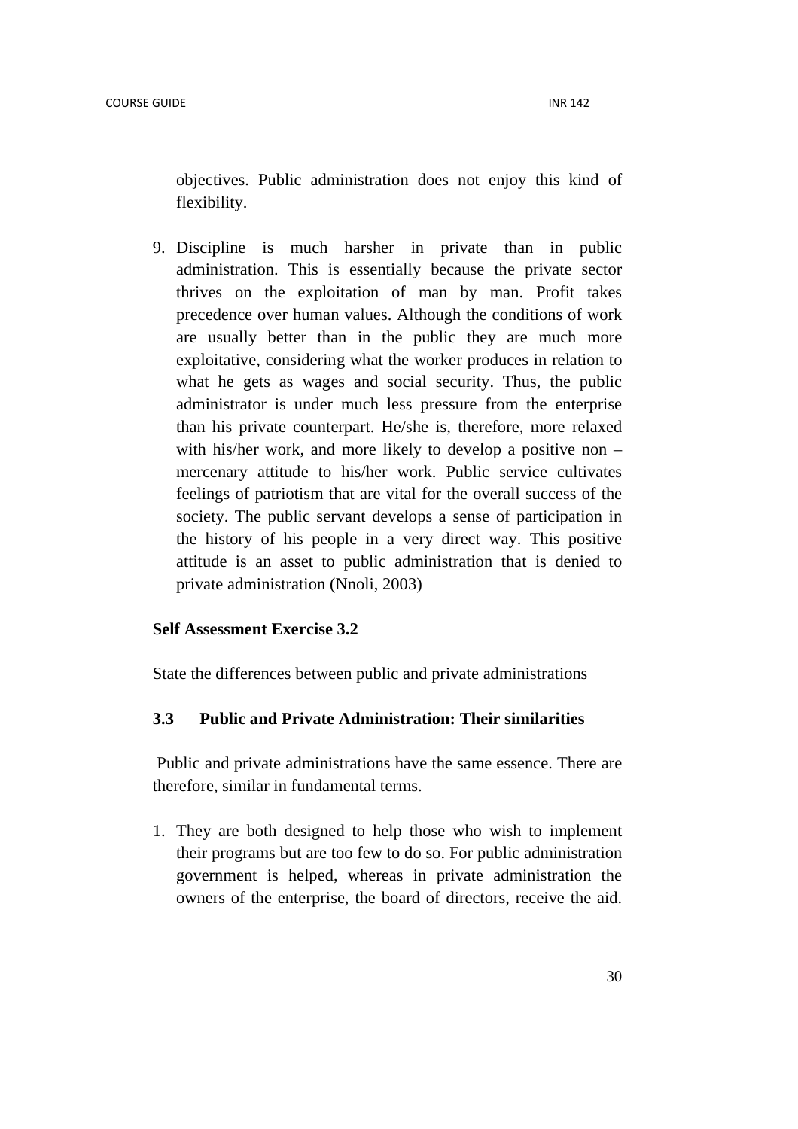objectives. Public administration does not enjoy this kind of flexibility.

9. Discipline is much harsher in private than in public administration. This is essentially because the private sector thrives on the exploitation of man by man. Profit takes precedence over human values. Although the conditions of work are usually better than in the public they are much more exploitative, considering what the worker produces in relation to what he gets as wages and social security. Thus, the public administrator is under much less pressure from the enterprise than his private counterpart. He/she is, therefore, more relaxed with his/her work, and more likely to develop a positive non – mercenary attitude to his/her work. Public service cultivates feelings of patriotism that are vital for the overall success of the society. The public servant develops a sense of participation in the history of his people in a very direct way. This positive attitude is an asset to public administration that is denied to private administration (Nnoli, 2003)

#### **Self Assessment Exercise 3.2**

State the differences between public and private administrations

#### **3.3 Public and Private Administration: Their similarities**

 Public and private administrations have the same essence. There are therefore, similar in fundamental terms.

1. They are both designed to help those who wish to implement their programs but are too few to do so. For public administration government is helped, whereas in private administration the owners of the enterprise, the board of directors, receive the aid.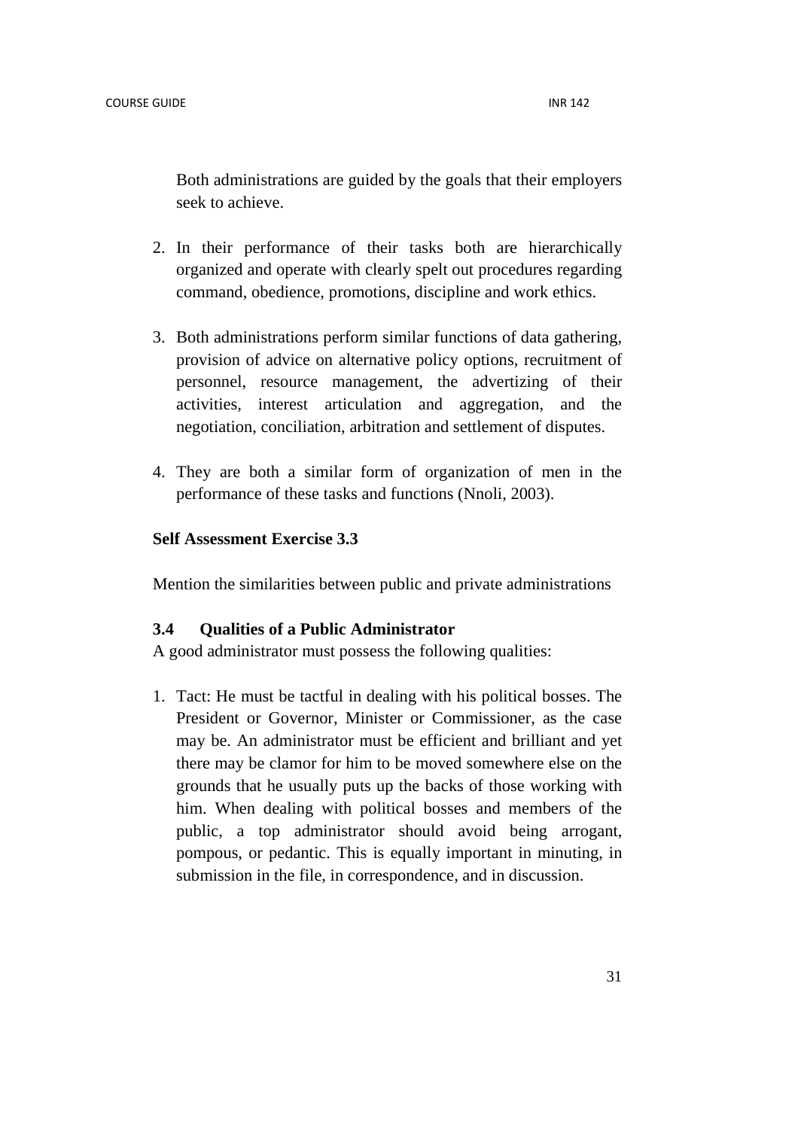Both administrations are guided by the goals that their employers seek to achieve.

- 2. In their performance of their tasks both are hierarchically organized and operate with clearly spelt out procedures regarding command, obedience, promotions, discipline and work ethics.
- 3. Both administrations perform similar functions of data gathering, provision of advice on alternative policy options, recruitment of personnel, resource management, the advertizing of their activities, interest articulation and aggregation, and the negotiation, conciliation, arbitration and settlement of disputes.
- 4. They are both a similar form of organization of men in the performance of these tasks and functions (Nnoli, 2003).

#### **Self Assessment Exercise 3.3**

Mention the similarities between public and private administrations

## **3.4 Qualities of a Public Administrator**

A good administrator must possess the following qualities:

1. Tact: He must be tactful in dealing with his political bosses. The President or Governor, Minister or Commissioner, as the case may be. An administrator must be efficient and brilliant and yet there may be clamor for him to be moved somewhere else on the grounds that he usually puts up the backs of those working with him. When dealing with political bosses and members of the public, a top administrator should avoid being arrogant, pompous, or pedantic. This is equally important in minuting, in submission in the file, in correspondence, and in discussion.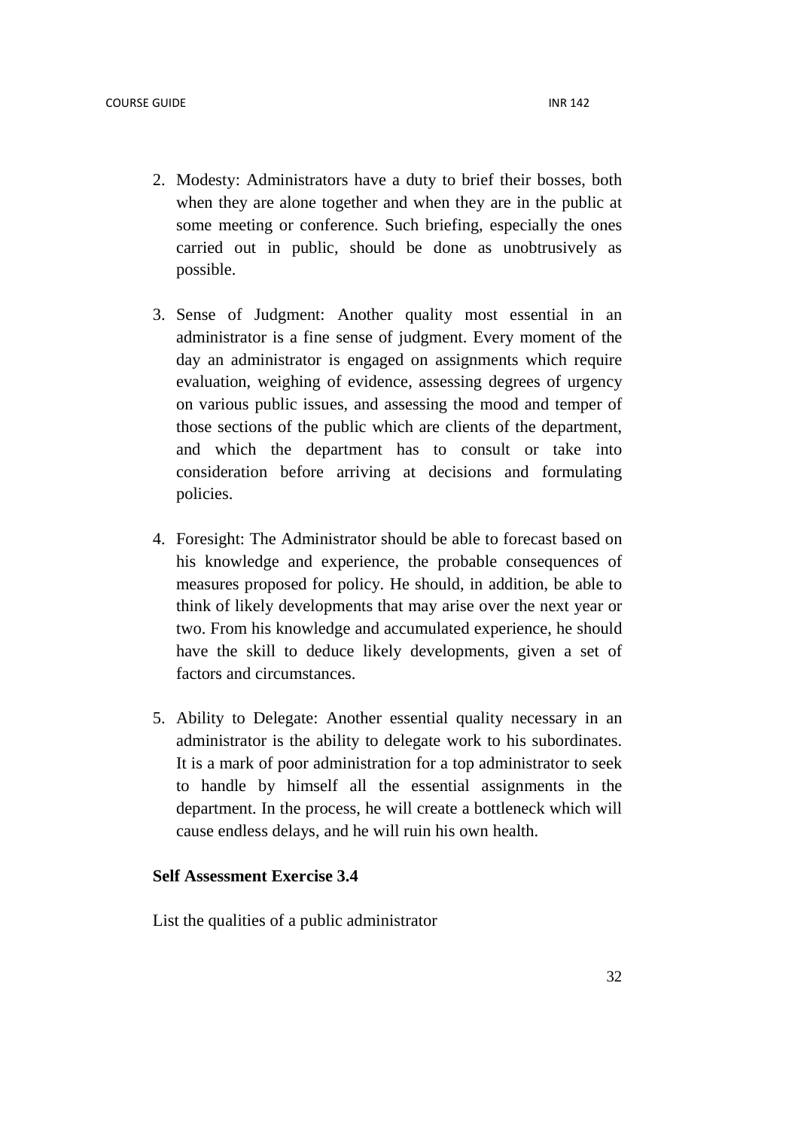- 2. Modesty: Administrators have a duty to brief their bosses, both when they are alone together and when they are in the public at some meeting or conference. Such briefing, especially the ones carried out in public, should be done as unobtrusively as possible.
- 3. Sense of Judgment: Another quality most essential in an administrator is a fine sense of judgment. Every moment of the day an administrator is engaged on assignments which require evaluation, weighing of evidence, assessing degrees of urgency on various public issues, and assessing the mood and temper of those sections of the public which are clients of the department, and which the department has to consult or take into consideration before arriving at decisions and formulating policies.
- 4. Foresight: The Administrator should be able to forecast based on his knowledge and experience, the probable consequences of measures proposed for policy. He should, in addition, be able to think of likely developments that may arise over the next year or two. From his knowledge and accumulated experience, he should have the skill to deduce likely developments, given a set of factors and circumstances.
- 5. Ability to Delegate: Another essential quality necessary in an administrator is the ability to delegate work to his subordinates. It is a mark of poor administration for a top administrator to seek to handle by himself all the essential assignments in the department. In the process, he will create a bottleneck which will cause endless delays, and he will ruin his own health.

## **Self Assessment Exercise 3.4**

List the qualities of a public administrator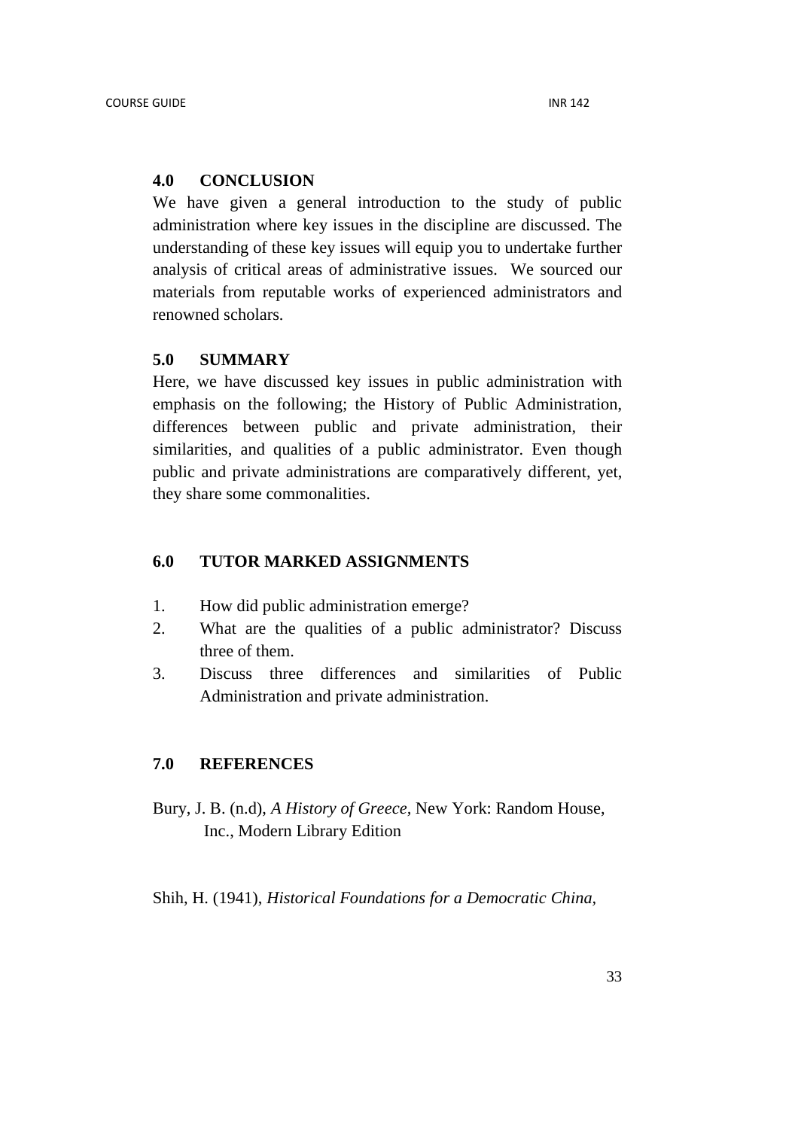## **4.0 CONCLUSION**

We have given a general introduction to the study of public administration where key issues in the discipline are discussed. The understanding of these key issues will equip you to undertake further analysis of critical areas of administrative issues. We sourced our materials from reputable works of experienced administrators and renowned scholars.

#### **5.0 SUMMARY**

Here, we have discussed key issues in public administration with emphasis on the following; the History of Public Administration, differences between public and private administration, their similarities, and qualities of a public administrator. Even though public and private administrations are comparatively different, yet, they share some commonalities.

## **6.0 TUTOR MARKED ASSIGNMENTS**

- 1. How did public administration emerge?
- 2. What are the qualities of a public administrator? Discuss three of them.
- 3. Discuss three differences and similarities of Public Administration and private administration.

## **7.0 REFERENCES**

Bury, J. B. (n.d), *A History of Greece,* New York: Random House, Inc., Modern Library Edition

Shih, H. (1941), *Historical Foundations for a Democratic China,*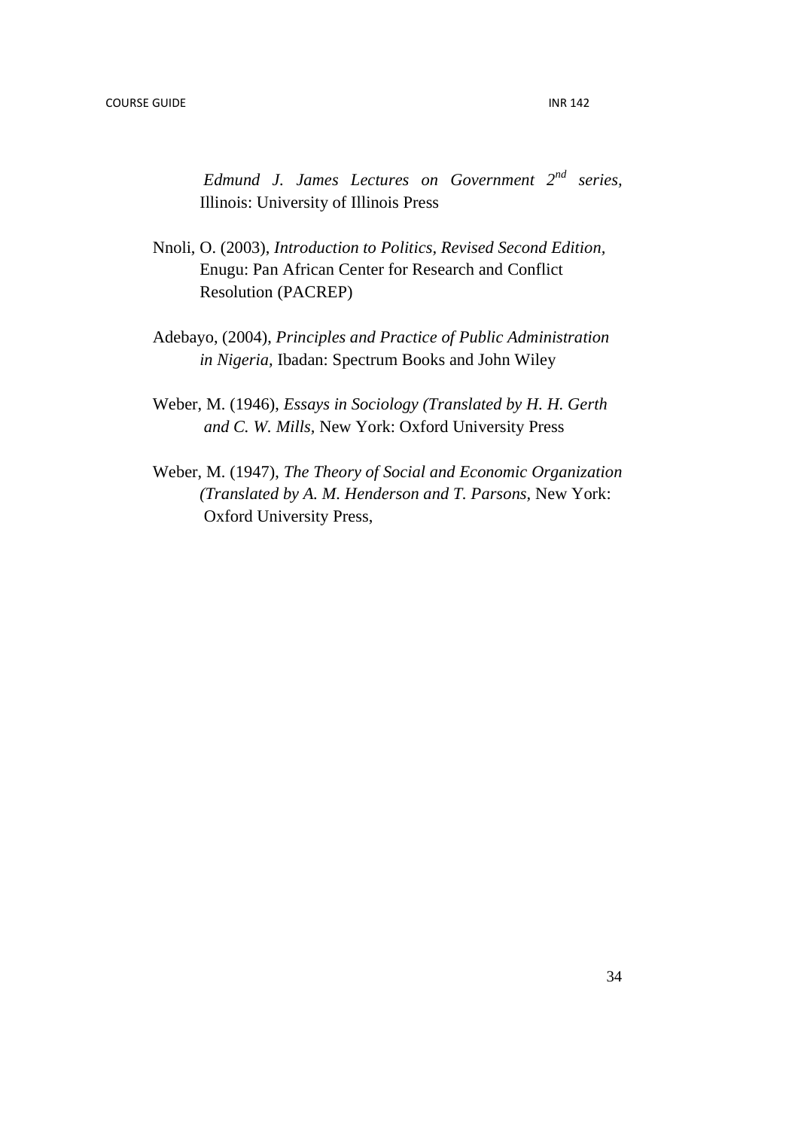*Edmund J. James Lectures on Government 2nd series,* Illinois: University of Illinois Press

- Nnoli, O. (2003), *Introduction to Politics, Revised Second Edition,* Enugu: Pan African Center for Research and Conflict Resolution (PACREP)
- Adebayo, (2004), *Principles and Practice of Public Administration in Nigeria,* Ibadan: Spectrum Books and John Wiley
- Weber, M. (1946), *Essays in Sociology (Translated by H. H. Gerth and C. W. Mills,* New York: Oxford University Press
- Weber, M. (1947), *The Theory of Social and Economic Organization (Translated by A. M. Henderson and T. Parsons,* New York: **Oxford University Press,**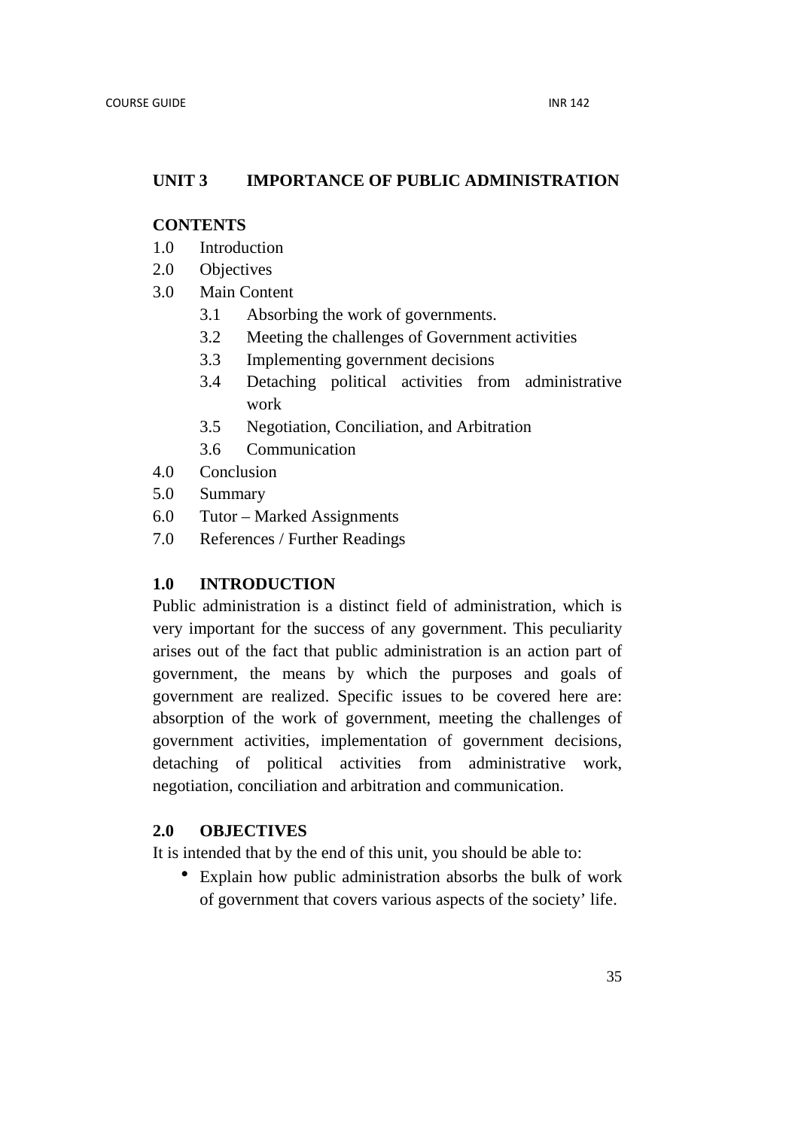## **UNIT 3 IMPORTANCE OF PUBLIC ADMINISTRATION**

#### **CONTENTS**

- 1.0 Introduction
- 2.0 Objectives
- 3.0 Main Content
	- 3.1 Absorbing the work of governments.
	- 3.2 Meeting the challenges of Government activities
	- 3.3 Implementing government decisions
	- 3.4 Detaching political activities from administrative work
	- 3.5 Negotiation, Conciliation, and Arbitration
	- 3.6 Communication
- 4.0 Conclusion
- 5.0 Summary
- 6.0 Tutor Marked Assignments
- 7.0 References / Further Readings

## **1.0 INTRODUCTION**

Public administration is a distinct field of administration, which is very important for the success of any government. This peculiarity arises out of the fact that public administration is an action part of government, the means by which the purposes and goals of government are realized. Specific issues to be covered here are: absorption of the work of government, meeting the challenges of government activities, implementation of government decisions, detaching of political activities from administrative work, negotiation, conciliation and arbitration and communication.

## **2.0 OBJECTIVES**

It is intended that by the end of this unit, you should be able to:

• Explain how public administration absorbs the bulk of work of government that covers various aspects of the society' life.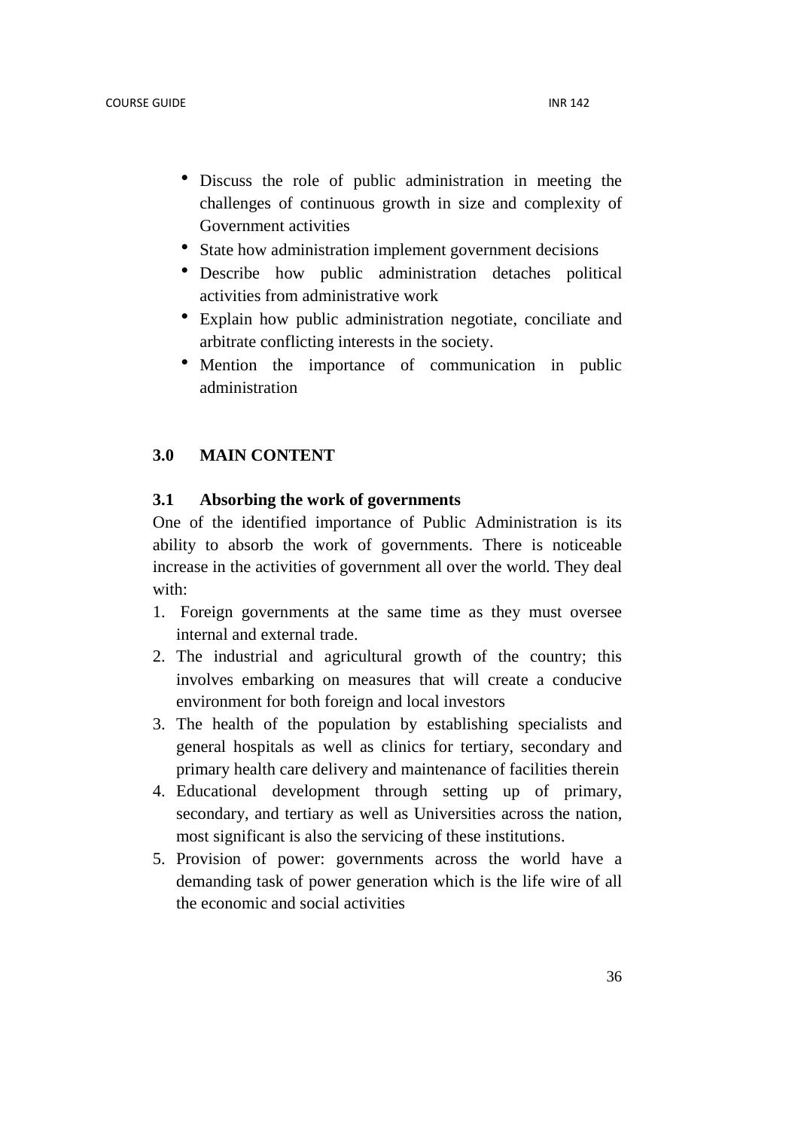- Discuss the role of public administration in meeting the challenges of continuous growth in size and complexity of Government activities
- State how administration implement government decisions
- Describe how public administration detaches political activities from administrative work
- Explain how public administration negotiate, conciliate and arbitrate conflicting interests in the society.
- Mention the importance of communication in public administration

## **3.0 MAIN CONTENT**

## **3.1 Absorbing the work of governments**

One of the identified importance of Public Administration is its ability to absorb the work of governments. There is noticeable increase in the activities of government all over the world. They deal with:

- 1. Foreign governments at the same time as they must oversee internal and external trade.
- 2. The industrial and agricultural growth of the country; this involves embarking on measures that will create a conducive environment for both foreign and local investors
- 3. The health of the population by establishing specialists and general hospitals as well as clinics for tertiary, secondary and primary health care delivery and maintenance of facilities therein
- 4. Educational development through setting up of primary, secondary, and tertiary as well as Universities across the nation, most significant is also the servicing of these institutions.
- 5. Provision of power: governments across the world have a demanding task of power generation which is the life wire of all the economic and social activities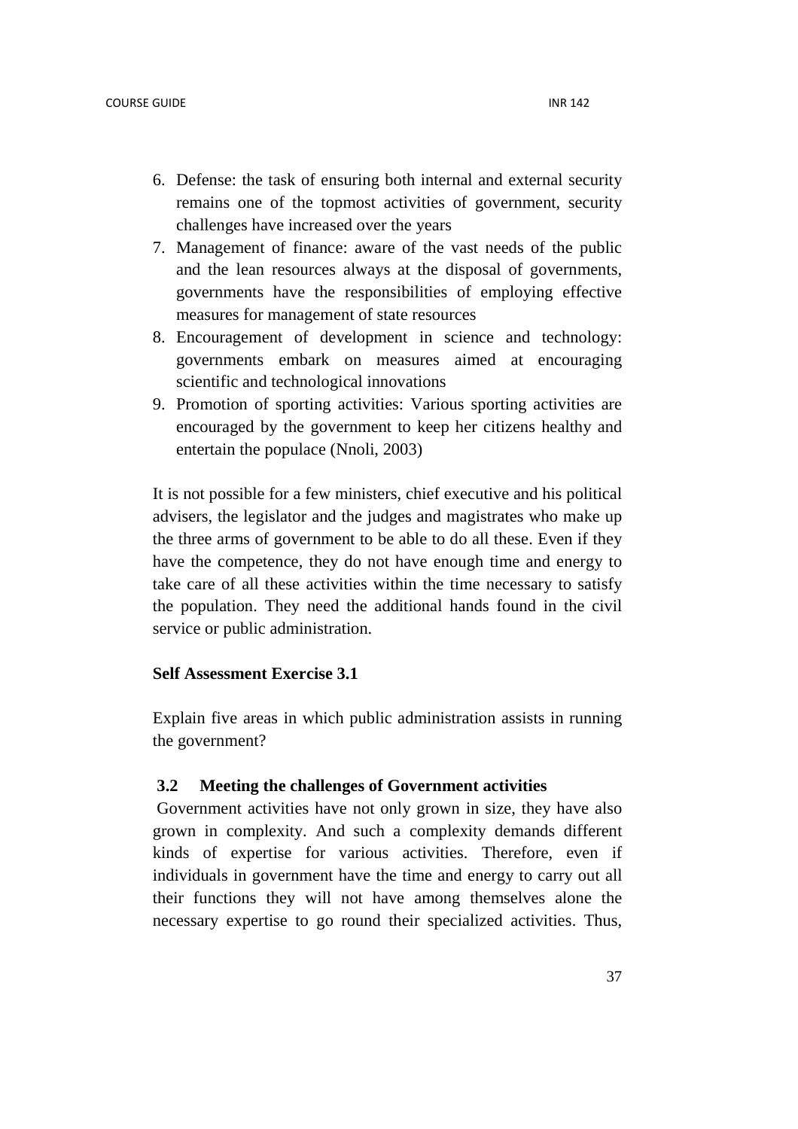- 6. Defense: the task of ensuring both internal and external security remains one of the topmost activities of government, security challenges have increased over the years
- 7. Management of finance: aware of the vast needs of the public and the lean resources always at the disposal of governments, governments have the responsibilities of employing effective measures for management of state resources
- 8. Encouragement of development in science and technology: governments embark on measures aimed at encouraging scientific and technological innovations
- 9. Promotion of sporting activities: Various sporting activities are encouraged by the government to keep her citizens healthy and entertain the populace (Nnoli, 2003)

It is not possible for a few ministers, chief executive and his political advisers, the legislator and the judges and magistrates who make up the three arms of government to be able to do all these. Even if they have the competence, they do not have enough time and energy to take care of all these activities within the time necessary to satisfy the population. They need the additional hands found in the civil service or public administration.

## **Self Assessment Exercise 3.1**

Explain five areas in which public administration assists in running the government?

## **3.2 Meeting the challenges of Government activities**

Government activities have not only grown in size, they have also grown in complexity. And such a complexity demands different kinds of expertise for various activities. Therefore, even if individuals in government have the time and energy to carry out all their functions they will not have among themselves alone the necessary expertise to go round their specialized activities. Thus,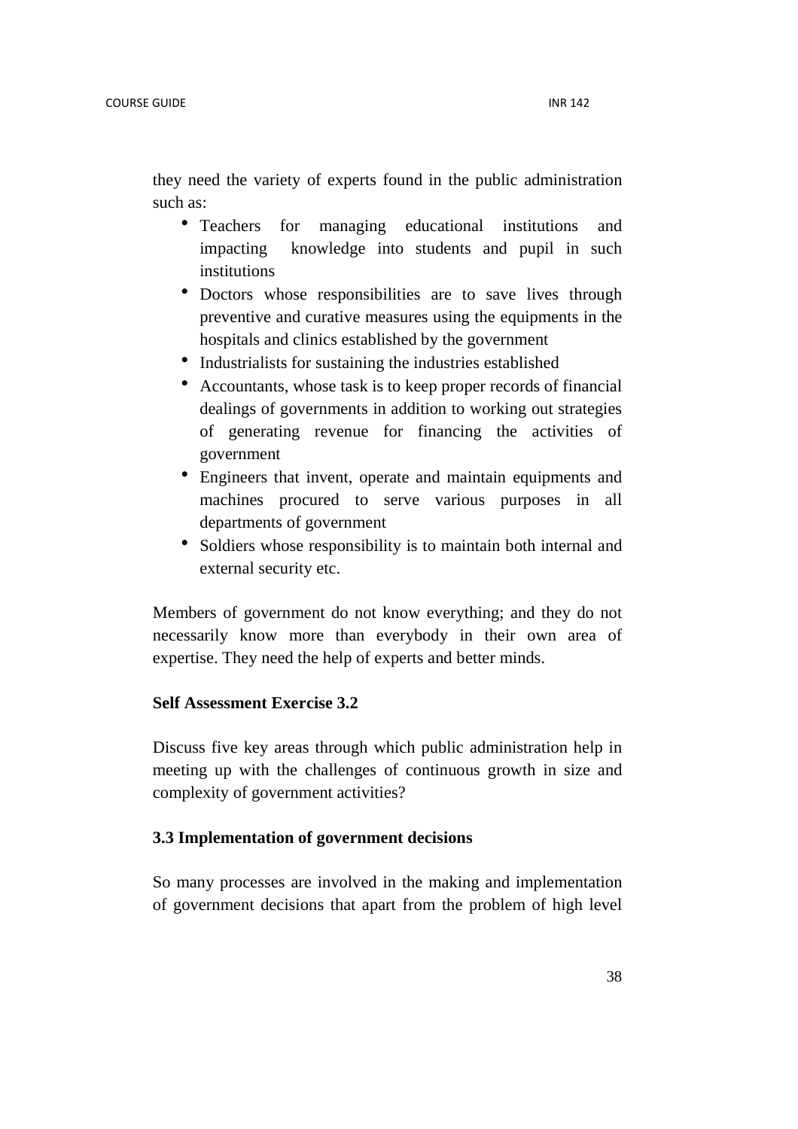they need the variety of experts found in the public administration such as:

- Teachers for managing educational institutions and impacting knowledge into students and pupil in such institutions
- Doctors whose responsibilities are to save lives through preventive and curative measures using the equipments in the hospitals and clinics established by the government
- Industrialists for sustaining the industries established
- Accountants, whose task is to keep proper records of financial dealings of governments in addition to working out strategies of generating revenue for financing the activities of government
- Engineers that invent, operate and maintain equipments and machines procured to serve various purposes in all departments of government
- Soldiers whose responsibility is to maintain both internal and external security etc.

Members of government do not know everything; and they do not necessarily know more than everybody in their own area of expertise. They need the help of experts and better minds.

## **Self Assessment Exercise 3.2**

Discuss five key areas through which public administration help in meeting up with the challenges of continuous growth in size and complexity of government activities?

## **3.3 Implementation of government decisions**

So many processes are involved in the making and implementation of government decisions that apart from the problem of high level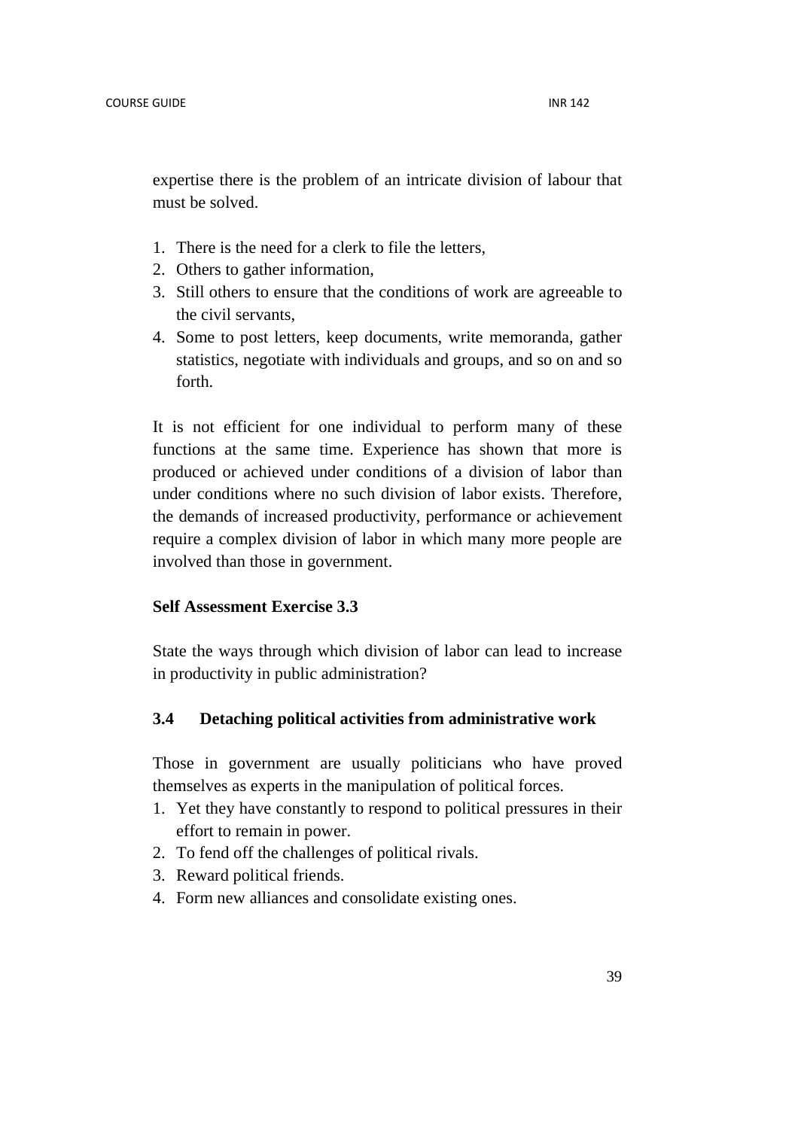expertise there is the problem of an intricate division of labour that must be solved.

- 1. There is the need for a clerk to file the letters,
- 2. Others to gather information,
- 3. Still others to ensure that the conditions of work are agreeable to the civil servants,
- 4. Some to post letters, keep documents, write memoranda, gather statistics, negotiate with individuals and groups, and so on and so forth.

It is not efficient for one individual to perform many of these functions at the same time. Experience has shown that more is produced or achieved under conditions of a division of labor than under conditions where no such division of labor exists. Therefore, the demands of increased productivity, performance or achievement require a complex division of labor in which many more people are involved than those in government.

## **Self Assessment Exercise 3.3**

State the ways through which division of labor can lead to increase in productivity in public administration?

## **3.4 Detaching political activities from administrative work**

Those in government are usually politicians who have proved themselves as experts in the manipulation of political forces.

- 1. Yet they have constantly to respond to political pressures in their effort to remain in power.
- 2. To fend off the challenges of political rivals.
- 3. Reward political friends.
- 4. Form new alliances and consolidate existing ones.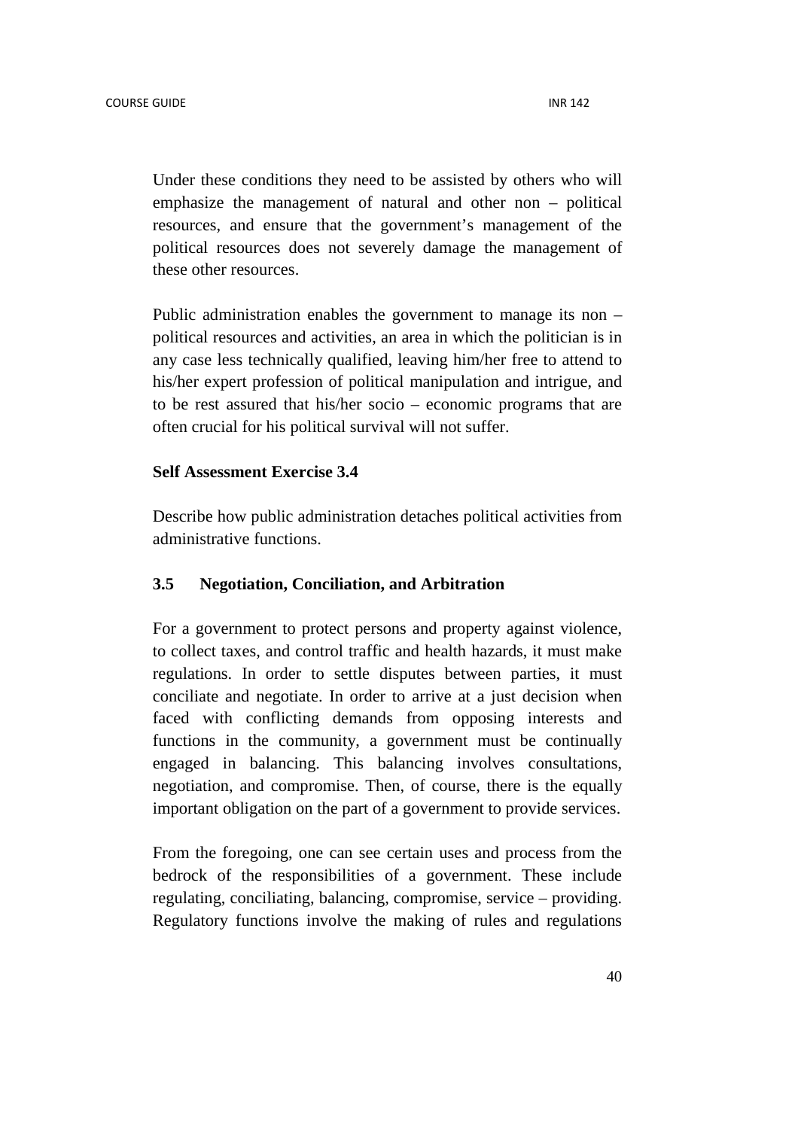Under these conditions they need to be assisted by others who will emphasize the management of natural and other non – political resources, and ensure that the government's management of the political resources does not severely damage the management of these other resources.

Public administration enables the government to manage its non – political resources and activities, an area in which the politician is in any case less technically qualified, leaving him/her free to attend to his/her expert profession of political manipulation and intrigue, and to be rest assured that his/her socio – economic programs that are often crucial for his political survival will not suffer.

## **Self Assessment Exercise 3.4**

Describe how public administration detaches political activities from administrative functions.

## **3.5 Negotiation, Conciliation, and Arbitration**

For a government to protect persons and property against violence, to collect taxes, and control traffic and health hazards, it must make regulations. In order to settle disputes between parties, it must conciliate and negotiate. In order to arrive at a just decision when faced with conflicting demands from opposing interests and functions in the community, a government must be continually engaged in balancing. This balancing involves consultations, negotiation, and compromise. Then, of course, there is the equally important obligation on the part of a government to provide services.

From the foregoing, one can see certain uses and process from the bedrock of the responsibilities of a government. These include regulating, conciliating, balancing, compromise, service – providing. Regulatory functions involve the making of rules and regulations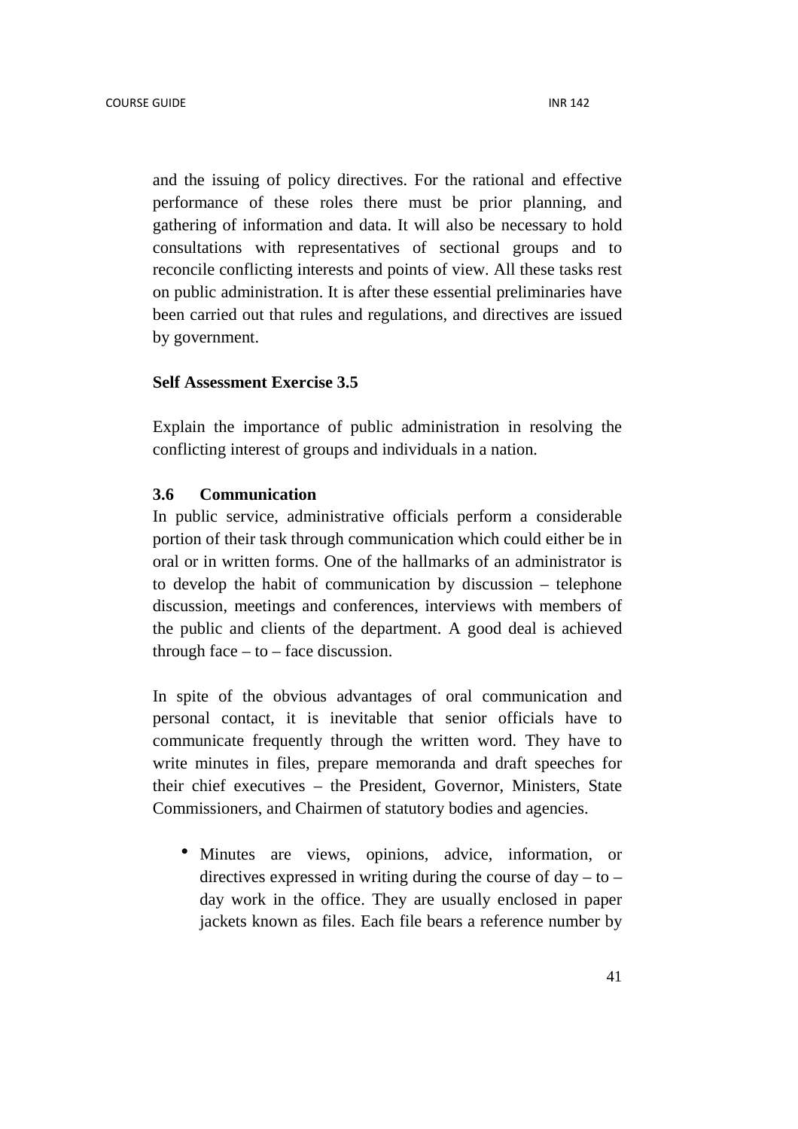and the issuing of policy directives. For the rational and effective performance of these roles there must be prior planning, and gathering of information and data. It will also be necessary to hold consultations with representatives of sectional groups and to reconcile conflicting interests and points of view. All these tasks rest on public administration. It is after these essential preliminaries have been carried out that rules and regulations, and directives are issued by government.

#### **Self Assessment Exercise 3.5**

Explain the importance of public administration in resolving the conflicting interest of groups and individuals in a nation.

### **3.6 Communication**

In public service, administrative officials perform a considerable portion of their task through communication which could either be in oral or in written forms. One of the hallmarks of an administrator is to develop the habit of communication by discussion – telephone discussion, meetings and conferences, interviews with members of the public and clients of the department. A good deal is achieved through face  $-$  to  $-$  face discussion.

In spite of the obvious advantages of oral communication and personal contact, it is inevitable that senior officials have to communicate frequently through the written word. They have to write minutes in files, prepare memoranda and draft speeches for their chief executives – the President, Governor, Ministers, State Commissioners, and Chairmen of statutory bodies and agencies.

• Minutes are views, opinions, advice, information, or directives expressed in writing during the course of  $day - to$ day work in the office. They are usually enclosed in paper jackets known as files. Each file bears a reference number by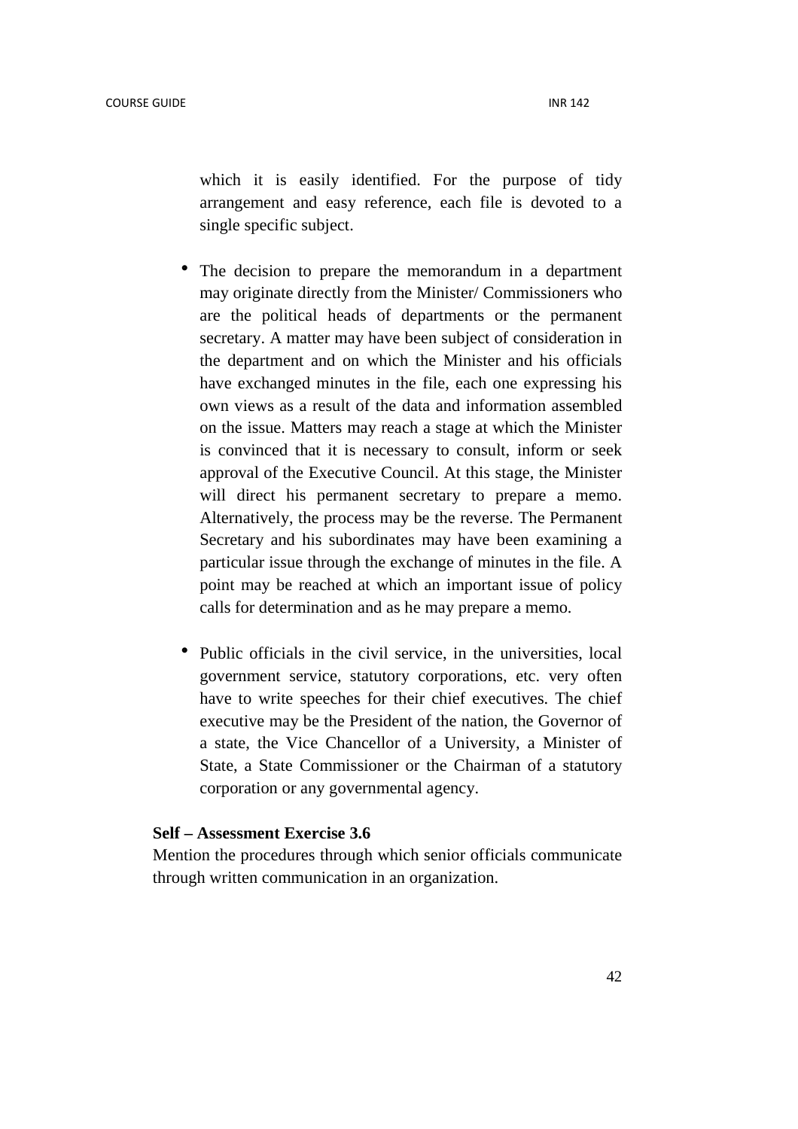which it is easily identified. For the purpose of tidy arrangement and easy reference, each file is devoted to a single specific subject.

- The decision to prepare the memorandum in a department may originate directly from the Minister/ Commissioners who are the political heads of departments or the permanent secretary. A matter may have been subject of consideration in the department and on which the Minister and his officials have exchanged minutes in the file, each one expressing his own views as a result of the data and information assembled on the issue. Matters may reach a stage at which the Minister is convinced that it is necessary to consult, inform or seek approval of the Executive Council. At this stage, the Minister will direct his permanent secretary to prepare a memo. Alternatively, the process may be the reverse. The Permanent Secretary and his subordinates may have been examining a particular issue through the exchange of minutes in the file. A point may be reached at which an important issue of policy calls for determination and as he may prepare a memo.
- Public officials in the civil service, in the universities, local government service, statutory corporations, etc. very often have to write speeches for their chief executives. The chief executive may be the President of the nation, the Governor of a state, the Vice Chancellor of a University, a Minister of State, a State Commissioner or the Chairman of a statutory corporation or any governmental agency.

#### **Self – Assessment Exercise 3.6**

Mention the procedures through which senior officials communicate through written communication in an organization.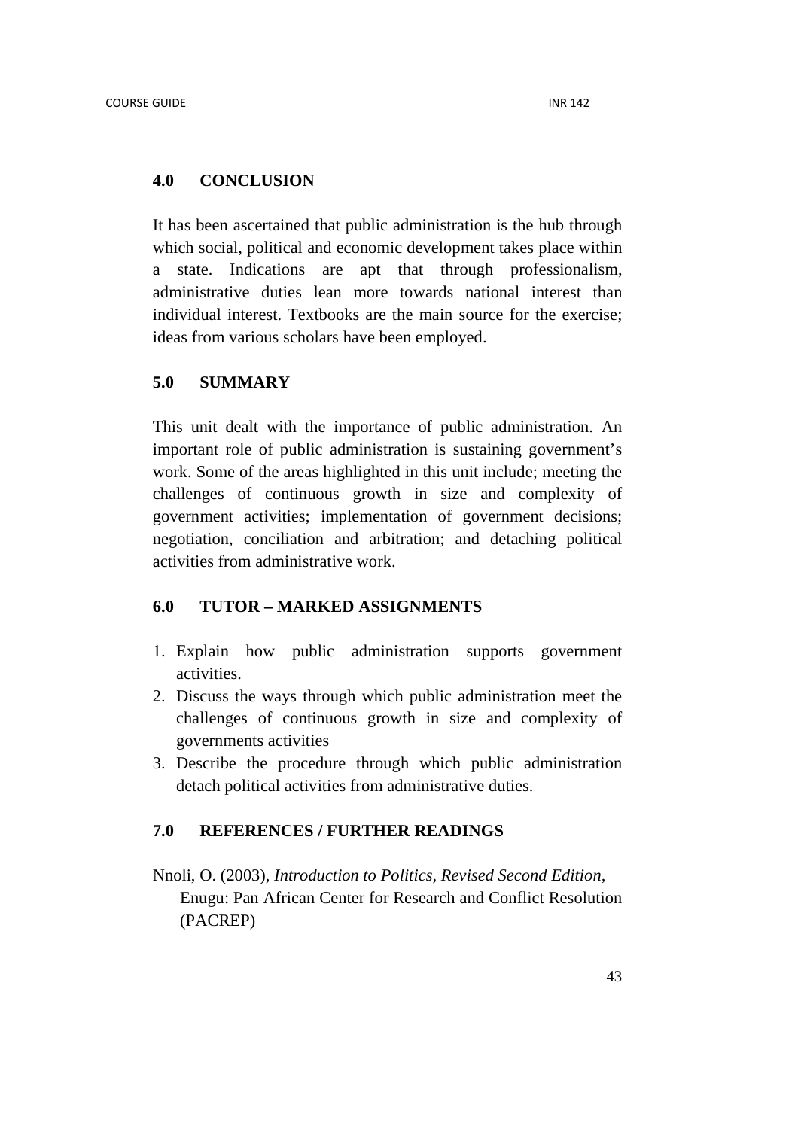## **4.0 CONCLUSION**

It has been ascertained that public administration is the hub through which social, political and economic development takes place within a state. Indications are apt that through professionalism, administrative duties lean more towards national interest than individual interest. Textbooks are the main source for the exercise; ideas from various scholars have been employed.

## **5.0 SUMMARY**

This unit dealt with the importance of public administration. An important role of public administration is sustaining government's work. Some of the areas highlighted in this unit include; meeting the challenges of continuous growth in size and complexity of government activities; implementation of government decisions; negotiation, conciliation and arbitration; and detaching political activities from administrative work.

## **6.0 TUTOR – MARKED ASSIGNMENTS**

- 1. Explain how public administration supports government activities.
- 2. Discuss the ways through which public administration meet the challenges of continuous growth in size and complexity of governments activities
- 3. Describe the procedure through which public administration detach political activities from administrative duties.

## **7.0 REFERENCES / FURTHER READINGS**

Nnoli, O. (2003), *Introduction to Politics, Revised Second Edition,* Enugu: Pan African Center for Research and Conflict Resolution (PACREP)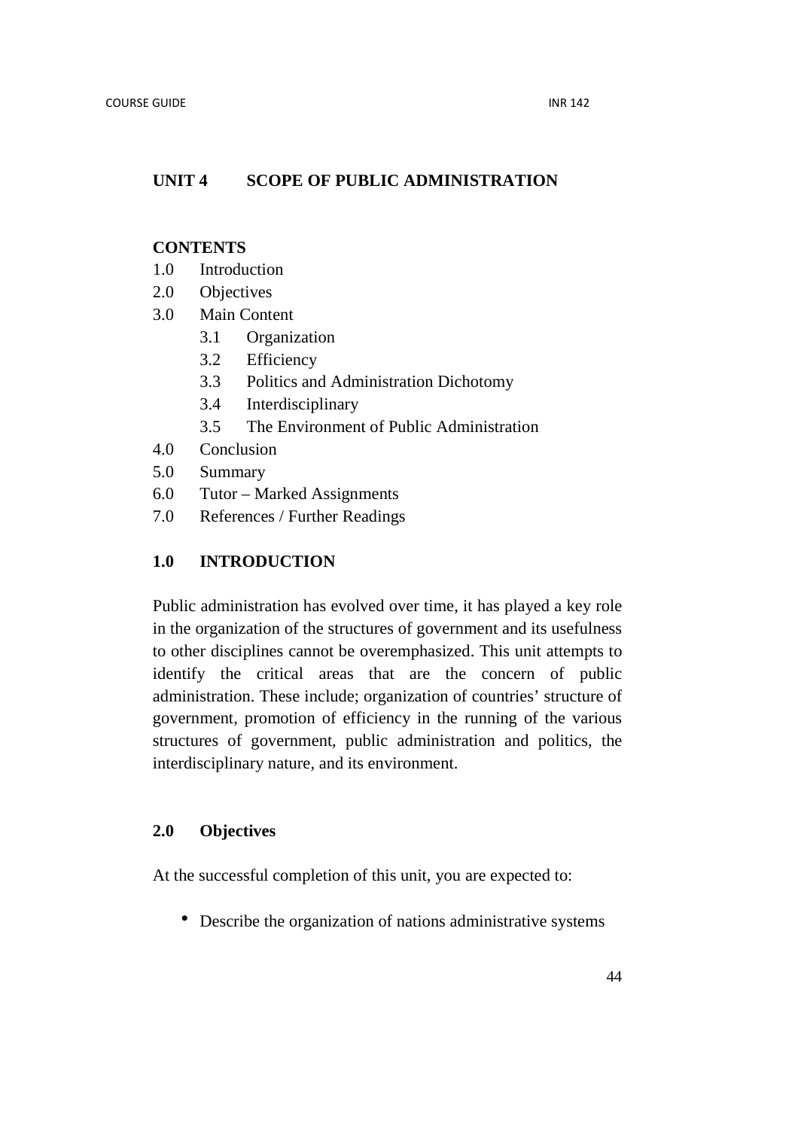## **UNIT 4 SCOPE OF PUBLIC ADMINISTRATION**

## **CONTENTS**

- 1.0 Introduction
- 2.0 Objectives
- 3.0 Main Content
	- 3.1 Organization
	- 3.2 Efficiency
	- 3.3 Politics and Administration Dichotomy
	- 3.4 Interdisciplinary
	- 3.5 The Environment of Public Administration
- 4.0 Conclusion
- 5.0 Summary
- 6.0 Tutor Marked Assignments
- 7.0 References / Further Readings

## **1.0 INTRODUCTION**

Public administration has evolved over time, it has played a key role in the organization of the structures of government and its usefulness to other disciplines cannot be overemphasized. This unit attempts to identify the critical areas that are the concern of public administration. These include; organization of countries' structure of government, promotion of efficiency in the running of the various structures of government, public administration and politics, the interdisciplinary nature, and its environment.

## **2.0 Objectives**

At the successful completion of this unit, you are expected to:

• Describe the organization of nations administrative systems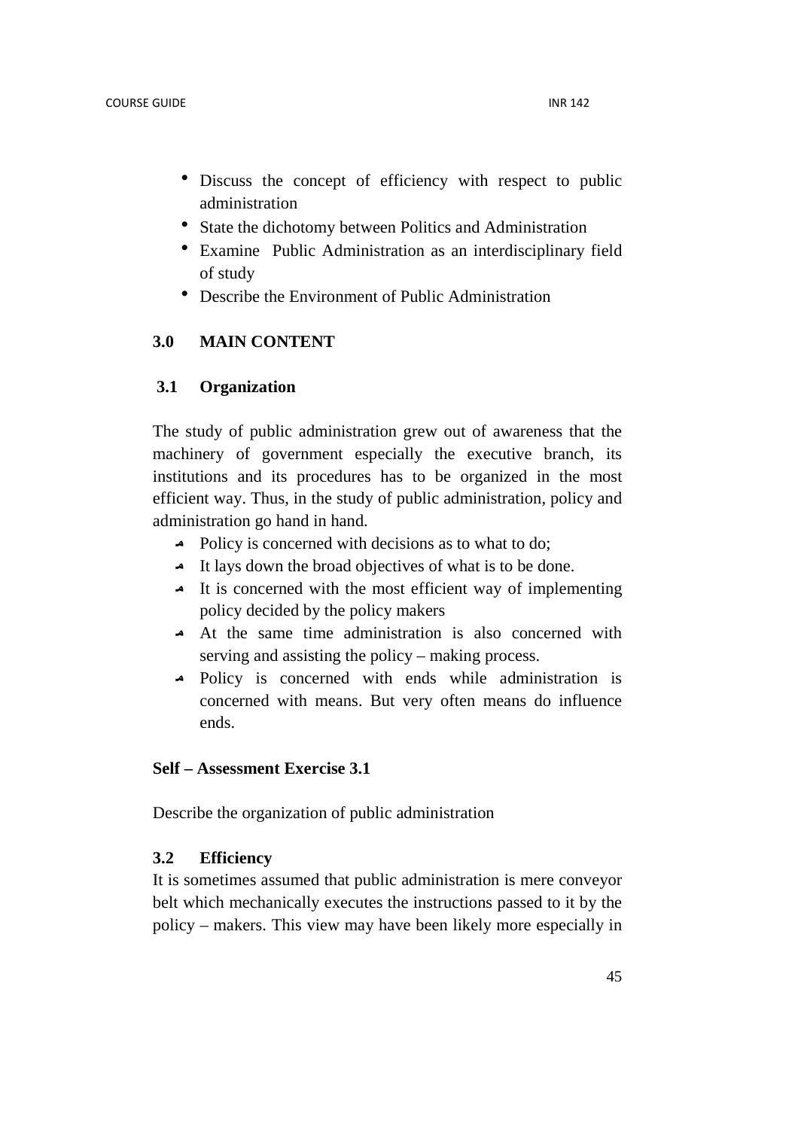- Discuss the concept of efficiency with respect to public administration
- State the dichotomy between Politics and Administration
- Examine Public Administration as an interdisciplinary field of study
- Describe the Environment of Public Administration

## **3.0 MAIN CONTENT**

## **3.1 Organization**

The study of public administration grew out of awareness that the machinery of government especially the executive branch, its institutions and its procedures has to be organized in the most efficient way. Thus, in the study of public administration, policy and administration go hand in hand.

- $\triangle$  Policy is concerned with decisions as to what to do;
- It lays down the broad objectives of what is to be done.
- It is concerned with the most efficient way of implementing policy decided by the policy makers
- At the same time administration is also concerned with serving and assisting the policy – making process.
- Policy is concerned with ends while administration is concerned with means. But very often means do influence ends.

## **Self – Assessment Exercise 3.1**

Describe the organization of public administration

## **3.2 Efficiency**

It is sometimes assumed that public administration is mere conveyor belt which mechanically executes the instructions passed to it by the policy – makers. This view may have been likely more especially in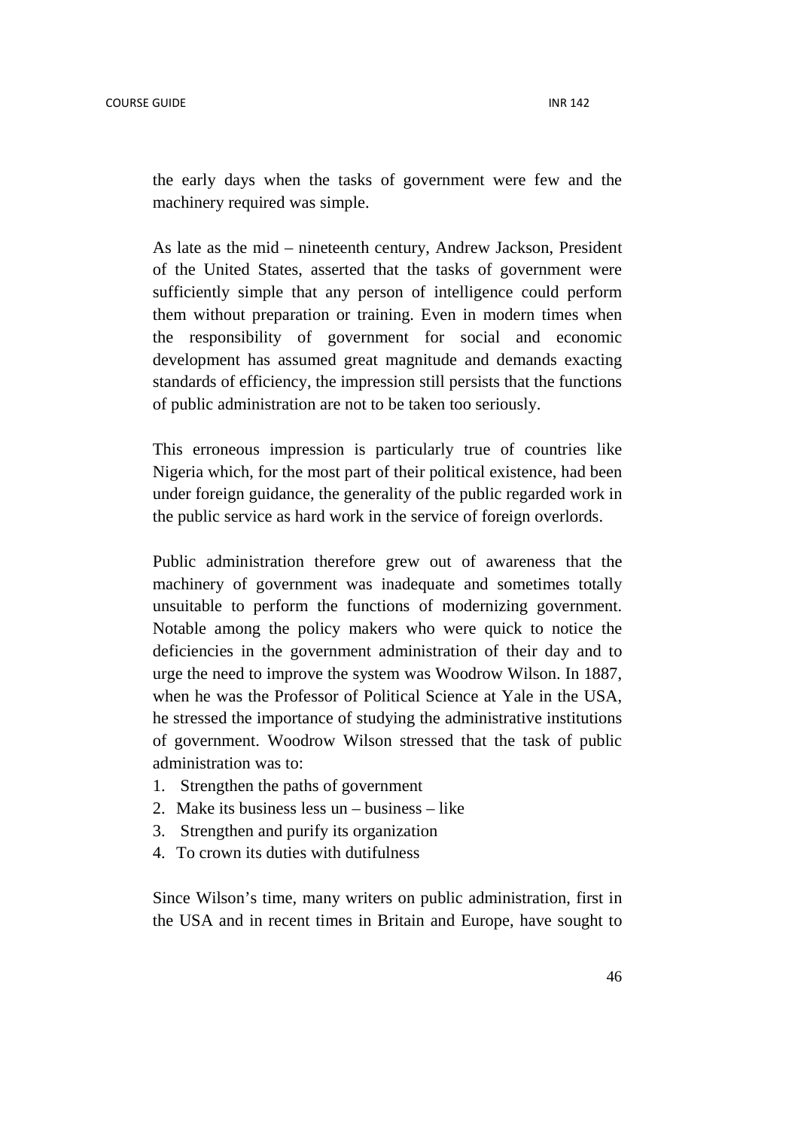the early days when the tasks of government were few and the machinery required was simple.

As late as the mid – nineteenth century, Andrew Jackson, President of the United States, asserted that the tasks of government were sufficiently simple that any person of intelligence could perform them without preparation or training. Even in modern times when the responsibility of government for social and economic development has assumed great magnitude and demands exacting standards of efficiency, the impression still persists that the functions of public administration are not to be taken too seriously.

This erroneous impression is particularly true of countries like Nigeria which, for the most part of their political existence, had been under foreign guidance, the generality of the public regarded work in the public service as hard work in the service of foreign overlords.

Public administration therefore grew out of awareness that the machinery of government was inadequate and sometimes totally unsuitable to perform the functions of modernizing government. Notable among the policy makers who were quick to notice the deficiencies in the government administration of their day and to urge the need to improve the system was Woodrow Wilson. In 1887, when he was the Professor of Political Science at Yale in the USA, he stressed the importance of studying the administrative institutions of government. Woodrow Wilson stressed that the task of public administration was to:

- 1. Strengthen the paths of government
- 2. Make its business less un business like
- 3. Strengthen and purify its organization
- 4. To crown its duties with dutifulness

Since Wilson's time, many writers on public administration, first in the USA and in recent times in Britain and Europe, have sought to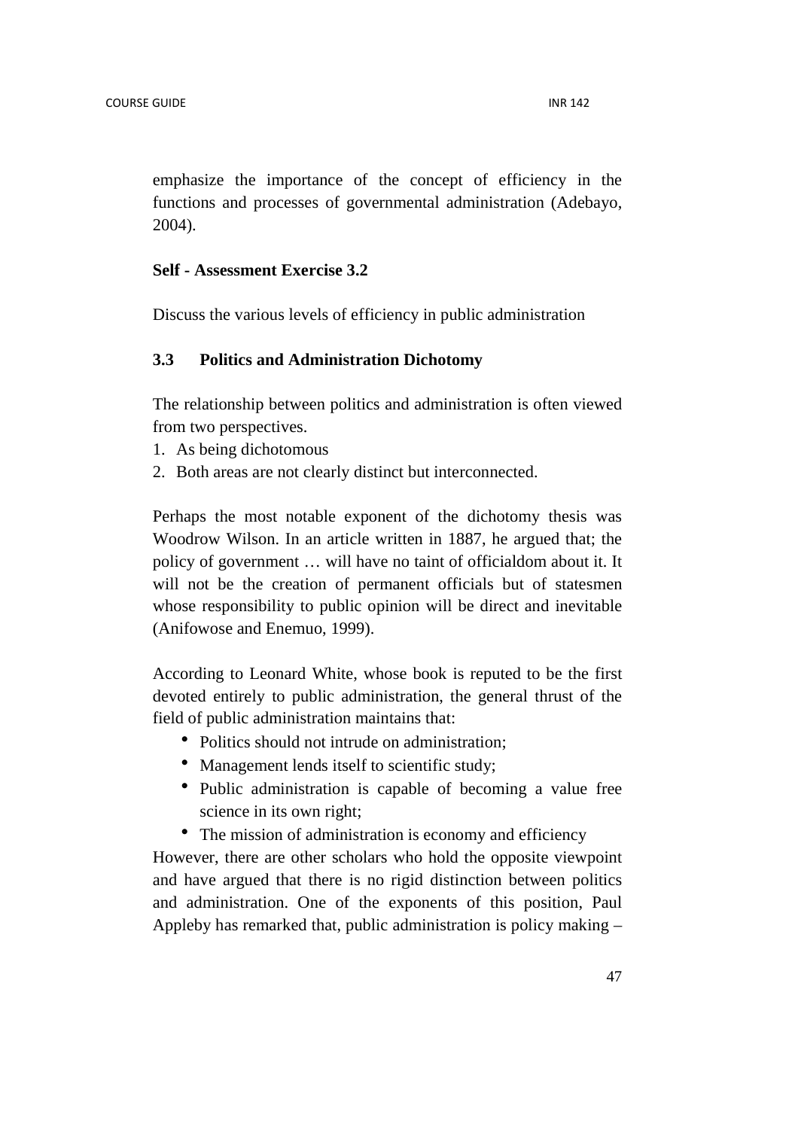emphasize the importance of the concept of efficiency in the functions and processes of governmental administration (Adebayo, 2004).

#### **Self - Assessment Exercise 3.2**

Discuss the various levels of efficiency in public administration

## **3.3 Politics and Administration Dichotomy**

The relationship between politics and administration is often viewed from two perspectives.

- 1. As being dichotomous
- 2. Both areas are not clearly distinct but interconnected.

Perhaps the most notable exponent of the dichotomy thesis was Woodrow Wilson. In an article written in 1887, he argued that; the policy of government … will have no taint of officialdom about it. It will not be the creation of permanent officials but of statesmen whose responsibility to public opinion will be direct and inevitable (Anifowose and Enemuo, 1999).

According to Leonard White, whose book is reputed to be the first devoted entirely to public administration, the general thrust of the field of public administration maintains that:

- Politics should not intrude on administration;
- Management lends itself to scientific study;
- Public administration is capable of becoming a value free science in its own right;
- The mission of administration is economy and efficiency

However, there are other scholars who hold the opposite viewpoint and have argued that there is no rigid distinction between politics and administration. One of the exponents of this position, Paul Appleby has remarked that, public administration is policy making –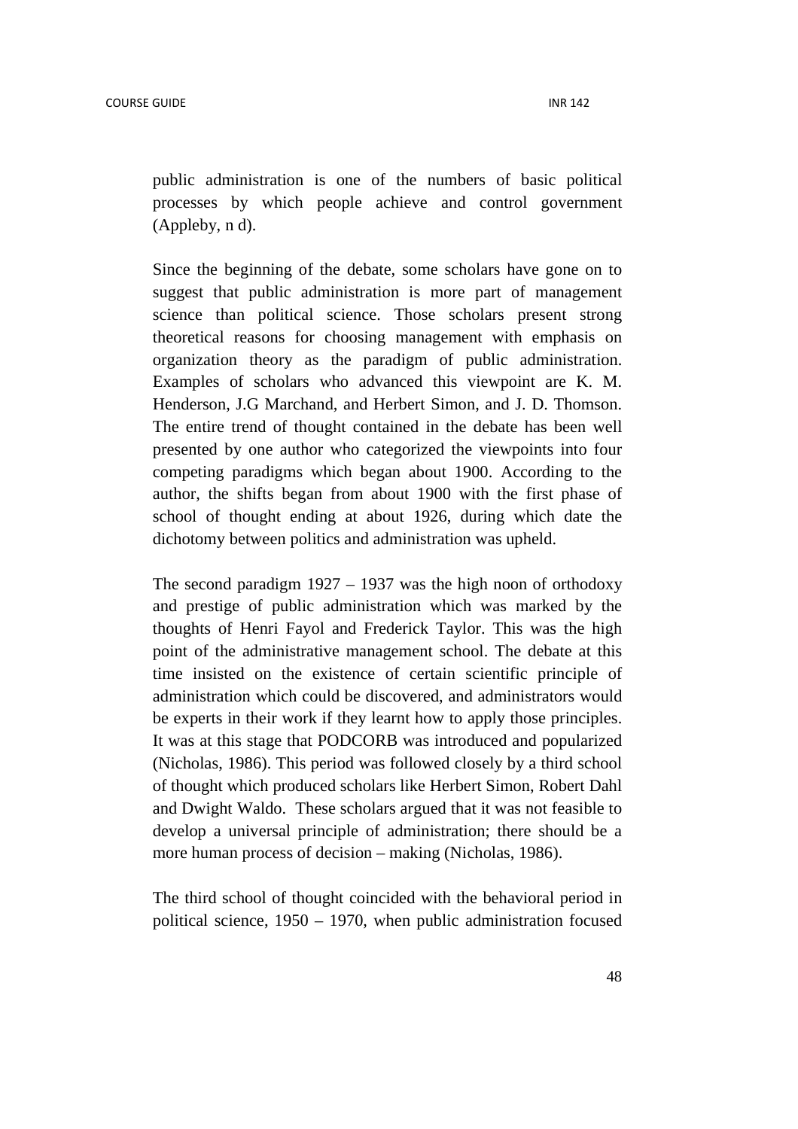public administration is one of the numbers of basic political processes by which people achieve and control government (Appleby, n d).

Since the beginning of the debate, some scholars have gone on to suggest that public administration is more part of management science than political science. Those scholars present strong theoretical reasons for choosing management with emphasis on organization theory as the paradigm of public administration. Examples of scholars who advanced this viewpoint are K. M. Henderson, J.G Marchand, and Herbert Simon, and J. D. Thomson. The entire trend of thought contained in the debate has been well presented by one author who categorized the viewpoints into four competing paradigms which began about 1900. According to the author, the shifts began from about 1900 with the first phase of school of thought ending at about 1926, during which date the dichotomy between politics and administration was upheld.

The second paradigm  $1927 - 1937$  was the high noon of orthodoxy and prestige of public administration which was marked by the thoughts of Henri Fayol and Frederick Taylor. This was the high point of the administrative management school. The debate at this time insisted on the existence of certain scientific principle of administration which could be discovered, and administrators would be experts in their work if they learnt how to apply those principles. It was at this stage that PODCORB was introduced and popularized (Nicholas, 1986). This period was followed closely by a third school of thought which produced scholars like Herbert Simon, Robert Dahl and Dwight Waldo. These scholars argued that it was not feasible to develop a universal principle of administration; there should be a more human process of decision – making (Nicholas, 1986).

The third school of thought coincided with the behavioral period in political science, 1950 – 1970, when public administration focused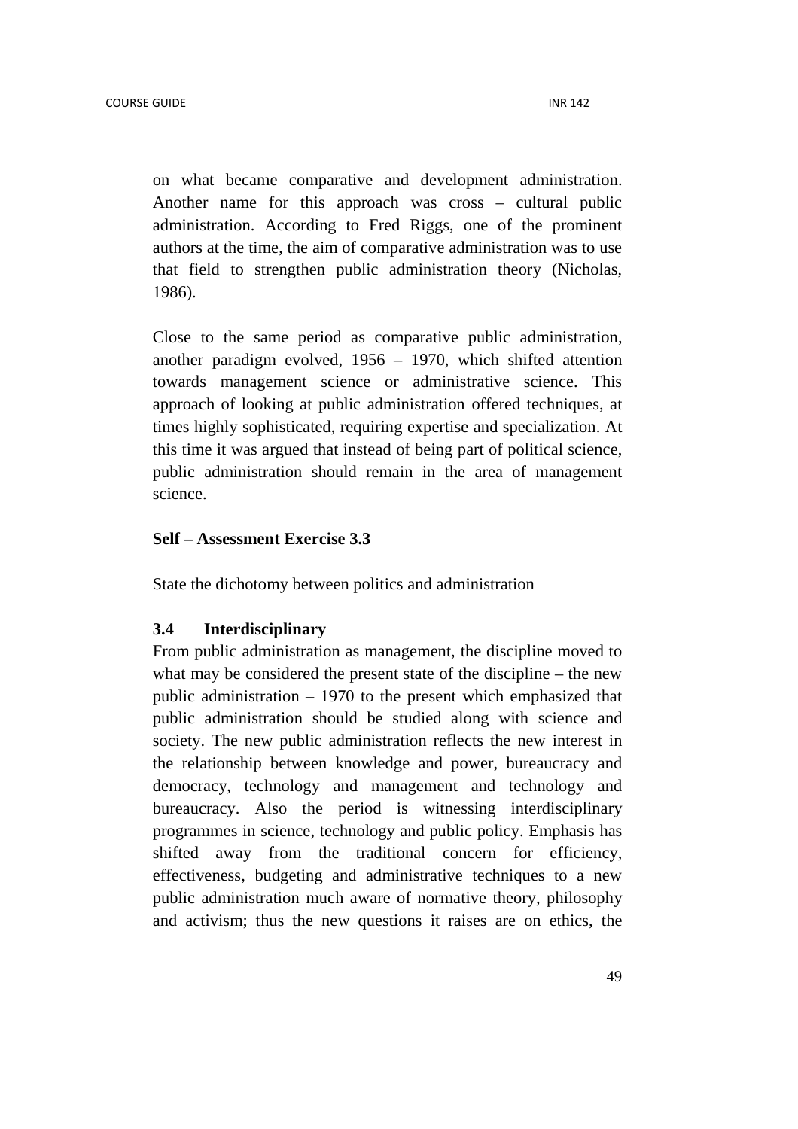on what became comparative and development administration. Another name for this approach was cross – cultural public administration. According to Fred Riggs, one of the prominent authors at the time, the aim of comparative administration was to use that field to strengthen public administration theory (Nicholas, 1986).

Close to the same period as comparative public administration, another paradigm evolved, 1956 – 1970, which shifted attention towards management science or administrative science. This approach of looking at public administration offered techniques, at times highly sophisticated, requiring expertise and specialization. At this time it was argued that instead of being part of political science, public administration should remain in the area of management science.

## **Self – Assessment Exercise 3.3**

State the dichotomy between politics and administration

#### **3.4 Interdisciplinary**

From public administration as management, the discipline moved to what may be considered the present state of the discipline – the new public administration – 1970 to the present which emphasized that public administration should be studied along with science and society. The new public administration reflects the new interest in the relationship between knowledge and power, bureaucracy and democracy, technology and management and technology and bureaucracy. Also the period is witnessing interdisciplinary programmes in science, technology and public policy. Emphasis has shifted away from the traditional concern for efficiency, effectiveness, budgeting and administrative techniques to a new public administration much aware of normative theory, philosophy and activism; thus the new questions it raises are on ethics, the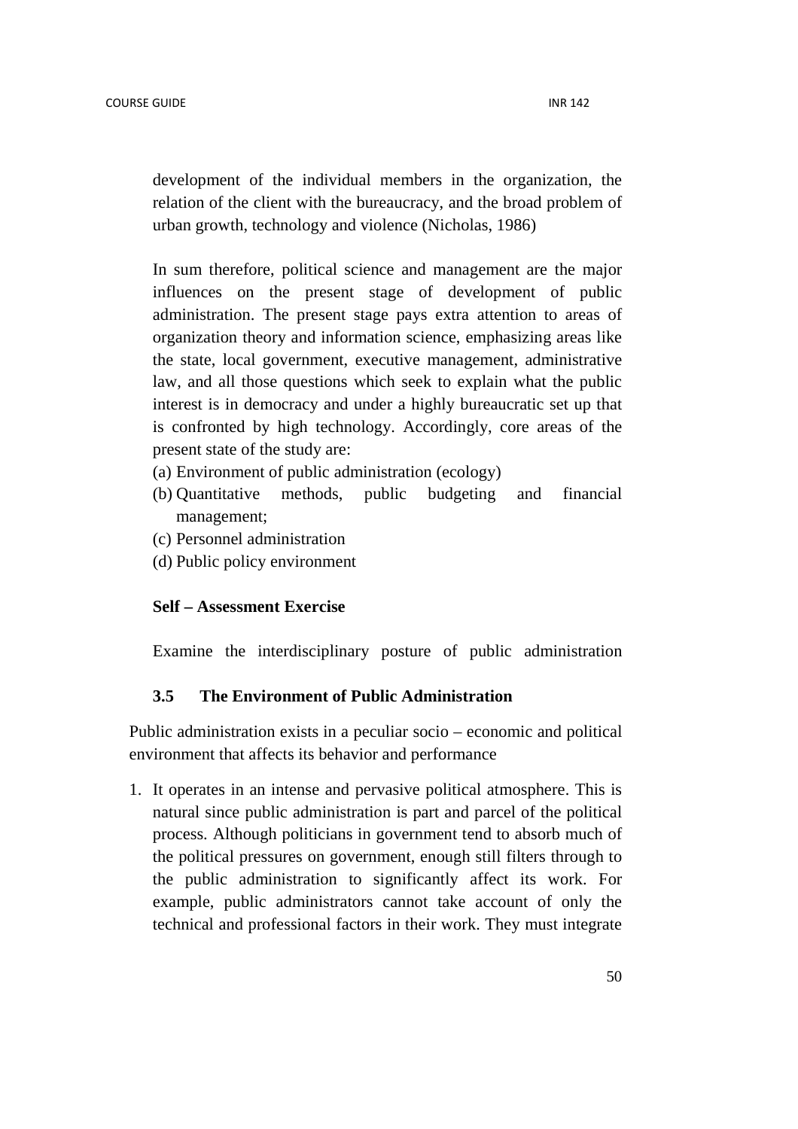development of the individual members in the organization, the relation of the client with the bureaucracy, and the broad problem of urban growth, technology and violence (Nicholas, 1986)

In sum therefore, political science and management are the major influences on the present stage of development of public administration. The present stage pays extra attention to areas of organization theory and information science, emphasizing areas like the state, local government, executive management, administrative law, and all those questions which seek to explain what the public interest is in democracy and under a highly bureaucratic set up that is confronted by high technology. Accordingly, core areas of the present state of the study are:

- (a) Environment of public administration (ecology)
- (b) Quantitative methods, public budgeting and financial management;
- (c) Personnel administration
- (d) Public policy environment

## **Self – Assessment Exercise**

Examine the interdisciplinary posture of public administration

## **3.5 The Environment of Public Administration**

Public administration exists in a peculiar socio – economic and political environment that affects its behavior and performance

1. It operates in an intense and pervasive political atmosphere. This is natural since public administration is part and parcel of the political process. Although politicians in government tend to absorb much of the political pressures on government, enough still filters through to the public administration to significantly affect its work. For example, public administrators cannot take account of only the technical and professional factors in their work. They must integrate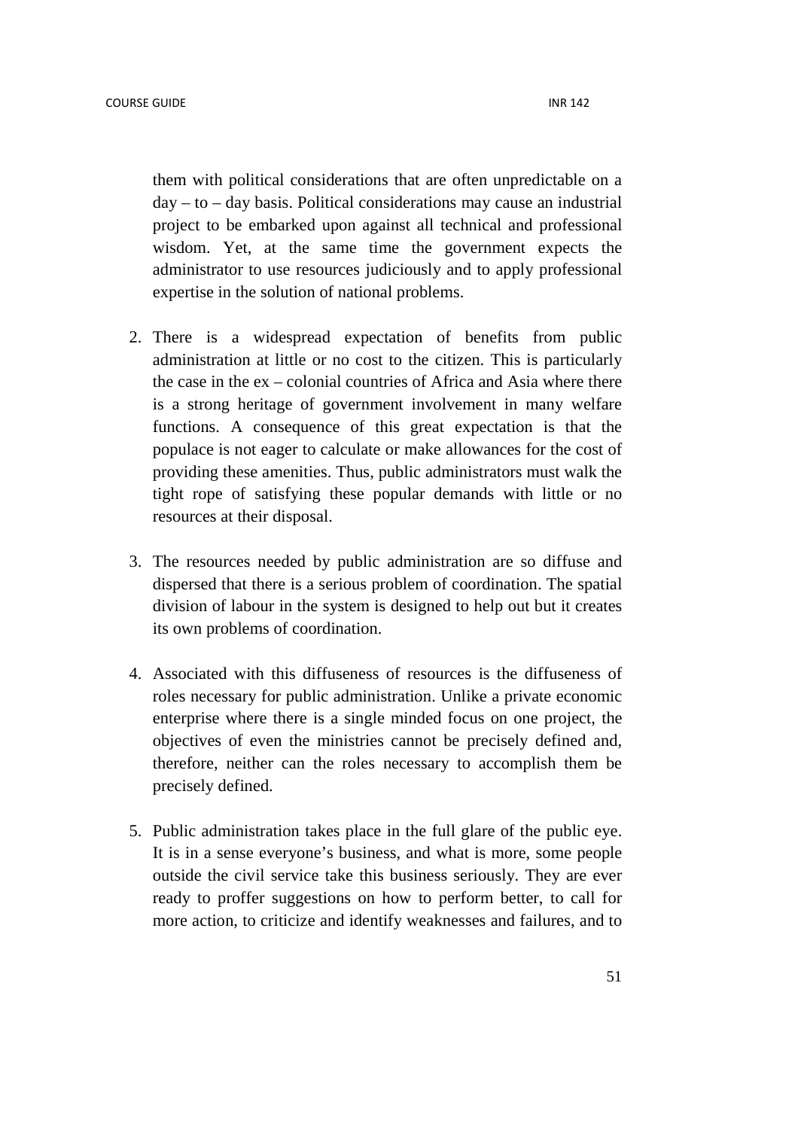them with political considerations that are often unpredictable on a  $day - to - day basis$ . Political considerations may cause an industrial project to be embarked upon against all technical and professional wisdom. Yet, at the same time the government expects the administrator to use resources judiciously and to apply professional expertise in the solution of national problems.

- 2. There is a widespread expectation of benefits from public administration at little or no cost to the citizen. This is particularly the case in the ex – colonial countries of Africa and Asia where there is a strong heritage of government involvement in many welfare functions. A consequence of this great expectation is that the populace is not eager to calculate or make allowances for the cost of providing these amenities. Thus, public administrators must walk the tight rope of satisfying these popular demands with little or no resources at their disposal.
- 3. The resources needed by public administration are so diffuse and dispersed that there is a serious problem of coordination. The spatial division of labour in the system is designed to help out but it creates its own problems of coordination.
- 4. Associated with this diffuseness of resources is the diffuseness of roles necessary for public administration. Unlike a private economic enterprise where there is a single minded focus on one project, the objectives of even the ministries cannot be precisely defined and, therefore, neither can the roles necessary to accomplish them be precisely defined.
- 5. Public administration takes place in the full glare of the public eye. It is in a sense everyone's business, and what is more, some people outside the civil service take this business seriously. They are ever ready to proffer suggestions on how to perform better, to call for more action, to criticize and identify weaknesses and failures, and to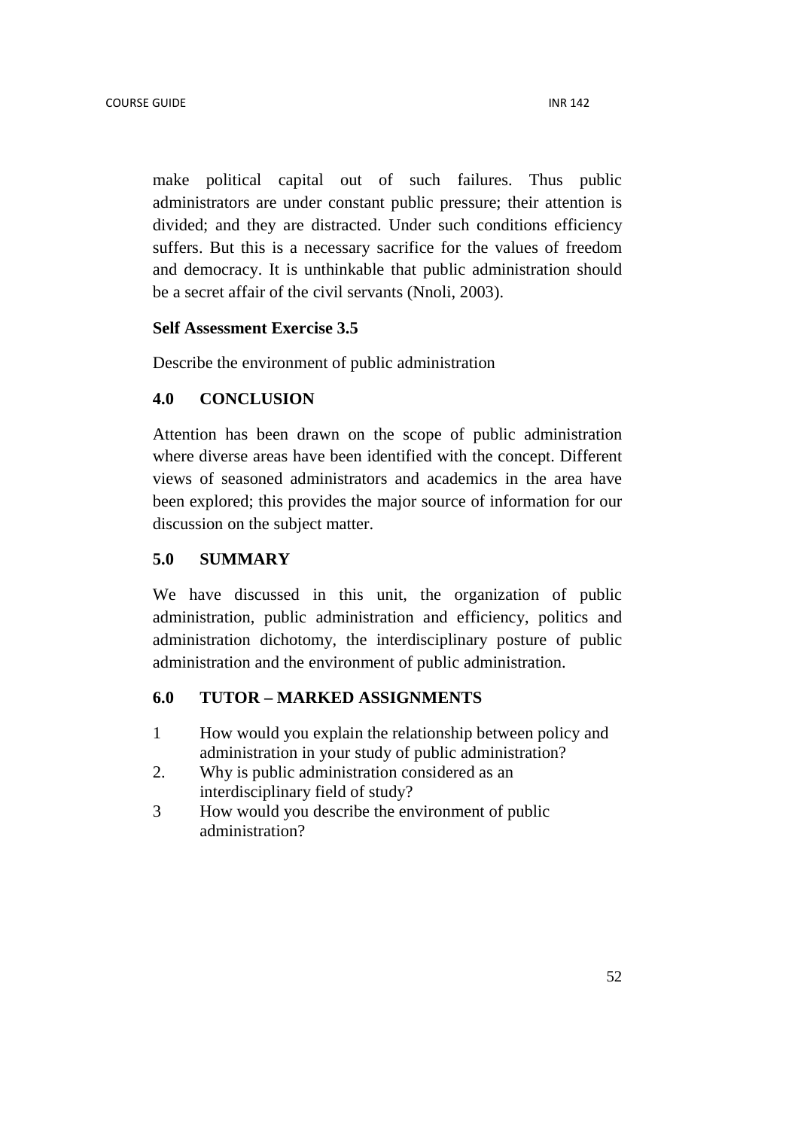make political capital out of such failures. Thus public administrators are under constant public pressure; their attention is divided; and they are distracted. Under such conditions efficiency suffers. But this is a necessary sacrifice for the values of freedom and democracy. It is unthinkable that public administration should be a secret affair of the civil servants (Nnoli, 2003).

## **Self Assessment Exercise 3.5**

Describe the environment of public administration

## **4.0 CONCLUSION**

Attention has been drawn on the scope of public administration where diverse areas have been identified with the concept. Different views of seasoned administrators and academics in the area have been explored; this provides the major source of information for our discussion on the subject matter.

### **5.0 SUMMARY**

We have discussed in this unit, the organization of public administration, public administration and efficiency, politics and administration dichotomy, the interdisciplinary posture of public administration and the environment of public administration.

## **6.0 TUTOR – MARKED ASSIGNMENTS**

- 1 How would you explain the relationship between policy and administration in your study of public administration?
- 2. Why is public administration considered as an interdisciplinary field of study?
- 3 How would you describe the environment of public administration?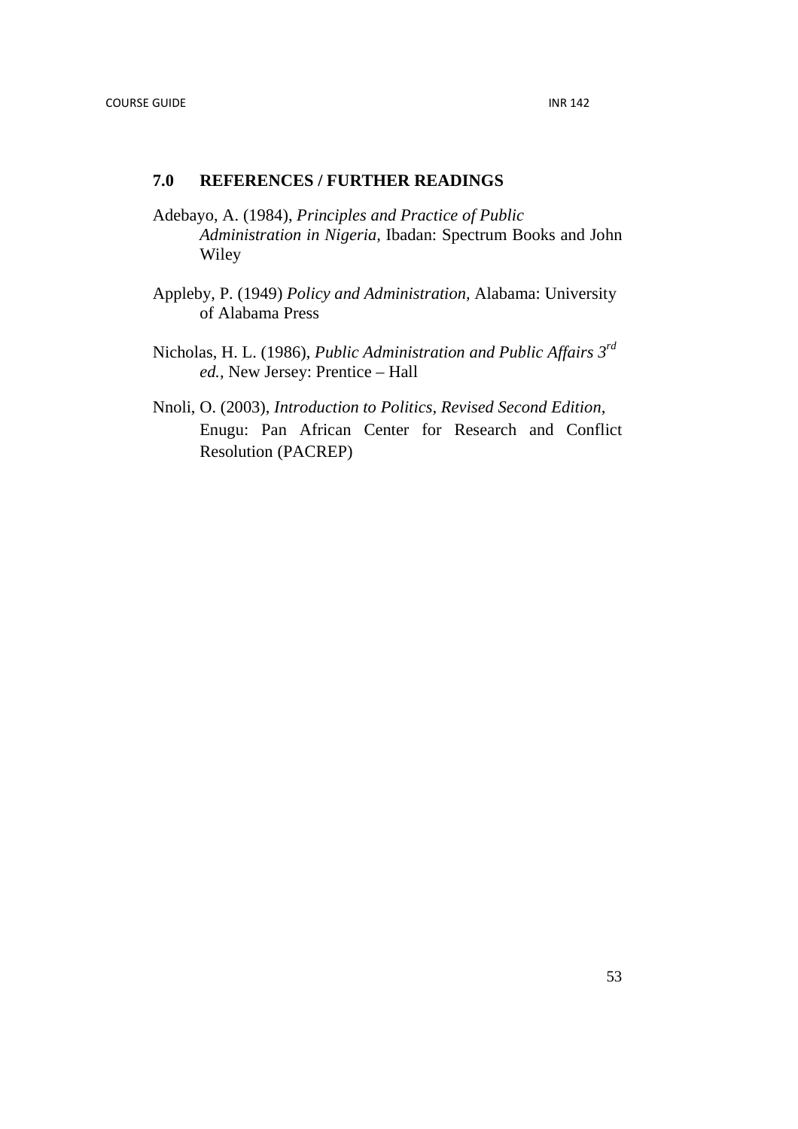## **7.0 REFERENCES / FURTHER READINGS**

- Adebayo, A. (1984), *Principles and Practice of Public Administration in Nigeria,* Ibadan: Spectrum Books and John Wiley
- Appleby, P. (1949) *Policy and Administration,* Alabama: University of Alabama Press
- Nicholas, H. L. (1986), *Public Administration and Public Affairs 3rd ed.,* New Jersey: Prentice – Hall
- Nnoli, O. (2003), *Introduction to Politics, Revised Second Edition,* Enugu: Pan African Center for Research and Conflict Resolution (PACREP)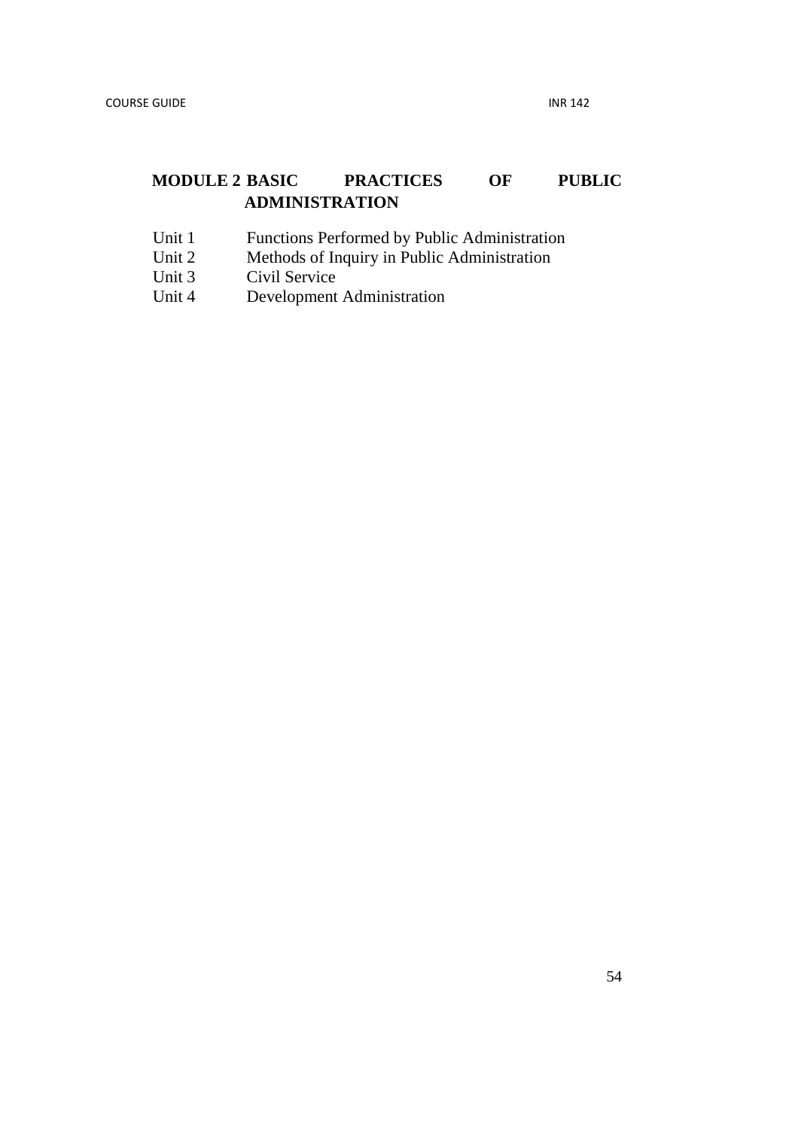# **MODULE 2 BASIC PRACTICES OF PUBLIC ADMINISTRATION**

- Unit 1 Functions Performed by Public Administration<br>Unit 2 Methods of Inquiry in Public Administration
- Unit 2 Methods of Inquiry in Public Administration<br>Unit 3 Civil Service
- Civil Service
- Unit 4 Development Administration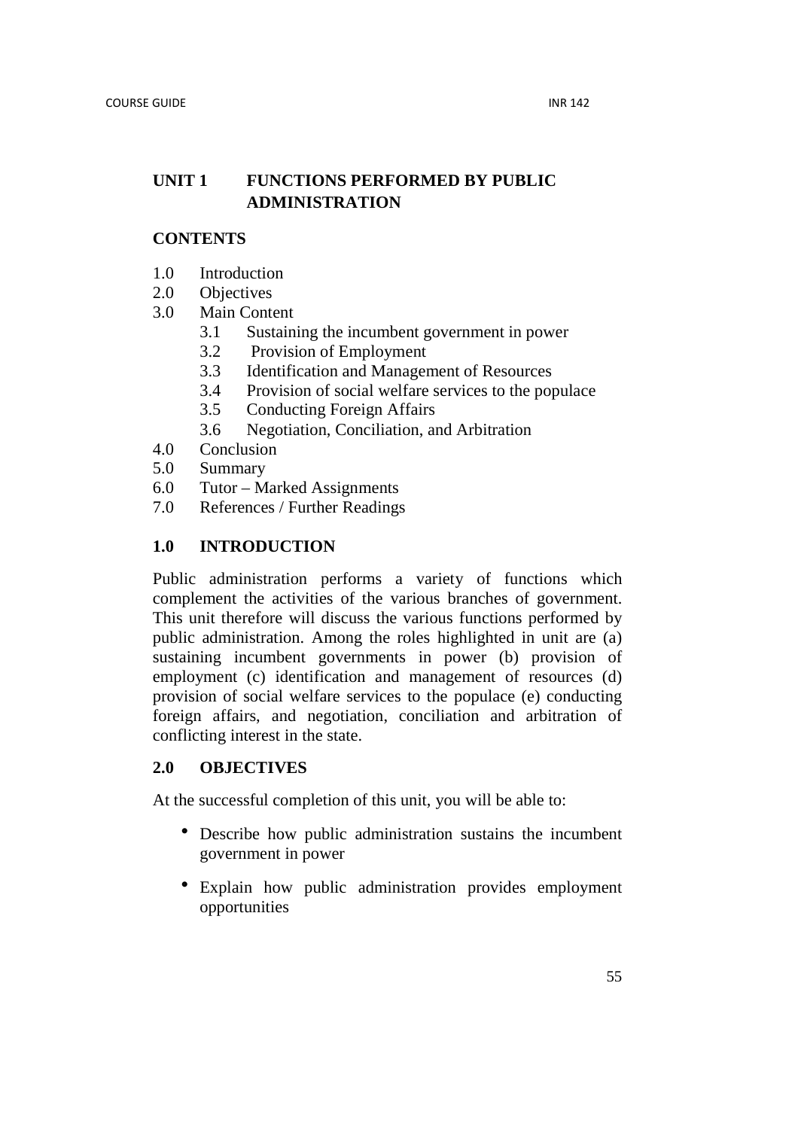## **UNIT 1 FUNCTIONS PERFORMED BY PUBLIC ADMINISTRATION**

## **CONTENTS**

- 1.0 Introduction
- 2.0 Objectives
- 3.0 Main Content
	- 3.1 Sustaining the incumbent government in power
	- 3.2 Provision of Employment
	- 3.3 Identification and Management of Resources
	- 3.4 Provision of social welfare services to the populace
	- 3.5 Conducting Foreign Affairs
	- 3.6 Negotiation, Conciliation, and Arbitration
- 4.0 Conclusion
- 5.0 Summary
- 6.0 Tutor Marked Assignments
- 7.0 References / Further Readings

## **1.0 INTRODUCTION**

Public administration performs a variety of functions which complement the activities of the various branches of government. This unit therefore will discuss the various functions performed by public administration. Among the roles highlighted in unit are (a) sustaining incumbent governments in power (b) provision of employment (c) identification and management of resources (d) provision of social welfare services to the populace (e) conducting foreign affairs, and negotiation, conciliation and arbitration of conflicting interest in the state.

## **2.0 OBJECTIVES**

At the successful completion of this unit, you will be able to:

- Describe how public administration sustains the incumbent government in power
- Explain how public administration provides employment opportunities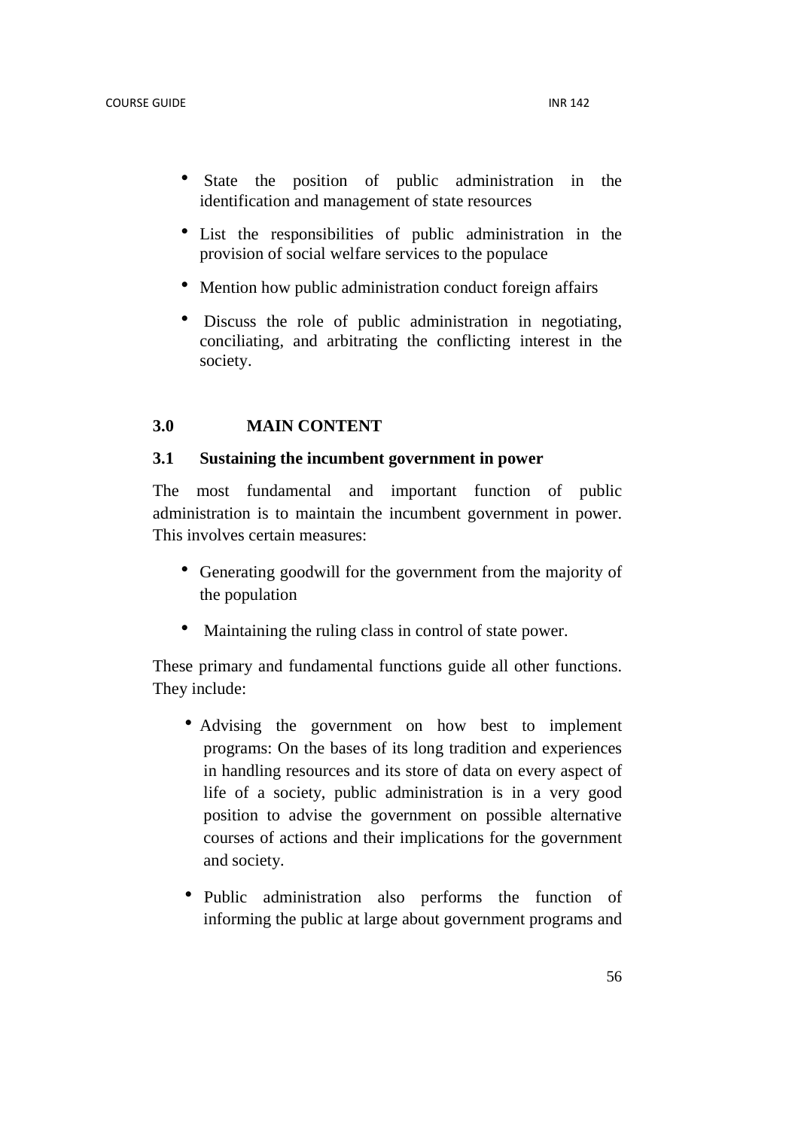- State the position of public administration in the identification and management of state resources
- List the responsibilities of public administration in the provision of social welfare services to the populace
- Mention how public administration conduct foreign affairs
- Discuss the role of public administration in negotiating, conciliating, and arbitrating the conflicting interest in the society.

#### **3.0 MAIN CONTENT**

#### **3.1 Sustaining the incumbent government in power**

The most fundamental and important function of public administration is to maintain the incumbent government in power. This involves certain measures:

- Generating goodwill for the government from the majority of the population
- Maintaining the ruling class in control of state power.

These primary and fundamental functions guide all other functions. They include:

- Advising the government on how best to implement programs: On the bases of its long tradition and experiences in handling resources and its store of data on every aspect of life of a society, public administration is in a very good position to advise the government on possible alternative courses of actions and their implications for the government and society.
- Public administration also performs the function of informing the public at large about government programs and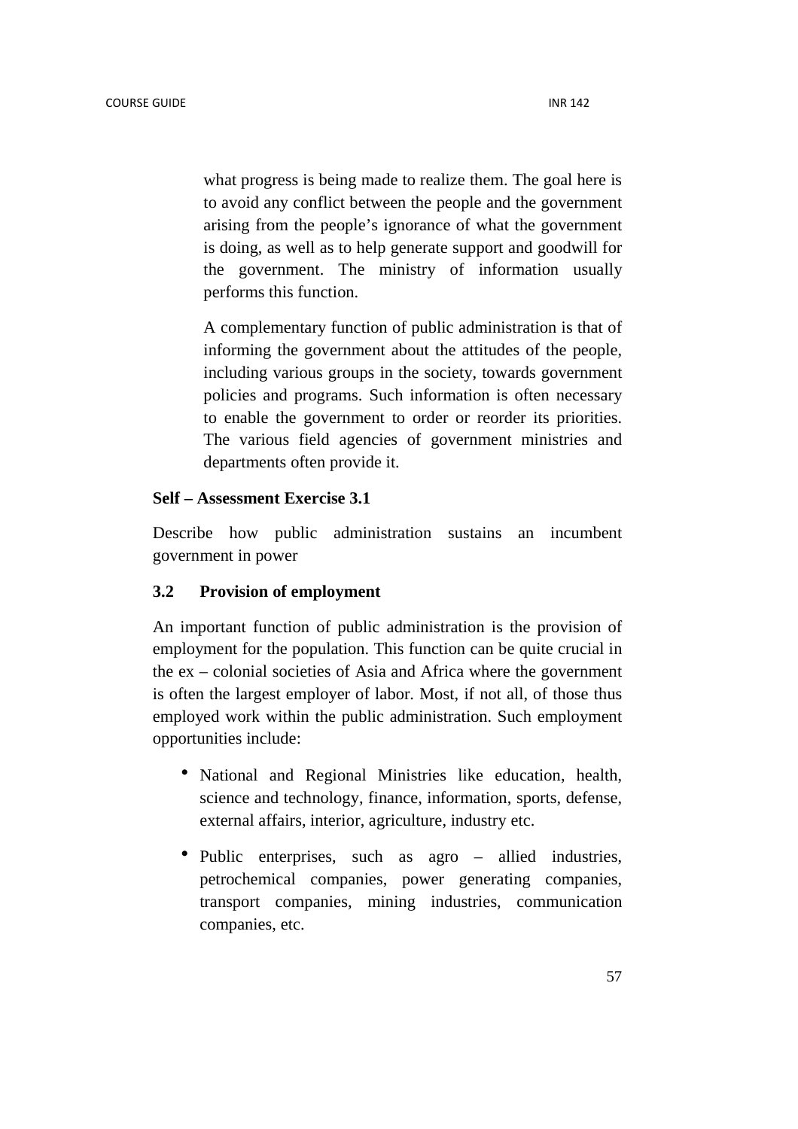what progress is being made to realize them. The goal here is to avoid any conflict between the people and the government arising from the people's ignorance of what the government is doing, as well as to help generate support and goodwill for the government. The ministry of information usually performs this function.

A complementary function of public administration is that of informing the government about the attitudes of the people, including various groups in the society, towards government policies and programs. Such information is often necessary to enable the government to order or reorder its priorities. The various field agencies of government ministries and departments often provide it.

## **Self – Assessment Exercise 3.1**

Describe how public administration sustains an incumbent government in power

## **3.2 Provision of employment**

An important function of public administration is the provision of employment for the population. This function can be quite crucial in the ex – colonial societies of Asia and Africa where the government is often the largest employer of labor. Most, if not all, of those thus employed work within the public administration. Such employment opportunities include:

- National and Regional Ministries like education, health, science and technology, finance, information, sports, defense, external affairs, interior, agriculture, industry etc.
- Public enterprises, such as agro allied industries, petrochemical companies, power generating companies, transport companies, mining industries, communication companies, etc.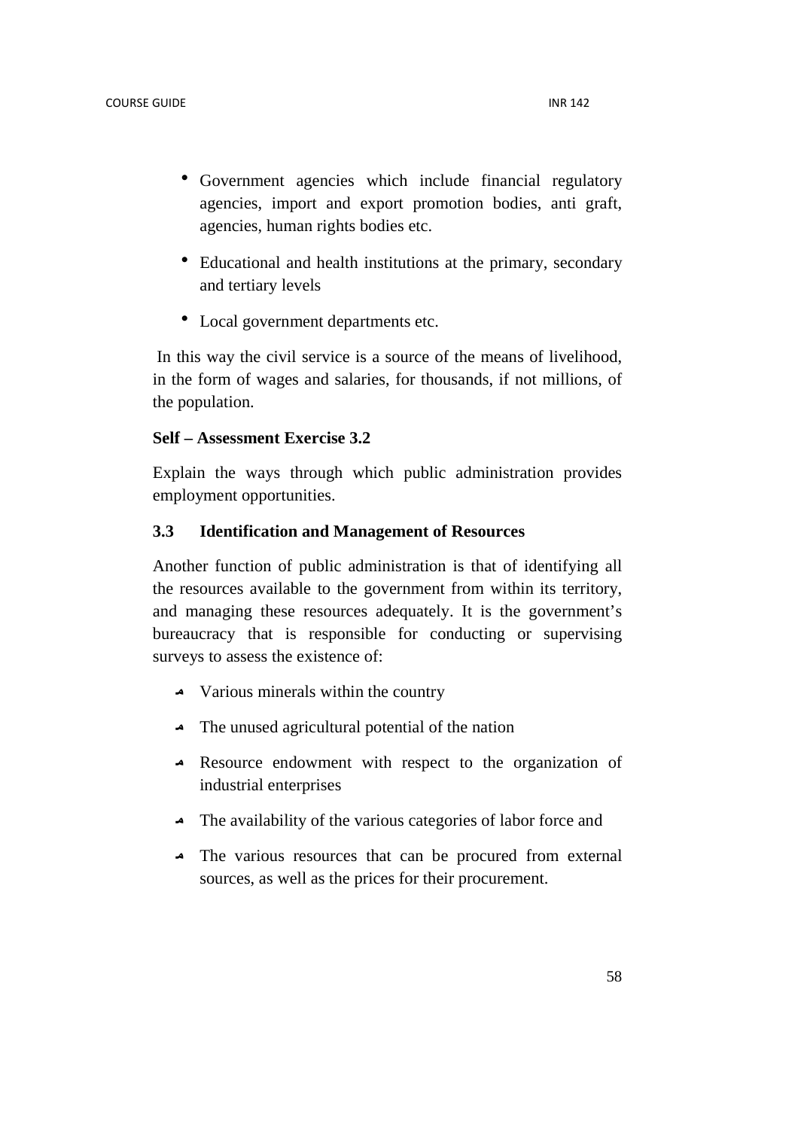- Government agencies which include financial regulatory agencies, import and export promotion bodies, anti graft, agencies, human rights bodies etc.
- Educational and health institutions at the primary, secondary and tertiary levels
- Local government departments etc.

 In this way the civil service is a source of the means of livelihood, in the form of wages and salaries, for thousands, if not millions, of the population.

## **Self – Assessment Exercise 3.2**

Explain the ways through which public administration provides employment opportunities.

## **3.3 Identification and Management of Resources**

Another function of public administration is that of identifying all the resources available to the government from within its territory, and managing these resources adequately. It is the government's bureaucracy that is responsible for conducting or supervising surveys to assess the existence of:

- $\triangle$  Various minerals within the country
- $\triangle$  The unused agricultural potential of the nation
- Resource endowment with respect to the organization of industrial enterprises
- The availability of the various categories of labor force and
- The various resources that can be procured from external sources, as well as the prices for their procurement.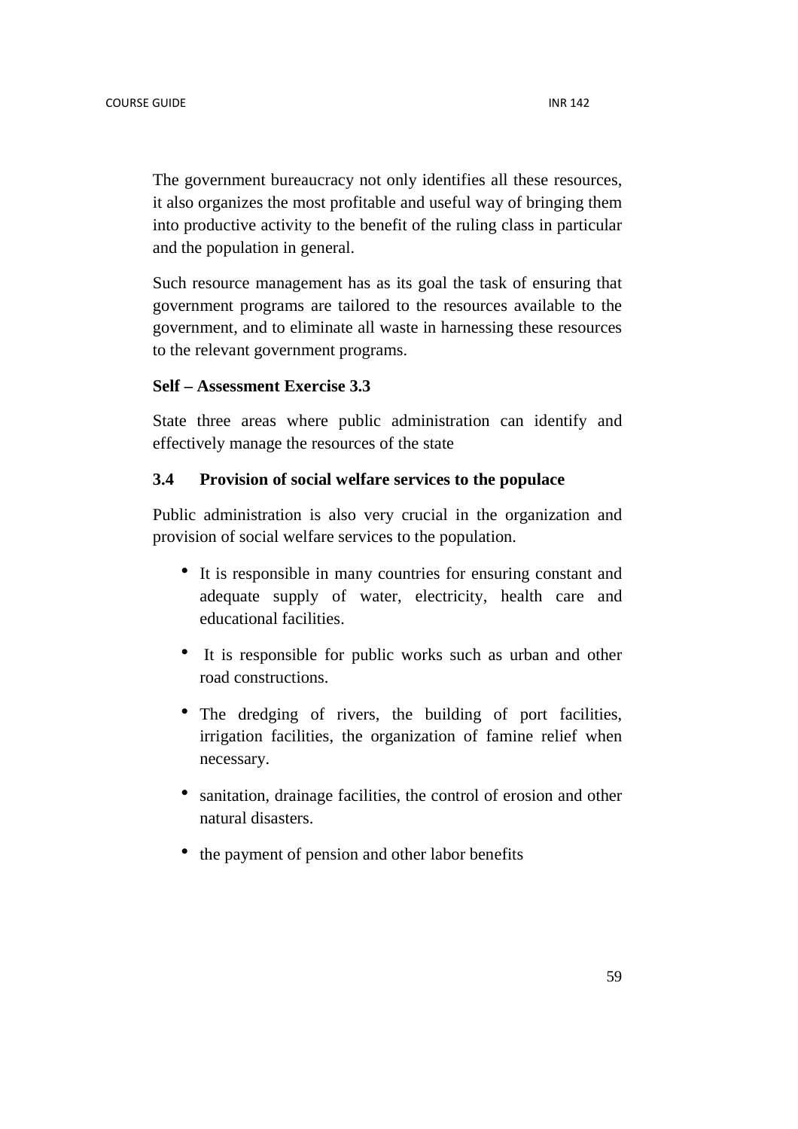The government bureaucracy not only identifies all these resources, it also organizes the most profitable and useful way of bringing them into productive activity to the benefit of the ruling class in particular and the population in general.

Such resource management has as its goal the task of ensuring that government programs are tailored to the resources available to the government, and to eliminate all waste in harnessing these resources to the relevant government programs.

## **Self – Assessment Exercise 3.3**

State three areas where public administration can identify and effectively manage the resources of the state

## **3.4 Provision of social welfare services to the populace**

Public administration is also very crucial in the organization and provision of social welfare services to the population.

- It is responsible in many countries for ensuring constant and adequate supply of water, electricity, health care and educational facilities.
- It is responsible for public works such as urban and other road constructions.
- The dredging of rivers, the building of port facilities, irrigation facilities, the organization of famine relief when necessary.
- sanitation, drainage facilities, the control of erosion and other natural disasters.
- the payment of pension and other labor benefits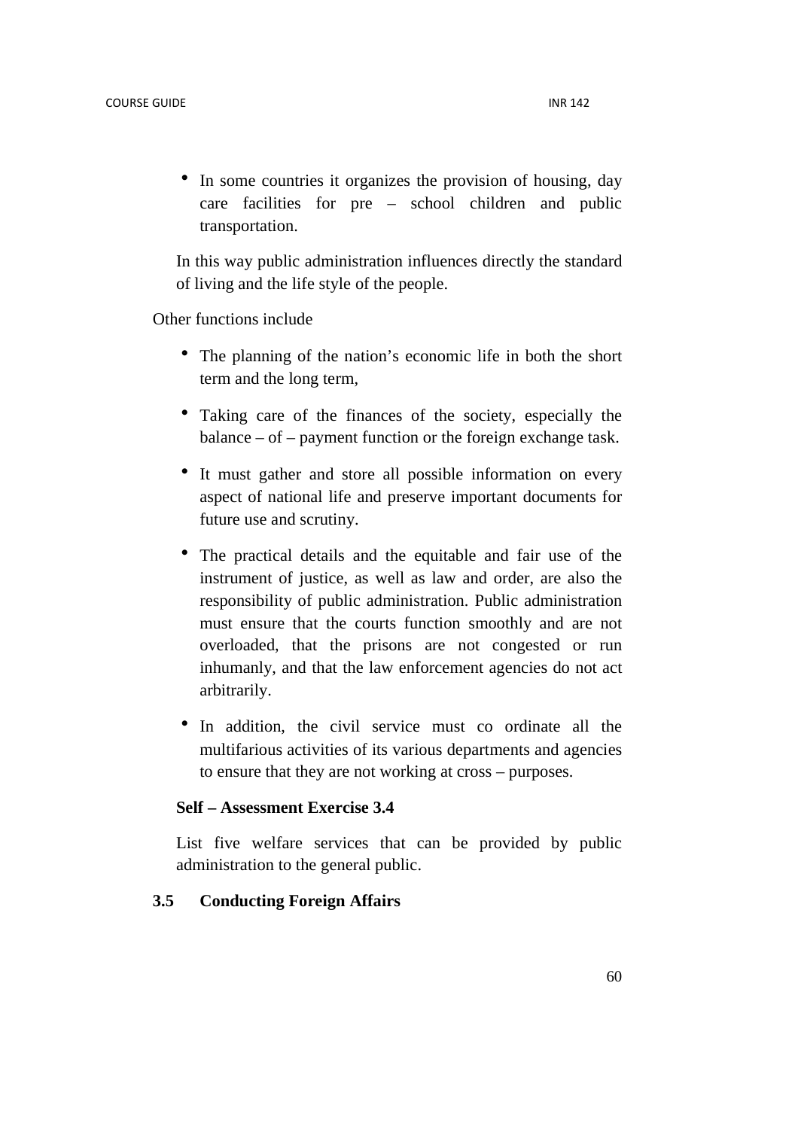• In some countries it organizes the provision of housing, day care facilities for pre – school children and public transportation.

In this way public administration influences directly the standard of living and the life style of the people.

Other functions include

- The planning of the nation's economic life in both the short term and the long term,
- Taking care of the finances of the society, especially the balance – of – payment function or the foreign exchange task.
- It must gather and store all possible information on every aspect of national life and preserve important documents for future use and scrutiny.
- The practical details and the equitable and fair use of the instrument of justice, as well as law and order, are also the responsibility of public administration. Public administration must ensure that the courts function smoothly and are not overloaded, that the prisons are not congested or run inhumanly, and that the law enforcement agencies do not act arbitrarily.
- In addition, the civil service must co ordinate all the multifarious activities of its various departments and agencies to ensure that they are not working at cross – purposes.

## **Self – Assessment Exercise 3.4**

List five welfare services that can be provided by public administration to the general public.

#### **3.5 Conducting Foreign Affairs**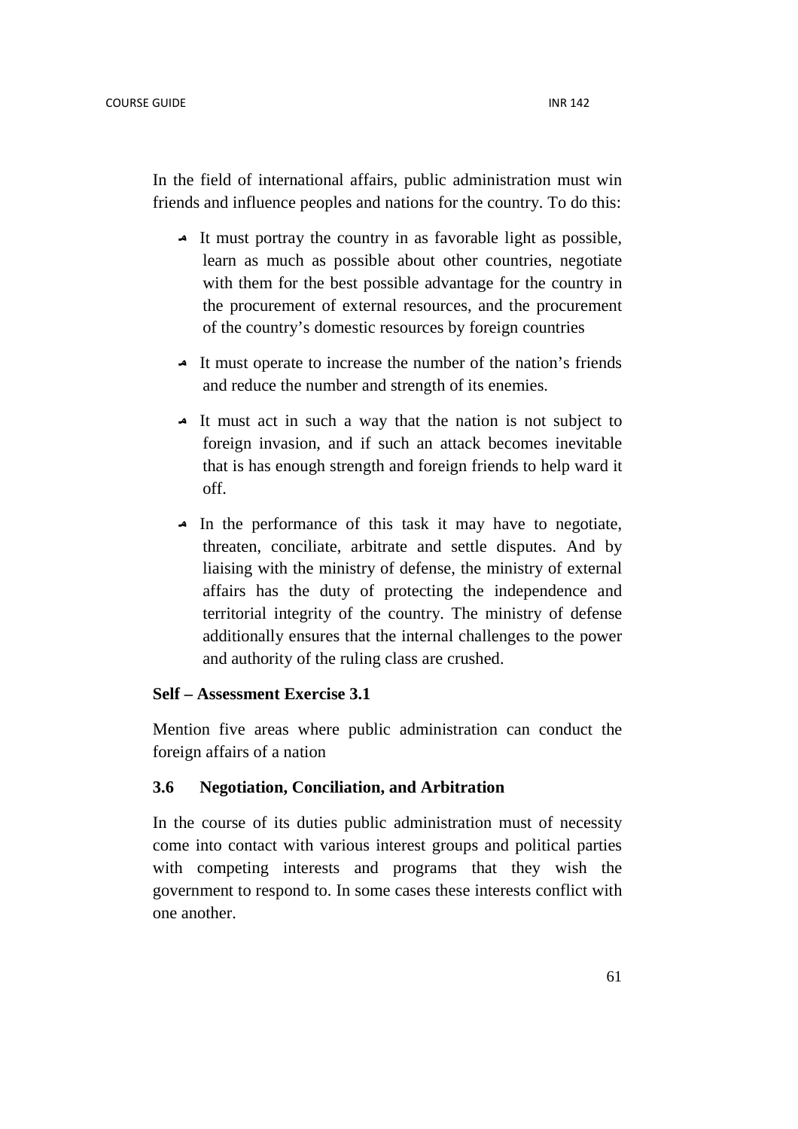In the field of international affairs, public administration must win friends and influence peoples and nations for the country. To do this:

- It must portray the country in as favorable light as possible, learn as much as possible about other countries, negotiate with them for the best possible advantage for the country in the procurement of external resources, and the procurement of the country's domestic resources by foreign countries
- It must operate to increase the number of the nation's friends and reduce the number and strength of its enemies.
- It must act in such a way that the nation is not subject to foreign invasion, and if such an attack becomes inevitable that is has enough strength and foreign friends to help ward it off.
- In the performance of this task it may have to negotiate, threaten, conciliate, arbitrate and settle disputes. And by liaising with the ministry of defense, the ministry of external affairs has the duty of protecting the independence and territorial integrity of the country. The ministry of defense additionally ensures that the internal challenges to the power and authority of the ruling class are crushed.

#### **Self – Assessment Exercise 3.1**

Mention five areas where public administration can conduct the foreign affairs of a nation

## **3.6 Negotiation, Conciliation, and Arbitration**

In the course of its duties public administration must of necessity come into contact with various interest groups and political parties with competing interests and programs that they wish the government to respond to. In some cases these interests conflict with one another.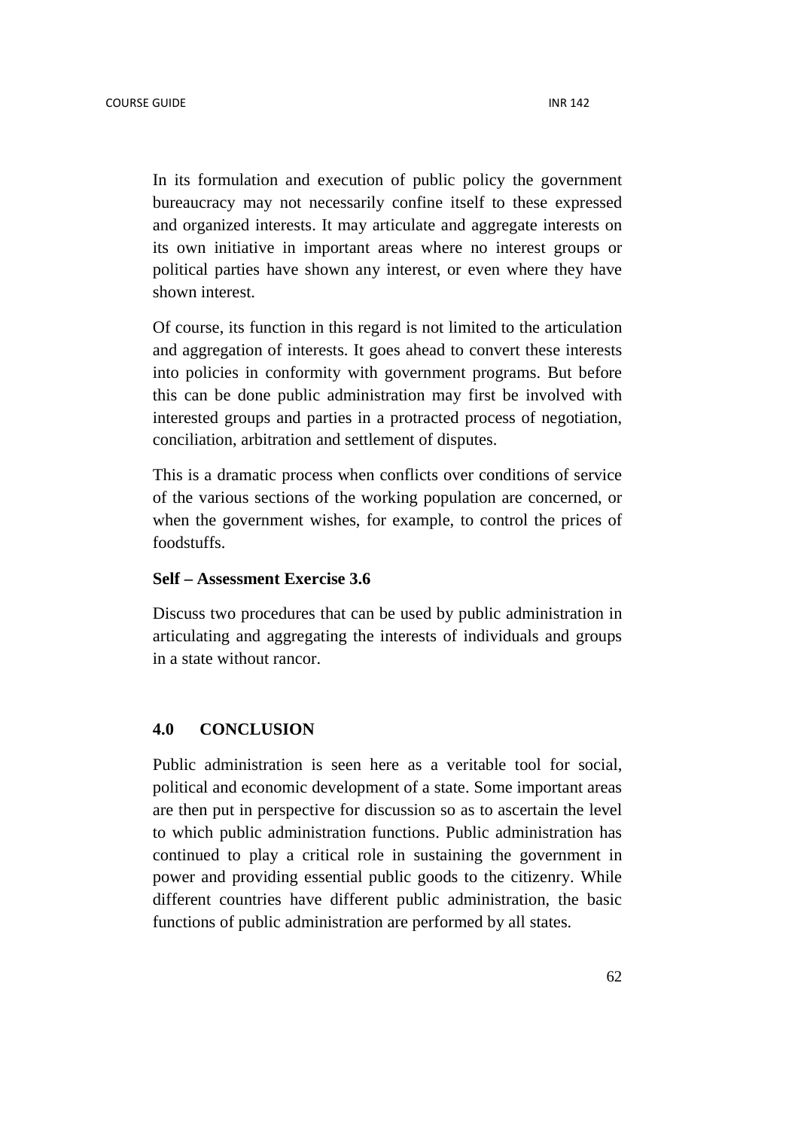In its formulation and execution of public policy the government bureaucracy may not necessarily confine itself to these expressed and organized interests. It may articulate and aggregate interests on its own initiative in important areas where no interest groups or political parties have shown any interest, or even where they have shown interest.

Of course, its function in this regard is not limited to the articulation and aggregation of interests. It goes ahead to convert these interests into policies in conformity with government programs. But before this can be done public administration may first be involved with interested groups and parties in a protracted process of negotiation, conciliation, arbitration and settlement of disputes.

This is a dramatic process when conflicts over conditions of service of the various sections of the working population are concerned, or when the government wishes, for example, to control the prices of foodstuffs.

## **Self – Assessment Exercise 3.6**

Discuss two procedures that can be used by public administration in articulating and aggregating the interests of individuals and groups in a state without rancor.

## **4.0 CONCLUSION**

Public administration is seen here as a veritable tool for social, political and economic development of a state. Some important areas are then put in perspective for discussion so as to ascertain the level to which public administration functions. Public administration has continued to play a critical role in sustaining the government in power and providing essential public goods to the citizenry. While different countries have different public administration, the basic functions of public administration are performed by all states.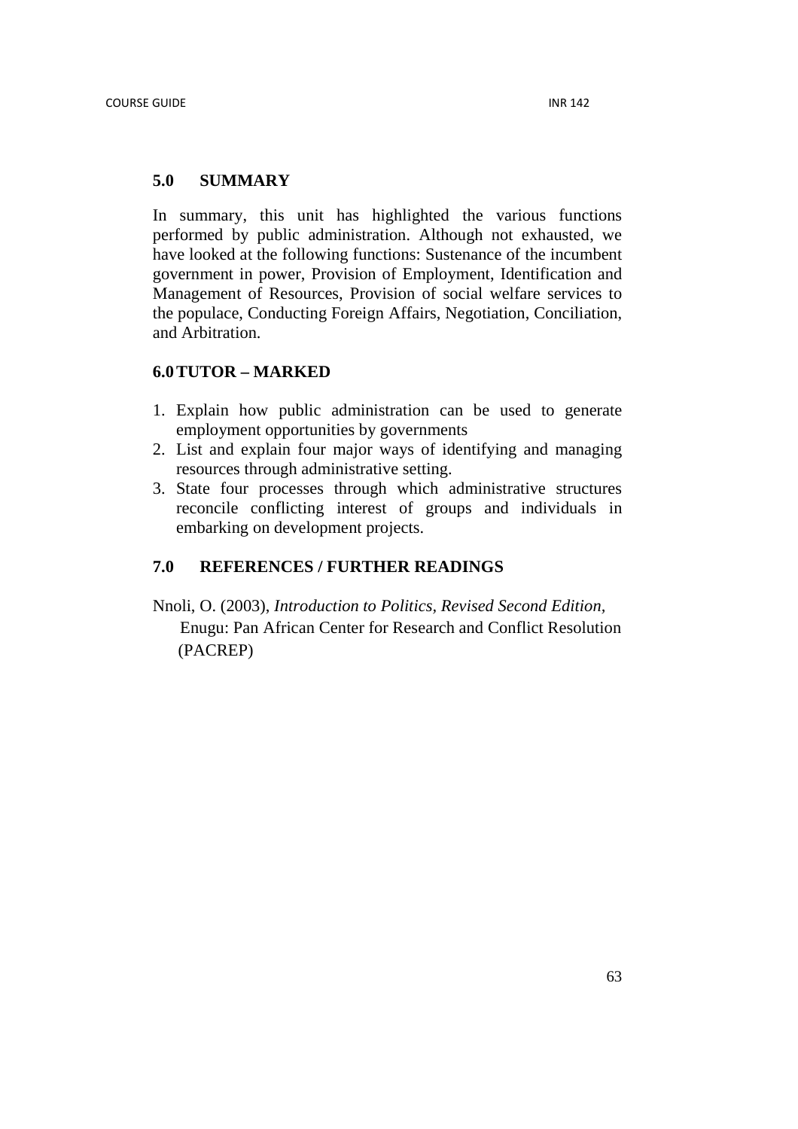## **5.0 SUMMARY**

In summary, this unit has highlighted the various functions performed by public administration. Although not exhausted, we have looked at the following functions: Sustenance of the incumbent government in power, Provision of Employment, Identification and Management of Resources, Provision of social welfare services to the populace, Conducting Foreign Affairs, Negotiation, Conciliation, and Arbitration.

## **6.0TUTOR – MARKED**

- 1. Explain how public administration can be used to generate employment opportunities by governments
- 2. List and explain four major ways of identifying and managing resources through administrative setting.
- 3. State four processes through which administrative structures reconcile conflicting interest of groups and individuals in embarking on development projects.

# **7.0 REFERENCES / FURTHER READINGS**

Nnoli, O. (2003), *Introduction to Politics, Revised Second Edition,* Enugu: Pan African Center for Research and Conflict Resolution (PACREP)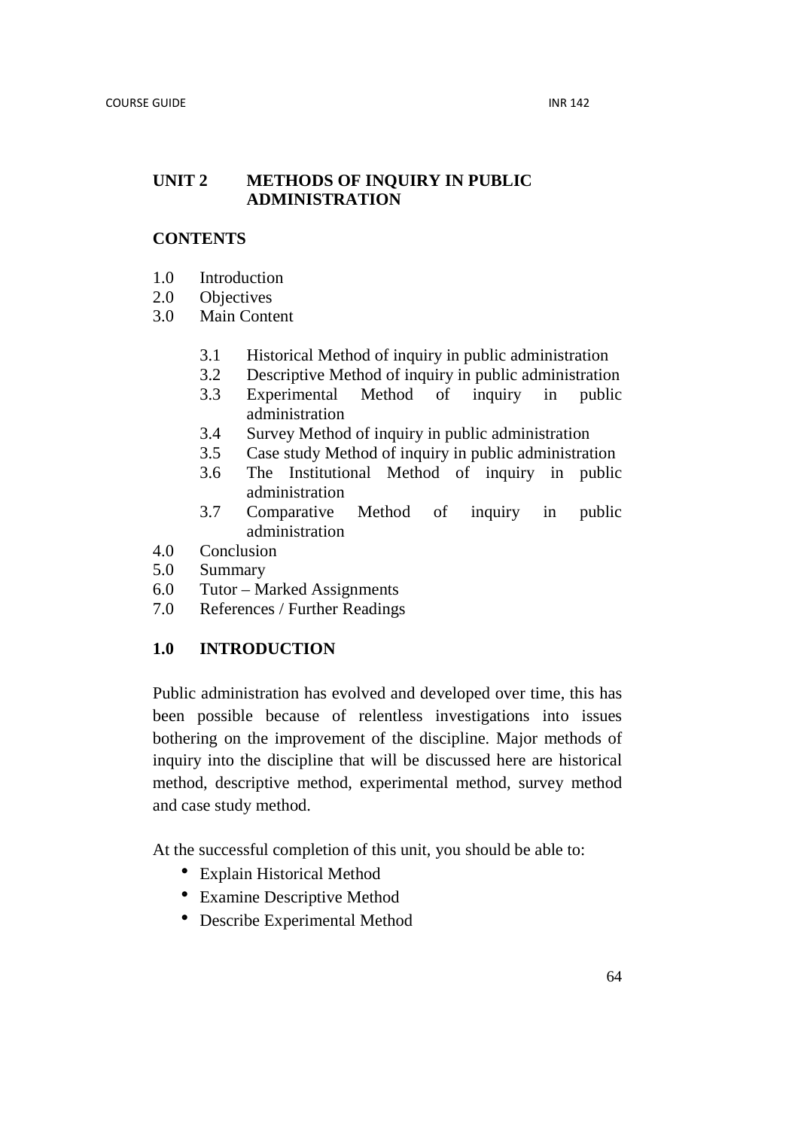## **UNIT 2 METHODS OF INQUIRY IN PUBLIC ADMINISTRATION**

## **CONTENTS**

- 1.0 Introduction
- 2.0 Objectives
- 3.0 Main Content
	- 3.1 Historical Method of inquiry in public administration
	- 3.2 Descriptive Method of inquiry in public administration
	- 3.3 Experimental Method of inquiry in public administration
	- 3.4 Survey Method of inquiry in public administration
	- 3.5 Case study Method of inquiry in public administration
	- 3.6 The Institutional Method of inquiry in public administration
	- 3.7 Comparative Method of inquiry in public administration
- 4.0 Conclusion
- 5.0 Summary
- 6.0 Tutor Marked Assignments
- 7.0 References / Further Readings

## **1.0 INTRODUCTION**

Public administration has evolved and developed over time, this has been possible because of relentless investigations into issues bothering on the improvement of the discipline. Major methods of inquiry into the discipline that will be discussed here are historical method, descriptive method, experimental method, survey method and case study method.

At the successful completion of this unit, you should be able to:

- Explain Historical Method
- Examine Descriptive Method
- Describe Experimental Method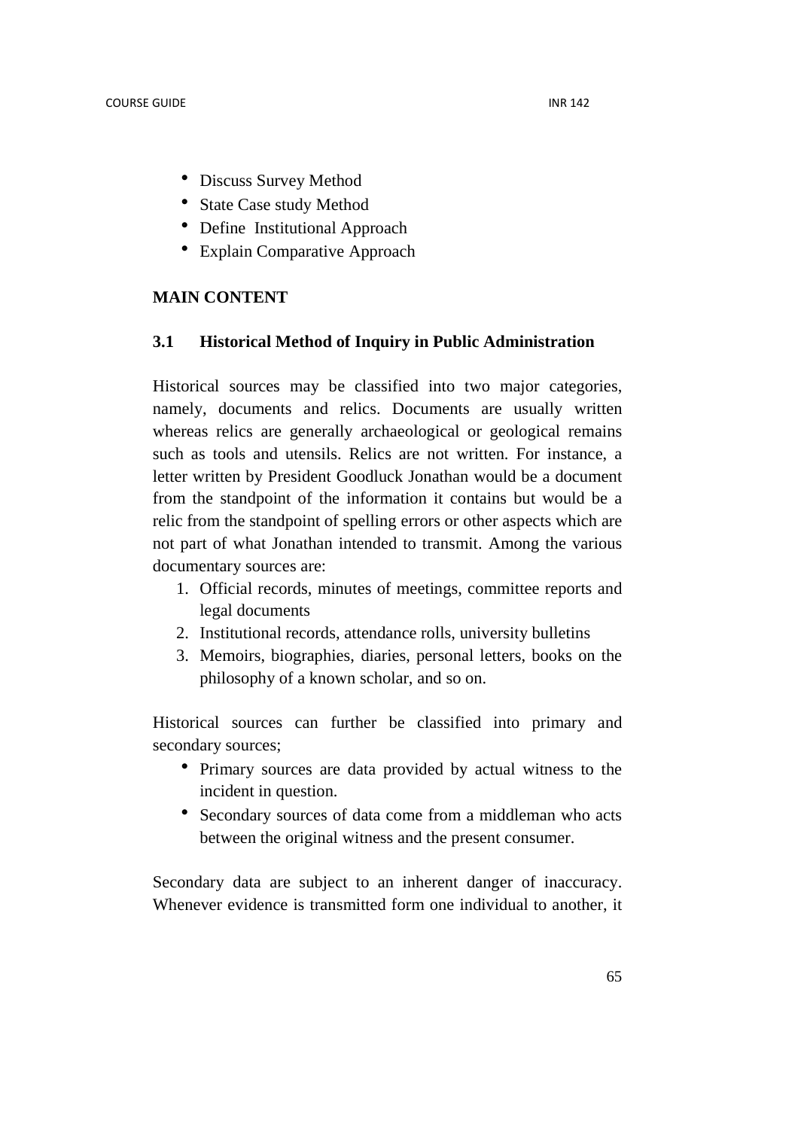- Discuss Survey Method
- State Case study Method
- Define Institutional Approach
- Explain Comparative Approach

## **MAIN CONTENT**

## **3.1 Historical Method of Inquiry in Public Administration**

Historical sources may be classified into two major categories, namely, documents and relics. Documents are usually written whereas relics are generally archaeological or geological remains such as tools and utensils. Relics are not written. For instance, a letter written by President Goodluck Jonathan would be a document from the standpoint of the information it contains but would be a relic from the standpoint of spelling errors or other aspects which are not part of what Jonathan intended to transmit. Among the various documentary sources are:

- 1. Official records, minutes of meetings, committee reports and legal documents
- 2. Institutional records, attendance rolls, university bulletins
- 3. Memoirs, biographies, diaries, personal letters, books on the philosophy of a known scholar, and so on.

Historical sources can further be classified into primary and secondary sources;

- Primary sources are data provided by actual witness to the incident in question.
- Secondary sources of data come from a middleman who acts between the original witness and the present consumer.

Secondary data are subject to an inherent danger of inaccuracy. Whenever evidence is transmitted form one individual to another, it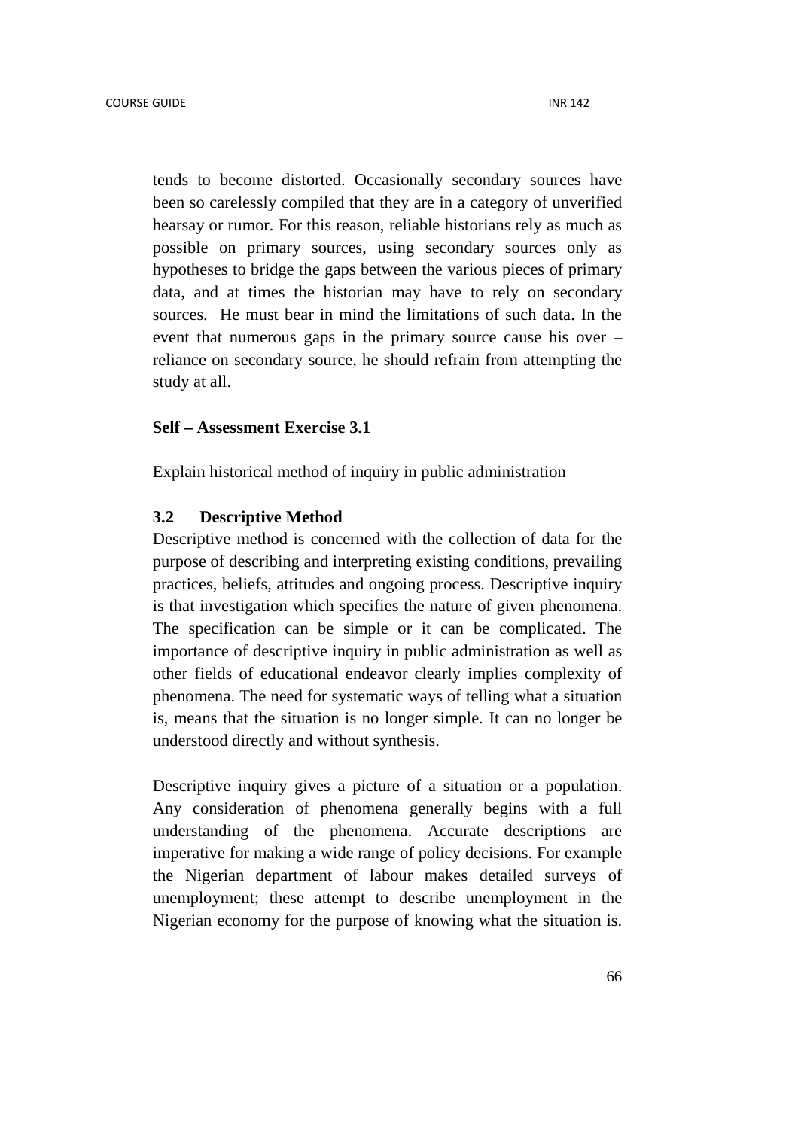tends to become distorted. Occasionally secondary sources have been so carelessly compiled that they are in a category of unverified hearsay or rumor. For this reason, reliable historians rely as much as possible on primary sources, using secondary sources only as hypotheses to bridge the gaps between the various pieces of primary data, and at times the historian may have to rely on secondary sources. He must bear in mind the limitations of such data. In the event that numerous gaps in the primary source cause his over – reliance on secondary source, he should refrain from attempting the study at all.

## **Self – Assessment Exercise 3.1**

Explain historical method of inquiry in public administration

#### **3.2 Descriptive Method**

Descriptive method is concerned with the collection of data for the purpose of describing and interpreting existing conditions, prevailing practices, beliefs, attitudes and ongoing process. Descriptive inquiry is that investigation which specifies the nature of given phenomena. The specification can be simple or it can be complicated. The importance of descriptive inquiry in public administration as well as other fields of educational endeavor clearly implies complexity of phenomena. The need for systematic ways of telling what a situation is, means that the situation is no longer simple. It can no longer be understood directly and without synthesis.

Descriptive inquiry gives a picture of a situation or a population. Any consideration of phenomena generally begins with a full understanding of the phenomena. Accurate descriptions are imperative for making a wide range of policy decisions. For example the Nigerian department of labour makes detailed surveys of unemployment; these attempt to describe unemployment in the Nigerian economy for the purpose of knowing what the situation is.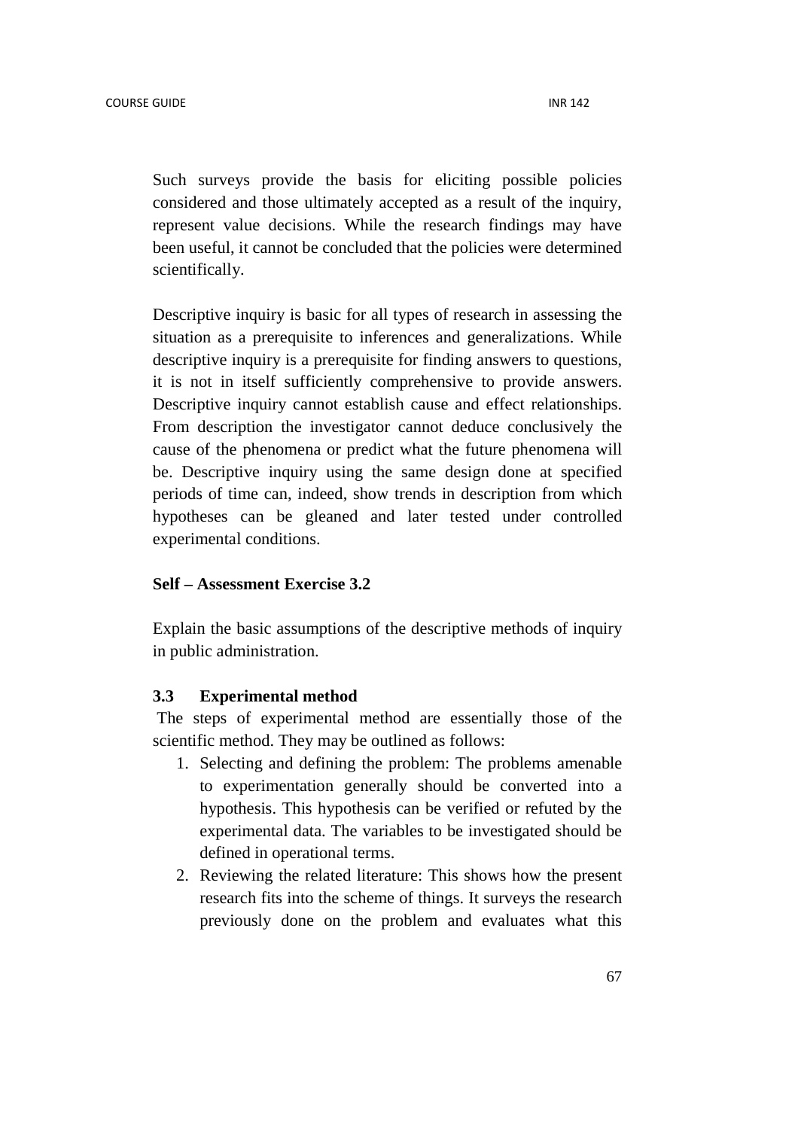Such surveys provide the basis for eliciting possible policies considered and those ultimately accepted as a result of the inquiry, represent value decisions. While the research findings may have been useful, it cannot be concluded that the policies were determined scientifically.

Descriptive inquiry is basic for all types of research in assessing the situation as a prerequisite to inferences and generalizations. While descriptive inquiry is a prerequisite for finding answers to questions, it is not in itself sufficiently comprehensive to provide answers. Descriptive inquiry cannot establish cause and effect relationships. From description the investigator cannot deduce conclusively the cause of the phenomena or predict what the future phenomena will be. Descriptive inquiry using the same design done at specified periods of time can, indeed, show trends in description from which hypotheses can be gleaned and later tested under controlled experimental conditions.

## **Self – Assessment Exercise 3.2**

Explain the basic assumptions of the descriptive methods of inquiry in public administration.

#### **3.3 Experimental method**

 The steps of experimental method are essentially those of the scientific method. They may be outlined as follows:

- 1. Selecting and defining the problem: The problems amenable to experimentation generally should be converted into a hypothesis. This hypothesis can be verified or refuted by the experimental data. The variables to be investigated should be defined in operational terms.
- 2. Reviewing the related literature: This shows how the present research fits into the scheme of things. It surveys the research previously done on the problem and evaluates what this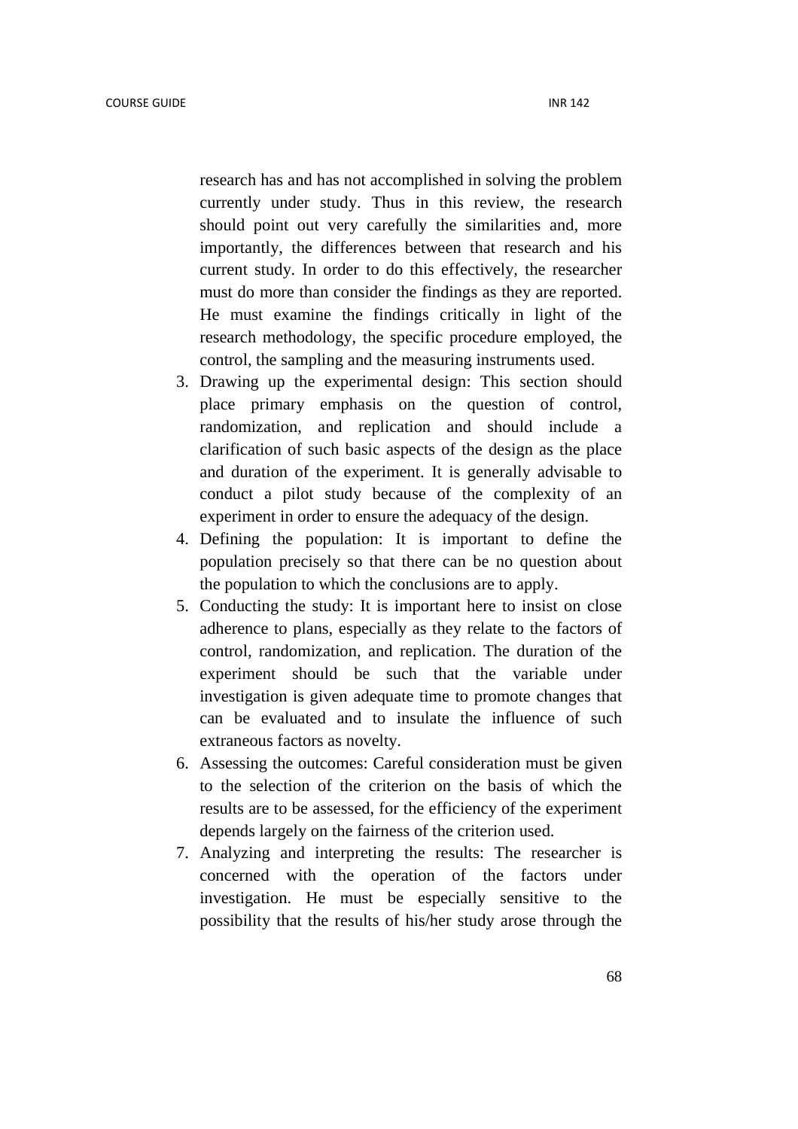research has and has not accomplished in solving the problem currently under study. Thus in this review, the research should point out very carefully the similarities and, more importantly, the differences between that research and his current study. In order to do this effectively, the researcher must do more than consider the findings as they are reported. He must examine the findings critically in light of the research methodology, the specific procedure employed, the control, the sampling and the measuring instruments used.

- 3. Drawing up the experimental design: This section should place primary emphasis on the question of control, randomization, and replication and should include a clarification of such basic aspects of the design as the place and duration of the experiment. It is generally advisable to conduct a pilot study because of the complexity of an experiment in order to ensure the adequacy of the design.
- 4. Defining the population: It is important to define the population precisely so that there can be no question about the population to which the conclusions are to apply.
- 5. Conducting the study: It is important here to insist on close adherence to plans, especially as they relate to the factors of control, randomization, and replication. The duration of the experiment should be such that the variable under investigation is given adequate time to promote changes that can be evaluated and to insulate the influence of such extraneous factors as novelty.
- 6. Assessing the outcomes: Careful consideration must be given to the selection of the criterion on the basis of which the results are to be assessed, for the efficiency of the experiment depends largely on the fairness of the criterion used.
- 7. Analyzing and interpreting the results: The researcher is concerned with the operation of the factors under investigation. He must be especially sensitive to the possibility that the results of his/her study arose through the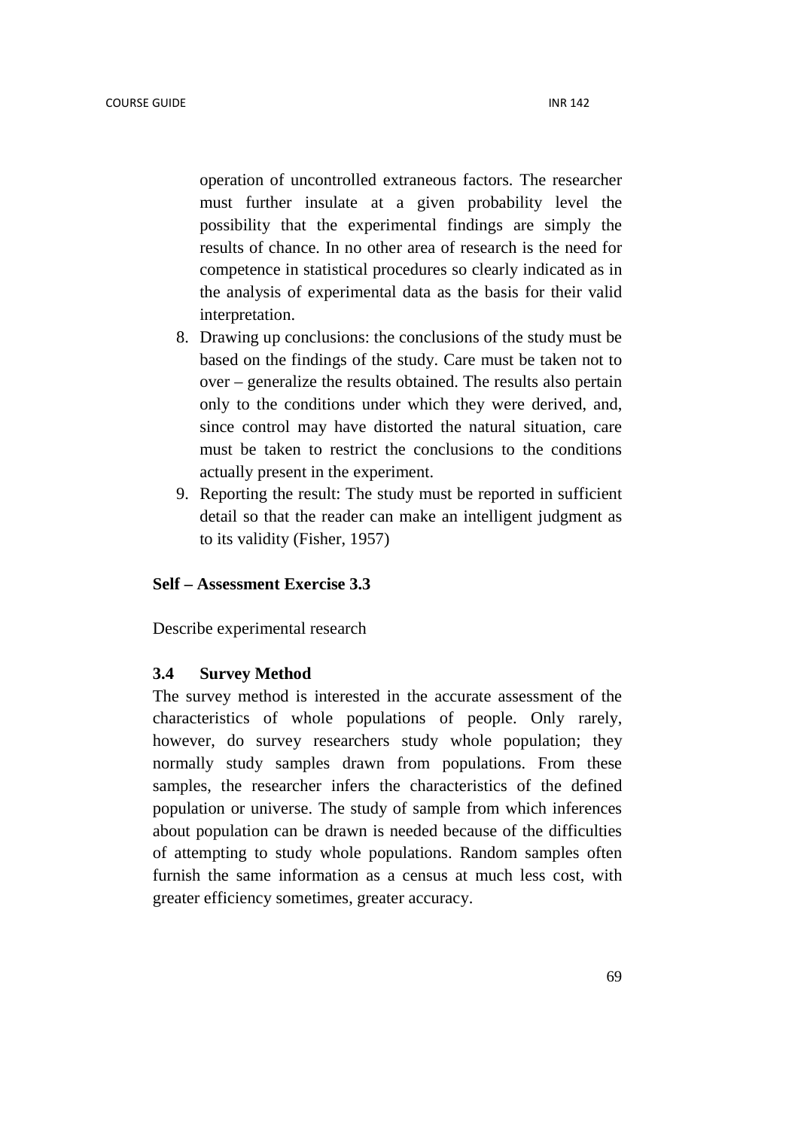operation of uncontrolled extraneous factors. The researcher must further insulate at a given probability level the possibility that the experimental findings are simply the results of chance. In no other area of research is the need for competence in statistical procedures so clearly indicated as in the analysis of experimental data as the basis for their valid interpretation.

- 8. Drawing up conclusions: the conclusions of the study must be based on the findings of the study. Care must be taken not to over – generalize the results obtained. The results also pertain only to the conditions under which they were derived, and, since control may have distorted the natural situation, care must be taken to restrict the conclusions to the conditions actually present in the experiment.
- 9. Reporting the result: The study must be reported in sufficient detail so that the reader can make an intelligent judgment as to its validity (Fisher, 1957)

## **Self – Assessment Exercise 3.3**

Describe experimental research

## **3.4 Survey Method**

The survey method is interested in the accurate assessment of the characteristics of whole populations of people. Only rarely, however, do survey researchers study whole population; they normally study samples drawn from populations. From these samples, the researcher infers the characteristics of the defined population or universe. The study of sample from which inferences about population can be drawn is needed because of the difficulties of attempting to study whole populations. Random samples often furnish the same information as a census at much less cost, with greater efficiency sometimes, greater accuracy.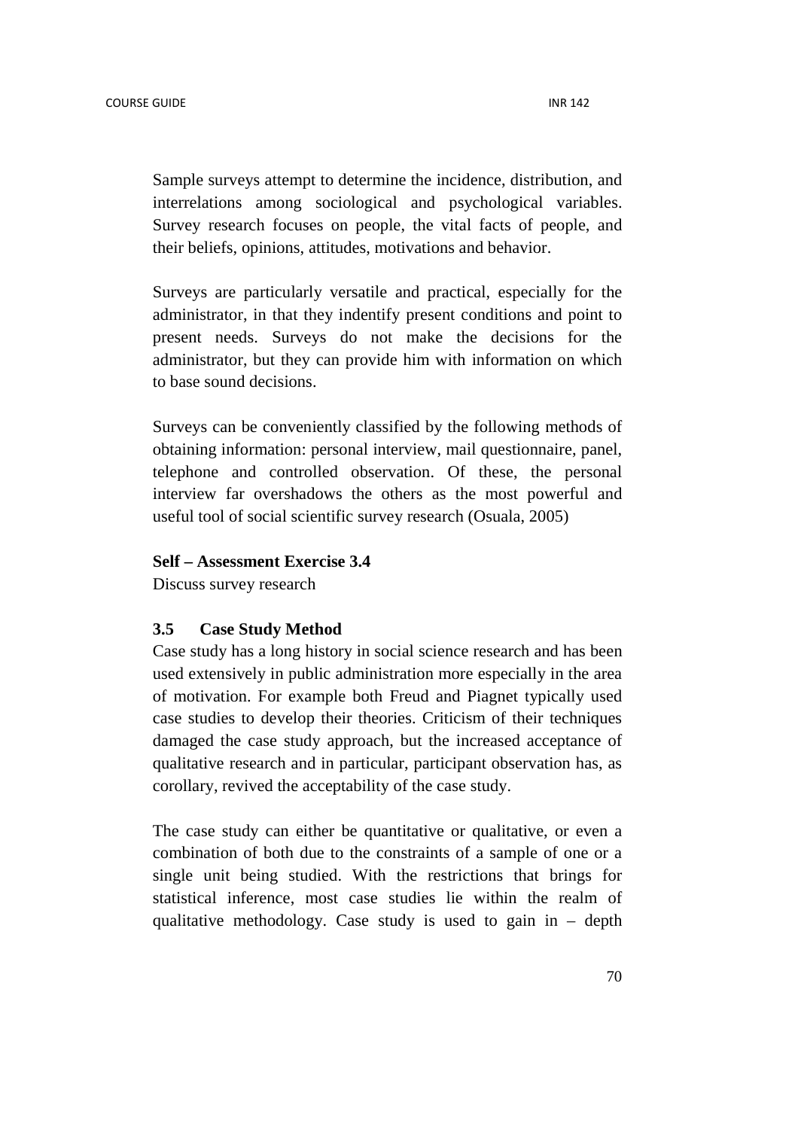Sample surveys attempt to determine the incidence, distribution, and interrelations among sociological and psychological variables. Survey research focuses on people, the vital facts of people, and their beliefs, opinions, attitudes, motivations and behavior.

Surveys are particularly versatile and practical, especially for the administrator, in that they indentify present conditions and point to present needs. Surveys do not make the decisions for the administrator, but they can provide him with information on which to base sound decisions.

Surveys can be conveniently classified by the following methods of obtaining information: personal interview, mail questionnaire, panel, telephone and controlled observation. Of these, the personal interview far overshadows the others as the most powerful and useful tool of social scientific survey research (Osuala, 2005)

#### **Self – Assessment Exercise 3.4**

Discuss survey research

## **3.5 Case Study Method**

Case study has a long history in social science research and has been used extensively in public administration more especially in the area of motivation. For example both Freud and Piagnet typically used case studies to develop their theories. Criticism of their techniques damaged the case study approach, but the increased acceptance of qualitative research and in particular, participant observation has, as corollary, revived the acceptability of the case study.

The case study can either be quantitative or qualitative, or even a combination of both due to the constraints of a sample of one or a single unit being studied. With the restrictions that brings for statistical inference, most case studies lie within the realm of qualitative methodology. Case study is used to gain in  $-$  depth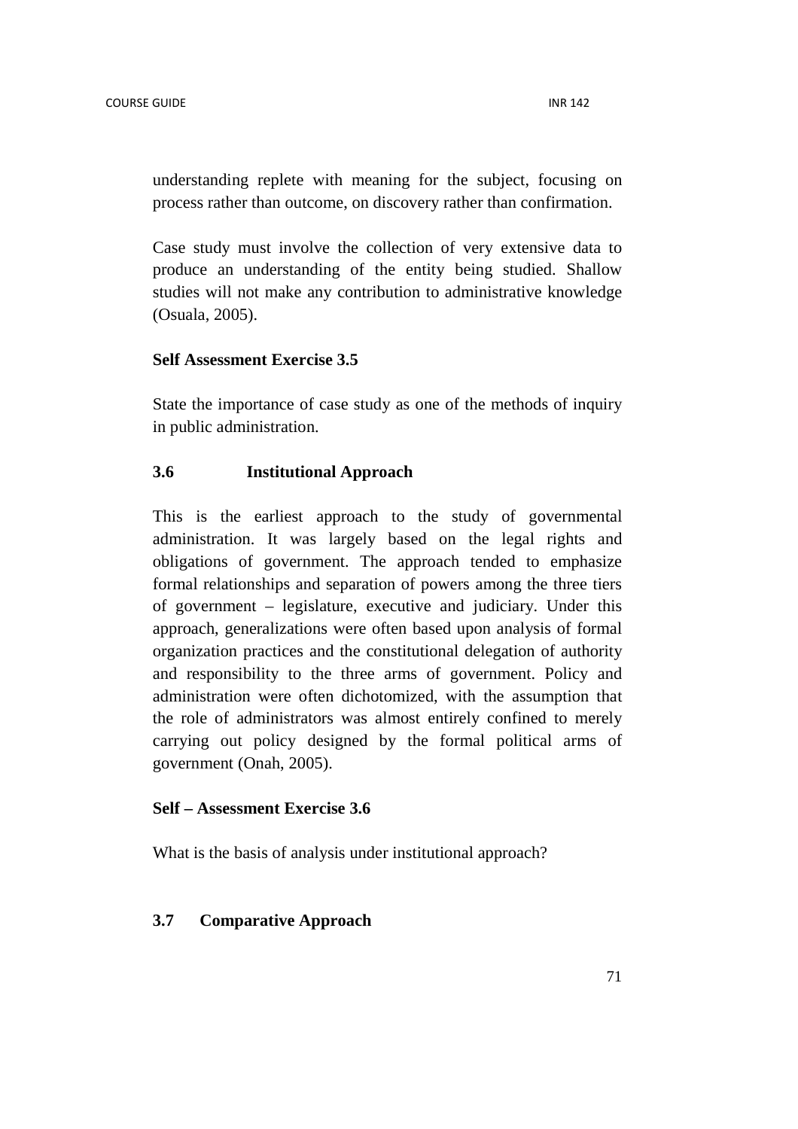understanding replete with meaning for the subject, focusing on process rather than outcome, on discovery rather than confirmation.

Case study must involve the collection of very extensive data to produce an understanding of the entity being studied. Shallow studies will not make any contribution to administrative knowledge (Osuala, 2005).

## **Self Assessment Exercise 3.5**

State the importance of case study as one of the methods of inquiry in public administration.

## **3.6 Institutional Approach**

This is the earliest approach to the study of governmental administration. It was largely based on the legal rights and obligations of government. The approach tended to emphasize formal relationships and separation of powers among the three tiers of government – legislature, executive and judiciary. Under this approach, generalizations were often based upon analysis of formal organization practices and the constitutional delegation of authority and responsibility to the three arms of government. Policy and administration were often dichotomized, with the assumption that the role of administrators was almost entirely confined to merely carrying out policy designed by the formal political arms of government (Onah, 2005).

## **Self – Assessment Exercise 3.6**

What is the basis of analysis under institutional approach?

## **3.7 Comparative Approach**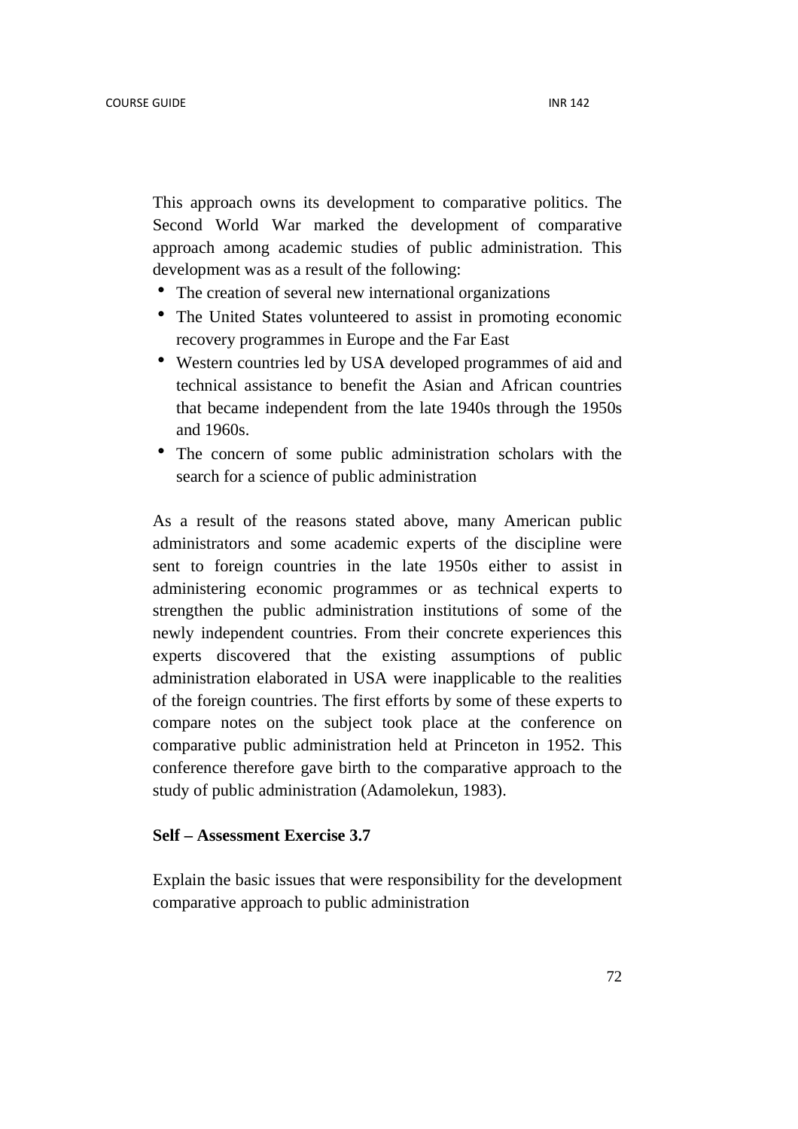This approach owns its development to comparative politics. The Second World War marked the development of comparative approach among academic studies of public administration. This development was as a result of the following:

- The creation of several new international organizations
- The United States volunteered to assist in promoting economic recovery programmes in Europe and the Far East
- Western countries led by USA developed programmes of aid and technical assistance to benefit the Asian and African countries that became independent from the late 1940s through the 1950s and 1960s.
- The concern of some public administration scholars with the search for a science of public administration

As a result of the reasons stated above, many American public administrators and some academic experts of the discipline were sent to foreign countries in the late 1950s either to assist in administering economic programmes or as technical experts to strengthen the public administration institutions of some of the newly independent countries. From their concrete experiences this experts discovered that the existing assumptions of public administration elaborated in USA were inapplicable to the realities of the foreign countries. The first efforts by some of these experts to compare notes on the subject took place at the conference on comparative public administration held at Princeton in 1952. This conference therefore gave birth to the comparative approach to the study of public administration (Adamolekun, 1983).

#### **Self – Assessment Exercise 3.7**

Explain the basic issues that were responsibility for the development comparative approach to public administration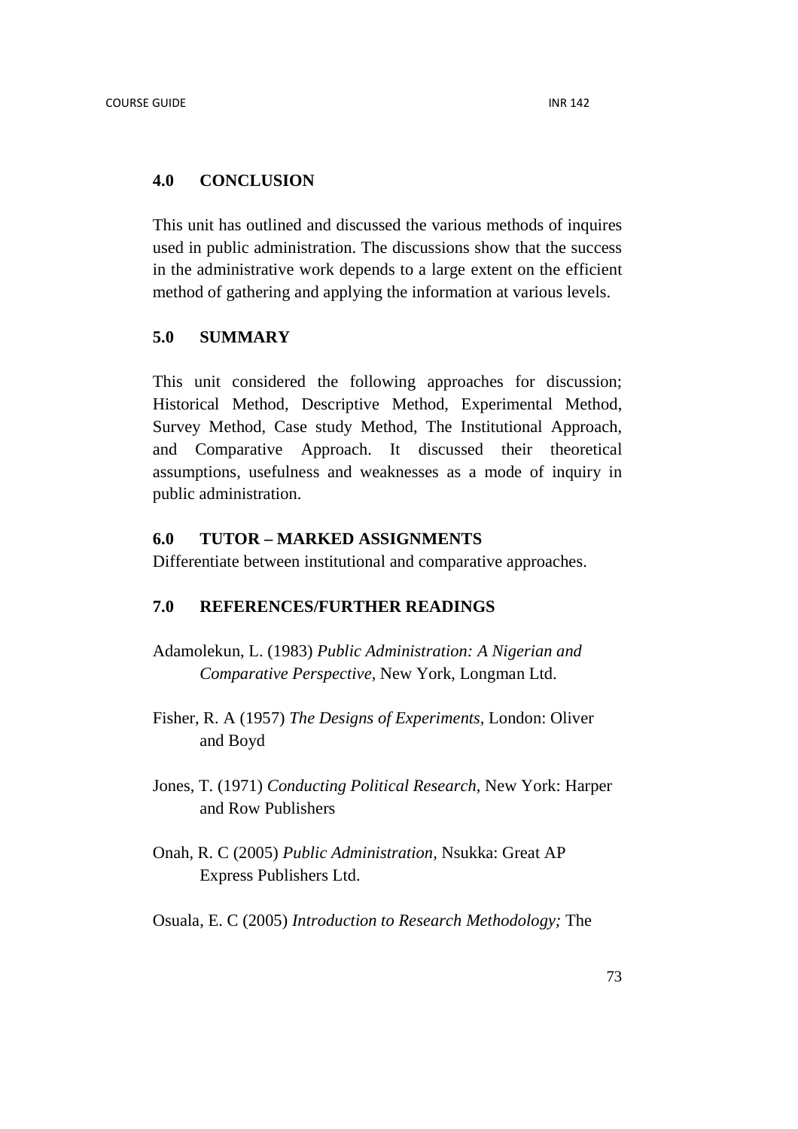### **4.0 CONCLUSION**

This unit has outlined and discussed the various methods of inquires used in public administration. The discussions show that the success in the administrative work depends to a large extent on the efficient method of gathering and applying the information at various levels.

### **5.0 SUMMARY**

This unit considered the following approaches for discussion; Historical Method, Descriptive Method, Experimental Method, Survey Method, Case study Method, The Institutional Approach, and Comparative Approach. It discussed their theoretical assumptions, usefulness and weaknesses as a mode of inquiry in public administration.

## **6.0 TUTOR – MARKED ASSIGNMENTS**

Differentiate between institutional and comparative approaches.

### **7.0 REFERENCES/FURTHER READINGS**

- Adamolekun, L. (1983) *Public Administration: A Nigerian and Comparative Perspective,* New York, Longman Ltd.
- Fisher, R. A (1957) *The Designs of Experiments,* London: Oliver and Boyd
- Jones, T. (1971) *Conducting Political Research*, New York: Harper and Row Publishers
- Onah, R. C (2005) *Public Administration,* Nsukka: Great AP Express Publishers Ltd.
- Osuala, E. C (2005) *Introduction to Research Methodology;* The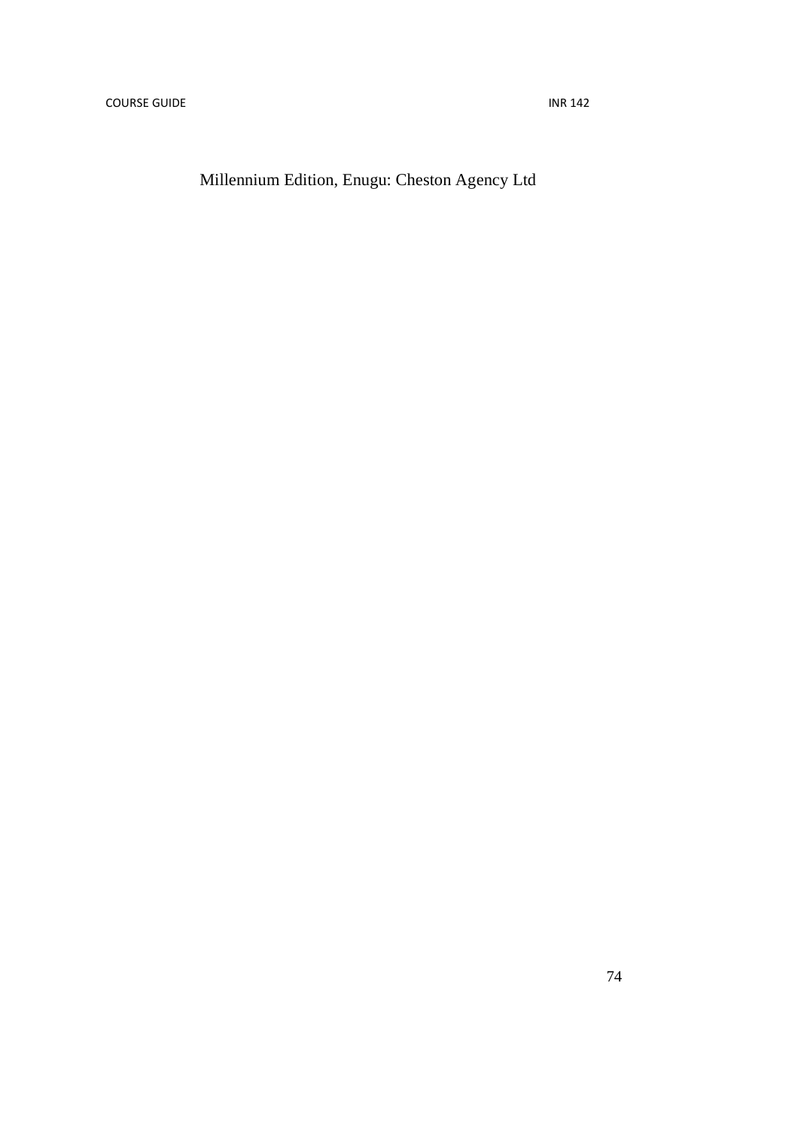Millennium Edition, Enugu: Cheston Agency Ltd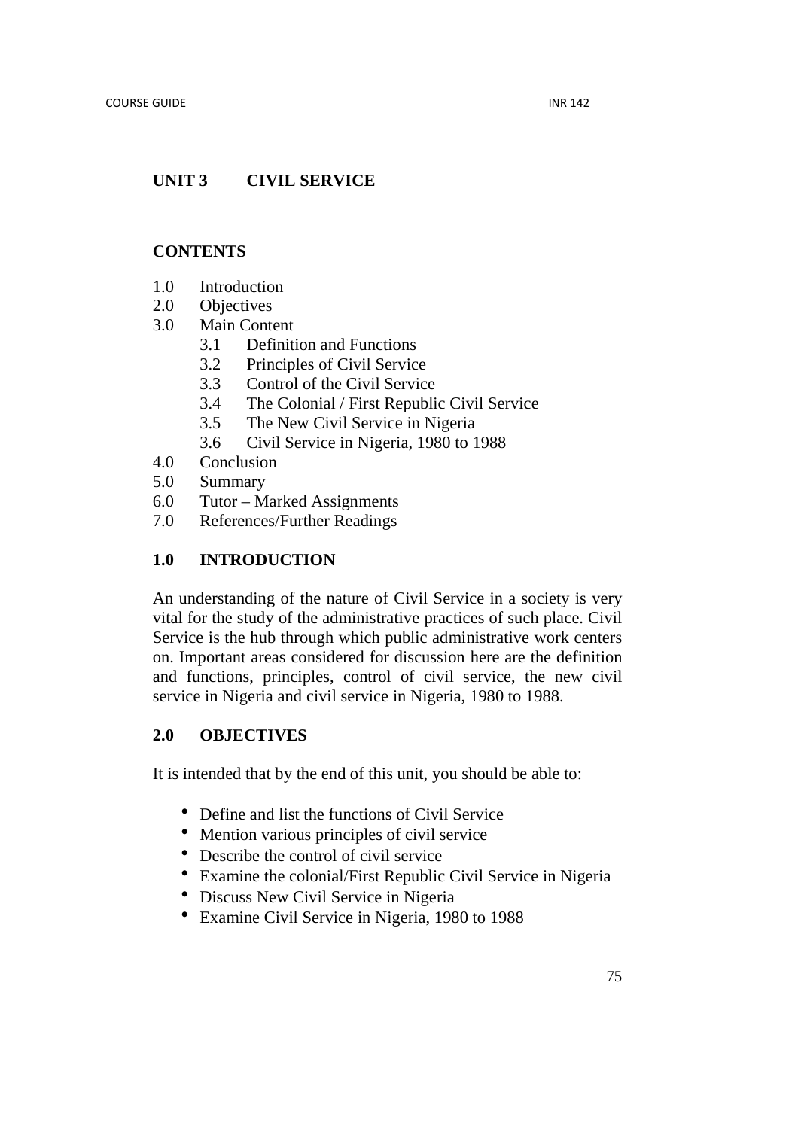# **UNIT 3 CIVIL SERVICE**

## **CONTENTS**

- 1.0 Introduction
- 2.0 Objectives
- 3.0 Main Content
	- 3.1 Definition and Functions
	- 3.2 Principles of Civil Service
	- 3.3 Control of the Civil Service
	- 3.4 The Colonial / First Republic Civil Service
	- 3.5 The New Civil Service in Nigeria
	- 3.6 Civil Service in Nigeria, 1980 to 1988
- 4.0 Conclusion
- 5.0 Summary
- 6.0 Tutor Marked Assignments
- 7.0 References/Further Readings

## **1.0 INTRODUCTION**

An understanding of the nature of Civil Service in a society is very vital for the study of the administrative practices of such place. Civil Service is the hub through which public administrative work centers on. Important areas considered for discussion here are the definition and functions, principles, control of civil service, the new civil service in Nigeria and civil service in Nigeria, 1980 to 1988.

## **2.0 OBJECTIVES**

It is intended that by the end of this unit, you should be able to:

- Define and list the functions of Civil Service
- Mention various principles of civil service
- Describe the control of civil service
- Examine the colonial/First Republic Civil Service in Nigeria
- Discuss New Civil Service in Nigeria
- Examine Civil Service in Nigeria, 1980 to 1988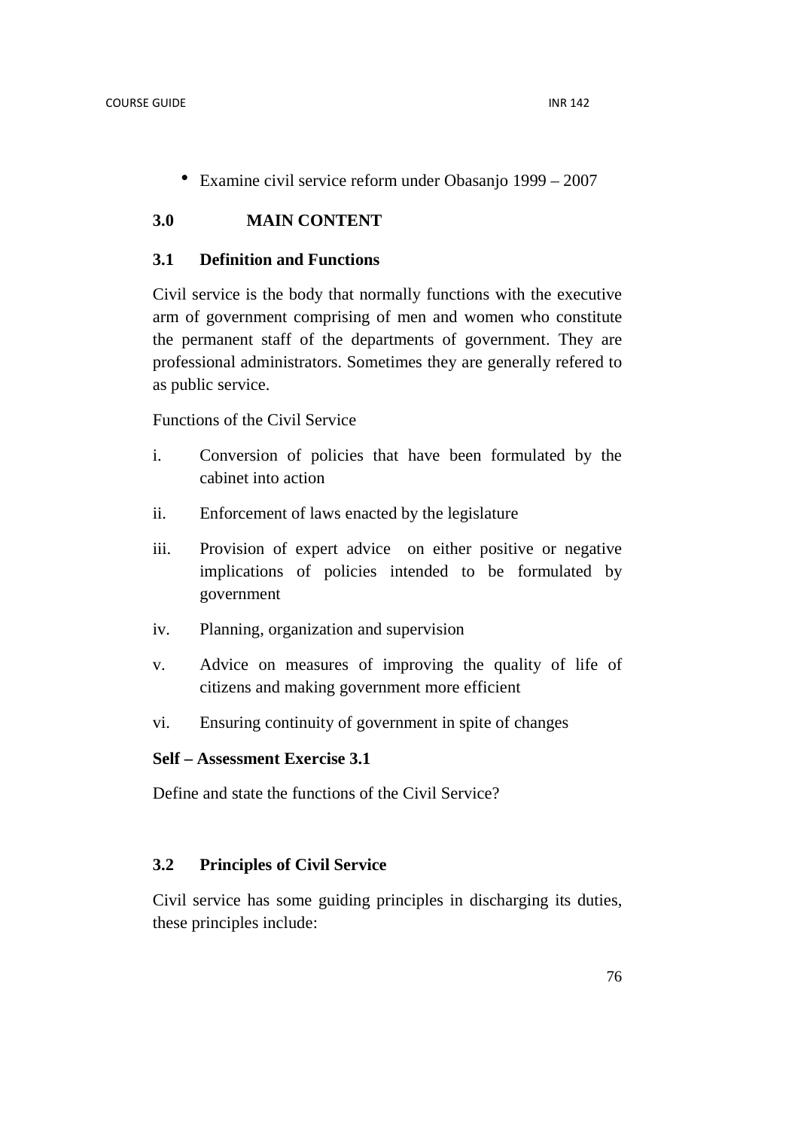• Examine civil service reform under Obasanjo 1999 – 2007

## **3.0 MAIN CONTENT**

## **3.1 Definition and Functions**

Civil service is the body that normally functions with the executive arm of government comprising of men and women who constitute the permanent staff of the departments of government. They are professional administrators. Sometimes they are generally refered to as public service.

Functions of the Civil Service

- i. Conversion of policies that have been formulated by the cabinet into action
- ii. Enforcement of laws enacted by the legislature
- iii. Provision of expert advice on either positive or negative implications of policies intended to be formulated by government
- iv. Planning, organization and supervision
- v. Advice on measures of improving the quality of life of citizens and making government more efficient
- vi. Ensuring continuity of government in spite of changes

## **Self – Assessment Exercise 3.1**

Define and state the functions of the Civil Service?

## **3.2 Principles of Civil Service**

Civil service has some guiding principles in discharging its duties, these principles include: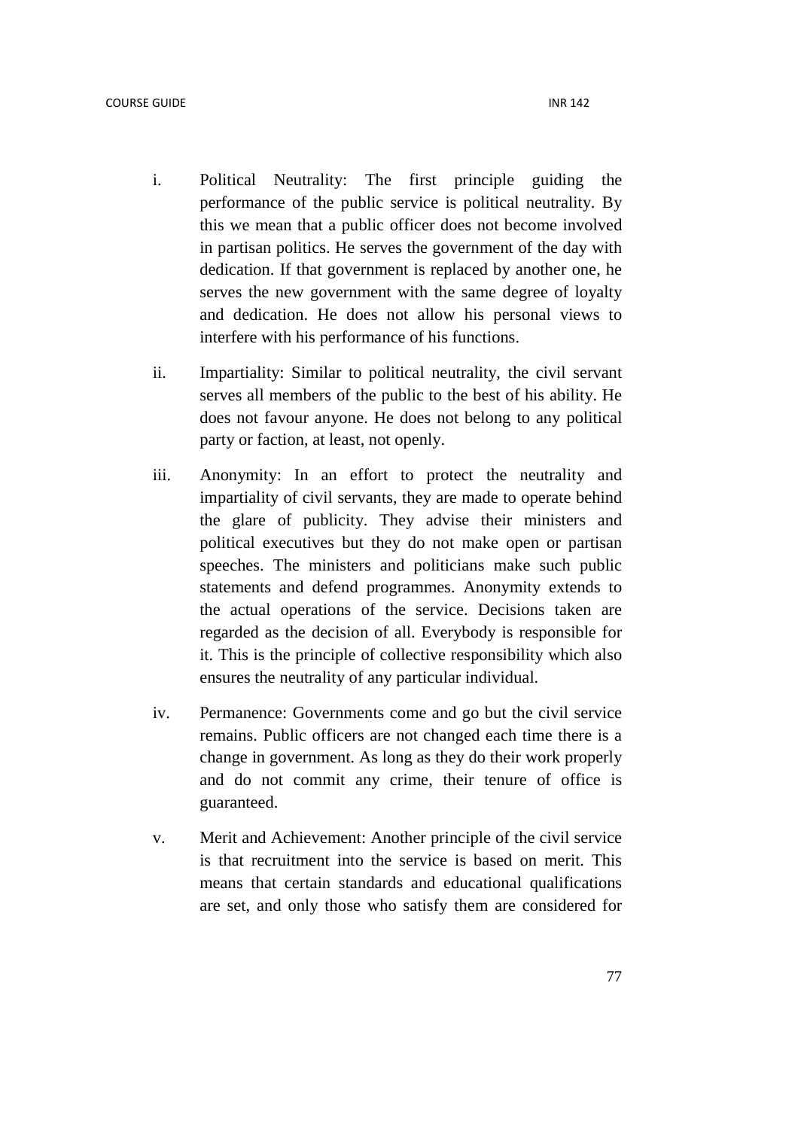- i. Political Neutrality: The first principle guiding the performance of the public service is political neutrality. By this we mean that a public officer does not become involved in partisan politics. He serves the government of the day with dedication. If that government is replaced by another one, he serves the new government with the same degree of loyalty and dedication. He does not allow his personal views to interfere with his performance of his functions.
- ii. Impartiality: Similar to political neutrality, the civil servant serves all members of the public to the best of his ability. He does not favour anyone. He does not belong to any political party or faction, at least, not openly.
- iii. Anonymity: In an effort to protect the neutrality and impartiality of civil servants, they are made to operate behind the glare of publicity. They advise their ministers and political executives but they do not make open or partisan speeches. The ministers and politicians make such public statements and defend programmes. Anonymity extends to the actual operations of the service. Decisions taken are regarded as the decision of all. Everybody is responsible for it. This is the principle of collective responsibility which also ensures the neutrality of any particular individual.
- iv. Permanence: Governments come and go but the civil service remains. Public officers are not changed each time there is a change in government. As long as they do their work properly and do not commit any crime, their tenure of office is guaranteed.
- v. Merit and Achievement: Another principle of the civil service is that recruitment into the service is based on merit. This means that certain standards and educational qualifications are set, and only those who satisfy them are considered for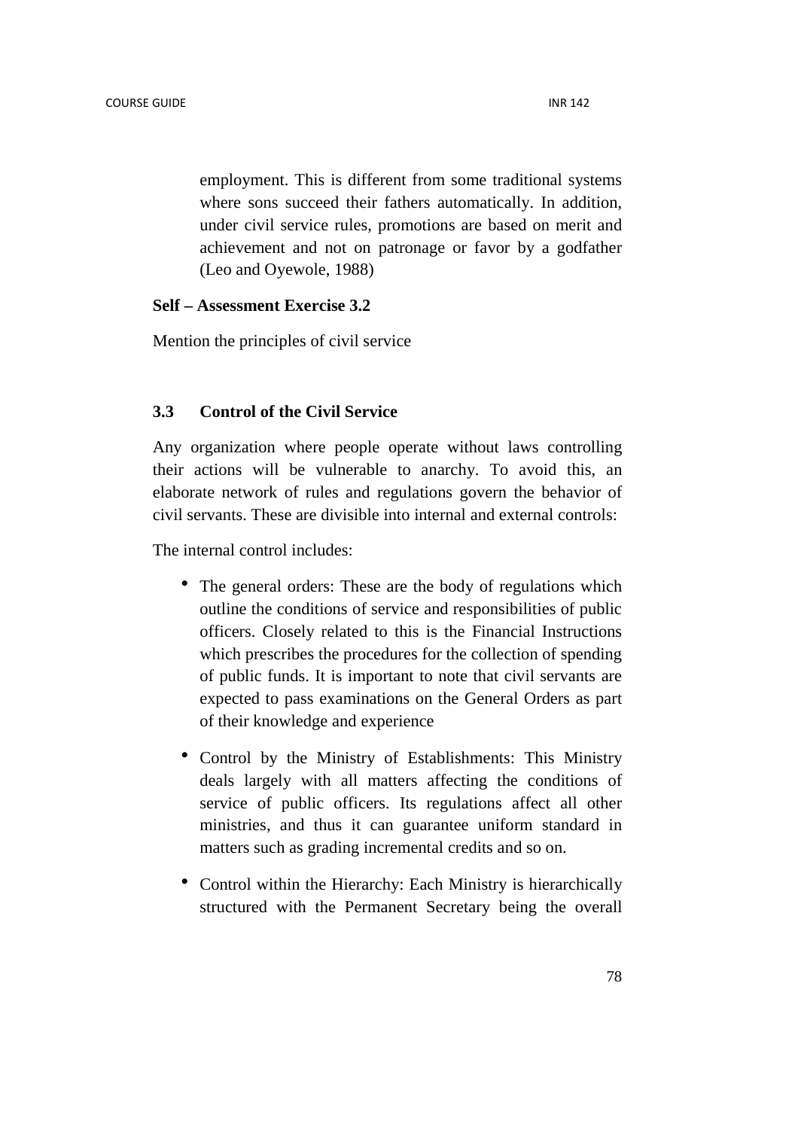employment. This is different from some traditional systems where sons succeed their fathers automatically. In addition, under civil service rules, promotions are based on merit and achievement and not on patronage or favor by a godfather (Leo and Oyewole, 1988)

## **Self – Assessment Exercise 3.2**

Mention the principles of civil service

## **3.3 Control of the Civil Service**

Any organization where people operate without laws controlling their actions will be vulnerable to anarchy. To avoid this, an elaborate network of rules and regulations govern the behavior of civil servants. These are divisible into internal and external controls:

The internal control includes:

- The general orders: These are the body of regulations which outline the conditions of service and responsibilities of public officers. Closely related to this is the Financial Instructions which prescribes the procedures for the collection of spending of public funds. It is important to note that civil servants are expected to pass examinations on the General Orders as part of their knowledge and experience
- Control by the Ministry of Establishments: This Ministry deals largely with all matters affecting the conditions of service of public officers. Its regulations affect all other ministries, and thus it can guarantee uniform standard in matters such as grading incremental credits and so on.
- Control within the Hierarchy: Each Ministry is hierarchically structured with the Permanent Secretary being the overall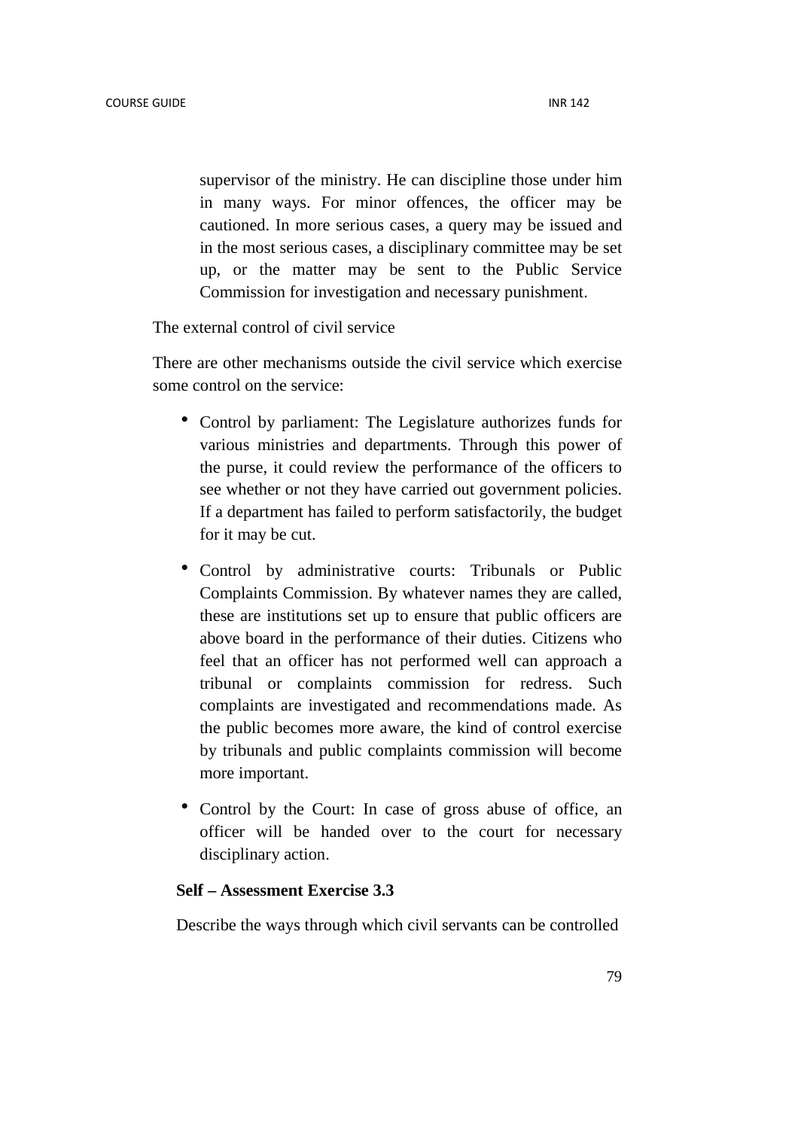supervisor of the ministry. He can discipline those under him in many ways. For minor offences, the officer may be cautioned. In more serious cases, a query may be issued and in the most serious cases, a disciplinary committee may be set up, or the matter may be sent to the Public Service Commission for investigation and necessary punishment.

The external control of civil service

There are other mechanisms outside the civil service which exercise some control on the service:

- Control by parliament: The Legislature authorizes funds for various ministries and departments. Through this power of the purse, it could review the performance of the officers to see whether or not they have carried out government policies. If a department has failed to perform satisfactorily, the budget for it may be cut.
- Control by administrative courts: Tribunals or Public Complaints Commission. By whatever names they are called, these are institutions set up to ensure that public officers are above board in the performance of their duties. Citizens who feel that an officer has not performed well can approach a tribunal or complaints commission for redress. Such complaints are investigated and recommendations made. As the public becomes more aware, the kind of control exercise by tribunals and public complaints commission will become more important.
- Control by the Court: In case of gross abuse of office, an officer will be handed over to the court for necessary disciplinary action.

## **Self – Assessment Exercise 3.3**

Describe the ways through which civil servants can be controlled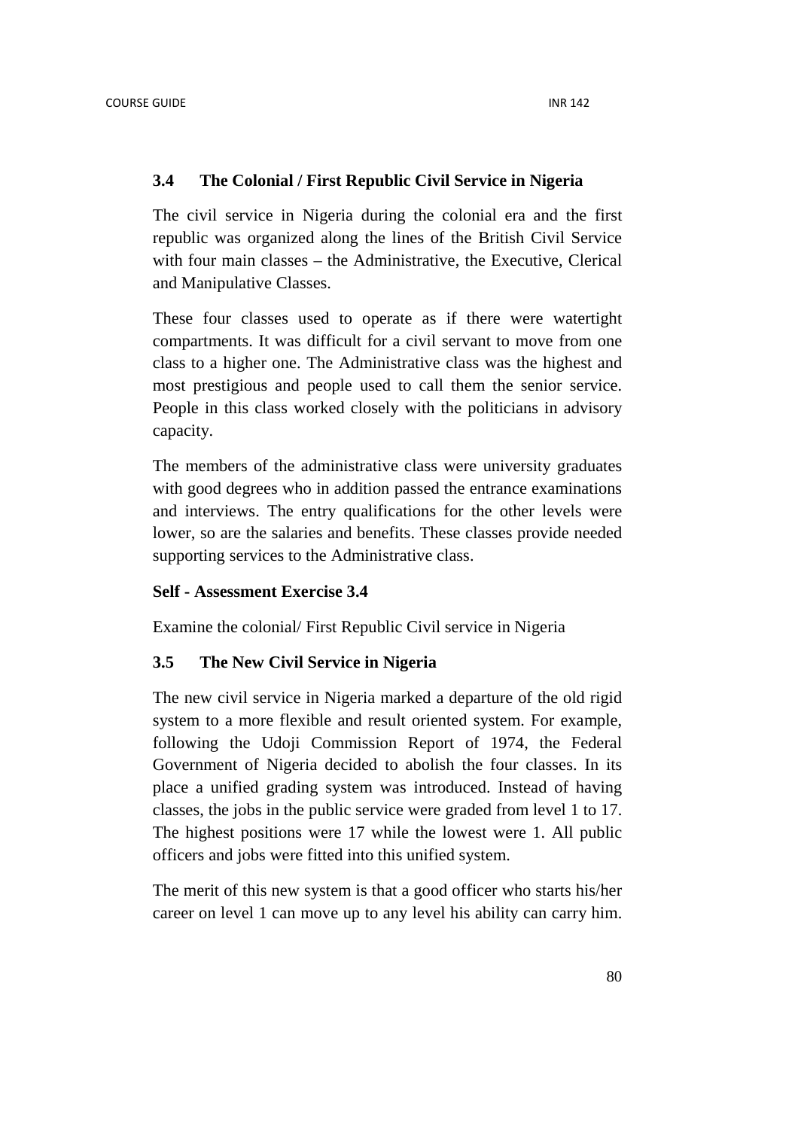## **3.4 The Colonial / First Republic Civil Service in Nigeria**

The civil service in Nigeria during the colonial era and the first republic was organized along the lines of the British Civil Service with four main classes – the Administrative, the Executive, Clerical and Manipulative Classes.

These four classes used to operate as if there were watertight compartments. It was difficult for a civil servant to move from one class to a higher one. The Administrative class was the highest and most prestigious and people used to call them the senior service. People in this class worked closely with the politicians in advisory capacity.

The members of the administrative class were university graduates with good degrees who in addition passed the entrance examinations and interviews. The entry qualifications for the other levels were lower, so are the salaries and benefits. These classes provide needed supporting services to the Administrative class.

### **Self - Assessment Exercise 3.4**

Examine the colonial/ First Republic Civil service in Nigeria

## **3.5 The New Civil Service in Nigeria**

The new civil service in Nigeria marked a departure of the old rigid system to a more flexible and result oriented system. For example, following the Udoji Commission Report of 1974, the Federal Government of Nigeria decided to abolish the four classes. In its place a unified grading system was introduced. Instead of having classes, the jobs in the public service were graded from level 1 to 17. The highest positions were 17 while the lowest were 1. All public officers and jobs were fitted into this unified system.

The merit of this new system is that a good officer who starts his/her career on level 1 can move up to any level his ability can carry him.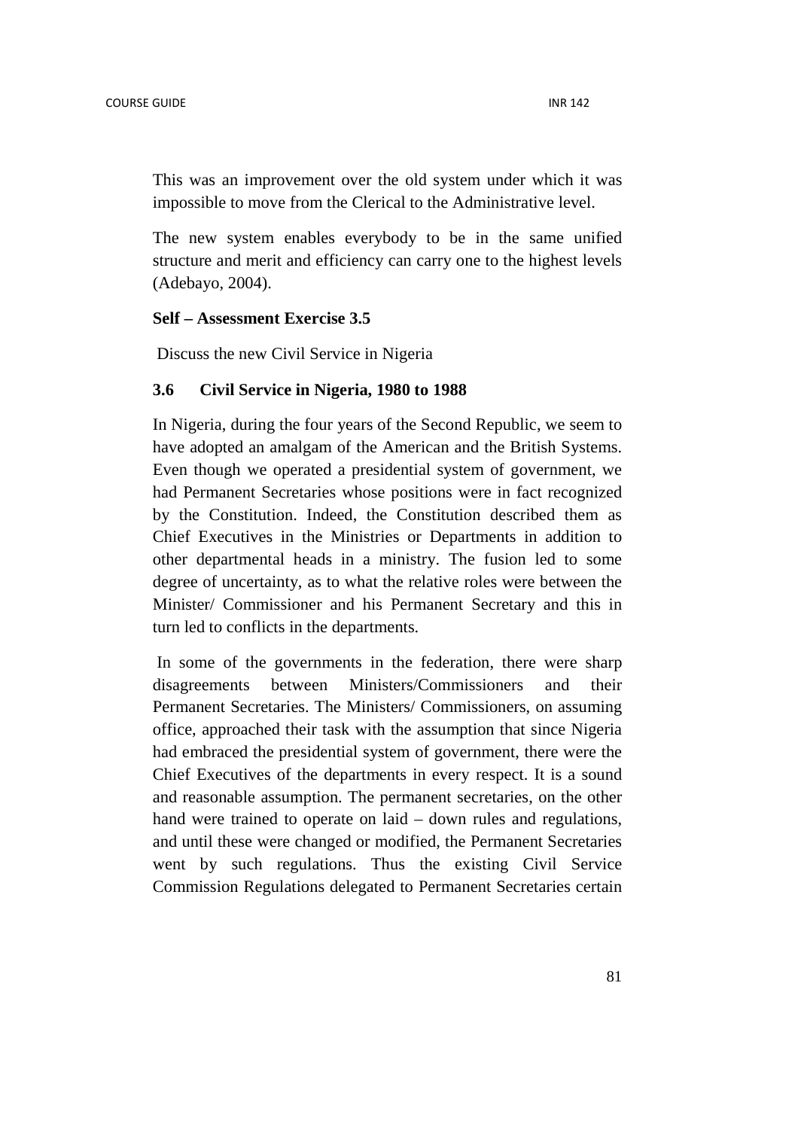This was an improvement over the old system under which it was impossible to move from the Clerical to the Administrative level.

The new system enables everybody to be in the same unified structure and merit and efficiency can carry one to the highest levels (Adebayo, 2004).

#### **Self – Assessment Exercise 3.5**

Discuss the new Civil Service in Nigeria

## **3.6 Civil Service in Nigeria, 1980 to 1988**

In Nigeria, during the four years of the Second Republic, we seem to have adopted an amalgam of the American and the British Systems. Even though we operated a presidential system of government, we had Permanent Secretaries whose positions were in fact recognized by the Constitution. Indeed, the Constitution described them as Chief Executives in the Ministries or Departments in addition to other departmental heads in a ministry. The fusion led to some degree of uncertainty, as to what the relative roles were between the Minister/ Commissioner and his Permanent Secretary and this in turn led to conflicts in the departments.

 In some of the governments in the federation, there were sharp disagreements between Ministers/Commissioners and their Permanent Secretaries. The Ministers/ Commissioners, on assuming office, approached their task with the assumption that since Nigeria had embraced the presidential system of government, there were the Chief Executives of the departments in every respect. It is a sound and reasonable assumption. The permanent secretaries, on the other hand were trained to operate on laid – down rules and regulations, and until these were changed or modified, the Permanent Secretaries went by such regulations. Thus the existing Civil Service Commission Regulations delegated to Permanent Secretaries certain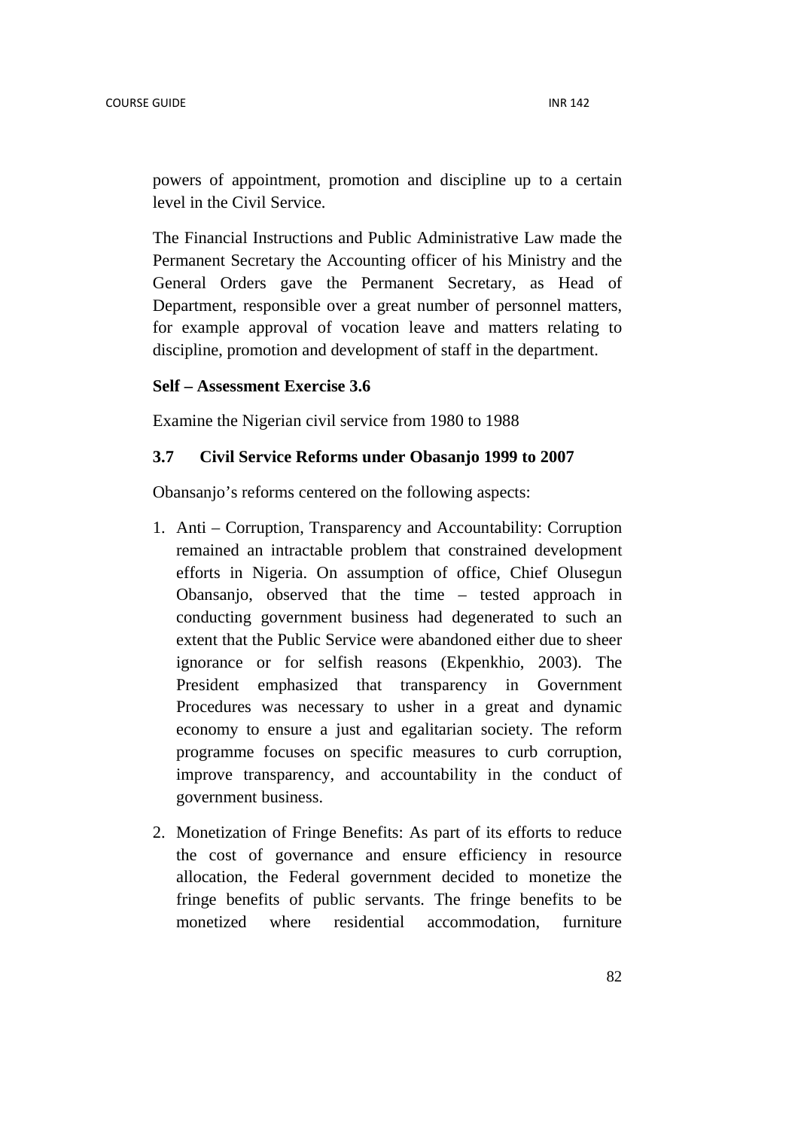powers of appointment, promotion and discipline up to a certain level in the Civil Service.

The Financial Instructions and Public Administrative Law made the Permanent Secretary the Accounting officer of his Ministry and the General Orders gave the Permanent Secretary, as Head of Department, responsible over a great number of personnel matters, for example approval of vocation leave and matters relating to discipline, promotion and development of staff in the department.

### **Self – Assessment Exercise 3.6**

Examine the Nigerian civil service from 1980 to 1988

## **3.7 Civil Service Reforms under Obasanjo 1999 to 2007**

Obansanjo's reforms centered on the following aspects:

- 1. Anti Corruption, Transparency and Accountability: Corruption remained an intractable problem that constrained development efforts in Nigeria. On assumption of office, Chief Olusegun Obansanjo, observed that the time – tested approach in conducting government business had degenerated to such an extent that the Public Service were abandoned either due to sheer ignorance or for selfish reasons (Ekpenkhio, 2003). The President emphasized that transparency in Government Procedures was necessary to usher in a great and dynamic economy to ensure a just and egalitarian society. The reform programme focuses on specific measures to curb corruption, improve transparency, and accountability in the conduct of government business.
- 2. Monetization of Fringe Benefits: As part of its efforts to reduce the cost of governance and ensure efficiency in resource allocation, the Federal government decided to monetize the fringe benefits of public servants. The fringe benefits to be monetized where residential accommodation, furniture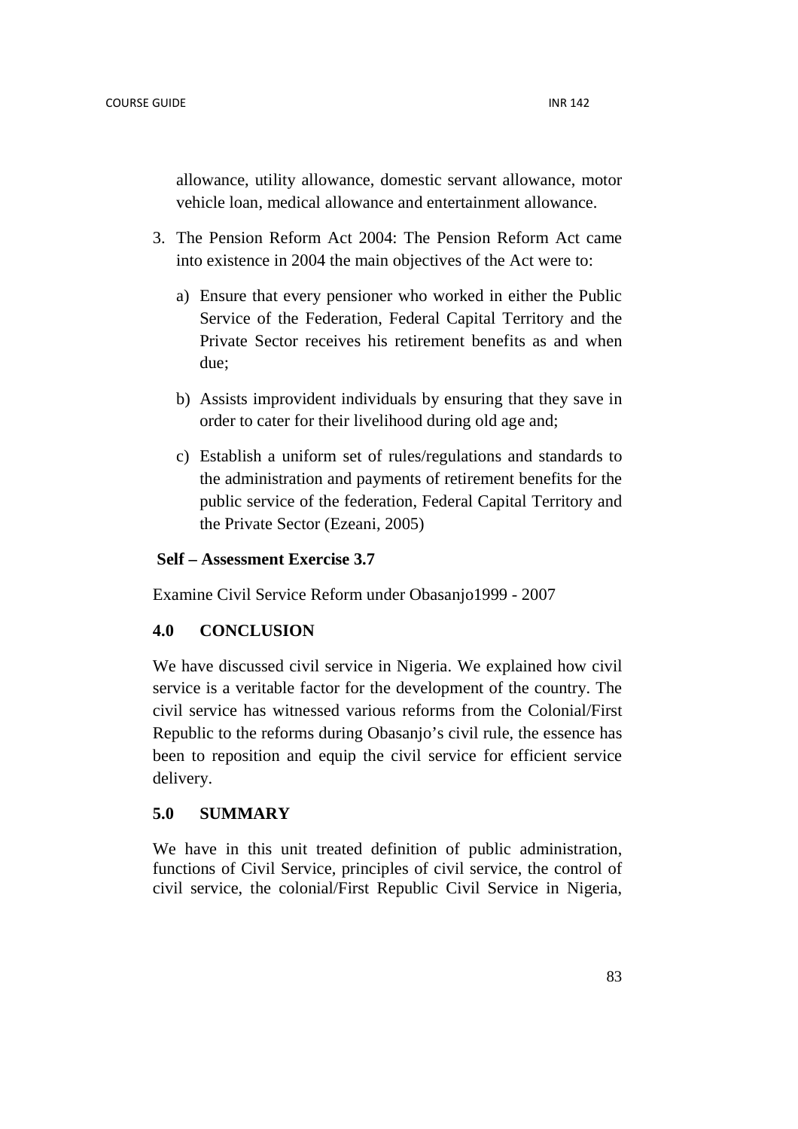allowance, utility allowance, domestic servant allowance, motor vehicle loan, medical allowance and entertainment allowance.

- 3. The Pension Reform Act 2004: The Pension Reform Act came into existence in 2004 the main objectives of the Act were to:
	- a) Ensure that every pensioner who worked in either the Public Service of the Federation, Federal Capital Territory and the Private Sector receives his retirement benefits as and when due;
	- b) Assists improvident individuals by ensuring that they save in order to cater for their livelihood during old age and;
	- c) Establish a uniform set of rules/regulations and standards to the administration and payments of retirement benefits for the public service of the federation, Federal Capital Territory and the Private Sector (Ezeani, 2005)

### **Self – Assessment Exercise 3.7**

Examine Civil Service Reform under Obasanjo1999 - 2007

### **4.0 CONCLUSION**

We have discussed civil service in Nigeria. We explained how civil service is a veritable factor for the development of the country. The civil service has witnessed various reforms from the Colonial/First Republic to the reforms during Obasanjo's civil rule, the essence has been to reposition and equip the civil service for efficient service delivery.

### **5.0 SUMMARY**

We have in this unit treated definition of public administration, functions of Civil Service, principles of civil service, the control of civil service, the colonial/First Republic Civil Service in Nigeria,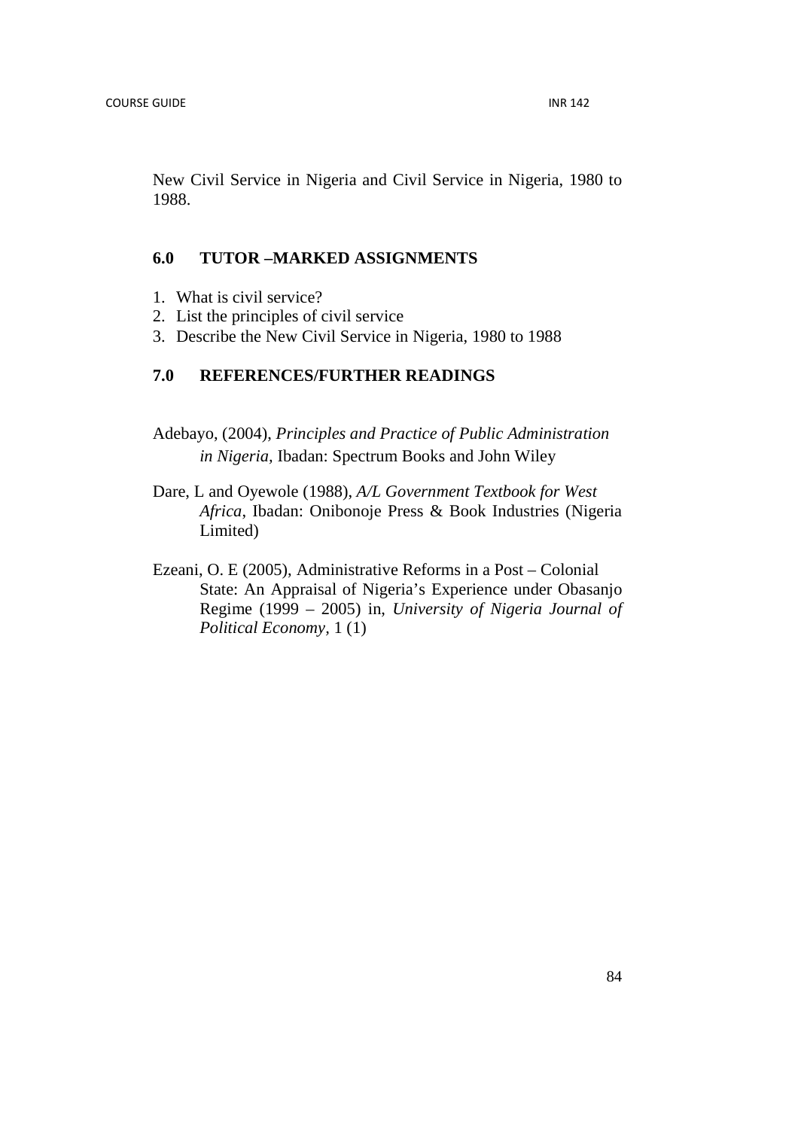New Civil Service in Nigeria and Civil Service in Nigeria, 1980 to 1988.

## **6.0 TUTOR –MARKED ASSIGNMENTS**

- 1. What is civil service?
- 2. List the principles of civil service
- 3. Describe the New Civil Service in Nigeria, 1980 to 1988

# **7.0 REFERENCES/FURTHER READINGS**

- Adebayo, (2004), *Principles and Practice of Public Administration in Nigeria,* Ibadan: Spectrum Books and John Wiley
- Dare, L and Oyewole (1988), *A/L Government Textbook for West Africa*, Ibadan: Onibonoje Press & Book Industries (Nigeria Limited)
- Ezeani, O. E (2005), Administrative Reforms in a Post Colonial State: An Appraisal of Nigeria's Experience under Obasanjo Regime (1999 – 2005) in, *University of Nigeria Journal of Political Economy,* 1 (1)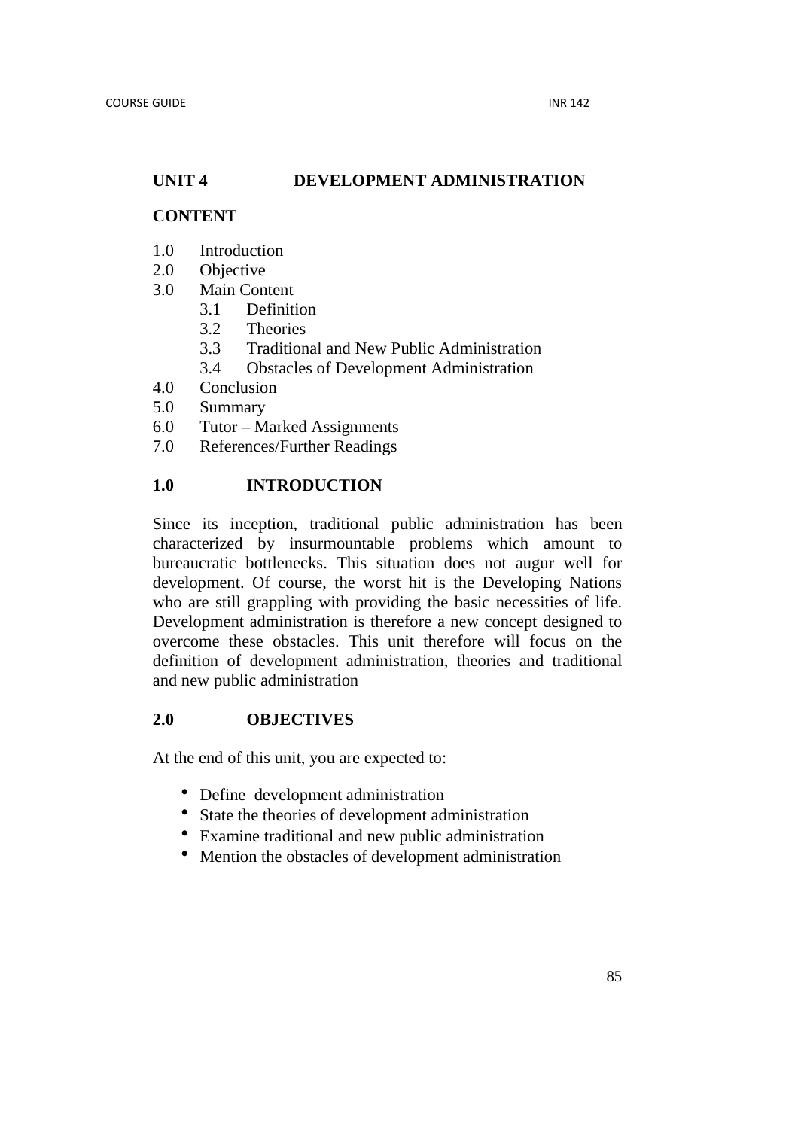## **UNIT 4 DEVELOPMENT ADMINISTRATION**

## **CONTENT**

- 1.0 Introduction
- 2.0 Objective
- 3.0 Main Content
	- 3.1 Definition
	- 3.2 Theories
	- 3.3 Traditional and New Public Administration
	- 3.4 Obstacles of Development Administration
- 4.0 Conclusion
- 5.0 Summary
- 6.0 Tutor Marked Assignments
- 7.0 References/Further Readings

# **1.0 INTRODUCTION**

Since its inception, traditional public administration has been characterized by insurmountable problems which amount to bureaucratic bottlenecks. This situation does not augur well for development. Of course, the worst hit is the Developing Nations who are still grappling with providing the basic necessities of life. Development administration is therefore a new concept designed to overcome these obstacles. This unit therefore will focus on the definition of development administration, theories and traditional and new public administration

### **2.0 OBJECTIVES**

At the end of this unit, you are expected to:

- Define development administration
- State the theories of development administration
- Examine traditional and new public administration
- Mention the obstacles of development administration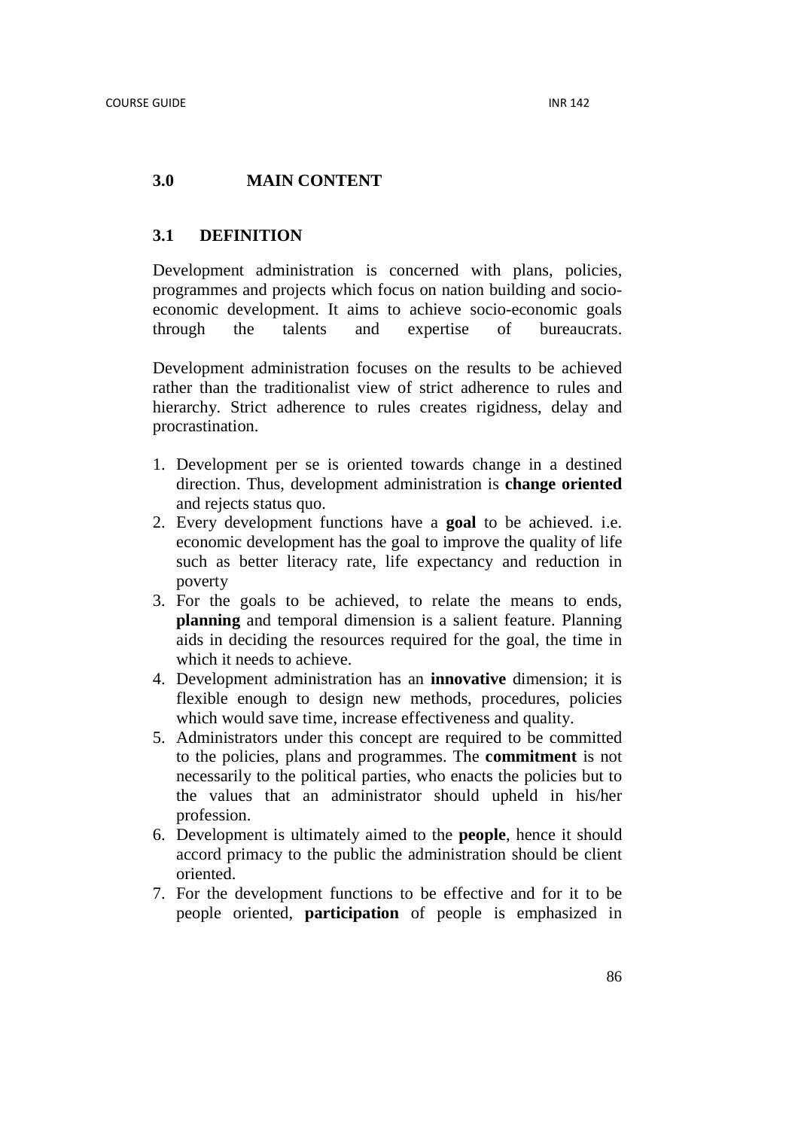## **3.0 MAIN CONTENT**

### **3.1 DEFINITION**

Development administration is concerned with plans, policies, programmes and projects which focus on nation building and socioeconomic development. It aims to achieve socio-economic goals through the talents and expertise of bureaucrats.

Development administration focuses on the results to be achieved rather than the traditionalist view of strict adherence to rules and hierarchy. Strict adherence to rules creates rigidness, delay and procrastination.

- 1. Development per se is oriented towards change in a destined direction. Thus, development administration is **change oriented** and rejects status quo.
- 2. Every development functions have a **goal** to be achieved. i.e. economic development has the goal to improve the quality of life such as better literacy rate, life expectancy and reduction in poverty
- 3. For the goals to be achieved, to relate the means to ends, **planning** and temporal dimension is a salient feature. Planning aids in deciding the resources required for the goal, the time in which it needs to achieve.
- 4. Development administration has an **innovative** dimension; it is flexible enough to design new methods, procedures, policies which would save time, increase effectiveness and quality.
- 5. Administrators under this concept are required to be committed to the policies, plans and programmes. The **commitment** is not necessarily to the political parties, who enacts the policies but to the values that an administrator should upheld in his/her profession.
- 6. Development is ultimately aimed to the **people**, hence it should accord primacy to the public the administration should be client oriented.
- 7. For the development functions to be effective and for it to be people oriented, **participation** of people is emphasized in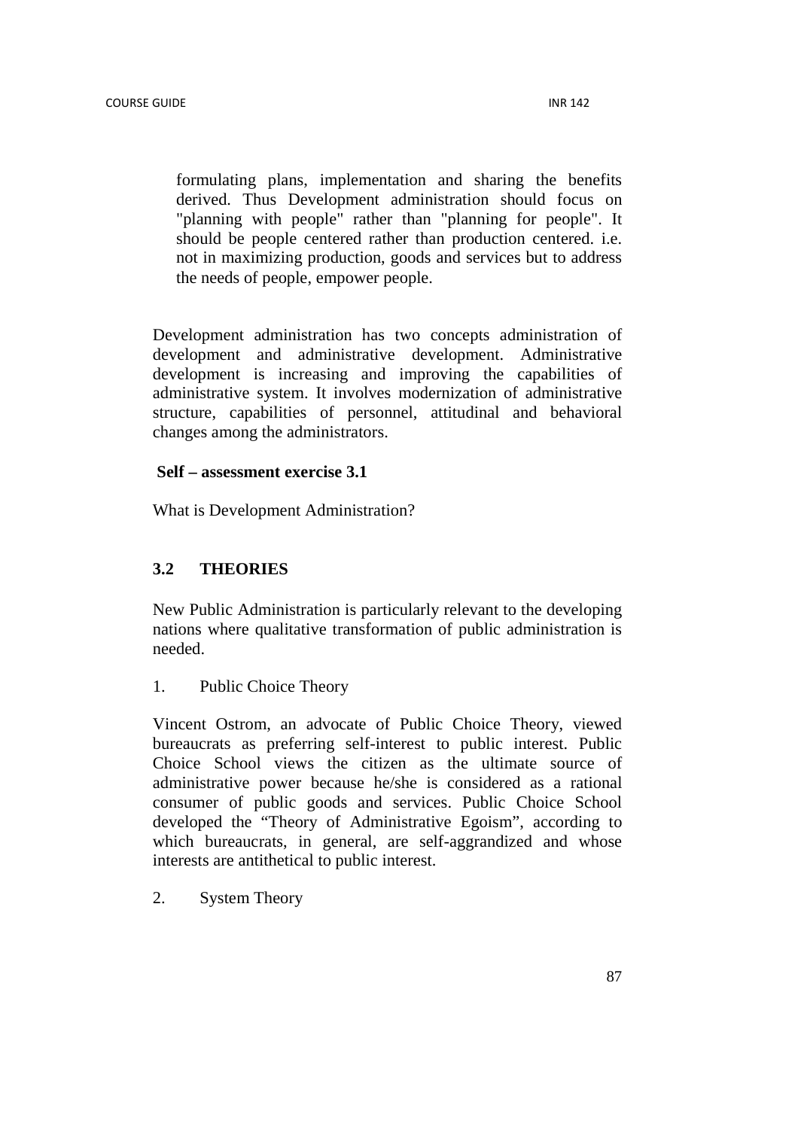formulating plans, implementation and sharing the benefits derived. Thus Development administration should focus on "planning with people" rather than "planning for people". It should be people centered rather than production centered. i.e. not in maximizing production, goods and services but to address the needs of people, empower people.

Development administration has two concepts administration of development and administrative development. Administrative development is increasing and improving the capabilities of administrative system. It involves modernization of administrative structure, capabilities of personnel, attitudinal and behavioral changes among the administrators.

### **Self – assessment exercise 3.1**

What is Development Administration?

## **3.2 THEORIES**

New Public Administration is particularly relevant to the developing nations where qualitative transformation of public administration is needed.

1. Public Choice Theory

Vincent Ostrom, an advocate of Public Choice Theory, viewed bureaucrats as preferring self-interest to public interest. Public Choice School views the citizen as the ultimate source of administrative power because he/she is considered as a rational consumer of public goods and services. Public Choice School developed the "Theory of Administrative Egoism", according to which bureaucrats, in general, are self-aggrandized and whose interests are antithetical to public interest.

2. System Theory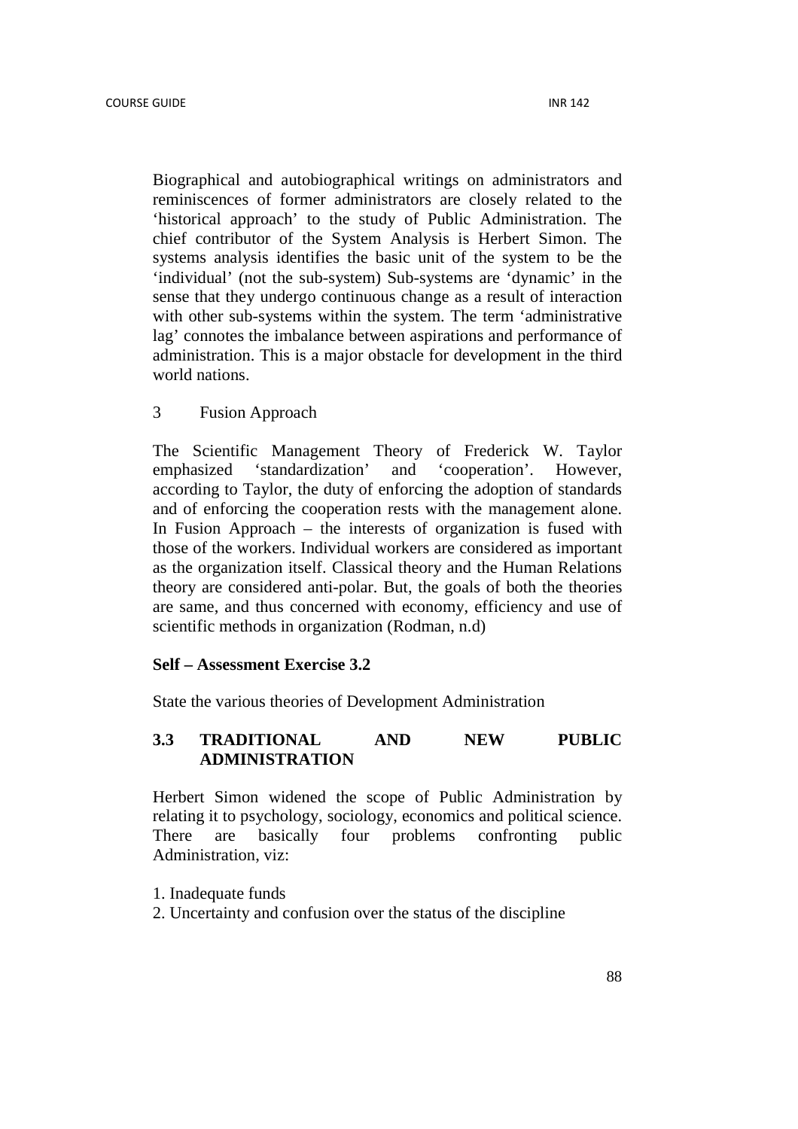Biographical and autobiographical writings on administrators and reminiscences of former administrators are closely related to the 'historical approach' to the study of Public Administration. The chief contributor of the System Analysis is Herbert Simon. The systems analysis identifies the basic unit of the system to be the 'individual' (not the sub-system) Sub-systems are 'dynamic' in the sense that they undergo continuous change as a result of interaction with other sub-systems within the system. The term 'administrative lag' connotes the imbalance between aspirations and performance of administration. This is a major obstacle for development in the third world nations.

### 3 Fusion Approach

The Scientific Management Theory of Frederick W. Taylor emphasized 'standardization' and 'cooperation'. However, according to Taylor, the duty of enforcing the adoption of standards and of enforcing the cooperation rests with the management alone. In Fusion Approach – the interests of organization is fused with those of the workers. Individual workers are considered as important as the organization itself. Classical theory and the Human Relations theory are considered anti-polar. But, the goals of both the theories are same, and thus concerned with economy, efficiency and use of scientific methods in organization (Rodman, n.d)

#### **Self – Assessment Exercise 3.2**

State the various theories of Development Administration

### **3.3 TRADITIONAL AND NEW PUBLIC ADMINISTRATION**

Herbert Simon widened the scope of Public Administration by relating it to psychology, sociology, economics and political science. There are basically four problems confronting public Administration, viz:

- 1. Inadequate funds
- 2. Uncertainty and confusion over the status of the discipline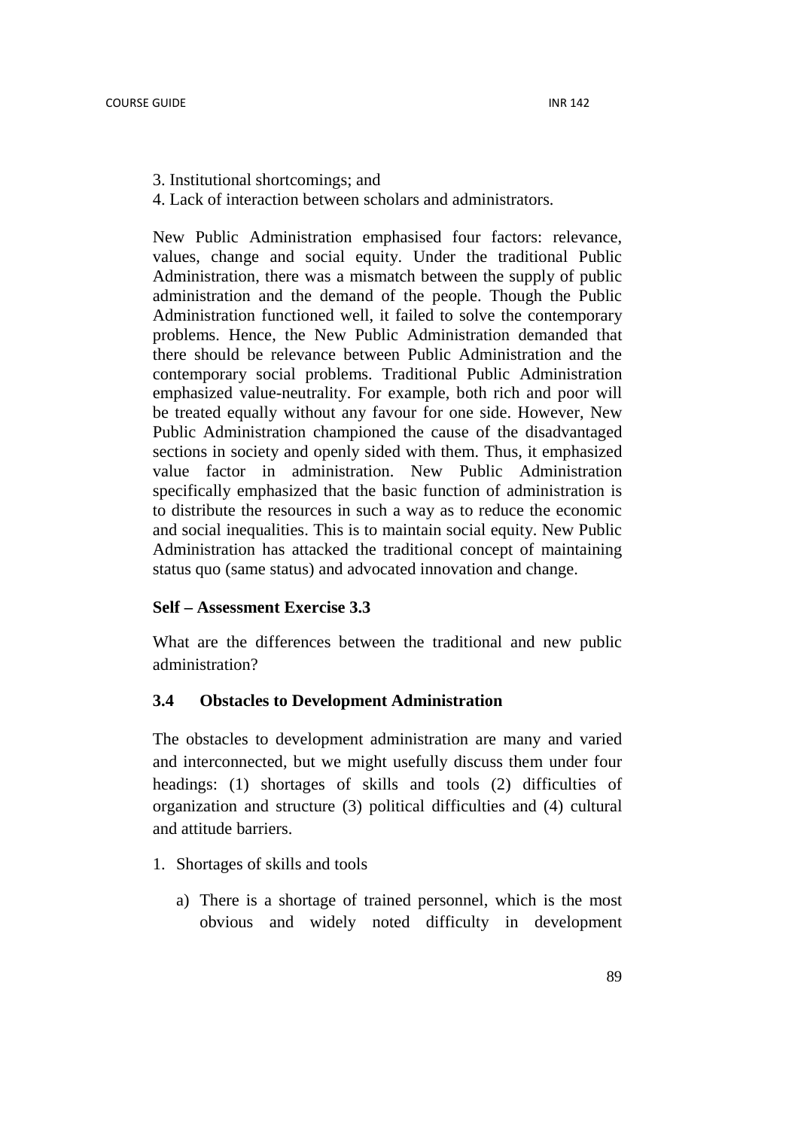- 3. Institutional shortcomings; and
- 4. Lack of interaction between scholars and administrators.

New Public Administration emphasised four factors: relevance, values, change and social equity. Under the traditional Public Administration, there was a mismatch between the supply of public administration and the demand of the people. Though the Public Administration functioned well, it failed to solve the contemporary problems. Hence, the New Public Administration demanded that there should be relevance between Public Administration and the contemporary social problems. Traditional Public Administration emphasized value-neutrality. For example, both rich and poor will be treated equally without any favour for one side. However, New Public Administration championed the cause of the disadvantaged sections in society and openly sided with them. Thus, it emphasized value factor in administration. New Public Administration specifically emphasized that the basic function of administration is to distribute the resources in such a way as to reduce the economic and social inequalities. This is to maintain social equity. New Public Administration has attacked the traditional concept of maintaining status quo (same status) and advocated innovation and change.

#### **Self – Assessment Exercise 3.3**

What are the differences between the traditional and new public administration?

#### **3.4 Obstacles to Development Administration**

The obstacles to development administration are many and varied and interconnected, but we might usefully discuss them under four headings: (1) shortages of skills and tools (2) difficulties of organization and structure (3) political difficulties and (4) cultural and attitude barriers.

- 1. Shortages of skills and tools
	- a) There is a shortage of trained personnel, which is the most obvious and widely noted difficulty in development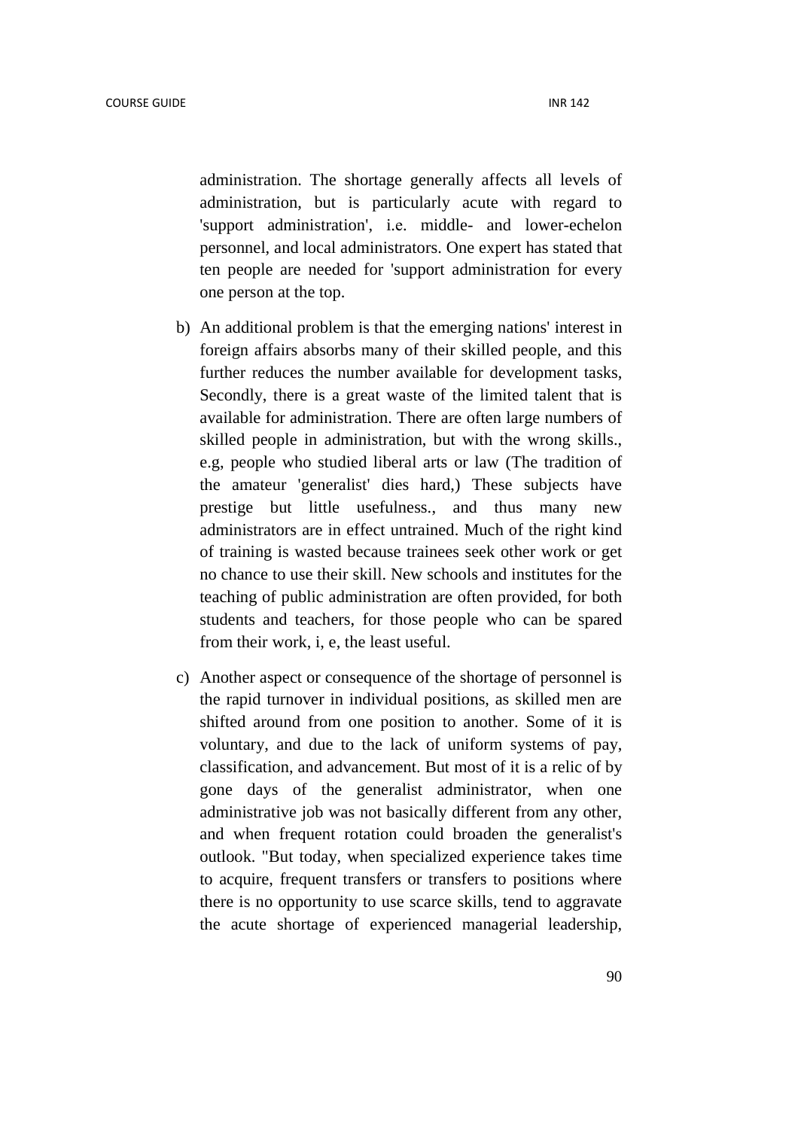administration. The shortage generally affects all levels of administration, but is particularly acute with regard to 'support administration', i.е. middle- and lower-echelon personnel, and local administrators. One expert has stated that ten people are needed for 'support administration for every one person at the top.

- b) An additional problem is that the emerging nations' interest in foreign affairs absorbs many of their skilled people, and this further reduces the number available for development tasks, Secondly, there is a great waste of the limited talent that is available for administration. There are often large numbers of skilled people in administration, but with the wrong skills., e.g, people who studied liberal arts or law (The tradition of the amateur 'generalist' dies hard,) These subjects have prestige but little usefulness., and thus many new administrators are in effect untrained. Much of the right kind of training is wasted because trainees seek other work or get no chance to use their skill. New schools and institutes for the teaching of public administration are often provided, for both students and teachers, for those people who can be spared from their work, i, e, the least useful.
- c) Another aspect or consequence of the shortage of personnel is the rapid turnover in individual positions, as skilled men are shifted around from one position to another. Some of it is voluntary, and due to the lack of uniform systems of pay, classification, and advancement. But most of it is a relic of by gone days of the generalist administrator, when one administrative job was not basically different from any other, and when frequent rotation could broaden the generalist's outlook. "But today, when specialized experience takes time to acquire, frequent transfers or transfers to positions where there is no opportunity to use scarce skills, tend to aggravate the acute shortage of experienced managerial leadership,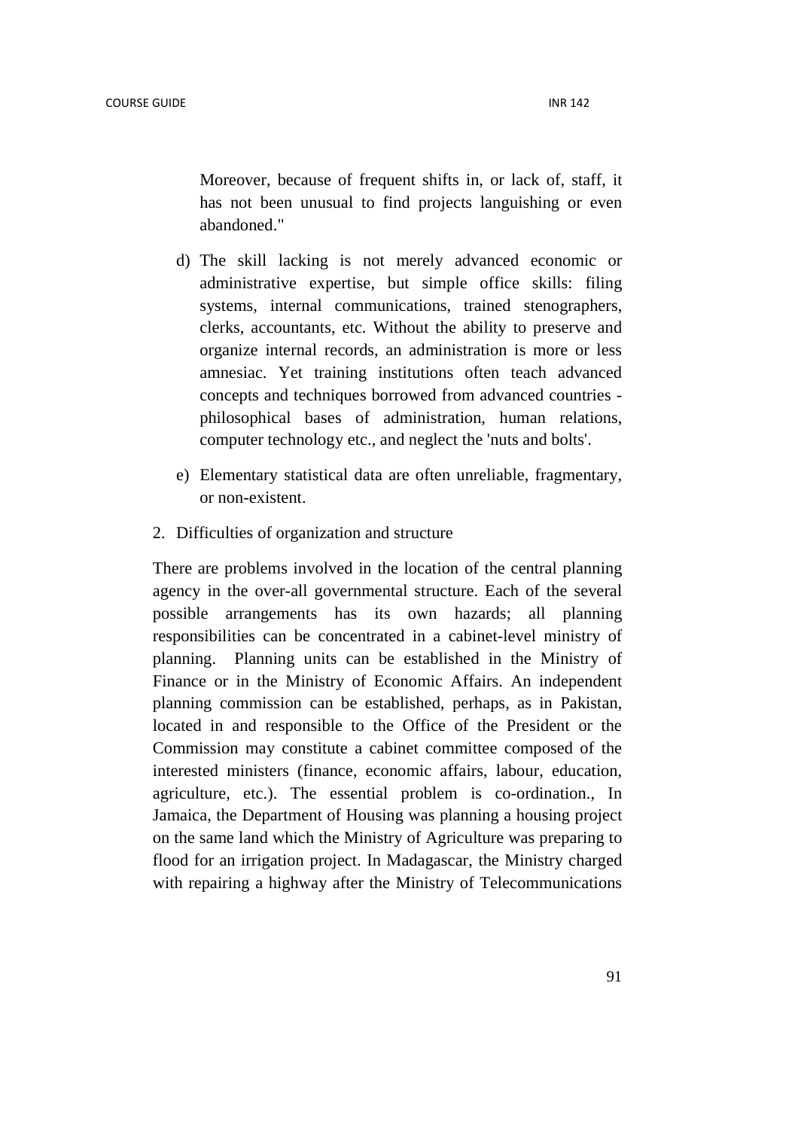Moreover, because of frequent shifts in, or lack of, staff, it has not been unusual to find projects languishing or even abandoned."

- d) The skill lacking is not merely advanced economic or administrative expertise, but simple office skills: filing systems, internal communications, trained stenographers, clerks, accountants, etc. Without the ability to preserve and organize internal records, an administration is more or less amnesiac. Yet training institutions often teach advanced concepts and techniques borrowed from advanced countries philosophical bases of administration, human relations, computer technology etc., and neglect the 'nuts and bolts'.
- e) Elementary statistical data are often unreliable, fragmentary, or non-existent.
- 2. Difficulties of organization and structure

There are problems involved in the location of the central planning agency in the over-all governmental structure. Each of the several possible arrangements has its own hazards; all planning responsibilities can be concentrated in a cabinet-level ministry of planning. Planning units can be established in the Ministry of Finance or in the Ministry of Economic Affairs. An independent planning commission can be established, perhaps, as in Pakistan, located in and responsible to the Office of the President or the Commission may constitute a cabinet committee composed of the interested ministers (finance, economic affairs, labour, education, agriculture, etc.). The essential problem is co-ordination., In Jamaica, the Department of Housing was planning a housing project on the same land which the Ministry of Agriculture was preparing to flood for an irrigation project. In Madagascar, the Ministry charged with repairing a highway after the Ministry of Telecommunications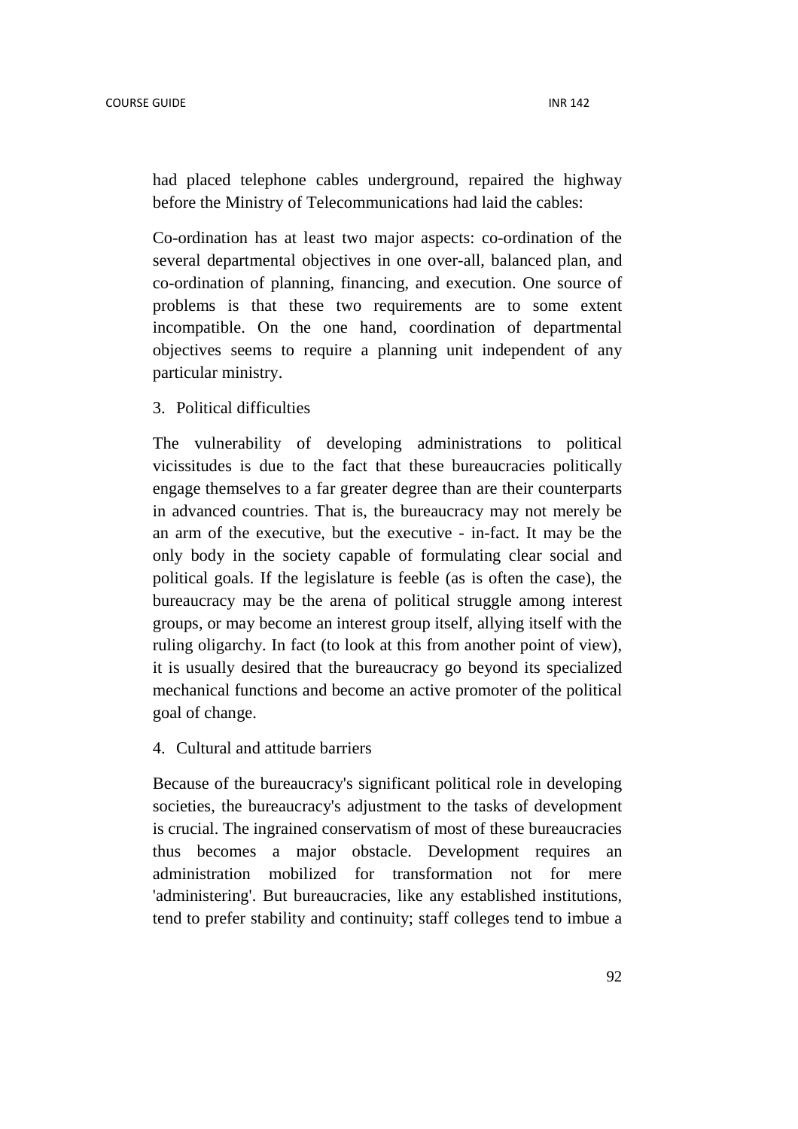had placed telephone cables underground, repaired the highway before the Ministry of Telecommunications had laid the cables:

Co-ordination has at least two major aspects: co-ordination of the several departmental objectives in one over-all, balanced plan, and co-ordination of planning, financing, and execution. One source of problems is that these two requirements are to some extent incompatible. On the one hand, coordination of departmental objectives seems to require a planning unit independent of any particular ministry.

3. Political difficulties

The vulnerability of developing administrations to political vicissitudes is due to the fact that these bureaucracies politically engage themselves to a far greater degree than are their counterparts in advanced countries. That is, the bureaucracy may not merely be an arm of the executive, but the executive - in-fact. It may be the only body in the society capable of formulating clear social and political goals. If the legislature is feeble (as is often the case), the bureaucracy may be the arena of political struggle among interest groups, or may become an interest group itself, allying itself with the ruling oligarchy. In fact (to look at this from another point of view), it is usually desired that the bureaucracy go beyond its specialized mechanical functions and become an active promoter of the political goal of change.

4. Cultural and attitude barriers

Because of the bureaucracy's significant political role in developing societies, the bureaucracy's adjustment to the tasks of development is crucial. The ingrained conservatism of most of these bureaucracies thus becomes a major obstacle. Development requires an administration mobilized for transformation not for mere 'administering'. But bureaucracies, like any established institutions, tend to prefer stability and continuity; staff colleges tend to imbue a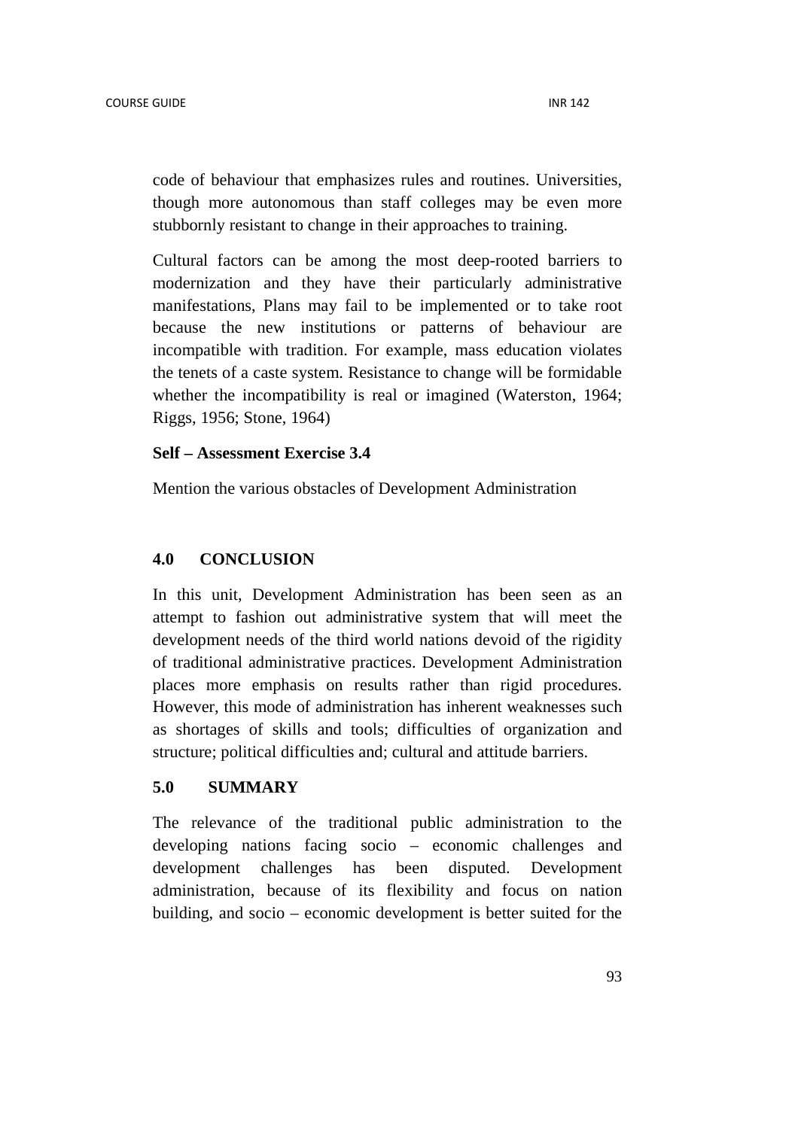code of behaviour that emphasizes rules and routines. Universities, though more autonomous than staff colleges may be even more stubbornly resistant to change in their approaches to training.

Cultural factors can be among the most deep-rooted barriers to modernization and they have their particularly administrative manifestations, Plans may fail to be implemented or to take root because the new institutions or patterns of behaviour are incompatible with tradition. For example, mass education violates the tenets of a caste system. Resistance to change will be formidable whether the incompatibility is real or imagined (Waterston, 1964; Riggs, 1956; Stone, 1964)

#### **Self – Assessment Exercise 3.4**

Mention the various obstacles of Development Administration

### **4.0 CONCLUSION**

In this unit, Development Administration has been seen as an attempt to fashion out administrative system that will meet the development needs of the third world nations devoid of the rigidity of traditional administrative practices. Development Administration places more emphasis on results rather than rigid procedures. However, this mode of administration has inherent weaknesses such as shortages of skills and tools; difficulties of organization and structure; political difficulties and; cultural and attitude barriers.

## **5.0 SUMMARY**

The relevance of the traditional public administration to the developing nations facing socio – economic challenges and development challenges has been disputed. Development administration, because of its flexibility and focus on nation building, and socio – economic development is better suited for the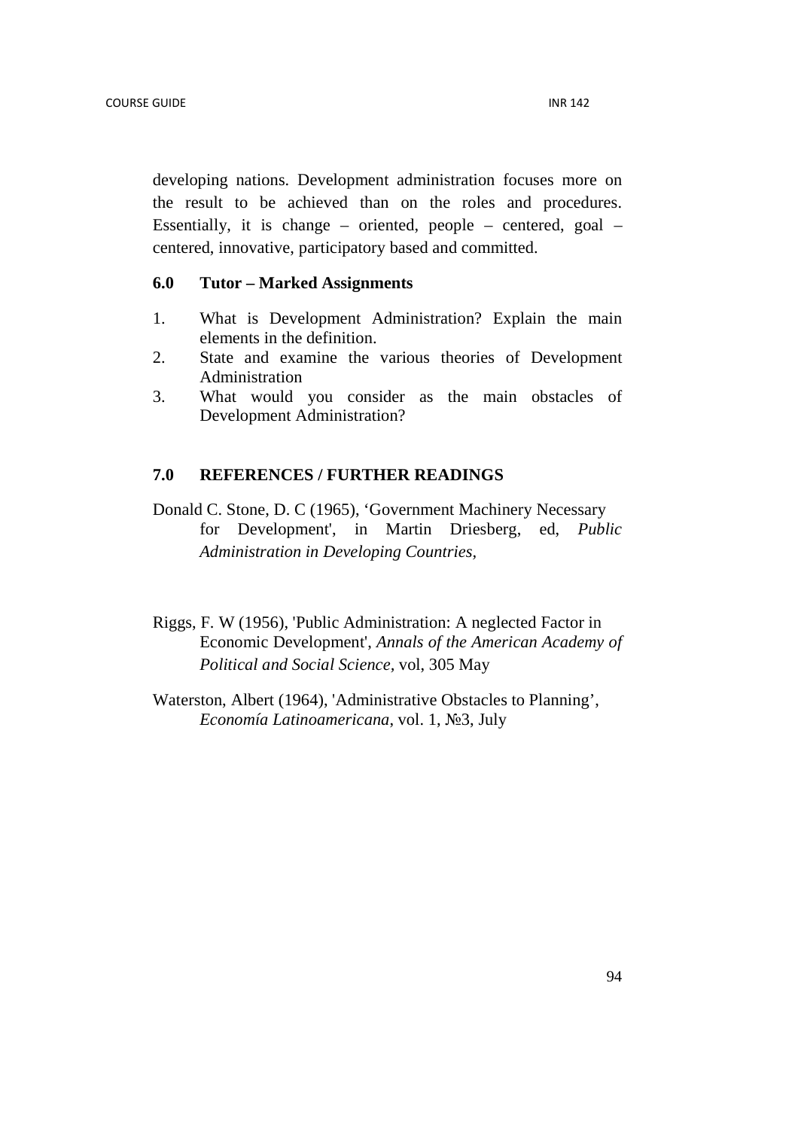developing nations. Development administration focuses more on the result to be achieved than on the roles and procedures. Essentially, it is change – oriented, people – centered, goal – centered, innovative, participatory based and committed.

#### **6.0 Tutor – Marked Assignments**

- 1. What is Development Administration? Explain the main elements in the definition.
- 2. State and examine the various theories of Development Administration
- 3. What would you consider as the main obstacles of Development Administration?

### **7.0 REFERENCES / FURTHER READINGS**

- Donald C. Stone, D. C (1965), 'Government Machinery Necessary for Development', in Martin Driesberg, ed, *Public Administration in Developing Countries,*
- Riggs, F. W (1956), 'Public Administration: A neglected Factor in Economic Development', *Annals of the American Academy of Political and Social Science,* vol, 305 May
- Waterston, Albert (1964), 'Administrative Obstacles to Planning', *Economía Latinoamericana*, vol. 1, №3, July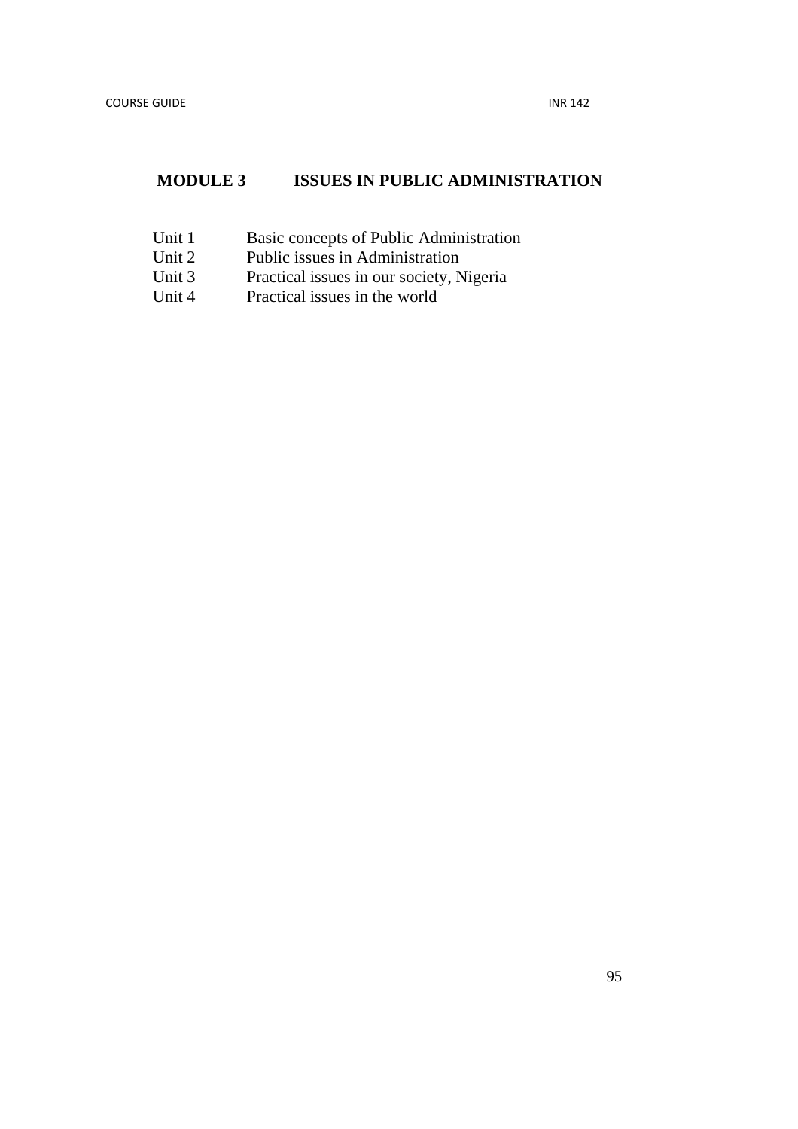# **MODULE 3 ISSUES IN PUBLIC ADMINISTRATION**

- Unit 1 Basic concepts of Public Administration<br>Unit 2 Public issues in Administration
- Unit 2 Public issues in Administration<br>Unit 3 Practical issues in our society, N
- Practical issues in our society, Nigeria
- Unit 4 Practical issues in the world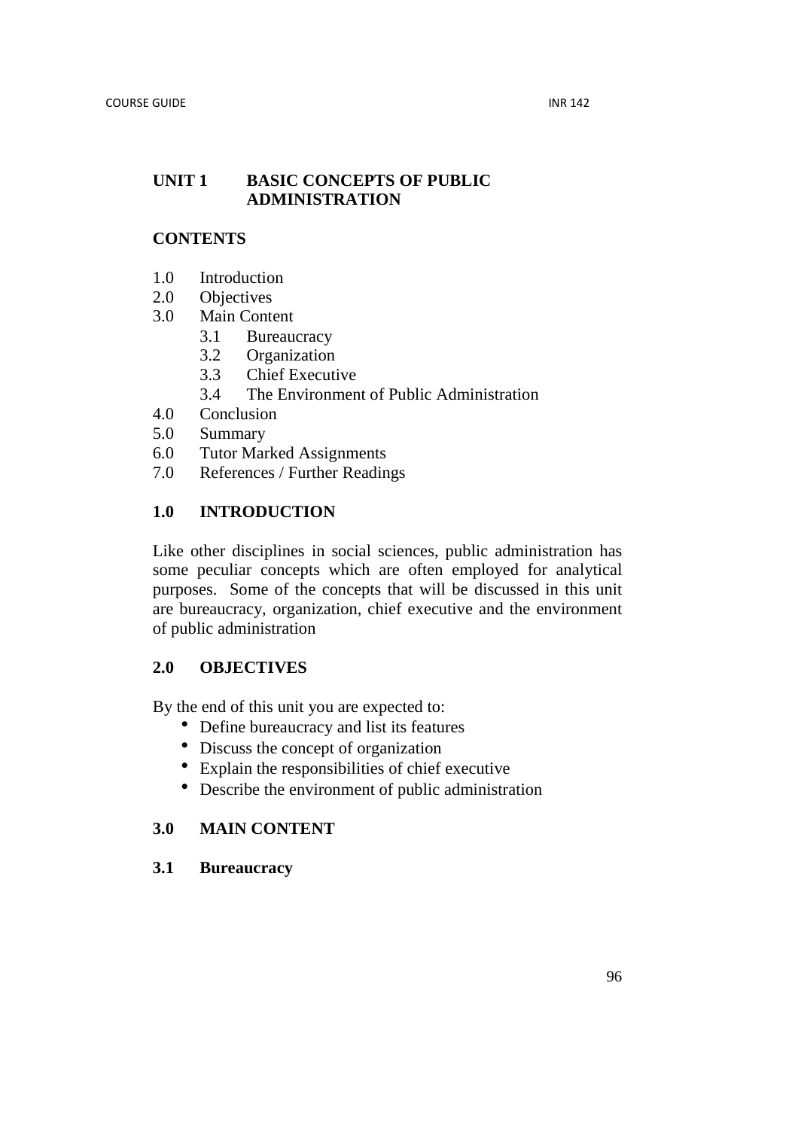## **UNIT 1 BASIC CONCEPTS OF PUBLIC ADMINISTRATION**

## **CONTENTS**

- 1.0 Introduction
- 2.0 Objectives
- 3.0 Main Content
	- 3.1 Bureaucracy
	- 3.2 Organization
	- 3.3 Chief Executive
	- 3.4 The Environment of Public Administration
- 4.0 Conclusion
- 5.0 Summary
- 6.0 Tutor Marked Assignments
- 7.0 References / Further Readings

## **1.0 INTRODUCTION**

Like other disciplines in social sciences, public administration has some peculiar concepts which are often employed for analytical purposes. Some of the concepts that will be discussed in this unit are bureaucracy, organization, chief executive and the environment of public administration

## **2.0 OBJECTIVES**

By the end of this unit you are expected to:

- Define bureaucracy and list its features
- Discuss the concept of organization
- Explain the responsibilities of chief executive
- Describe the environment of public administration

## **3.0 MAIN CONTENT**

### **3.1 Bureaucracy**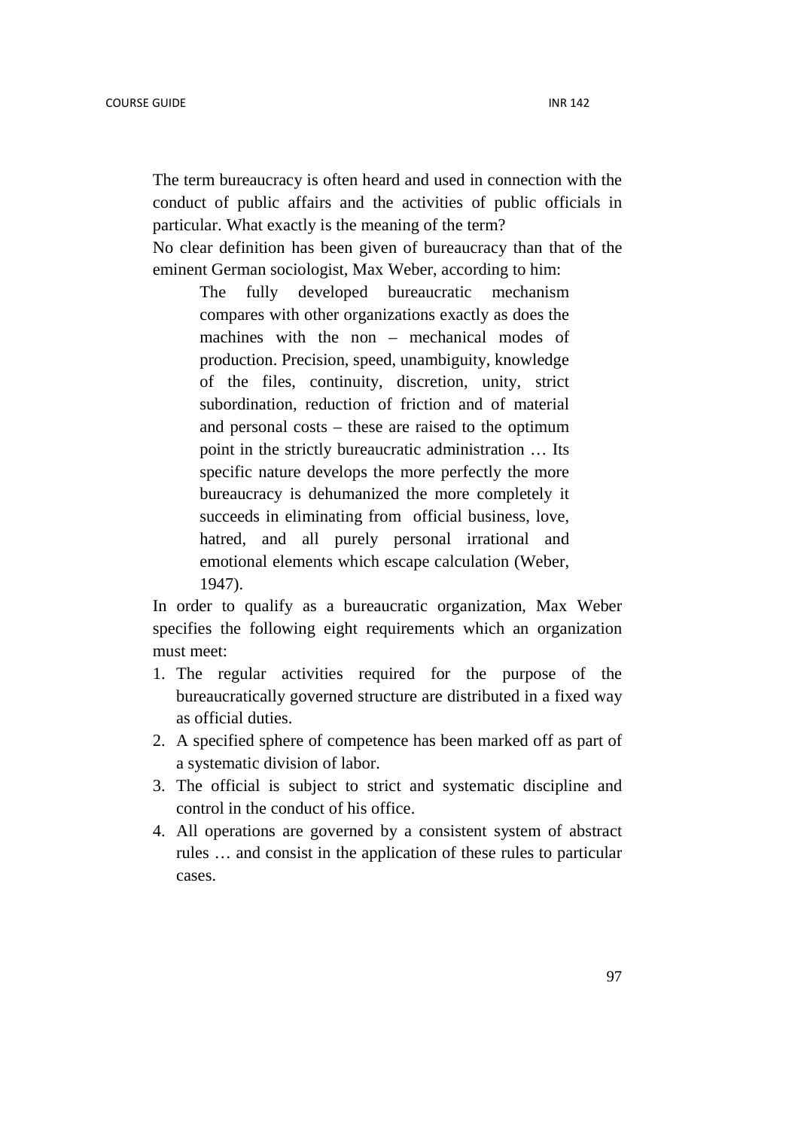The term bureaucracy is often heard and used in connection with the conduct of public affairs and the activities of public officials in particular. What exactly is the meaning of the term?

No clear definition has been given of bureaucracy than that of the eminent German sociologist, Max Weber, according to him:

The fully developed bureaucratic mechanism compares with other organizations exactly as does the machines with the non – mechanical modes of production. Precision, speed, unambiguity, knowledge of the files, continuity, discretion, unity, strict subordination, reduction of friction and of material and personal costs – these are raised to the optimum point in the strictly bureaucratic administration … Its specific nature develops the more perfectly the more bureaucracy is dehumanized the more completely it succeeds in eliminating from official business, love, hatred, and all purely personal irrational and emotional elements which escape calculation (Weber, 1947).

In order to qualify as a bureaucratic organization, Max Weber specifies the following eight requirements which an organization must meet:

- 1. The regular activities required for the purpose of the bureaucratically governed structure are distributed in a fixed way as official duties.
- 2. A specified sphere of competence has been marked off as part of a systematic division of labor.
- 3. The official is subject to strict and systematic discipline and control in the conduct of his office.
- 4. All operations are governed by a consistent system of abstract rules … and consist in the application of these rules to particular cases.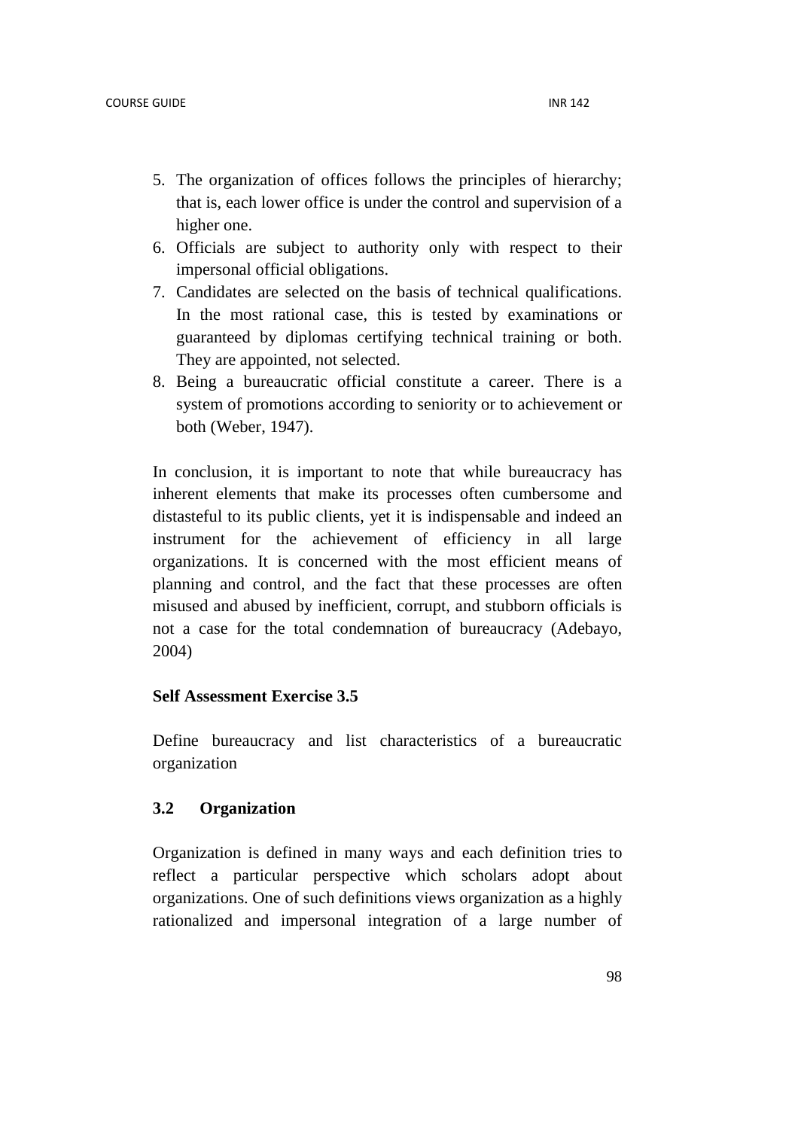- 5. The organization of offices follows the principles of hierarchy; that is, each lower office is under the control and supervision of a higher one.
- 6. Officials are subject to authority only with respect to their impersonal official obligations.
- 7. Candidates are selected on the basis of technical qualifications. In the most rational case, this is tested by examinations or guaranteed by diplomas certifying technical training or both. They are appointed, not selected.
- 8. Being a bureaucratic official constitute a career. There is a system of promotions according to seniority or to achievement or both (Weber, 1947).

In conclusion, it is important to note that while bureaucracy has inherent elements that make its processes often cumbersome and distasteful to its public clients, yet it is indispensable and indeed an instrument for the achievement of efficiency in all large organizations. It is concerned with the most efficient means of planning and control, and the fact that these processes are often misused and abused by inefficient, corrupt, and stubborn officials is not a case for the total condemnation of bureaucracy (Adebayo, 2004)

## **Self Assessment Exercise 3.5**

Define bureaucracy and list characteristics of a bureaucratic organization

## **3.2 Organization**

Organization is defined in many ways and each definition tries to reflect a particular perspective which scholars adopt about organizations. One of such definitions views organization as a highly rationalized and impersonal integration of a large number of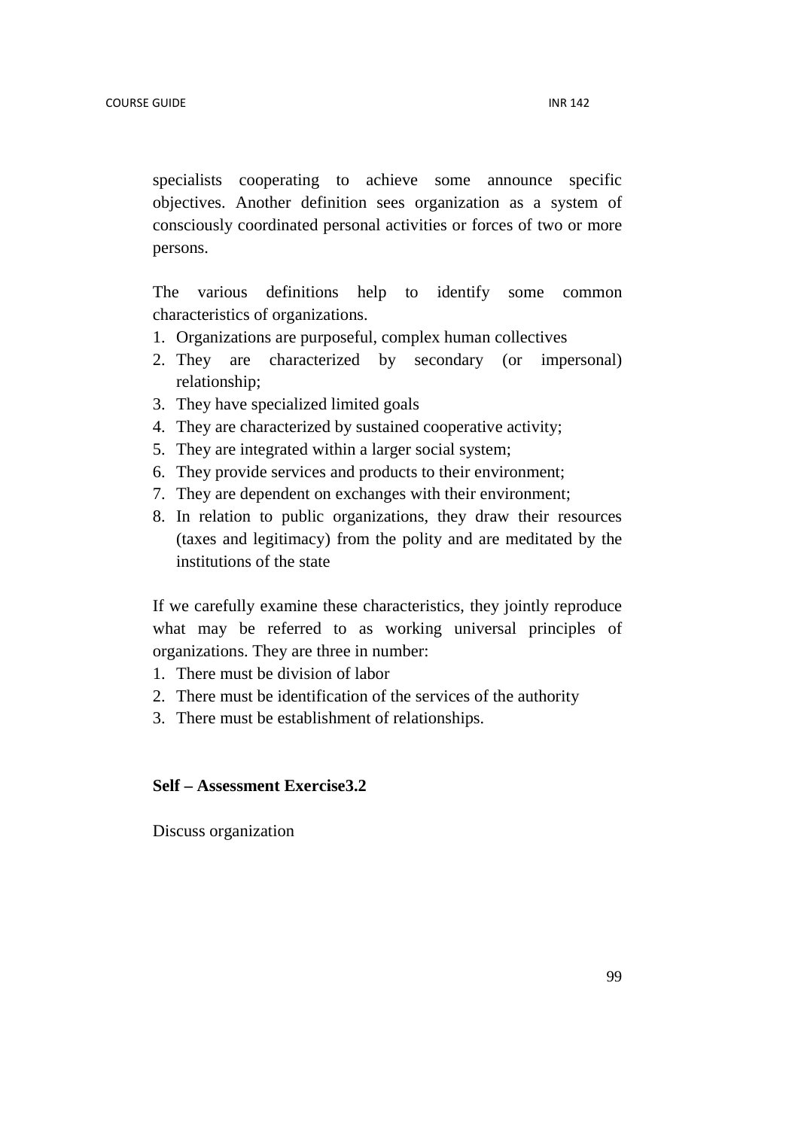specialists cooperating to achieve some announce specific objectives. Another definition sees organization as a system of consciously coordinated personal activities or forces of two or more persons.

The various definitions help to identify some common characteristics of organizations.

- 1. Organizations are purposeful, complex human collectives
- 2. They are characterized by secondary (or impersonal) relationship;
- 3. They have specialized limited goals
- 4. They are characterized by sustained cooperative activity;
- 5. They are integrated within a larger social system;
- 6. They provide services and products to their environment;
- 7. They are dependent on exchanges with their environment;
- 8. In relation to public organizations, they draw their resources (taxes and legitimacy) from the polity and are meditated by the institutions of the state

If we carefully examine these characteristics, they jointly reproduce what may be referred to as working universal principles of organizations. They are three in number:

- 1. There must be division of labor
- 2. There must be identification of the services of the authority
- 3. There must be establishment of relationships.

## **Self – Assessment Exercise3.2**

Discuss organization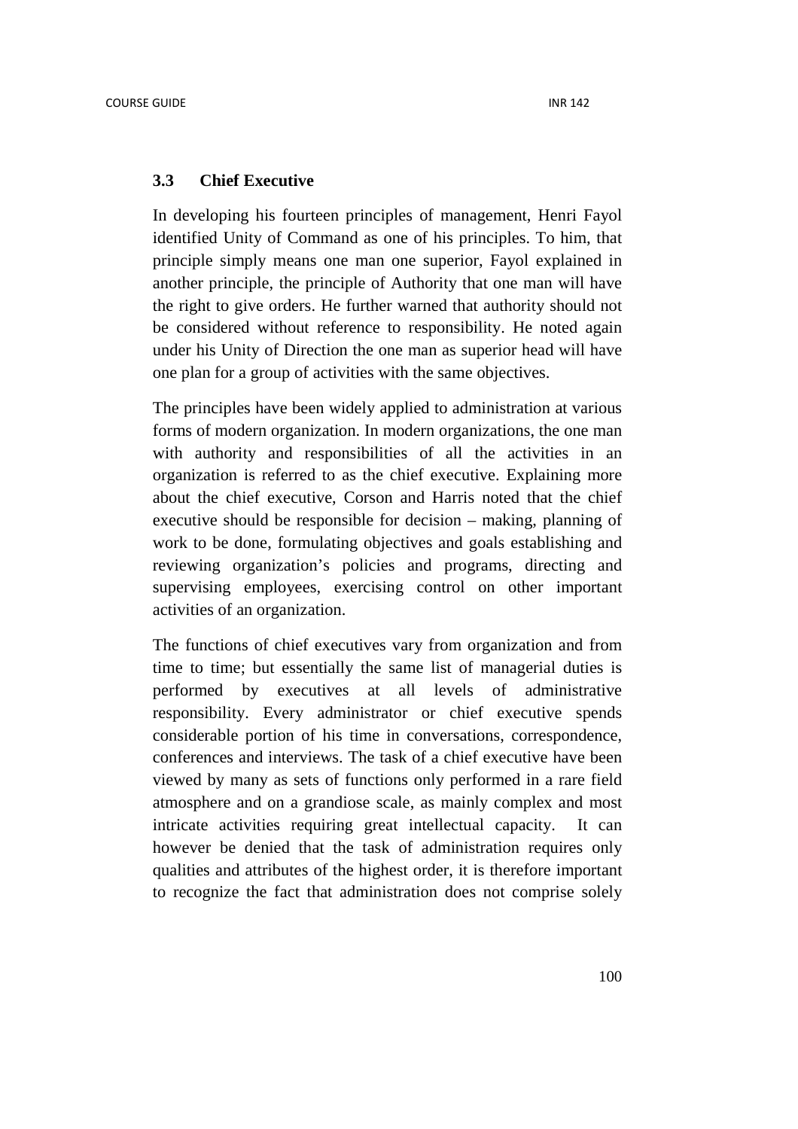#### **3.3 Chief Executive**

In developing his fourteen principles of management, Henri Fayol identified Unity of Command as one of his principles. To him, that principle simply means one man one superior, Fayol explained in another principle, the principle of Authority that one man will have the right to give orders. He further warned that authority should not be considered without reference to responsibility. He noted again under his Unity of Direction the one man as superior head will have one plan for a group of activities with the same objectives.

The principles have been widely applied to administration at various forms of modern organization. In modern organizations, the one man with authority and responsibilities of all the activities in an organization is referred to as the chief executive. Explaining more about the chief executive, Corson and Harris noted that the chief executive should be responsible for decision – making, planning of work to be done, formulating objectives and goals establishing and reviewing organization's policies and programs, directing and supervising employees, exercising control on other important activities of an organization.

The functions of chief executives vary from organization and from time to time; but essentially the same list of managerial duties is performed by executives at all levels of administrative responsibility. Every administrator or chief executive spends considerable portion of his time in conversations, correspondence, conferences and interviews. The task of a chief executive have been viewed by many as sets of functions only performed in a rare field atmosphere and on a grandiose scale, as mainly complex and most intricate activities requiring great intellectual capacity. It can however be denied that the task of administration requires only qualities and attributes of the highest order, it is therefore important to recognize the fact that administration does not comprise solely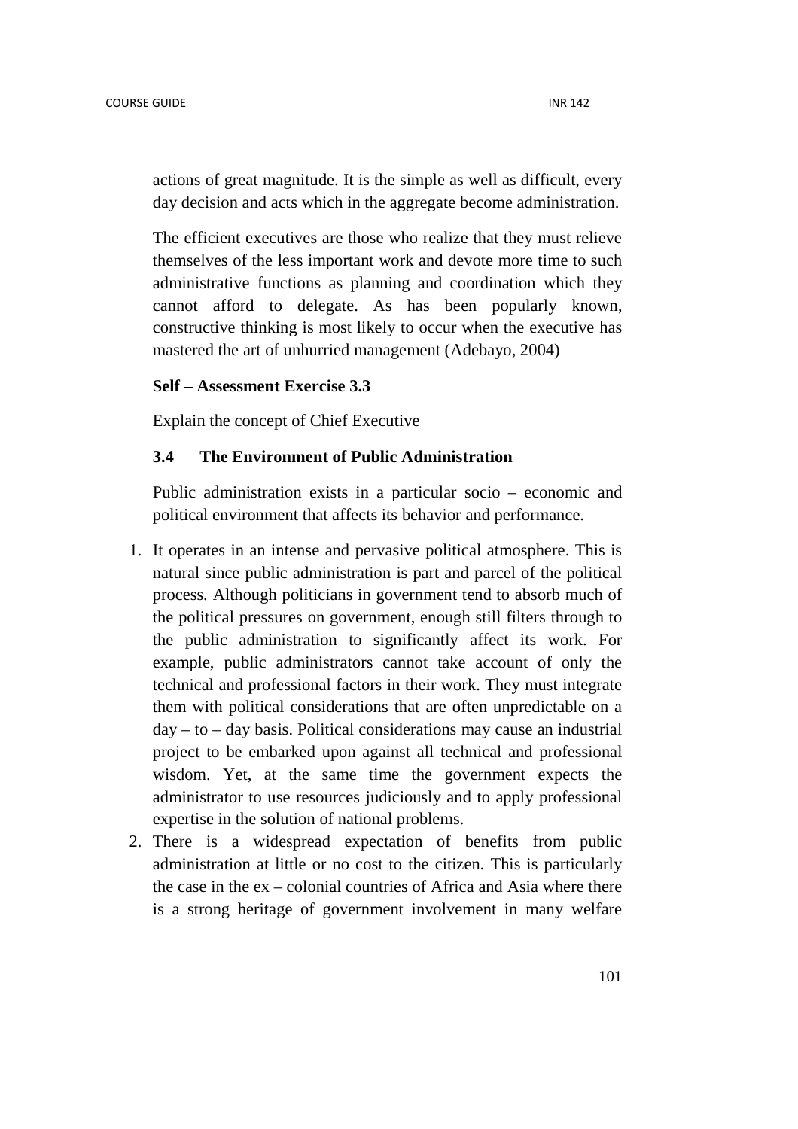actions of great magnitude. It is the simple as well as difficult, every day decision and acts which in the aggregate become administration.

The efficient executives are those who realize that they must relieve themselves of the less important work and devote more time to such administrative functions as planning and coordination which they cannot afford to delegate. As has been popularly known, constructive thinking is most likely to occur when the executive has mastered the art of unhurried management (Adebayo, 2004)

### **Self – Assessment Exercise 3.3**

Explain the concept of Chief Executive

### **3.4 The Environment of Public Administration**

Public administration exists in a particular socio – economic and political environment that affects its behavior and performance.

- 1. It operates in an intense and pervasive political atmosphere. This is natural since public administration is part and parcel of the political process. Although politicians in government tend to absorb much of the political pressures on government, enough still filters through to the public administration to significantly affect its work. For example, public administrators cannot take account of only the technical and professional factors in their work. They must integrate them with political considerations that are often unpredictable on a  $day - to - day basis$ . Political considerations may cause an industrial project to be embarked upon against all technical and professional wisdom. Yet, at the same time the government expects the administrator to use resources judiciously and to apply professional expertise in the solution of national problems.
- 2. There is a widespread expectation of benefits from public administration at little or no cost to the citizen. This is particularly the case in the ex – colonial countries of Africa and Asia where there is a strong heritage of government involvement in many welfare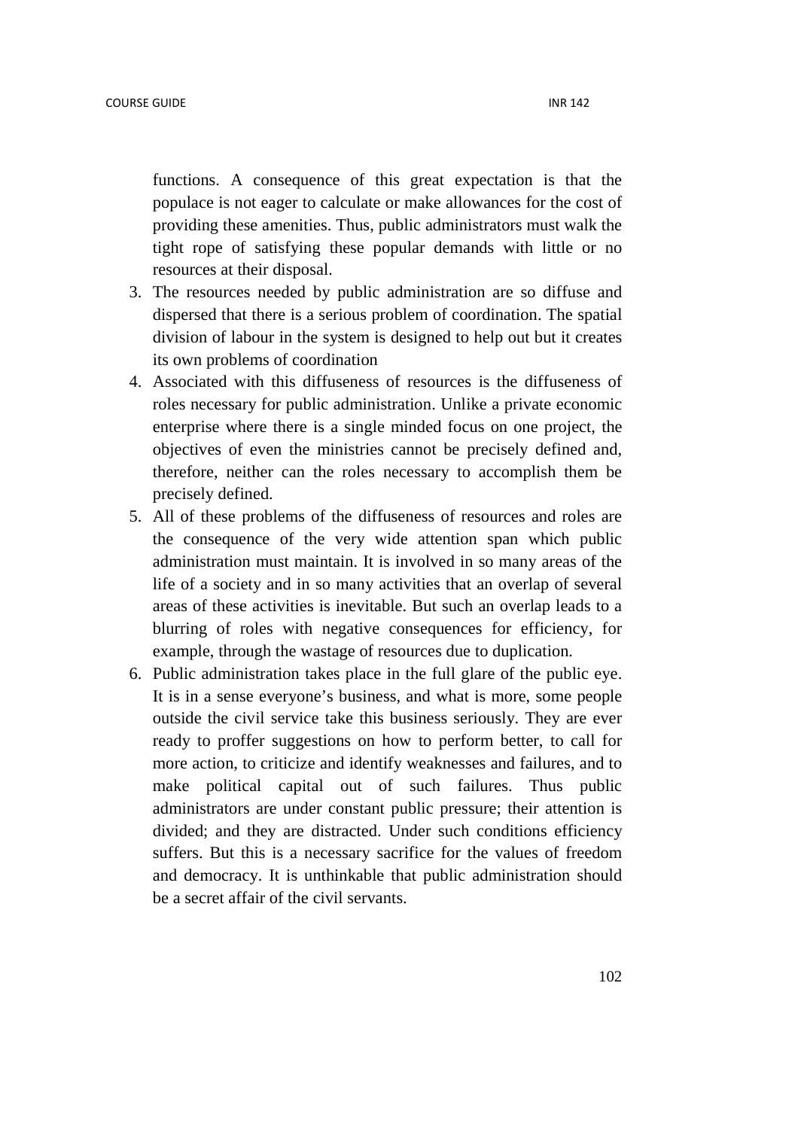functions. A consequence of this great expectation is that the populace is not eager to calculate or make allowances for the cost of providing these amenities. Thus, public administrators must walk the tight rope of satisfying these popular demands with little or no resources at their disposal.

- 3. The resources needed by public administration are so diffuse and dispersed that there is a serious problem of coordination. The spatial division of labour in the system is designed to help out but it creates its own problems of coordination
- 4. Associated with this diffuseness of resources is the diffuseness of roles necessary for public administration. Unlike a private economic enterprise where there is a single minded focus on one project, the objectives of even the ministries cannot be precisely defined and, therefore, neither can the roles necessary to accomplish them be precisely defined.
- 5. All of these problems of the diffuseness of resources and roles are the consequence of the very wide attention span which public administration must maintain. It is involved in so many areas of the life of a society and in so many activities that an overlap of several areas of these activities is inevitable. But such an overlap leads to a blurring of roles with negative consequences for efficiency, for example, through the wastage of resources due to duplication.
- 6. Public administration takes place in the full glare of the public eye. It is in a sense everyone's business, and what is more, some people outside the civil service take this business seriously. They are ever ready to proffer suggestions on how to perform better, to call for more action, to criticize and identify weaknesses and failures, and to make political capital out of such failures. Thus public administrators are under constant public pressure; their attention is divided; and they are distracted. Under such conditions efficiency suffers. But this is a necessary sacrifice for the values of freedom and democracy. It is unthinkable that public administration should be a secret affair of the civil servants.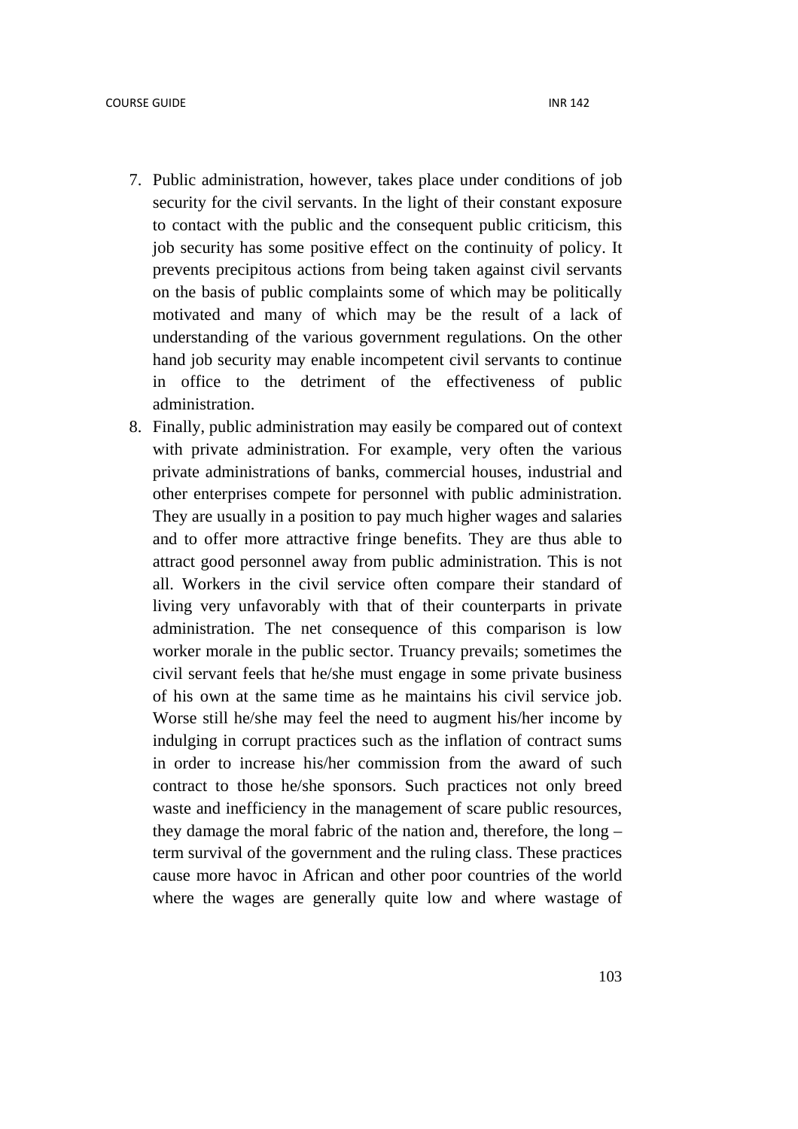- 7. Public administration, however, takes place under conditions of job security for the civil servants. In the light of their constant exposure to contact with the public and the consequent public criticism, this job security has some positive effect on the continuity of policy. It prevents precipitous actions from being taken against civil servants on the basis of public complaints some of which may be politically motivated and many of which may be the result of a lack of understanding of the various government regulations. On the other hand job security may enable incompetent civil servants to continue in office to the detriment of the effectiveness of public administration.
- 8. Finally, public administration may easily be compared out of context with private administration. For example, very often the various private administrations of banks, commercial houses, industrial and other enterprises compete for personnel with public administration. They are usually in a position to pay much higher wages and salaries and to offer more attractive fringe benefits. They are thus able to attract good personnel away from public administration. This is not all. Workers in the civil service often compare their standard of living very unfavorably with that of their counterparts in private administration. The net consequence of this comparison is low worker morale in the public sector. Truancy prevails; sometimes the civil servant feels that he/she must engage in some private business of his own at the same time as he maintains his civil service job. Worse still he/she may feel the need to augment his/her income by indulging in corrupt practices such as the inflation of contract sums in order to increase his/her commission from the award of such contract to those he/she sponsors. Such practices not only breed waste and inefficiency in the management of scare public resources, they damage the moral fabric of the nation and, therefore, the long – term survival of the government and the ruling class. These practices cause more havoc in African and other poor countries of the world where the wages are generally quite low and where wastage of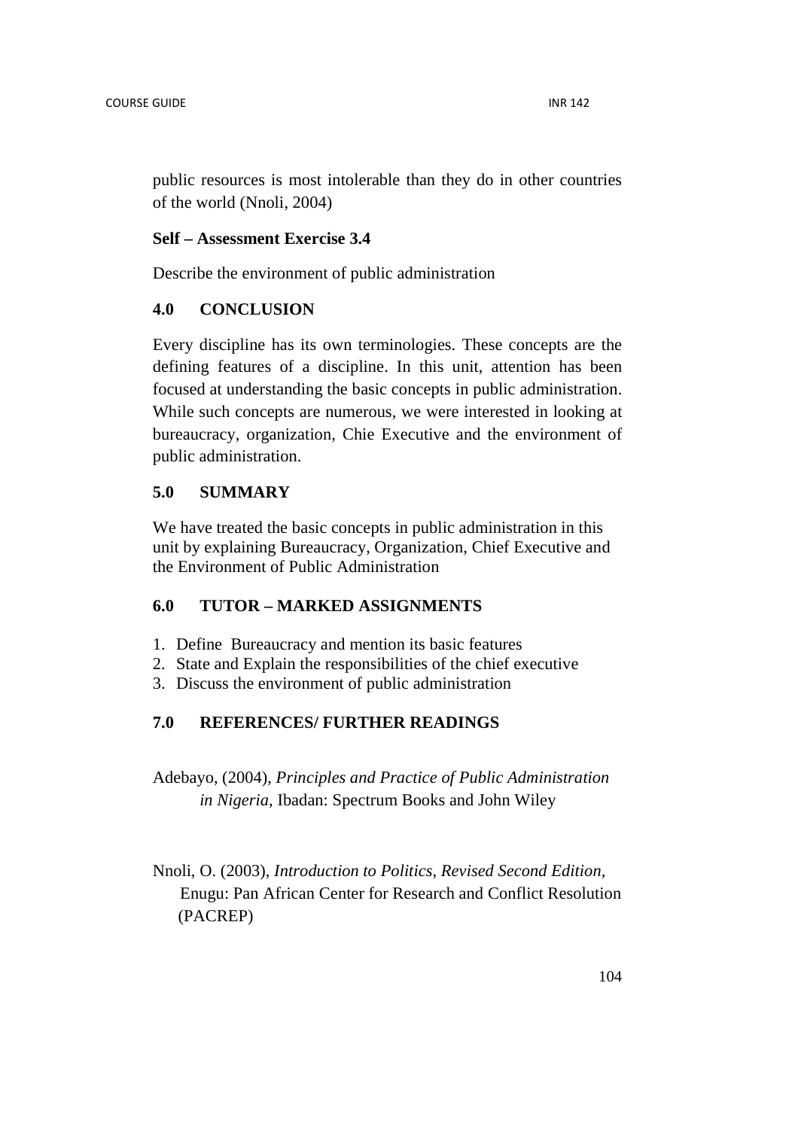public resources is most intolerable than they do in other countries of the world (Nnoli, 2004)

#### **Self – Assessment Exercise 3.4**

Describe the environment of public administration

### **4.0 CONCLUSION**

Every discipline has its own terminologies. These concepts are the defining features of a discipline. In this unit, attention has been focused at understanding the basic concepts in public administration. While such concepts are numerous, we were interested in looking at bureaucracy, organization, Chie Executive and the environment of public administration.

## **5.0 SUMMARY**

We have treated the basic concepts in public administration in this unit by explaining Bureaucracy, Organization, Chief Executive and the Environment of Public Administration

## **6.0 TUTOR – MARKED ASSIGNMENTS**

- 1. Define Bureaucracy and mention its basic features
- 2. State and Explain the responsibilities of the chief executive
- 3. Discuss the environment of public administration

## **7.0 REFERENCES/ FURTHER READINGS**

Adebayo, (2004), *Principles and Practice of Public Administration in Nigeria,* Ibadan: Spectrum Books and John Wiley

Nnoli, O. (2003), *Introduction to Politics, Revised Second Edition,* Enugu: Pan African Center for Research and Conflict Resolution (PACREP)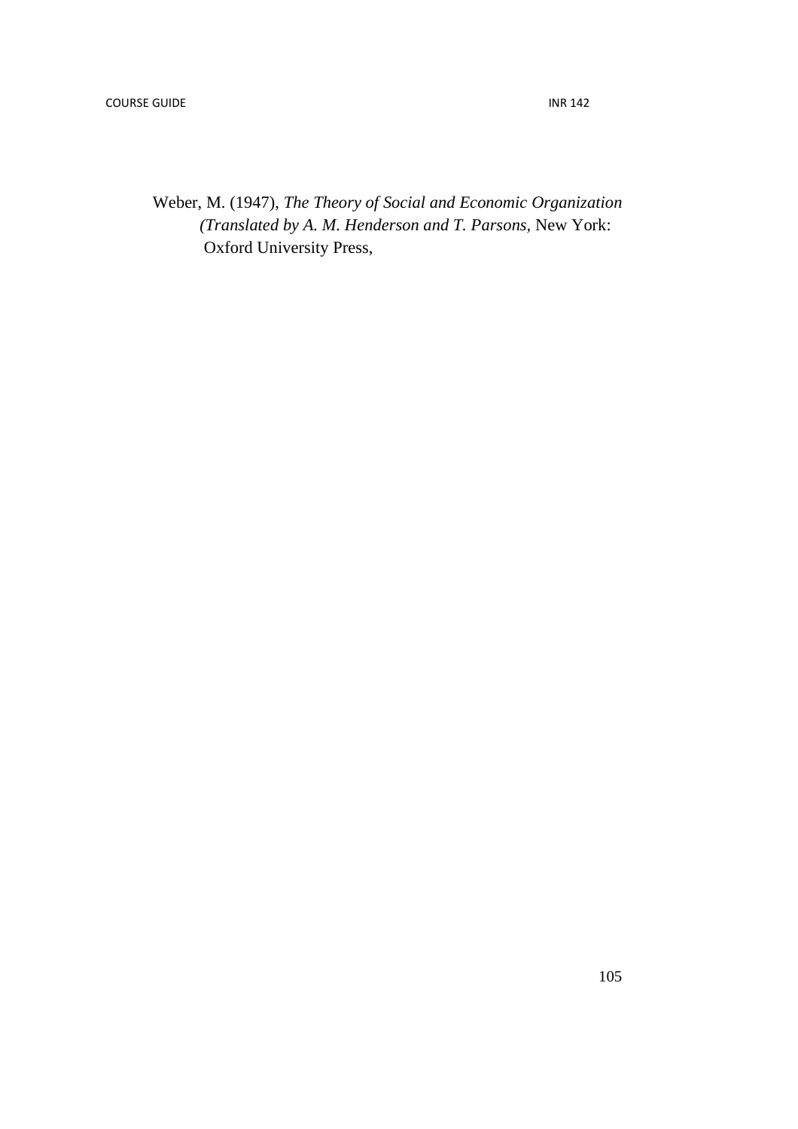Weber, M. (1947), *The Theory of Social and Economic Organization (Translated by A. M. Henderson and T. Parsons,* New York: **Oxford University Press,**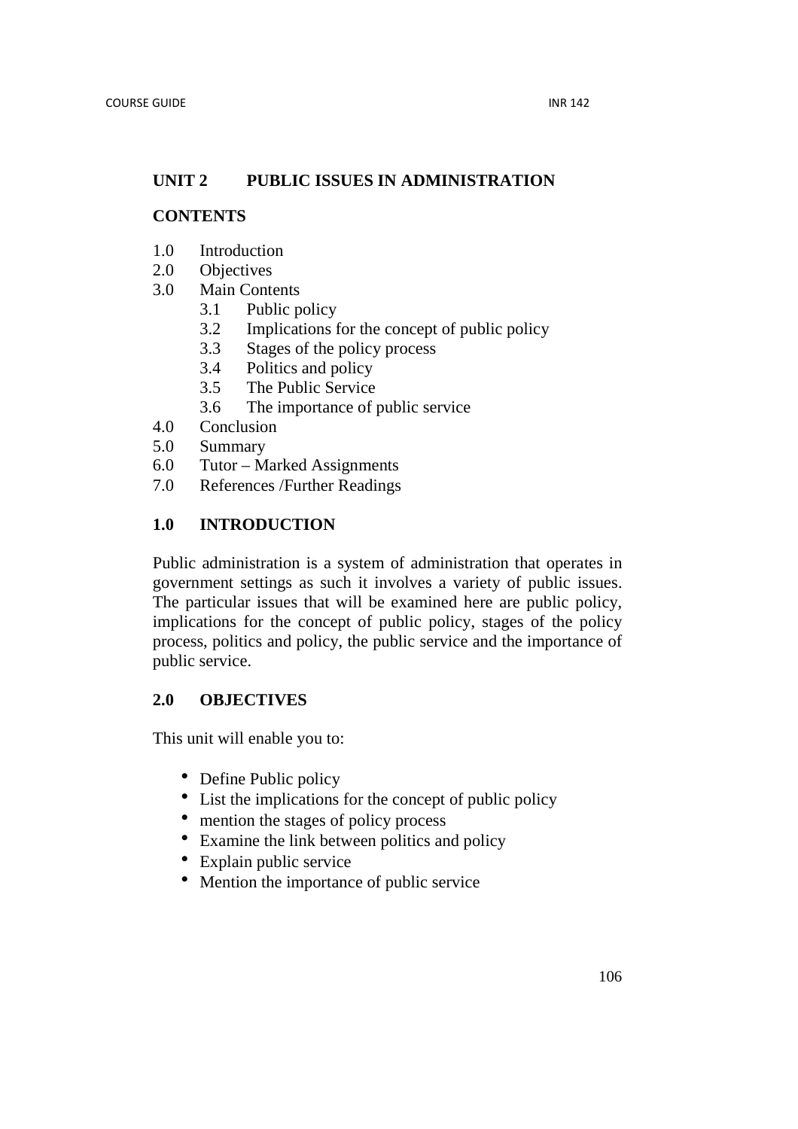# **UNIT 2 PUBLIC ISSUES IN ADMINISTRATION**

## **CONTENTS**

- 1.0 Introduction
- 2.0 Objectives
- 3.0 Main Contents
	- 3.1 Public policy
	- 3.2 Implications for the concept of public policy
	- 3.3 Stages of the policy process
	- 3.4 Politics and policy
	- 3.5 The Public Service
	- 3.6 The importance of public service
- 4.0 Conclusion
- 5.0 Summary
- 6.0 Tutor Marked Assignments
- 7.0 References /Further Readings

# **1.0 INTRODUCTION**

Public administration is a system of administration that operates in government settings as such it involves a variety of public issues. The particular issues that will be examined here are public policy, implications for the concept of public policy, stages of the policy process, politics and policy, the public service and the importance of public service.

# **2.0 OBJECTIVES**

This unit will enable you to:

- Define Public policy
- List the implications for the concept of public policy
- mention the stages of policy process
- Examine the link between politics and policy
- Explain public service
- Mention the importance of public service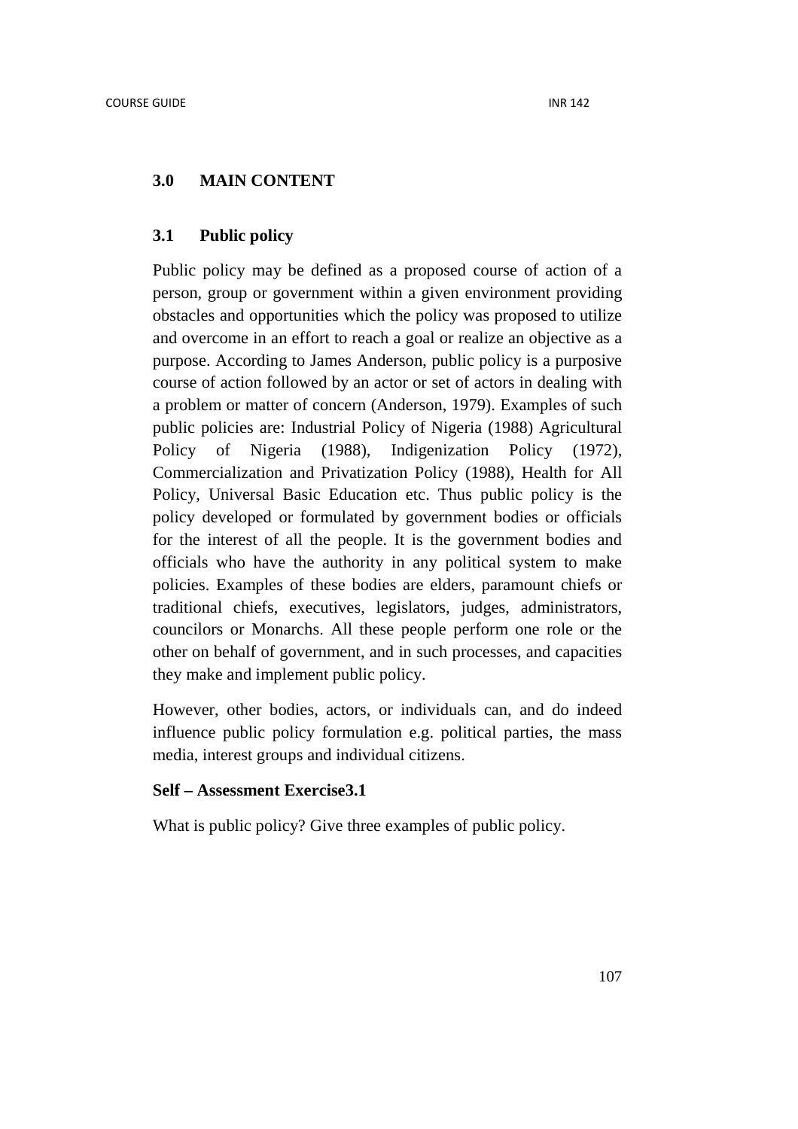### **3.0 MAIN CONTENT**

#### **3.1 Public policy**

Public policy may be defined as a proposed course of action of a person, group or government within a given environment providing obstacles and opportunities which the policy was proposed to utilize and overcome in an effort to reach a goal or realize an objective as a purpose. According to James Anderson, public policy is a purposive course of action followed by an actor or set of actors in dealing with a problem or matter of concern (Anderson, 1979). Examples of such public policies are: Industrial Policy of Nigeria (1988) Agricultural Policy of Nigeria (1988), Indigenization Policy (1972), Commercialization and Privatization Policy (1988), Health for All Policy, Universal Basic Education etc. Thus public policy is the policy developed or formulated by government bodies or officials for the interest of all the people. It is the government bodies and officials who have the authority in any political system to make policies. Examples of these bodies are elders, paramount chiefs or traditional chiefs, executives, legislators, judges, administrators, councilors or Monarchs. All these people perform one role or the other on behalf of government, and in such processes, and capacities they make and implement public policy.

However, other bodies, actors, or individuals can, and do indeed influence public policy formulation e.g. political parties, the mass media, interest groups and individual citizens.

### **Self – Assessment Exercise3.1**

What is public policy? Give three examples of public policy.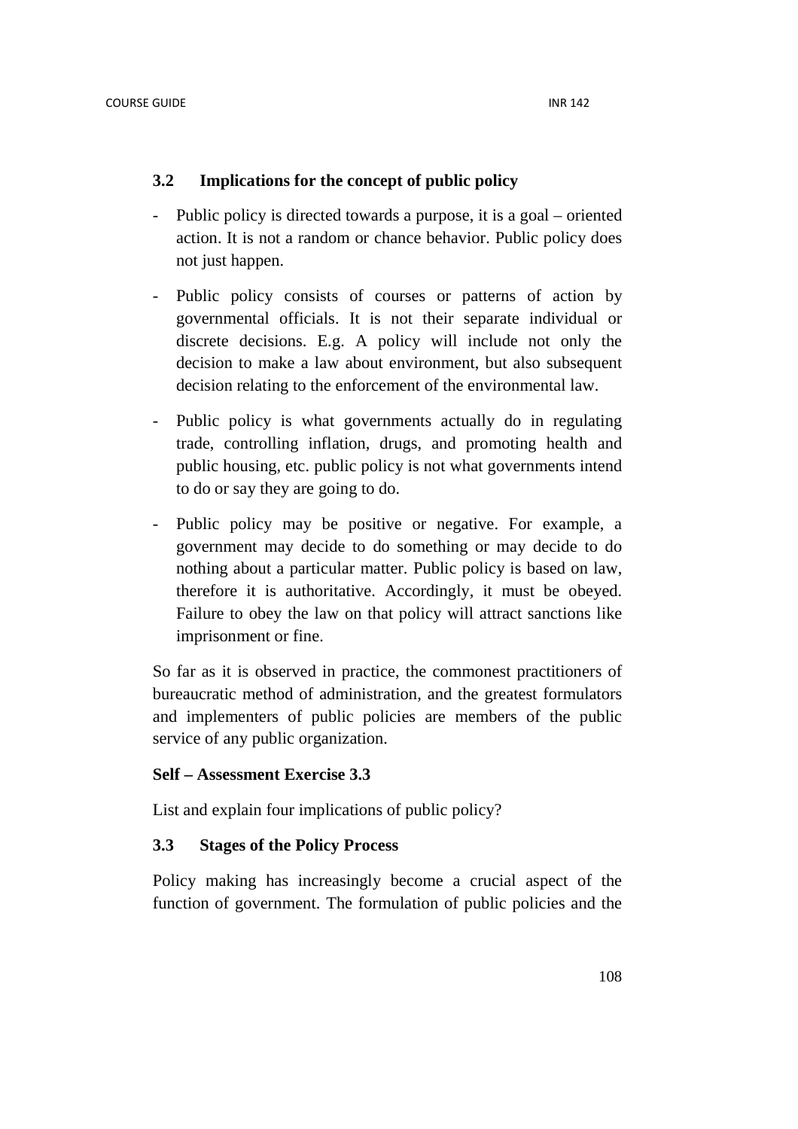## **3.2 Implications for the concept of public policy**

- Public policy is directed towards a purpose, it is a goal oriented action. It is not a random or chance behavior. Public policy does not just happen.
- Public policy consists of courses or patterns of action by governmental officials. It is not their separate individual or discrete decisions. E.g. A policy will include not only the decision to make a law about environment, but also subsequent decision relating to the enforcement of the environmental law.
- Public policy is what governments actually do in regulating trade, controlling inflation, drugs, and promoting health and public housing, etc. public policy is not what governments intend to do or say they are going to do.
- Public policy may be positive or negative. For example, a government may decide to do something or may decide to do nothing about a particular matter. Public policy is based on law, therefore it is authoritative. Accordingly, it must be obeyed. Failure to obey the law on that policy will attract sanctions like imprisonment or fine.

So far as it is observed in practice, the commonest practitioners of bureaucratic method of administration, and the greatest formulators and implementers of public policies are members of the public service of any public organization.

### **Self – Assessment Exercise 3.3**

List and explain four implications of public policy?

### **3.3 Stages of the Policy Process**

Policy making has increasingly become a crucial aspect of the function of government. The formulation of public policies and the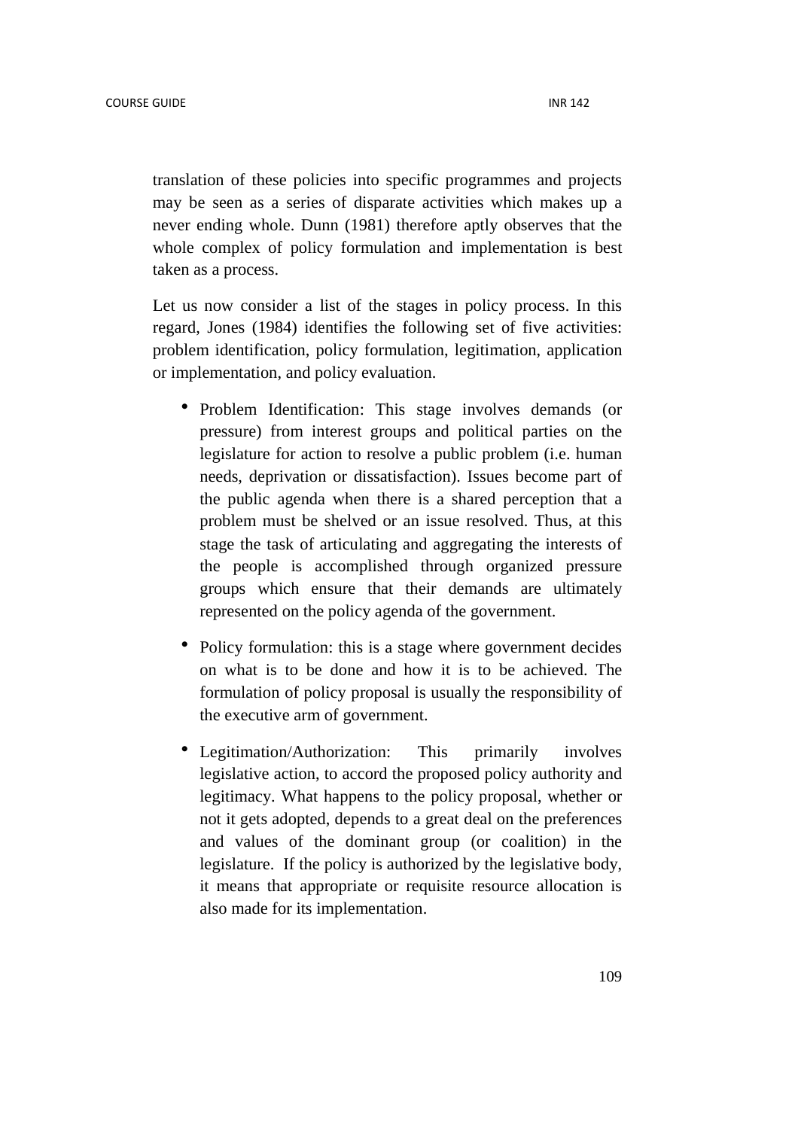translation of these policies into specific programmes and projects may be seen as a series of disparate activities which makes up a never ending whole. Dunn (1981) therefore aptly observes that the whole complex of policy formulation and implementation is best taken as a process.

Let us now consider a list of the stages in policy process. In this regard, Jones (1984) identifies the following set of five activities: problem identification, policy formulation, legitimation, application or implementation, and policy evaluation.

- Problem Identification: This stage involves demands (or pressure) from interest groups and political parties on the legislature for action to resolve a public problem (i.e. human needs, deprivation or dissatisfaction). Issues become part of the public agenda when there is a shared perception that a problem must be shelved or an issue resolved. Thus, at this stage the task of articulating and aggregating the interests of the people is accomplished through organized pressure groups which ensure that their demands are ultimately represented on the policy agenda of the government.
- Policy formulation: this is a stage where government decides on what is to be done and how it is to be achieved. The formulation of policy proposal is usually the responsibility of the executive arm of government.
- Legitimation/Authorization: This primarily involves legislative action, to accord the proposed policy authority and legitimacy. What happens to the policy proposal, whether or not it gets adopted, depends to a great deal on the preferences and values of the dominant group (or coalition) in the legislature. If the policy is authorized by the legislative body, it means that appropriate or requisite resource allocation is also made for its implementation.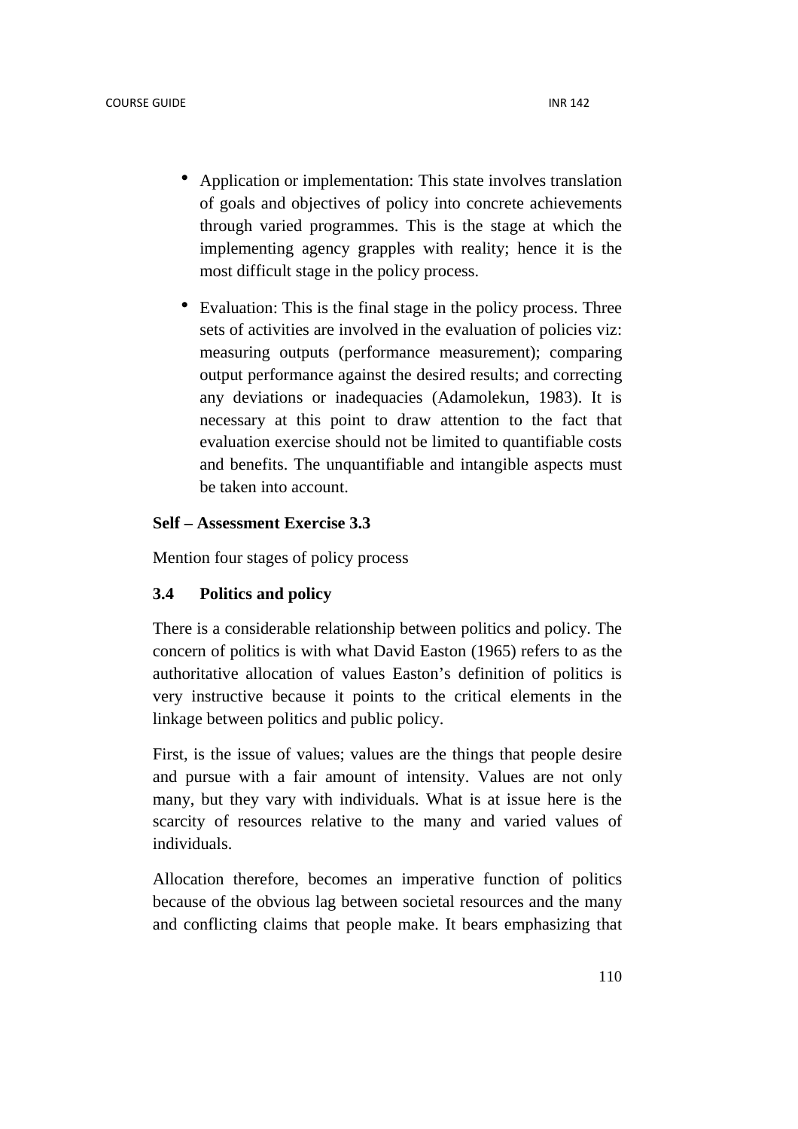- Application or implementation: This state involves translation of goals and objectives of policy into concrete achievements through varied programmes. This is the stage at which the implementing agency grapples with reality; hence it is the most difficult stage in the policy process.
- Evaluation: This is the final stage in the policy process. Three sets of activities are involved in the evaluation of policies viz: measuring outputs (performance measurement); comparing output performance against the desired results; and correcting any deviations or inadequacies (Adamolekun, 1983). It is necessary at this point to draw attention to the fact that evaluation exercise should not be limited to quantifiable costs and benefits. The unquantifiable and intangible aspects must be taken into account.

# **Self – Assessment Exercise 3.3**

Mention four stages of policy process

# **3.4 Politics and policy**

There is a considerable relationship between politics and policy. The concern of politics is with what David Easton (1965) refers to as the authoritative allocation of values Easton's definition of politics is very instructive because it points to the critical elements in the linkage between politics and public policy.

First, is the issue of values; values are the things that people desire and pursue with a fair amount of intensity. Values are not only many, but they vary with individuals. What is at issue here is the scarcity of resources relative to the many and varied values of individuals.

Allocation therefore, becomes an imperative function of politics because of the obvious lag between societal resources and the many and conflicting claims that people make. It bears emphasizing that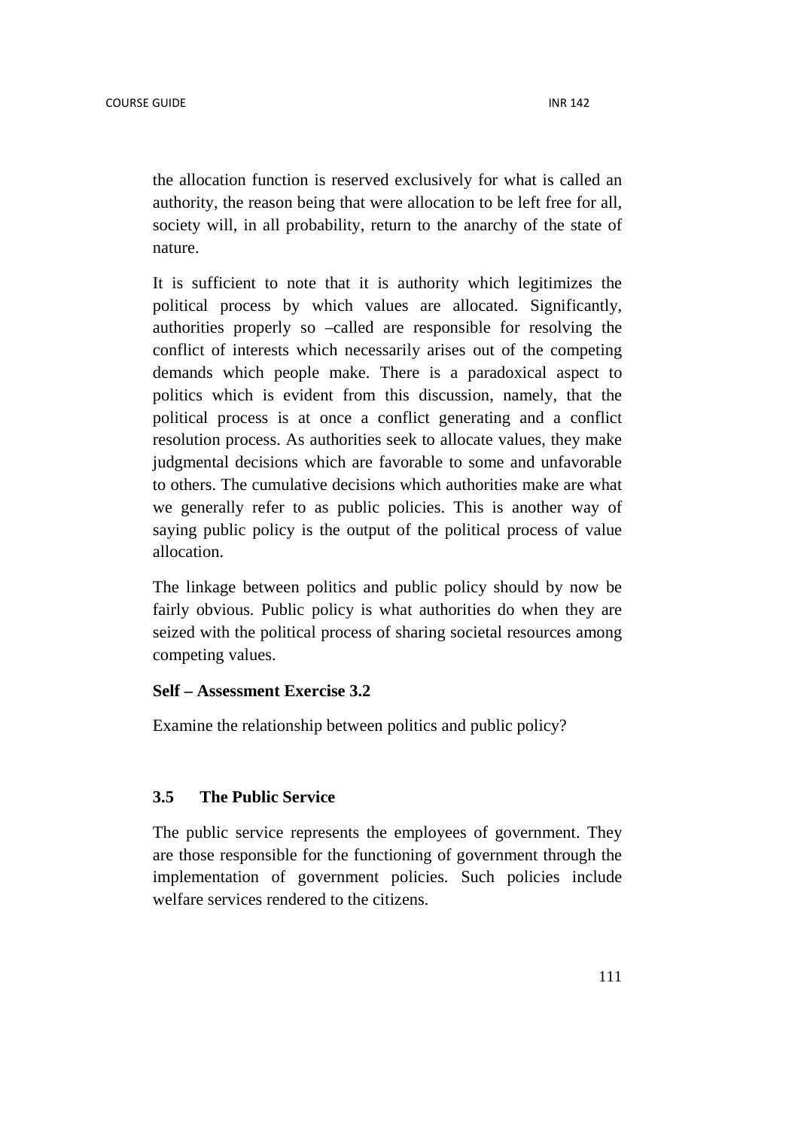the allocation function is reserved exclusively for what is called an authority, the reason being that were allocation to be left free for all, society will, in all probability, return to the anarchy of the state of nature.

It is sufficient to note that it is authority which legitimizes the political process by which values are allocated. Significantly, authorities properly so –called are responsible for resolving the conflict of interests which necessarily arises out of the competing demands which people make. There is a paradoxical aspect to politics which is evident from this discussion, namely, that the political process is at once a conflict generating and a conflict resolution process. As authorities seek to allocate values, they make judgmental decisions which are favorable to some and unfavorable to others. The cumulative decisions which authorities make are what we generally refer to as public policies. This is another way of saying public policy is the output of the political process of value allocation.

The linkage between politics and public policy should by now be fairly obvious. Public policy is what authorities do when they are seized with the political process of sharing societal resources among competing values.

### **Self – Assessment Exercise 3.2**

Examine the relationship between politics and public policy?

#### **3.5 The Public Service**

The public service represents the employees of government. They are those responsible for the functioning of government through the implementation of government policies. Such policies include welfare services rendered to the citizens.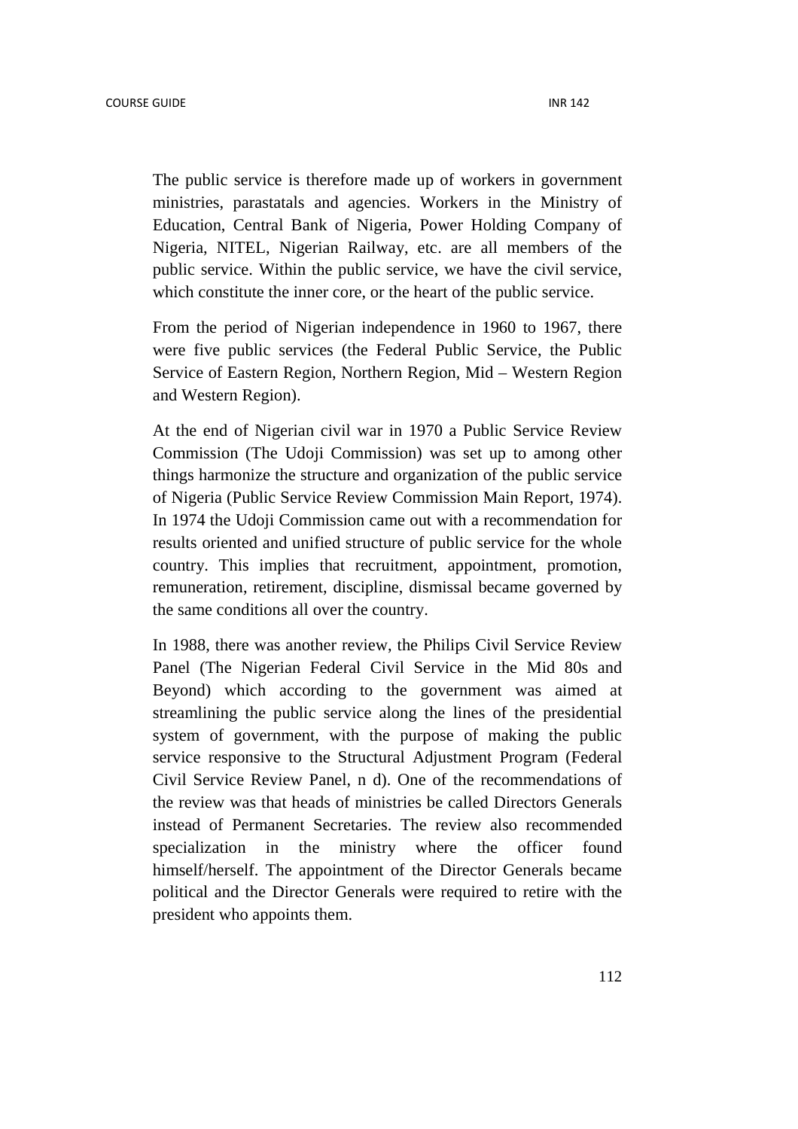The public service is therefore made up of workers in government ministries, parastatals and agencies. Workers in the Ministry of Education, Central Bank of Nigeria, Power Holding Company of Nigeria, NITEL, Nigerian Railway, etc. are all members of the public service. Within the public service, we have the civil service, which constitute the inner core, or the heart of the public service.

From the period of Nigerian independence in 1960 to 1967, there were five public services (the Federal Public Service, the Public Service of Eastern Region, Northern Region, Mid – Western Region and Western Region).

At the end of Nigerian civil war in 1970 a Public Service Review Commission (The Udoji Commission) was set up to among other things harmonize the structure and organization of the public service of Nigeria (Public Service Review Commission Main Report, 1974). In 1974 the Udoji Commission came out with a recommendation for results oriented and unified structure of public service for the whole country. This implies that recruitment, appointment, promotion, remuneration, retirement, discipline, dismissal became governed by the same conditions all over the country.

In 1988, there was another review, the Philips Civil Service Review Panel (The Nigerian Federal Civil Service in the Mid 80s and Beyond) which according to the government was aimed at streamlining the public service along the lines of the presidential system of government, with the purpose of making the public service responsive to the Structural Adjustment Program (Federal Civil Service Review Panel, n d). One of the recommendations of the review was that heads of ministries be called Directors Generals instead of Permanent Secretaries. The review also recommended specialization in the ministry where the officer found himself/herself. The appointment of the Director Generals became political and the Director Generals were required to retire with the president who appoints them.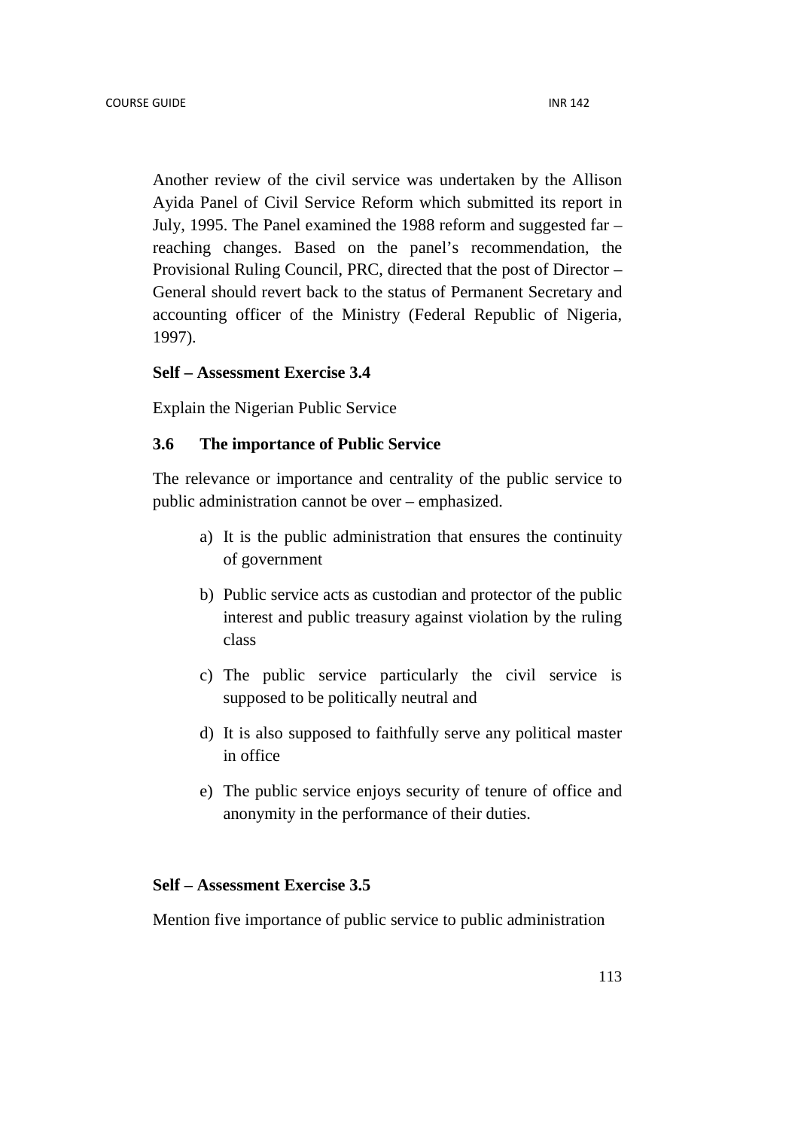Another review of the civil service was undertaken by the Allison Ayida Panel of Civil Service Reform which submitted its report in July, 1995. The Panel examined the 1988 reform and suggested far – reaching changes. Based on the panel's recommendation, the Provisional Ruling Council, PRC, directed that the post of Director – General should revert back to the status of Permanent Secretary and accounting officer of the Ministry (Federal Republic of Nigeria, 1997).

#### **Self – Assessment Exercise 3.4**

Explain the Nigerian Public Service

#### **3.6 The importance of Public Service**

The relevance or importance and centrality of the public service to public administration cannot be over – emphasized.

- a) It is the public administration that ensures the continuity of government
- b) Public service acts as custodian and protector of the public interest and public treasury against violation by the ruling class
- c) The public service particularly the civil service is supposed to be politically neutral and
- d) It is also supposed to faithfully serve any political master in office
- e) The public service enjoys security of tenure of office and anonymity in the performance of their duties.

#### **Self – Assessment Exercise 3.5**

Mention five importance of public service to public administration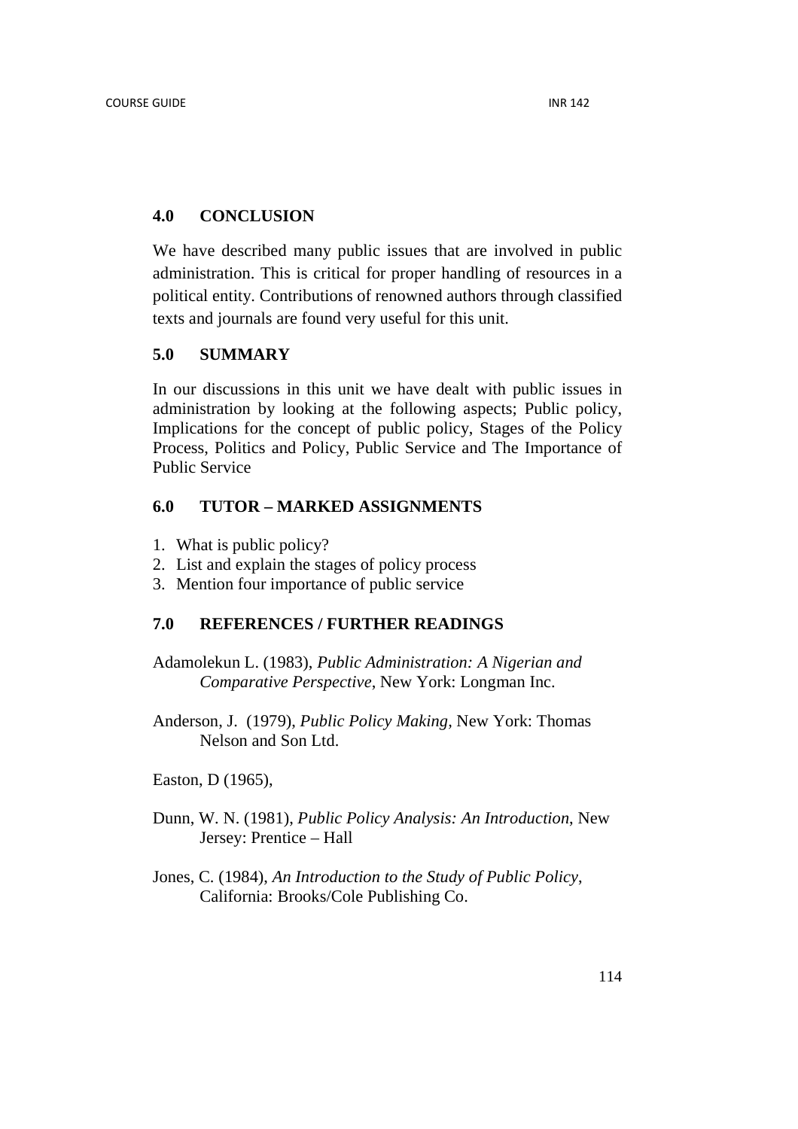### **4.0 CONCLUSION**

We have described many public issues that are involved in public administration. This is critical for proper handling of resources in a political entity. Contributions of renowned authors through classified texts and journals are found very useful for this unit.

### **5.0 SUMMARY**

In our discussions in this unit we have dealt with public issues in administration by looking at the following aspects; Public policy, Implications for the concept of public policy, Stages of the Policy Process, Politics and Policy, Public Service and The Importance of Public Service

# **6.0 TUTOR – MARKED ASSIGNMENTS**

- 1. What is public policy?
- 2. List and explain the stages of policy process
- 3. Mention four importance of public service

# **7.0 REFERENCES / FURTHER READINGS**

Adamolekun L. (1983), *Public Administration: A Nigerian and Comparative Perspective*, New York: Longman Inc.

Anderson, J. (1979), *Public Policy Making,* New York: Thomas Nelson and Son Ltd.

Easton, D (1965),

- Dunn, W. N. (1981), *Public Policy Analysis: An Introduction*, New Jersey: Prentice – Hall
- Jones, C. (1984), *An Introduction to the Study of Public Policy*, California: Brooks/Cole Publishing Co.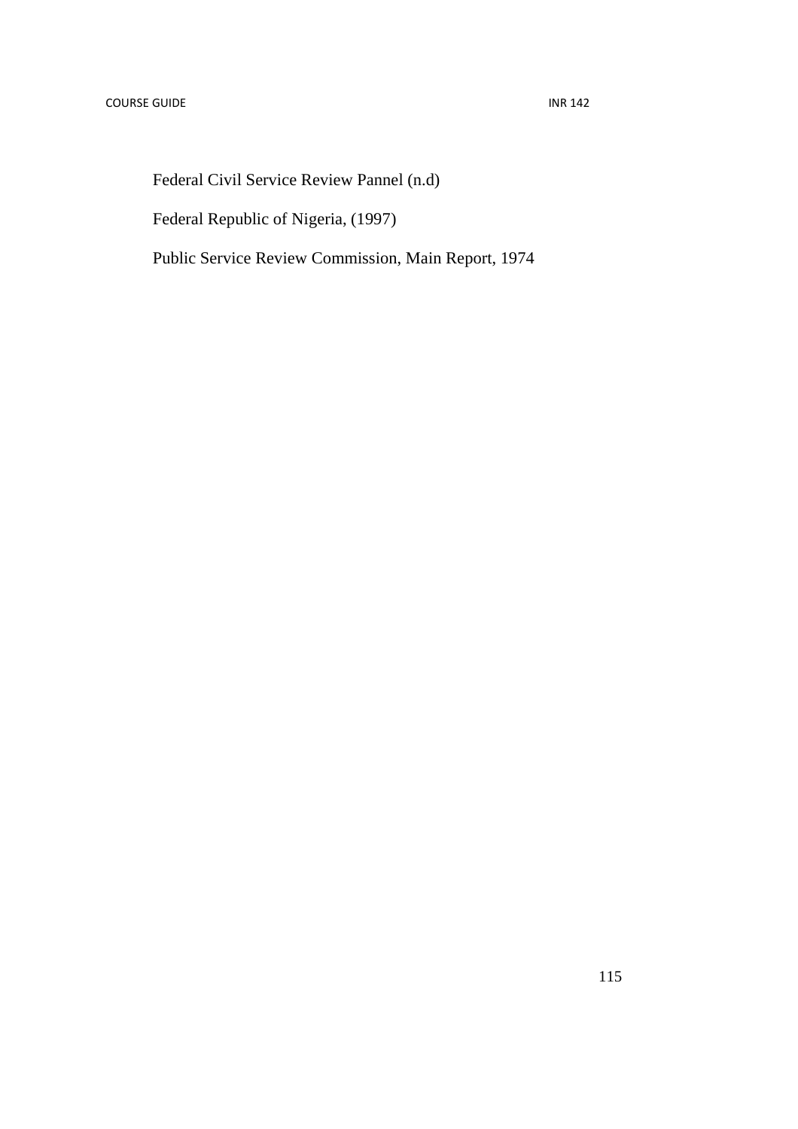Federal Civil Service Review Pannel (n.d)

Federal Republic of Nigeria, (1997)

Public Service Review Commission, Main Report, 1974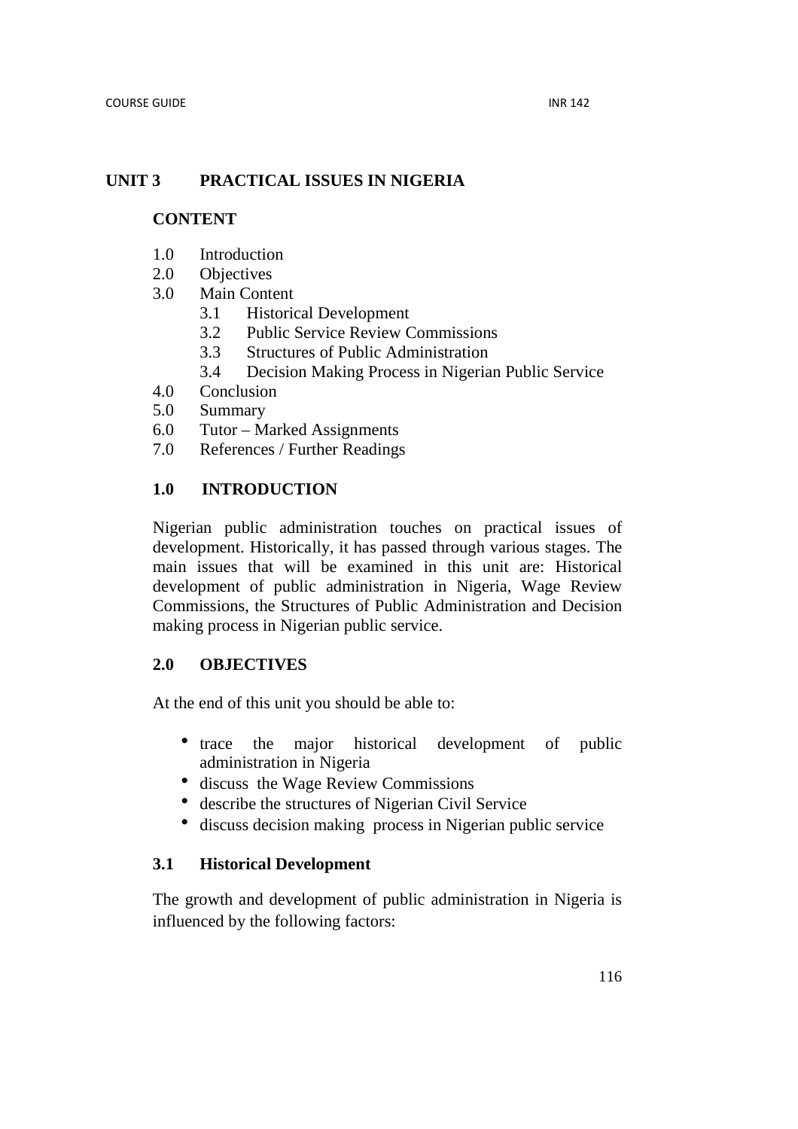# **UNIT 3 PRACTICAL ISSUES IN NIGERIA**

### **CONTENT**

- 1.0 Introduction
- 2.0 Objectives
- 3.0 Main Content
	- 3.1 Historical Development
	- 3.2 Public Service Review Commissions
	- 3.3 Structures of Public Administration
	- 3.4 Decision Making Process in Nigerian Public Service
- 4.0 Conclusion
- 5.0 Summary
- 6.0 Tutor Marked Assignments
- 7.0 References / Further Readings

# **1.0 INTRODUCTION**

Nigerian public administration touches on practical issues of development. Historically, it has passed through various stages. The main issues that will be examined in this unit are: Historical development of public administration in Nigeria, Wage Review Commissions, the Structures of Public Administration and Decision making process in Nigerian public service.

# **2.0 OBJECTIVES**

At the end of this unit you should be able to:

- trace the major historical development of public administration in Nigeria
- discuss the Wage Review Commissions
- describe the structures of Nigerian Civil Service
- discuss decision making process in Nigerian public service

# **3.1 Historical Development**

The growth and development of public administration in Nigeria is influenced by the following factors: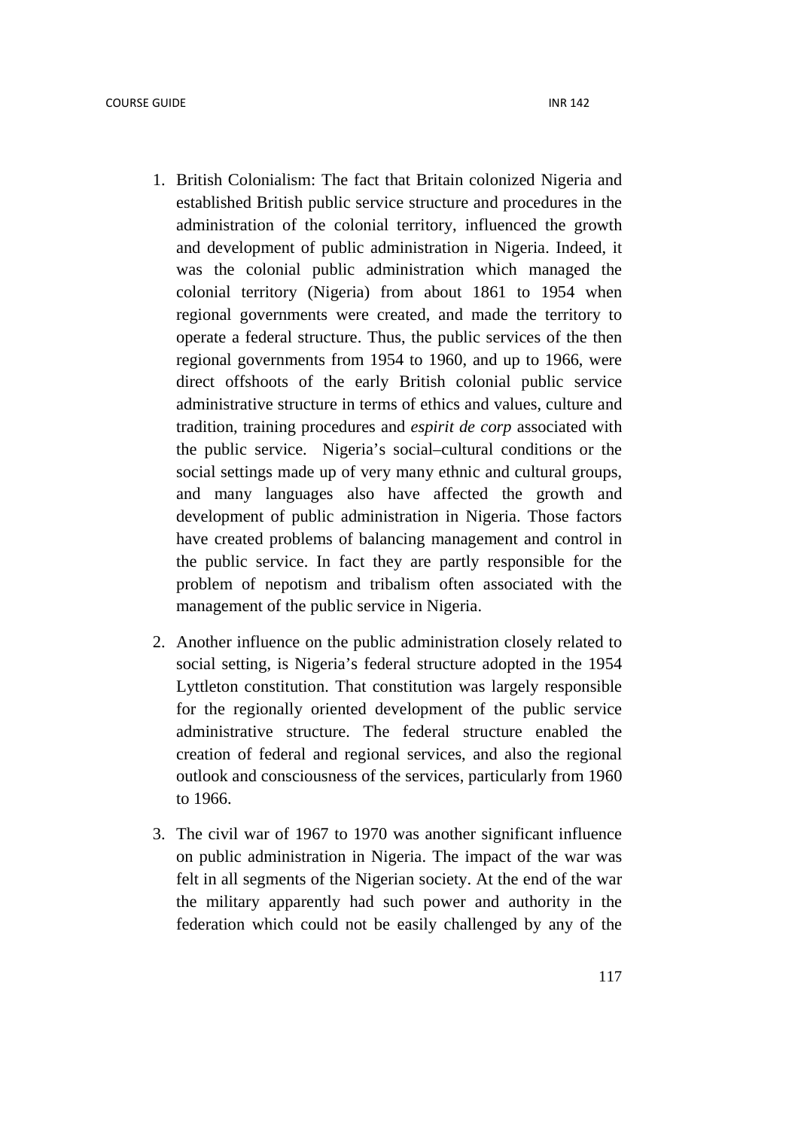- 1. British Colonialism: The fact that Britain colonized Nigeria and established British public service structure and procedures in the administration of the colonial territory, influenced the growth and development of public administration in Nigeria. Indeed, it was the colonial public administration which managed the colonial territory (Nigeria) from about 1861 to 1954 when regional governments were created, and made the territory to operate a federal structure. Thus, the public services of the then regional governments from 1954 to 1960, and up to 1966, were direct offshoots of the early British colonial public service administrative structure in terms of ethics and values, culture and tradition, training procedures and *espirit de corp* associated with the public service. Nigeria's social–cultural conditions or the social settings made up of very many ethnic and cultural groups, and many languages also have affected the growth and development of public administration in Nigeria. Those factors have created problems of balancing management and control in the public service. In fact they are partly responsible for the problem of nepotism and tribalism often associated with the management of the public service in Nigeria.
- 2. Another influence on the public administration closely related to social setting, is Nigeria's federal structure adopted in the 1954 Lyttleton constitution. That constitution was largely responsible for the regionally oriented development of the public service administrative structure. The federal structure enabled the creation of federal and regional services, and also the regional outlook and consciousness of the services, particularly from 1960 to 1966.
- 3. The civil war of 1967 to 1970 was another significant influence on public administration in Nigeria. The impact of the war was felt in all segments of the Nigerian society. At the end of the war the military apparently had such power and authority in the federation which could not be easily challenged by any of the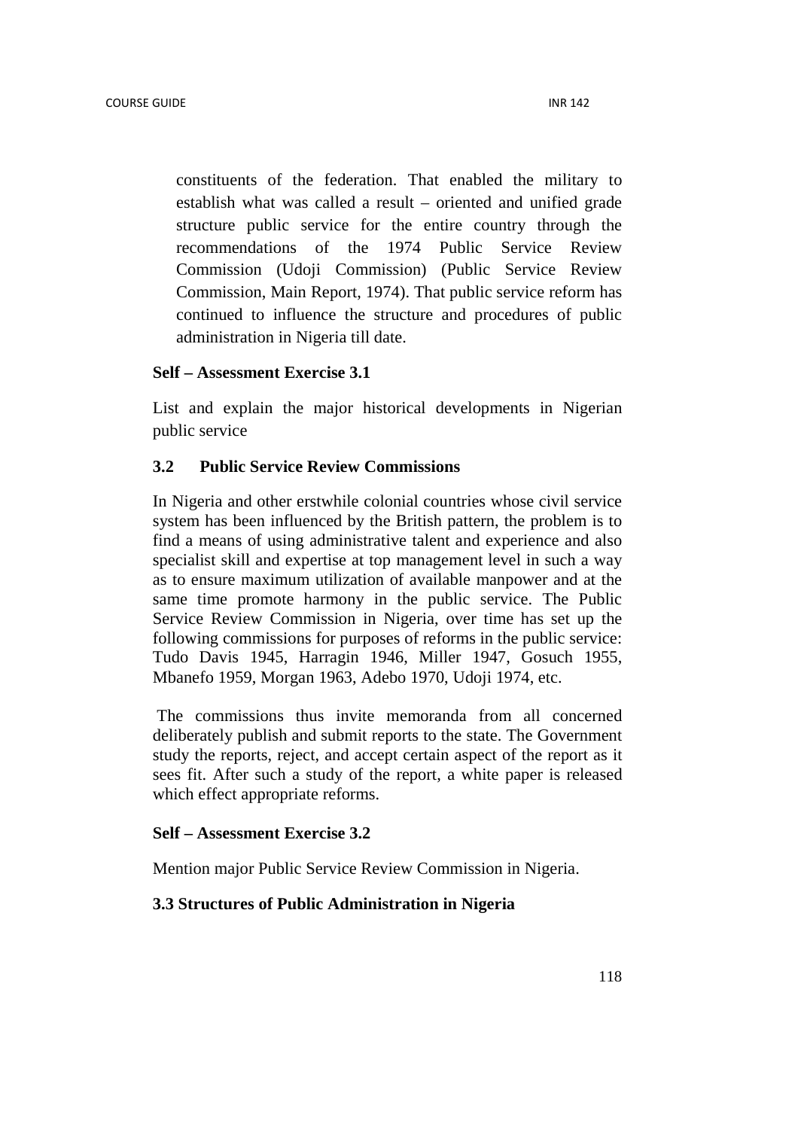constituents of the federation. That enabled the military to establish what was called a result – oriented and unified grade structure public service for the entire country through the recommendations of the 1974 Public Service Review Commission (Udoji Commission) (Public Service Review Commission, Main Report, 1974). That public service reform has continued to influence the structure and procedures of public administration in Nigeria till date.

#### **Self – Assessment Exercise 3.1**

List and explain the major historical developments in Nigerian public service

### **3.2 Public Service Review Commissions**

In Nigeria and other erstwhile colonial countries whose civil service system has been influenced by the British pattern, the problem is to find a means of using administrative talent and experience and also specialist skill and expertise at top management level in such a way as to ensure maximum utilization of available manpower and at the same time promote harmony in the public service. The Public Service Review Commission in Nigeria, over time has set up the following commissions for purposes of reforms in the public service: Tudo Davis 1945, Harragin 1946, Miller 1947, Gosuch 1955, Mbanefo 1959, Morgan 1963, Adebo 1970, Udoji 1974, etc.

 The commissions thus invite memoranda from all concerned deliberately publish and submit reports to the state. The Government study the reports, reject, and accept certain aspect of the report as it sees fit. After such a study of the report, a white paper is released which effect appropriate reforms.

#### **Self – Assessment Exercise 3.2**

Mention major Public Service Review Commission in Nigeria.

#### **3.3 Structures of Public Administration in Nigeria**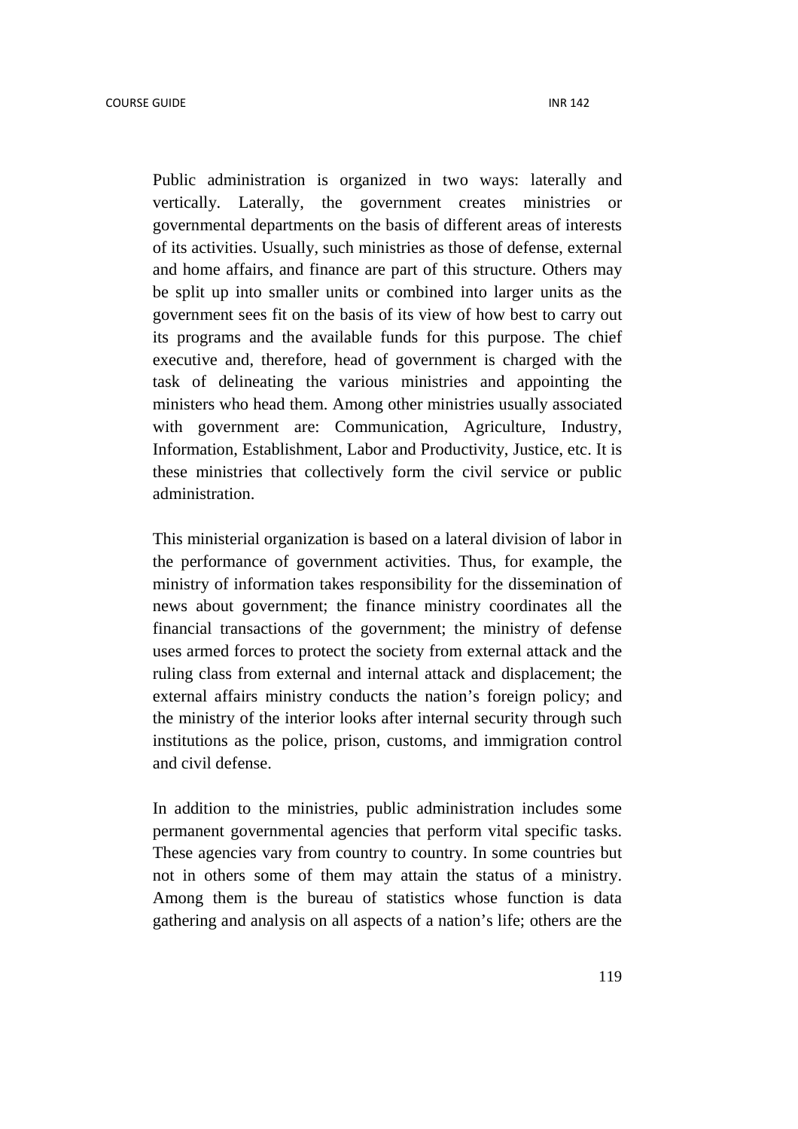Public administration is organized in two ways: laterally and vertically. Laterally, the government creates ministries or governmental departments on the basis of different areas of interests of its activities. Usually, such ministries as those of defense, external and home affairs, and finance are part of this structure. Others may be split up into smaller units or combined into larger units as the government sees fit on the basis of its view of how best to carry out its programs and the available funds for this purpose. The chief executive and, therefore, head of government is charged with the task of delineating the various ministries and appointing the ministers who head them. Among other ministries usually associated with government are: Communication, Agriculture, Industry, Information, Establishment, Labor and Productivity, Justice, etc. It is these ministries that collectively form the civil service or public administration.

This ministerial organization is based on a lateral division of labor in the performance of government activities. Thus, for example, the ministry of information takes responsibility for the dissemination of news about government; the finance ministry coordinates all the financial transactions of the government; the ministry of defense uses armed forces to protect the society from external attack and the ruling class from external and internal attack and displacement; the external affairs ministry conducts the nation's foreign policy; and the ministry of the interior looks after internal security through such institutions as the police, prison, customs, and immigration control and civil defense.

In addition to the ministries, public administration includes some permanent governmental agencies that perform vital specific tasks. These agencies vary from country to country. In some countries but not in others some of them may attain the status of a ministry. Among them is the bureau of statistics whose function is data gathering and analysis on all aspects of a nation's life; others are the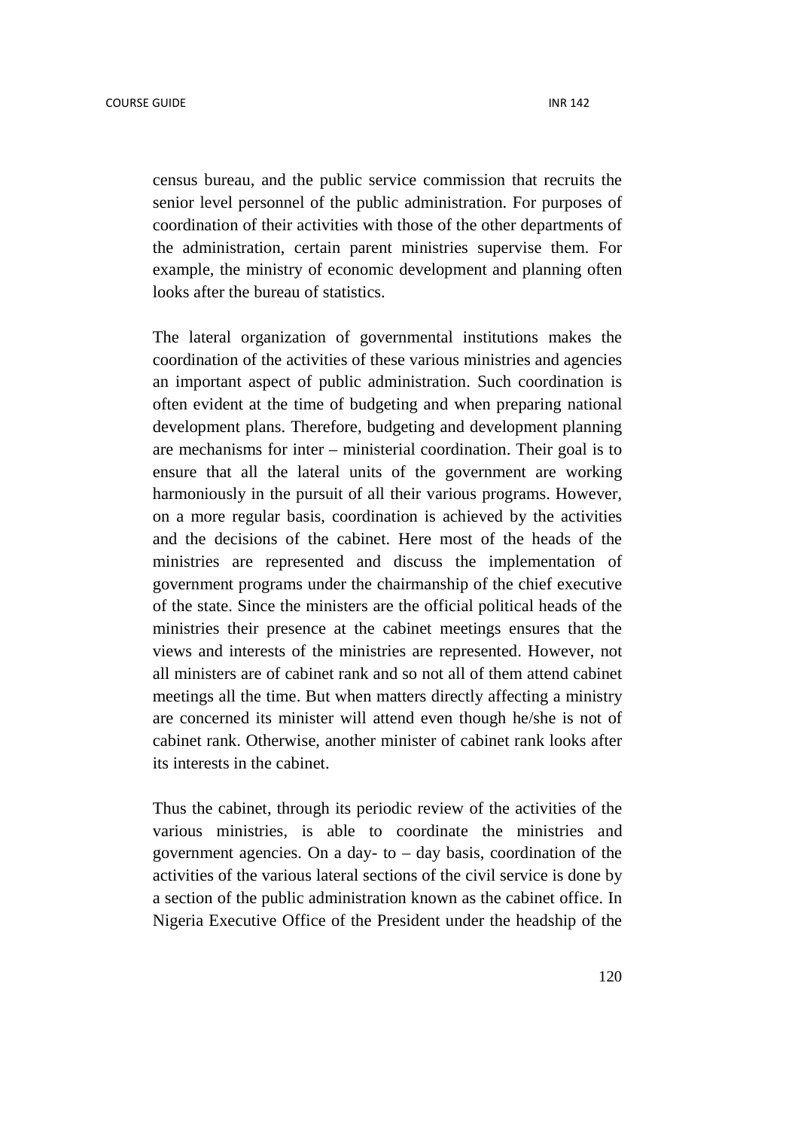census bureau, and the public service commission that recruits the senior level personnel of the public administration. For purposes of coordination of their activities with those of the other departments of the administration, certain parent ministries supervise them. For example, the ministry of economic development and planning often looks after the bureau of statistics.

The lateral organization of governmental institutions makes the coordination of the activities of these various ministries and agencies an important aspect of public administration. Such coordination is often evident at the time of budgeting and when preparing national development plans. Therefore, budgeting and development planning are mechanisms for inter – ministerial coordination. Their goal is to ensure that all the lateral units of the government are working harmoniously in the pursuit of all their various programs. However, on a more regular basis, coordination is achieved by the activities and the decisions of the cabinet. Here most of the heads of the ministries are represented and discuss the implementation of government programs under the chairmanship of the chief executive of the state. Since the ministers are the official political heads of the ministries their presence at the cabinet meetings ensures that the views and interests of the ministries are represented. However, not all ministers are of cabinet rank and so not all of them attend cabinet meetings all the time. But when matters directly affecting a ministry are concerned its minister will attend even though he/she is not of cabinet rank. Otherwise, another minister of cabinet rank looks after its interests in the cabinet.

Thus the cabinet, through its periodic review of the activities of the various ministries, is able to coordinate the ministries and government agencies. On a day- to  $-$  day basis, coordination of the activities of the various lateral sections of the civil service is done by a section of the public administration known as the cabinet office. In Nigeria Executive Office of the President under the headship of the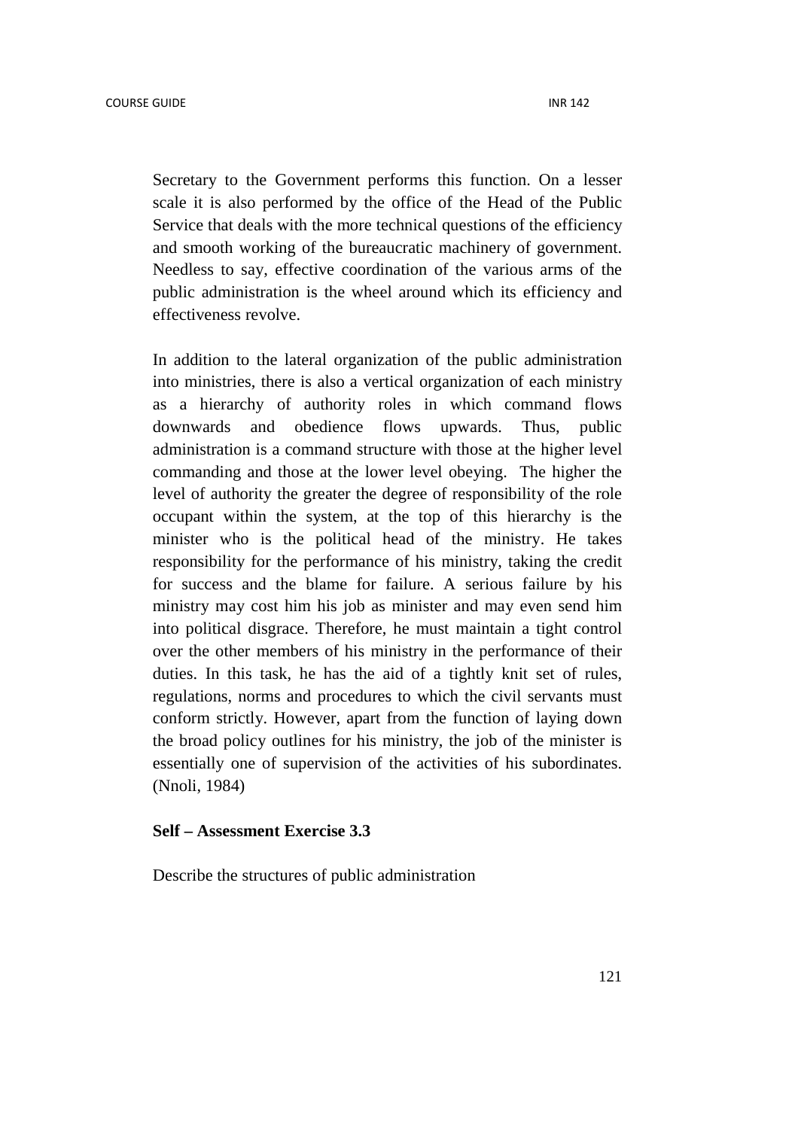Secretary to the Government performs this function. On a lesser scale it is also performed by the office of the Head of the Public Service that deals with the more technical questions of the efficiency and smooth working of the bureaucratic machinery of government. Needless to say, effective coordination of the various arms of the public administration is the wheel around which its efficiency and effectiveness revolve.

In addition to the lateral organization of the public administration into ministries, there is also a vertical organization of each ministry as a hierarchy of authority roles in which command flows downwards and obedience flows upwards. Thus, public administration is a command structure with those at the higher level commanding and those at the lower level obeying. The higher the level of authority the greater the degree of responsibility of the role occupant within the system, at the top of this hierarchy is the minister who is the political head of the ministry. He takes responsibility for the performance of his ministry, taking the credit for success and the blame for failure. A serious failure by his ministry may cost him his job as minister and may even send him into political disgrace. Therefore, he must maintain a tight control over the other members of his ministry in the performance of their duties. In this task, he has the aid of a tightly knit set of rules, regulations, norms and procedures to which the civil servants must conform strictly. However, apart from the function of laying down the broad policy outlines for his ministry, the job of the minister is essentially one of supervision of the activities of his subordinates. (Nnoli, 1984)

#### **Self – Assessment Exercise 3.3**

Describe the structures of public administration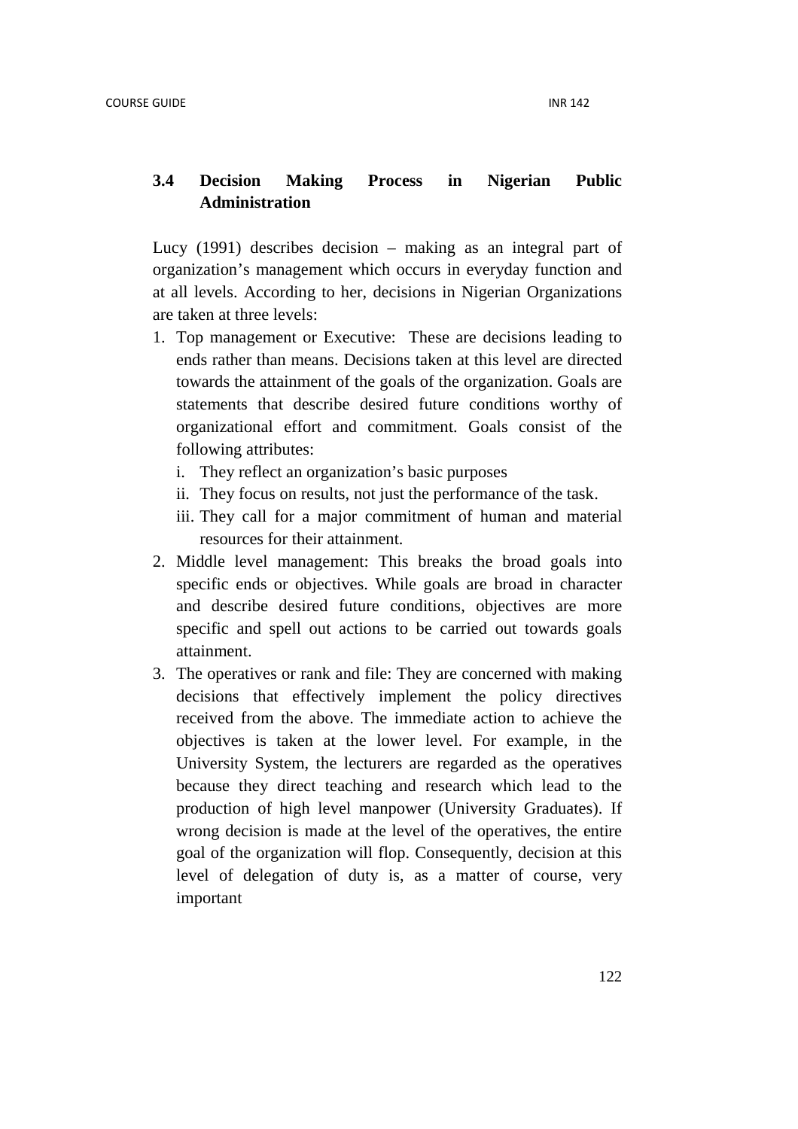# **3.4 Decision Making Process in Nigerian Public Administration**

Lucy (1991) describes decision – making as an integral part of organization's management which occurs in everyday function and at all levels. According to her, decisions in Nigerian Organizations are taken at three levels:

- 1. Top management or Executive: These are decisions leading to ends rather than means. Decisions taken at this level are directed towards the attainment of the goals of the organization. Goals are statements that describe desired future conditions worthy of organizational effort and commitment. Goals consist of the following attributes:
	- i. They reflect an organization's basic purposes
	- ii. They focus on results, not just the performance of the task.
	- iii. They call for a major commitment of human and material resources for their attainment.
- 2. Middle level management: This breaks the broad goals into specific ends or objectives. While goals are broad in character and describe desired future conditions, objectives are more specific and spell out actions to be carried out towards goals attainment.
- 3. The operatives or rank and file: They are concerned with making decisions that effectively implement the policy directives received from the above. The immediate action to achieve the objectives is taken at the lower level. For example, in the University System, the lecturers are regarded as the operatives because they direct teaching and research which lead to the production of high level manpower (University Graduates). If wrong decision is made at the level of the operatives, the entire goal of the organization will flop. Consequently, decision at this level of delegation of duty is, as a matter of course, very important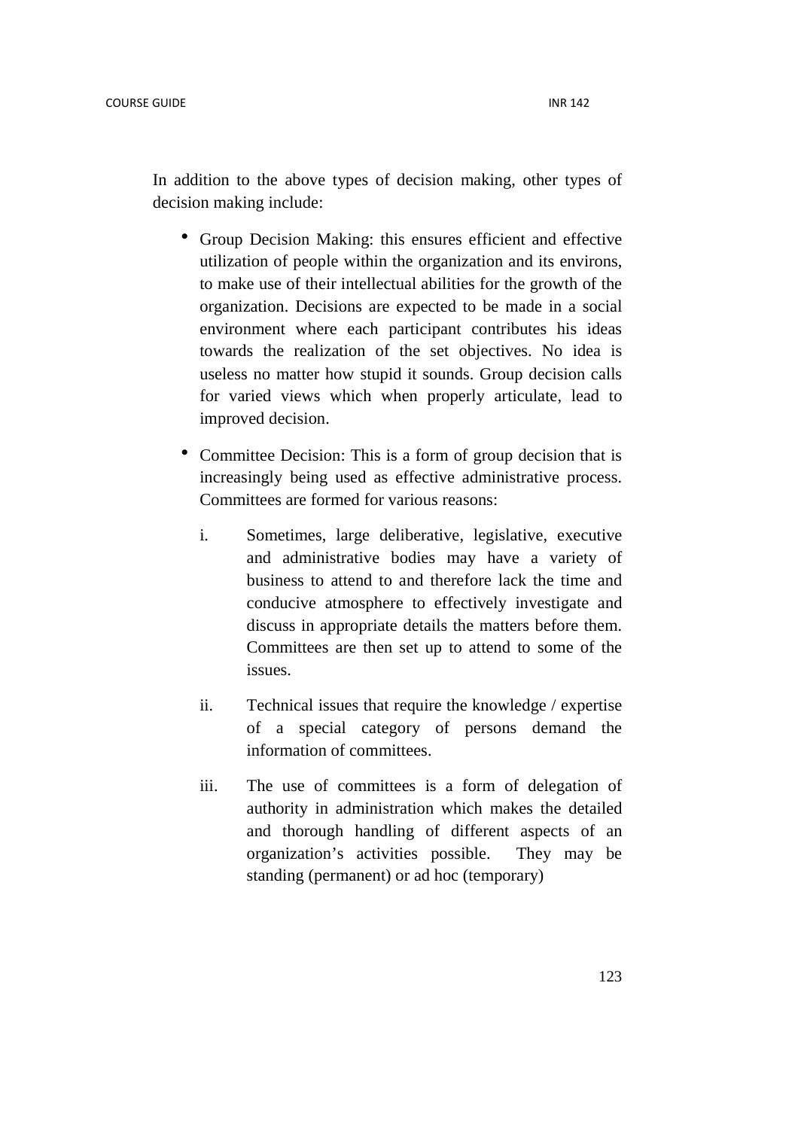In addition to the above types of decision making, other types of decision making include:

- Group Decision Making: this ensures efficient and effective utilization of people within the organization and its environs, to make use of their intellectual abilities for the growth of the organization. Decisions are expected to be made in a social environment where each participant contributes his ideas towards the realization of the set objectives. No idea is useless no matter how stupid it sounds. Group decision calls for varied views which when properly articulate, lead to improved decision.
- Committee Decision: This is a form of group decision that is increasingly being used as effective administrative process. Committees are formed for various reasons:
	- i. Sometimes, large deliberative, legislative, executive and administrative bodies may have a variety of business to attend to and therefore lack the time and conducive atmosphere to effectively investigate and discuss in appropriate details the matters before them. Committees are then set up to attend to some of the issues.
	- ii. Technical issues that require the knowledge / expertise of a special category of persons demand the information of committees.
	- iii. The use of committees is a form of delegation of authority in administration which makes the detailed and thorough handling of different aspects of an organization's activities possible. They may be standing (permanent) or ad hoc (temporary)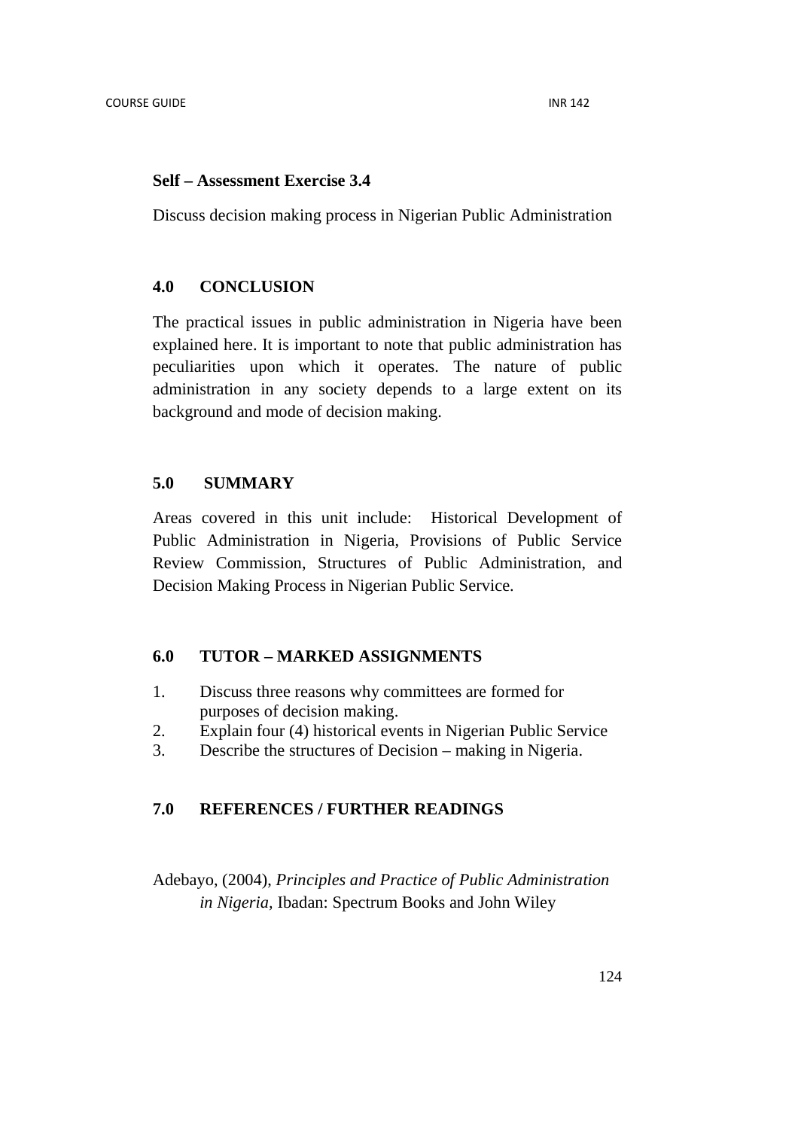#### **Self – Assessment Exercise 3.4**

Discuss decision making process in Nigerian Public Administration

#### **4.0 CONCLUSION**

The practical issues in public administration in Nigeria have been explained here. It is important to note that public administration has peculiarities upon which it operates. The nature of public administration in any society depends to a large extent on its background and mode of decision making.

# **5.0 SUMMARY**

Areas covered in this unit include: Historical Development of Public Administration in Nigeria, Provisions of Public Service Review Commission, Structures of Public Administration, and Decision Making Process in Nigerian Public Service.

### **6.0 TUTOR – MARKED ASSIGNMENTS**

- 1. Discuss three reasons why committees are formed for purposes of decision making.
- 2. Explain four (4) historical events in Nigerian Public Service
- 3. Describe the structures of Decision making in Nigeria.

# **7.0 REFERENCES / FURTHER READINGS**

Adebayo, (2004), *Principles and Practice of Public Administration in Nigeria,* Ibadan: Spectrum Books and John Wiley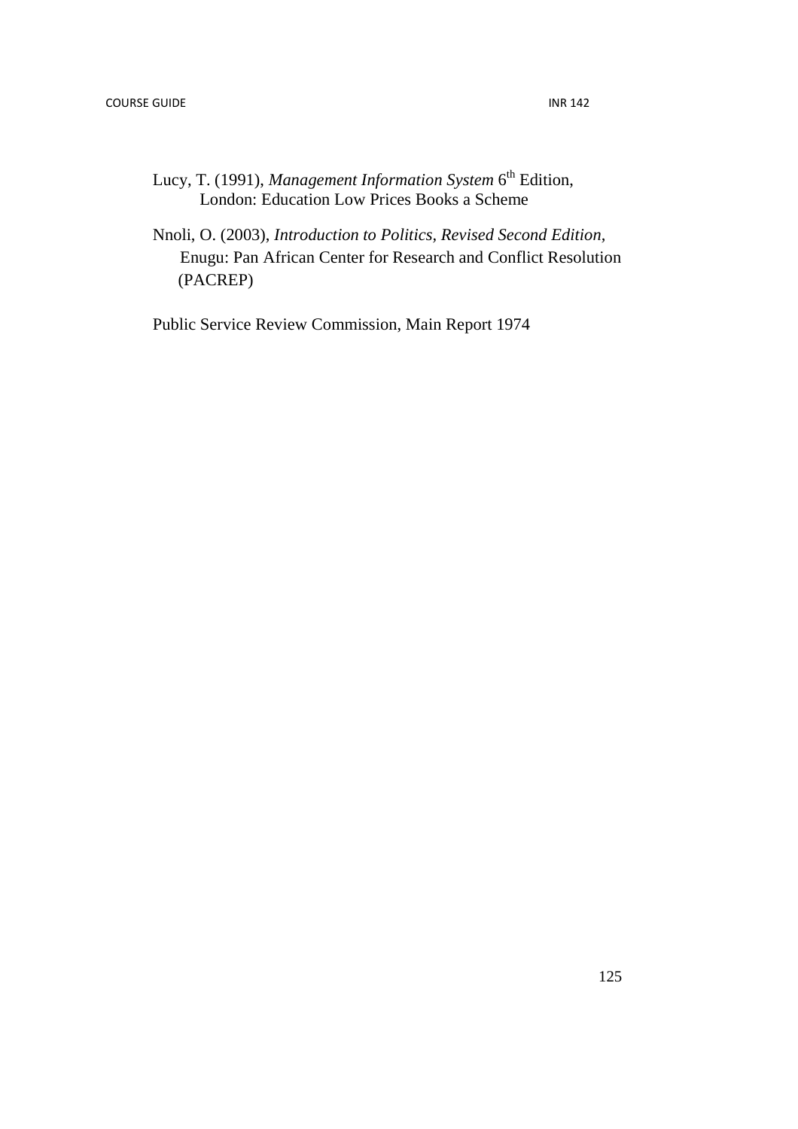- Lucy, T. (1991), *Management Information System* 6<sup>th</sup> Edition, London: Education Low Prices Books a Scheme
- Nnoli, O. (2003), *Introduction to Politics, Revised Second Edition,* Enugu: Pan African Center for Research and Conflict Resolution (PACREP)

Public Service Review Commission, Main Report 1974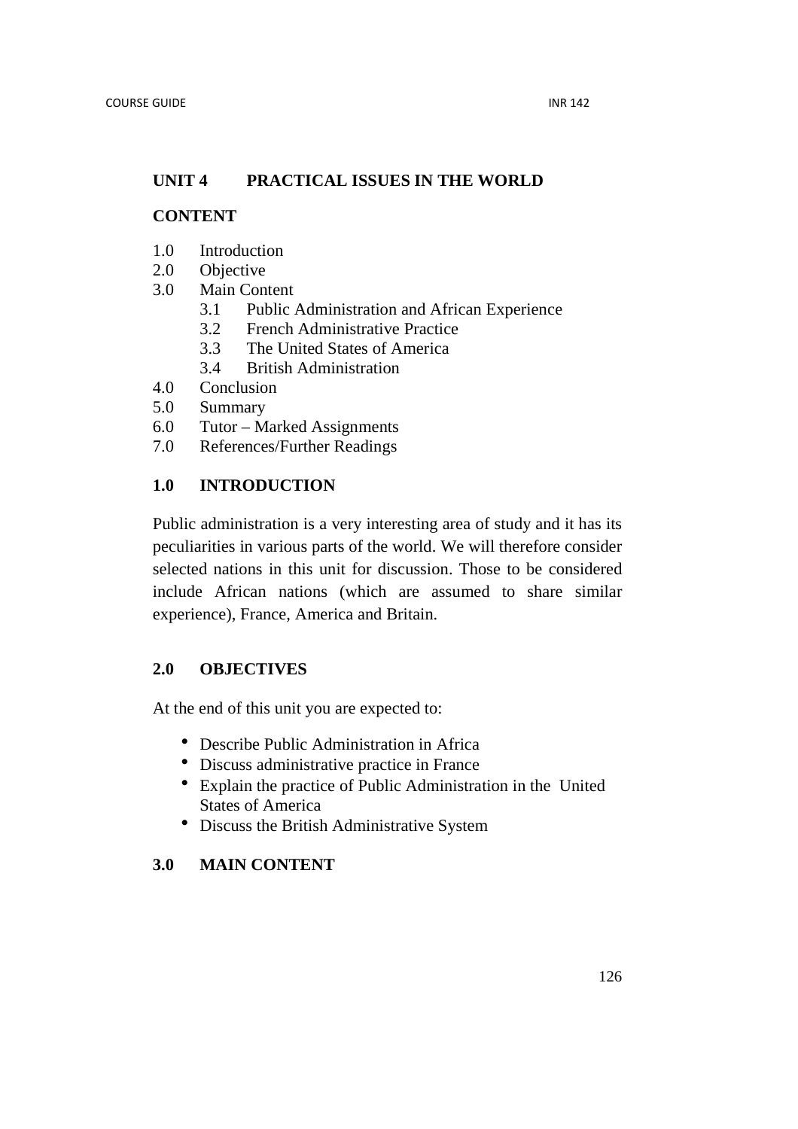# **UNIT 4 PRACTICAL ISSUES IN THE WORLD**

# **CONTENT**

- 1.0 Introduction
- 2.0 Objective
- 3.0 Main Content
	- 3.1 Public Administration and African Experience
	- 3.2 French Administrative Practice
	- 3.3 The United States of America
	- 3.4 British Administration
- 4.0 Conclusion
- 5.0 Summary
- 6.0 Tutor Marked Assignments
- 7.0 References/Further Readings

# **1.0 INTRODUCTION**

Public administration is a very interesting area of study and it has its peculiarities in various parts of the world. We will therefore consider selected nations in this unit for discussion. Those to be considered include African nations (which are assumed to share similar experience), France, America and Britain.

# **2.0 OBJECTIVES**

At the end of this unit you are expected to:

- Describe Public Administration in Africa
- Discuss administrative practice in France
- Explain the practice of Public Administration in the United States of America
- Discuss the British Administrative System

# **3.0 MAIN CONTENT**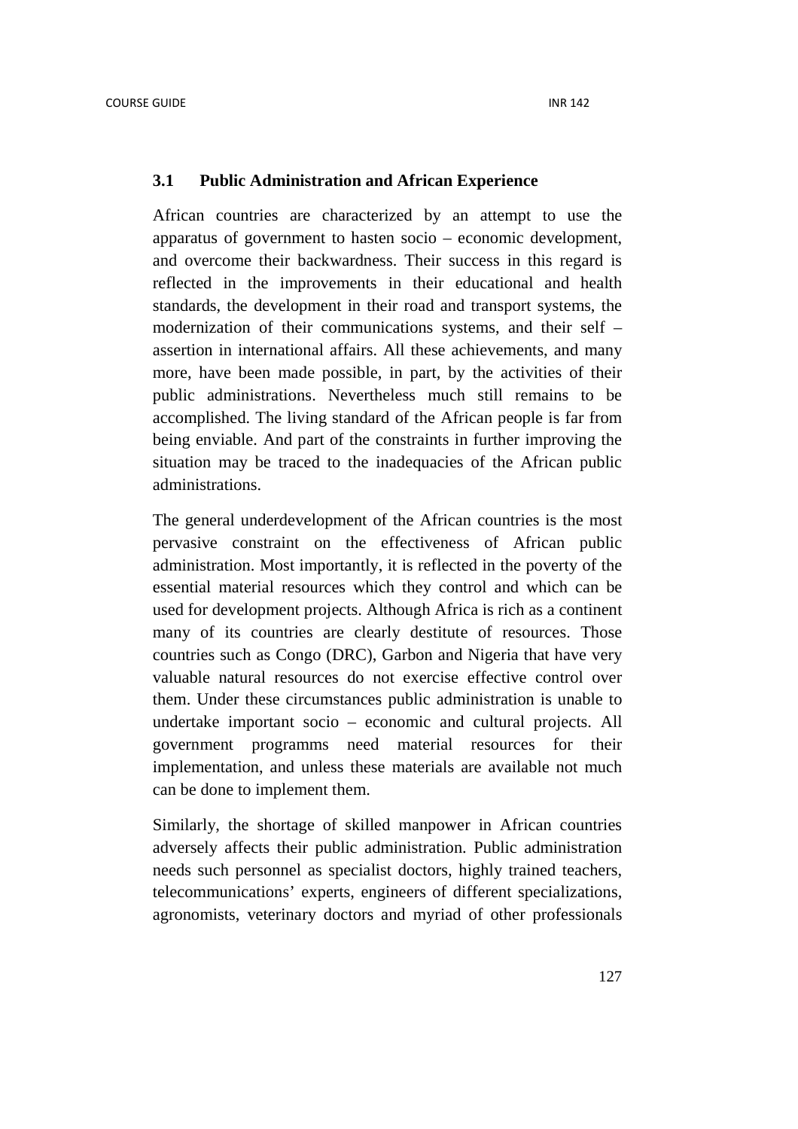#### **3.1 Public Administration and African Experience**

African countries are characterized by an attempt to use the apparatus of government to hasten socio – economic development, and overcome their backwardness. Their success in this regard is reflected in the improvements in their educational and health standards, the development in their road and transport systems, the modernization of their communications systems, and their self – assertion in international affairs. All these achievements, and many more, have been made possible, in part, by the activities of their public administrations. Nevertheless much still remains to be accomplished. The living standard of the African people is far from being enviable. And part of the constraints in further improving the situation may be traced to the inadequacies of the African public administrations.

The general underdevelopment of the African countries is the most pervasive constraint on the effectiveness of African public administration. Most importantly, it is reflected in the poverty of the essential material resources which they control and which can be used for development projects. Although Africa is rich as a continent many of its countries are clearly destitute of resources. Those countries such as Congo (DRC), Garbon and Nigeria that have very valuable natural resources do not exercise effective control over them. Under these circumstances public administration is unable to undertake important socio – economic and cultural projects. All government programms need material resources for their implementation, and unless these materials are available not much can be done to implement them.

Similarly, the shortage of skilled manpower in African countries adversely affects their public administration. Public administration needs such personnel as specialist doctors, highly trained teachers, telecommunications' experts, engineers of different specializations, agronomists, veterinary doctors and myriad of other professionals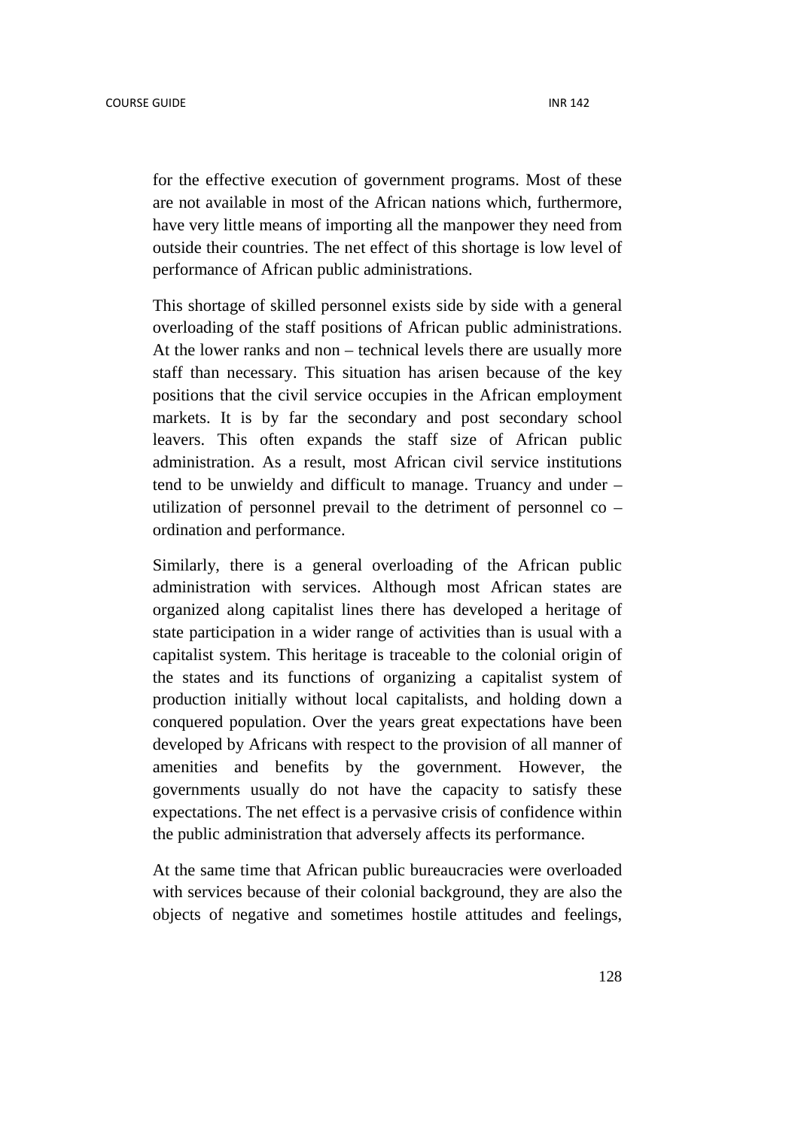for the effective execution of government programs. Most of these are not available in most of the African nations which, furthermore, have very little means of importing all the manpower they need from outside their countries. The net effect of this shortage is low level of performance of African public administrations.

This shortage of skilled personnel exists side by side with a general overloading of the staff positions of African public administrations. At the lower ranks and non – technical levels there are usually more staff than necessary. This situation has arisen because of the key positions that the civil service occupies in the African employment markets. It is by far the secondary and post secondary school leavers. This often expands the staff size of African public administration. As a result, most African civil service institutions tend to be unwieldy and difficult to manage. Truancy and under – utilization of personnel prevail to the detriment of personnel co – ordination and performance.

Similarly, there is a general overloading of the African public administration with services. Although most African states are organized along capitalist lines there has developed a heritage of state participation in a wider range of activities than is usual with a capitalist system. This heritage is traceable to the colonial origin of the states and its functions of organizing a capitalist system of production initially without local capitalists, and holding down a conquered population. Over the years great expectations have been developed by Africans with respect to the provision of all manner of amenities and benefits by the government. However, the governments usually do not have the capacity to satisfy these expectations. The net effect is a pervasive crisis of confidence within the public administration that adversely affects its performance.

At the same time that African public bureaucracies were overloaded with services because of their colonial background, they are also the objects of negative and sometimes hostile attitudes and feelings,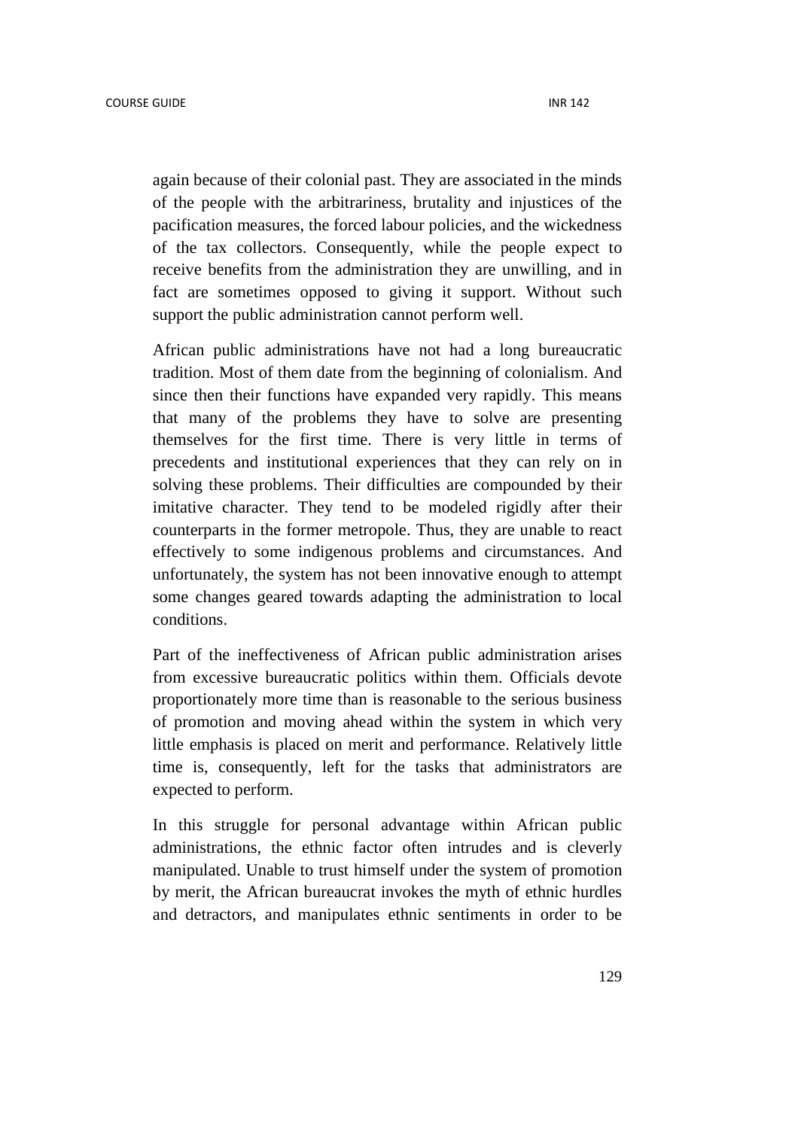again because of their colonial past. They are associated in the minds of the people with the arbitrariness, brutality and injustices of the pacification measures, the forced labour policies, and the wickedness of the tax collectors. Consequently, while the people expect to receive benefits from the administration they are unwilling, and in fact are sometimes opposed to giving it support. Without such support the public administration cannot perform well.

African public administrations have not had a long bureaucratic tradition. Most of them date from the beginning of colonialism. And since then their functions have expanded very rapidly. This means that many of the problems they have to solve are presenting themselves for the first time. There is very little in terms of precedents and institutional experiences that they can rely on in solving these problems. Their difficulties are compounded by their imitative character. They tend to be modeled rigidly after their counterparts in the former metropole. Thus, they are unable to react effectively to some indigenous problems and circumstances. And unfortunately, the system has not been innovative enough to attempt some changes geared towards adapting the administration to local conditions.

Part of the ineffectiveness of African public administration arises from excessive bureaucratic politics within them. Officials devote proportionately more time than is reasonable to the serious business of promotion and moving ahead within the system in which very little emphasis is placed on merit and performance. Relatively little time is, consequently, left for the tasks that administrators are expected to perform.

In this struggle for personal advantage within African public administrations, the ethnic factor often intrudes and is cleverly manipulated. Unable to trust himself under the system of promotion by merit, the African bureaucrat invokes the myth of ethnic hurdles and detractors, and manipulates ethnic sentiments in order to be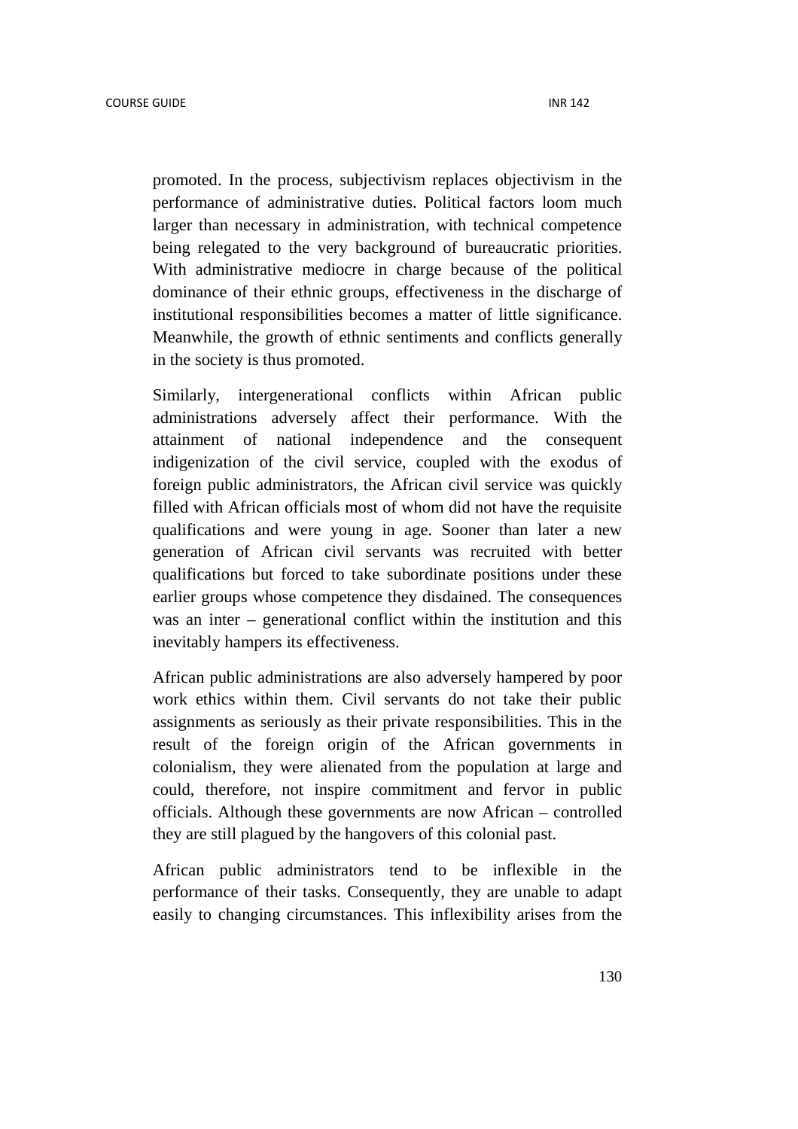promoted. In the process, subjectivism replaces objectivism in the performance of administrative duties. Political factors loom much larger than necessary in administration, with technical competence being relegated to the very background of bureaucratic priorities. With administrative mediocre in charge because of the political dominance of their ethnic groups, effectiveness in the discharge of institutional responsibilities becomes a matter of little significance. Meanwhile, the growth of ethnic sentiments and conflicts generally in the society is thus promoted.

Similarly, intergenerational conflicts within African public administrations adversely affect their performance. With the attainment of national independence and the consequent indigenization of the civil service, coupled with the exodus of foreign public administrators, the African civil service was quickly filled with African officials most of whom did not have the requisite qualifications and were young in age. Sooner than later a new generation of African civil servants was recruited with better qualifications but forced to take subordinate positions under these earlier groups whose competence they disdained. The consequences was an inter – generational conflict within the institution and this inevitably hampers its effectiveness.

African public administrations are also adversely hampered by poor work ethics within them. Civil servants do not take their public assignments as seriously as their private responsibilities. This in the result of the foreign origin of the African governments in colonialism, they were alienated from the population at large and could, therefore, not inspire commitment and fervor in public officials. Although these governments are now African – controlled they are still plagued by the hangovers of this colonial past.

African public administrators tend to be inflexible in the performance of their tasks. Consequently, they are unable to adapt easily to changing circumstances. This inflexibility arises from the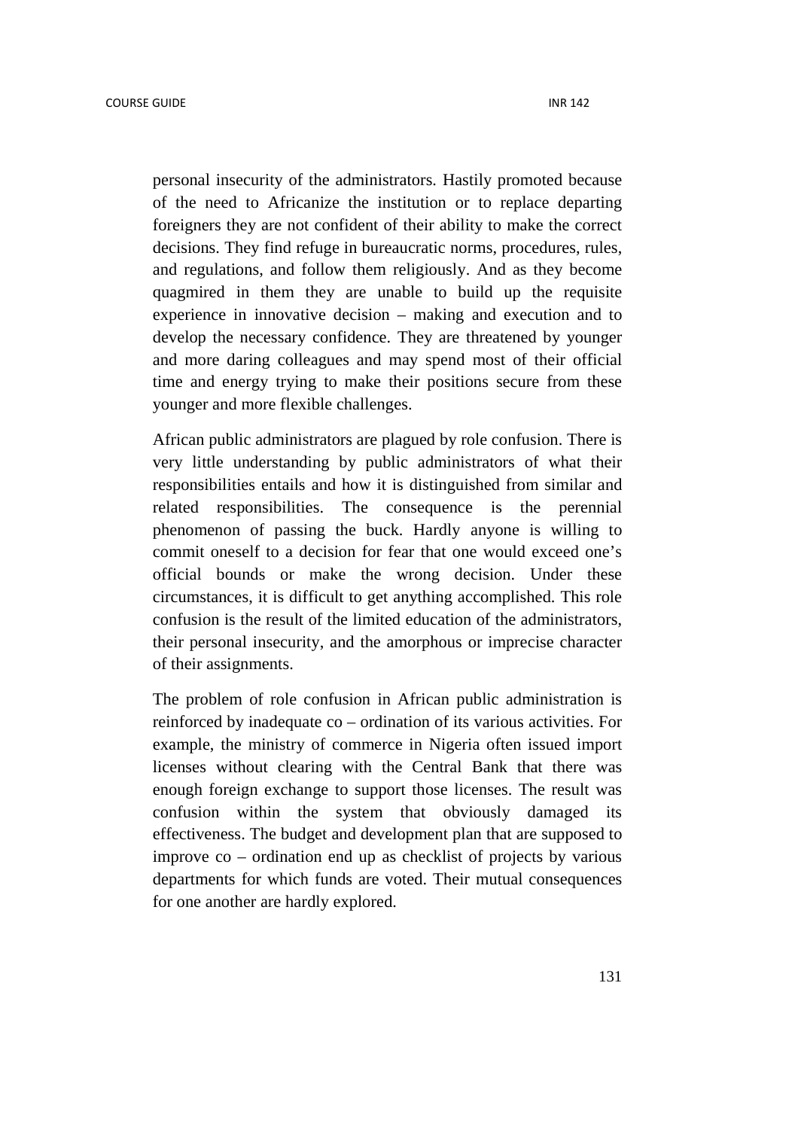personal insecurity of the administrators. Hastily promoted because of the need to Africanize the institution or to replace departing foreigners they are not confident of their ability to make the correct decisions. They find refuge in bureaucratic norms, procedures, rules, and regulations, and follow them religiously. And as they become quagmired in them they are unable to build up the requisite experience in innovative decision – making and execution and to develop the necessary confidence. They are threatened by younger and more daring colleagues and may spend most of their official time and energy trying to make their positions secure from these younger and more flexible challenges.

African public administrators are plagued by role confusion. There is very little understanding by public administrators of what their responsibilities entails and how it is distinguished from similar and related responsibilities. The consequence is the perennial phenomenon of passing the buck. Hardly anyone is willing to commit oneself to a decision for fear that one would exceed one's official bounds or make the wrong decision. Under these circumstances, it is difficult to get anything accomplished. This role confusion is the result of the limited education of the administrators, their personal insecurity, and the amorphous or imprecise character of their assignments.

The problem of role confusion in African public administration is reinforced by inadequate co – ordination of its various activities. For example, the ministry of commerce in Nigeria often issued import licenses without clearing with the Central Bank that there was enough foreign exchange to support those licenses. The result was confusion within the system that obviously damaged its effectiveness. The budget and development plan that are supposed to improve co – ordination end up as checklist of projects by various departments for which funds are voted. Their mutual consequences for one another are hardly explored.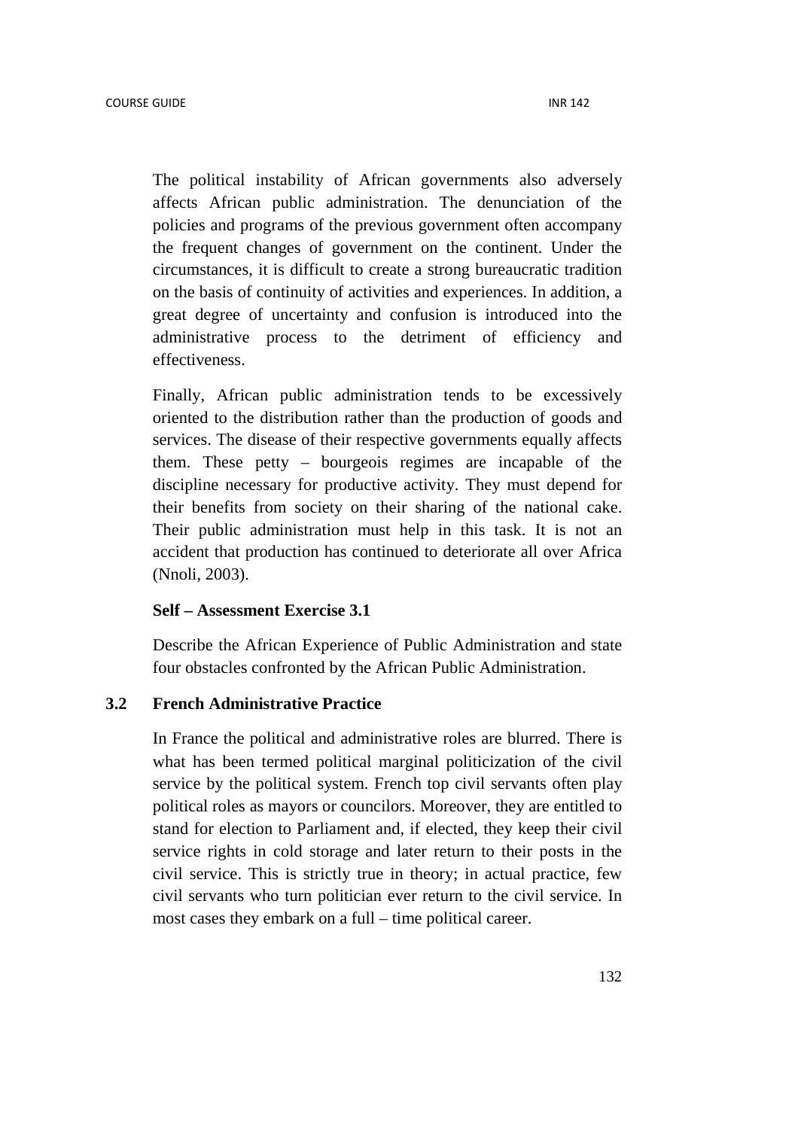The political instability of African governments also adversely affects African public administration. The denunciation of the policies and programs of the previous government often accompany the frequent changes of government on the continent. Under the circumstances, it is difficult to create a strong bureaucratic tradition on the basis of continuity of activities and experiences. In addition, a great degree of uncertainty and confusion is introduced into the administrative process to the detriment of efficiency and effectiveness.

Finally, African public administration tends to be excessively oriented to the distribution rather than the production of goods and services. The disease of their respective governments equally affects them. These petty – bourgeois regimes are incapable of the discipline necessary for productive activity. They must depend for their benefits from society on their sharing of the national cake. Their public administration must help in this task. It is not an accident that production has continued to deteriorate all over Africa (Nnoli, 2003).

#### **Self – Assessment Exercise 3.1**

Describe the African Experience of Public Administration and state four obstacles confronted by the African Public Administration.

# **3.2 French Administrative Practice**

In France the political and administrative roles are blurred. There is what has been termed political marginal politicization of the civil service by the political system. French top civil servants often play political roles as mayors or councilors. Moreover, they are entitled to stand for election to Parliament and, if elected, they keep their civil service rights in cold storage and later return to their posts in the civil service. This is strictly true in theory; in actual practice, few civil servants who turn politician ever return to the civil service. In most cases they embark on a full – time political career.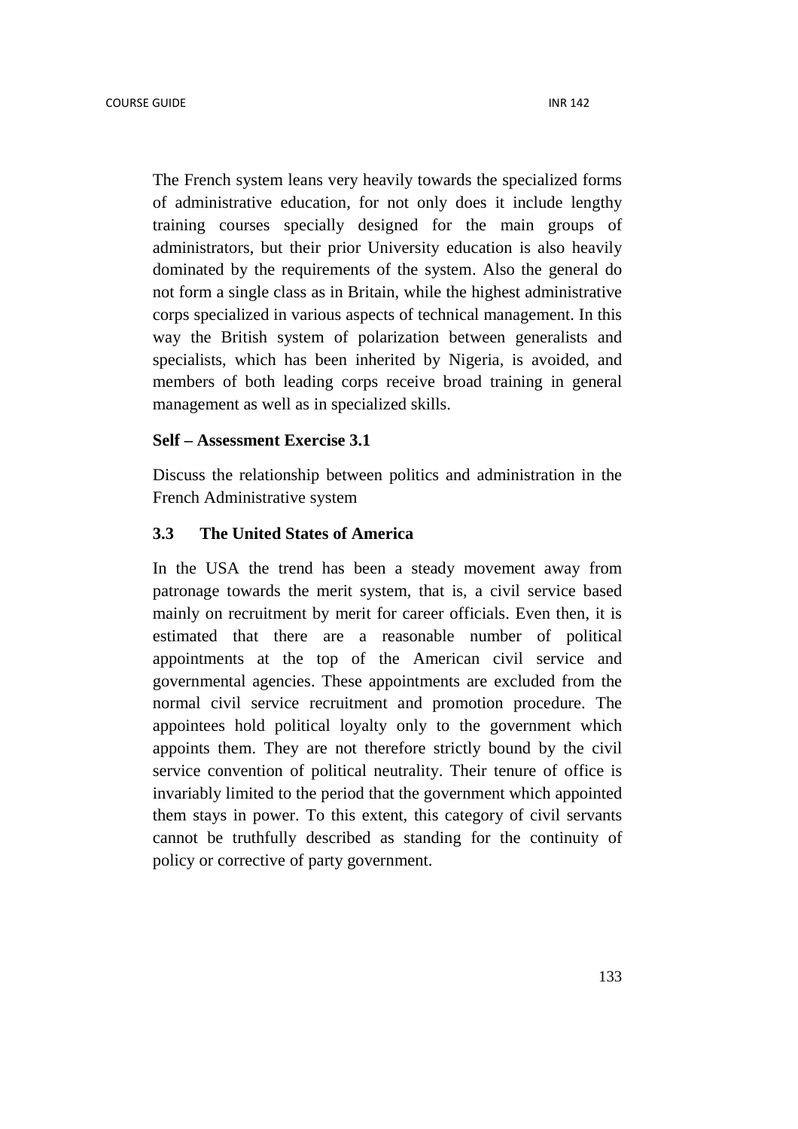The French system leans very heavily towards the specialized forms of administrative education, for not only does it include lengthy training courses specially designed for the main groups of administrators, but their prior University education is also heavily dominated by the requirements of the system. Also the general do not form a single class as in Britain, while the highest administrative corps specialized in various aspects of technical management. In this way the British system of polarization between generalists and specialists, which has been inherited by Nigeria, is avoided, and members of both leading corps receive broad training in general management as well as in specialized skills.

#### **Self – Assessment Exercise 3.1**

Discuss the relationship between politics and administration in the French Administrative system

#### **3.3 The United States of America**

In the USA the trend has been a steady movement away from patronage towards the merit system, that is, a civil service based mainly on recruitment by merit for career officials. Even then, it is estimated that there are a reasonable number of political appointments at the top of the American civil service and governmental agencies. These appointments are excluded from the normal civil service recruitment and promotion procedure. The appointees hold political loyalty only to the government which appoints them. They are not therefore strictly bound by the civil service convention of political neutrality. Their tenure of office is invariably limited to the period that the government which appointed them stays in power. To this extent, this category of civil servants cannot be truthfully described as standing for the continuity of policy or corrective of party government.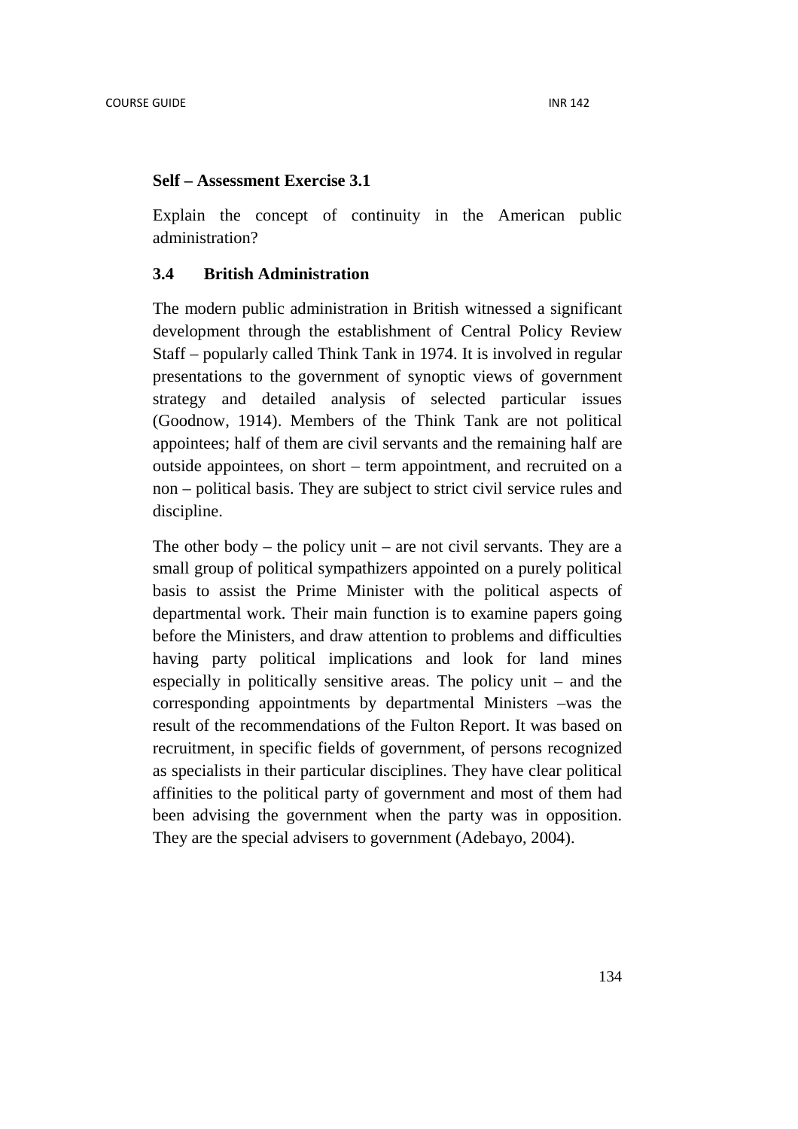#### **Self – Assessment Exercise 3.1**

Explain the concept of continuity in the American public administration?

### **3.4 British Administration**

The modern public administration in British witnessed a significant development through the establishment of Central Policy Review Staff – popularly called Think Tank in 1974. It is involved in regular presentations to the government of synoptic views of government strategy and detailed analysis of selected particular issues (Goodnow, 1914). Members of the Think Tank are not political appointees; half of them are civil servants and the remaining half are outside appointees, on short – term appointment, and recruited on a non – political basis. They are subject to strict civil service rules and discipline.

The other body – the policy unit – are not civil servants. They are a small group of political sympathizers appointed on a purely political basis to assist the Prime Minister with the political aspects of departmental work. Their main function is to examine papers going before the Ministers, and draw attention to problems and difficulties having party political implications and look for land mines especially in politically sensitive areas. The policy unit – and the corresponding appointments by departmental Ministers –was the result of the recommendations of the Fulton Report. It was based on recruitment, in specific fields of government, of persons recognized as specialists in their particular disciplines. They have clear political affinities to the political party of government and most of them had been advising the government when the party was in opposition. They are the special advisers to government (Adebayo, 2004).